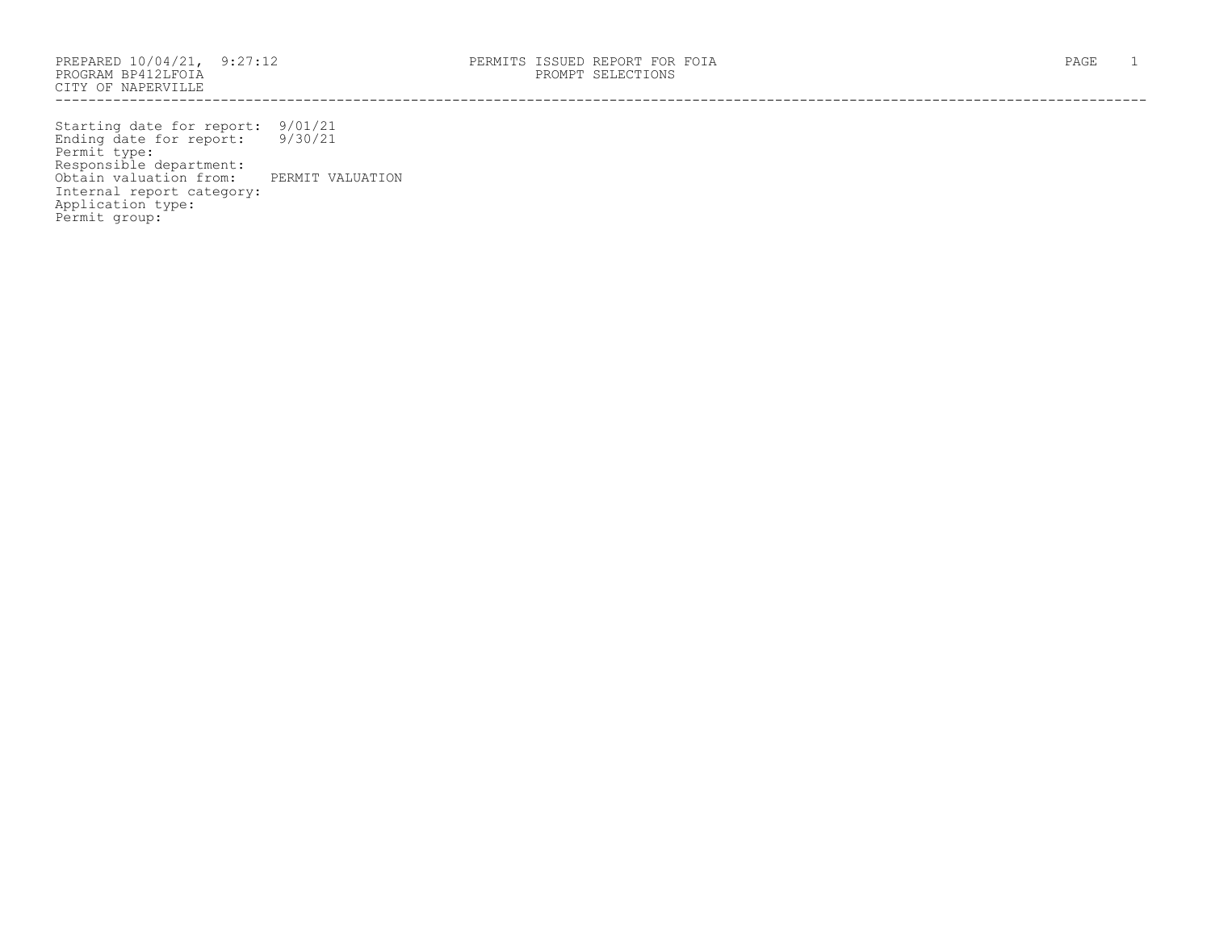PROGRAM BP412LFOIA PROMPT SELECTIONS CITY OF NAPERVILLE ------------------------------------------------------------------------------------------------------------------------------------

Starting date for report: 9/01/21 Ending date for report: 9/30/21 Permit type: Responsible department: Obtain valuation from: PERMIT VALUATION Internal report category: Application type: Permit group: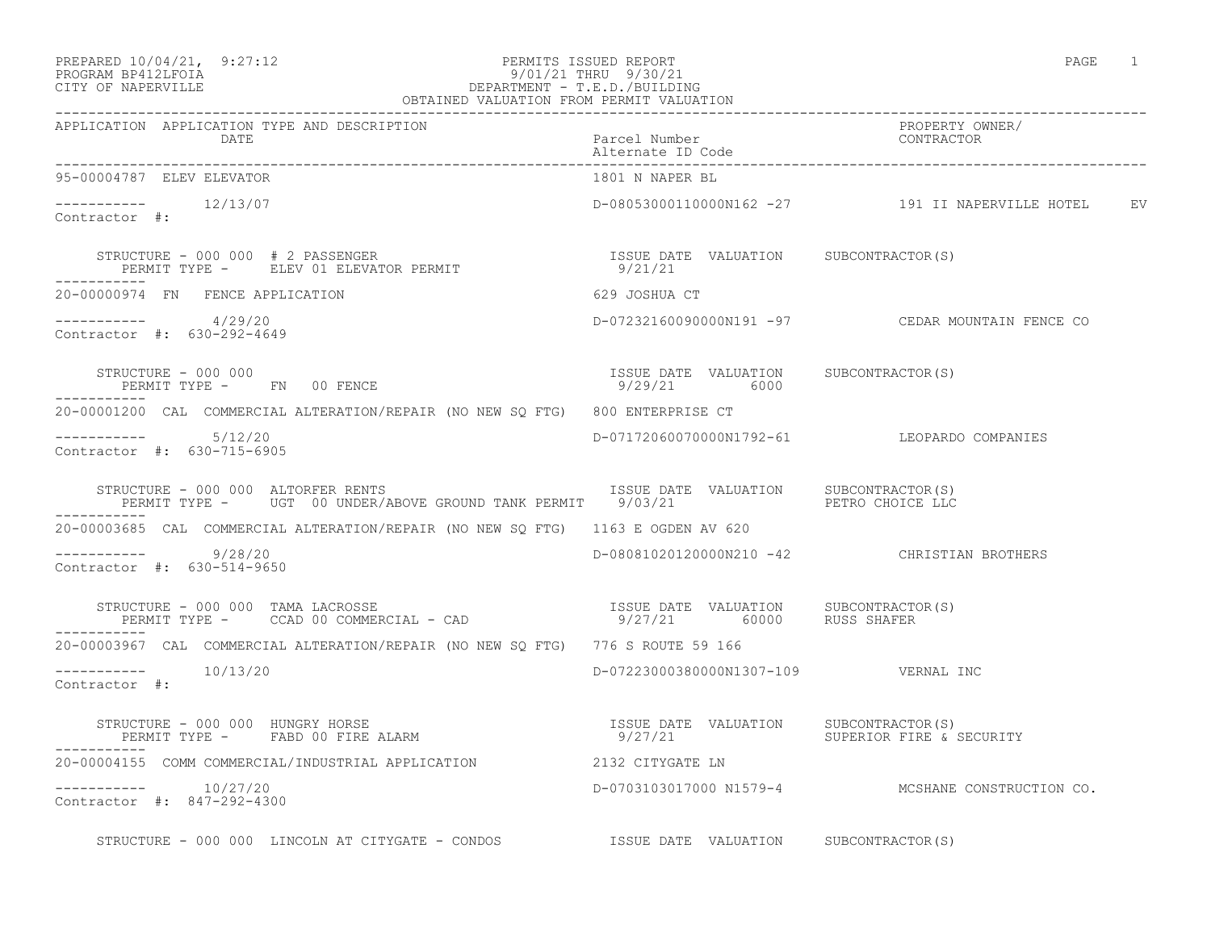### PREPARED 10/04/21, 9:27:12 PERMITS ISSUED REPORT<br>PROGRAM BP412LFOIA PAGE 1 9/01/21 THRU 9/30/21 PROGRAM BP412LFOIA 9/01/21 THRU 9/30/21<br>CITY OF NAPERVILLE DEPARTMENT - T.E.D./BUILDI CITY OF NAPERVILLE DEPARTMENT - T.E.D./BUILDING

| OBTAINED VALUATION FROM PERMIT VALUATION                                                                                                                                                                 |                                                       |                                                     |
|----------------------------------------------------------------------------------------------------------------------------------------------------------------------------------------------------------|-------------------------------------------------------|-----------------------------------------------------|
| APPLICATION APPLICATION TYPE AND DESCRIPTION<br>DATE                                                                                                                                                     | Parcel Number<br>Alternate ID Code                    | PROPERTY OWNER/<br>CONTRACTOR                       |
| 95-00004787 ELEV ELEVATOR                                                                                                                                                                                | 1801 N NAPER BL                                       |                                                     |
| $--------- 12/13/07$<br>Contractor #:                                                                                                                                                                    |                                                       | D-08053000110000N162 -27 191 II NAPERVILLE HOTEL EV |
|                                                                                                                                                                                                          |                                                       |                                                     |
| 20-00000974 FN FENCE APPLICATION                                                                                                                                                                         | 629 JOSHUA CT                                         |                                                     |
| $--------- 4/29/20$<br>Contractor #: 630-292-4649                                                                                                                                                        |                                                       | D-07232160090000N191 -97 CEDAR MOUNTAIN FENCE CO    |
| STRUCTURE - 000 000<br>PERMIT TYPE - FN 00 FENCE                                                                                                                                                         | ISSUE DATE VALUATION SUBCONTRACTOR(S)<br>9/29/21 6000 |                                                     |
| 20-00001200 CAL COMMERCIAL ALTERATION/REPAIR (NO NEW SO FTG) 800 ENTERPRISE CT                                                                                                                           |                                                       |                                                     |
| -----------     5/12/20<br>Contractor #: 630-715-6905                                                                                                                                                    |                                                       | D-07172060070000N1792-61 LEOPARDO COMPANIES         |
| STRUCTURE - 000 000 ALTORFER RENTS                             ISSUE DATE VALUATION   SUBCONTRACTOR(S)<br>PERMIT TYPE -   UGT 00 UNDER/ABOVE GROUND TANK PERMIT   9/03/21               PETRO CHOICE LLC |                                                       |                                                     |
| 20-00003685 CAL COMMERCIAL ALTERATION/REPAIR (NO NEW SQ FTG) 1163 E OGDEN AV 620                                                                                                                         |                                                       |                                                     |
| ----------- 9/28/20<br>Contractor #: 630-514-9650                                                                                                                                                        |                                                       | D-08081020120000N210 -42 CHRISTIAN BROTHERS         |
|                                                                                                                                                                                                          |                                                       |                                                     |
| 20-00003967 CAL COMMERCIAL ALTERATION/REPAIR (NO NEW SQ FTG) 776 S ROUTE 59 166                                                                                                                          |                                                       |                                                     |
| $--------- 10/13/20$<br>Contractor #:                                                                                                                                                                    | D-07223000380000N1307-109 VERNAL INC                  |                                                     |
|                                                                                                                                                                                                          | 9/27/21 SUPERIOR FIRE & SECURITY                      |                                                     |
|                                                                                                                                                                                                          |                                                       |                                                     |
| $--------- 10/27/20$<br>Contractor #: 847-292-4300                                                                                                                                                       |                                                       | D-0703103017000 N1579-4 MCSHANE CONSTRUCTION CO.    |
| STRUCTURE - 000 000 LINCOLN AT CITYGATE - CONDOS TSSUE DATE VALUATION SUBCONTRACTOR(S)                                                                                                                   |                                                       |                                                     |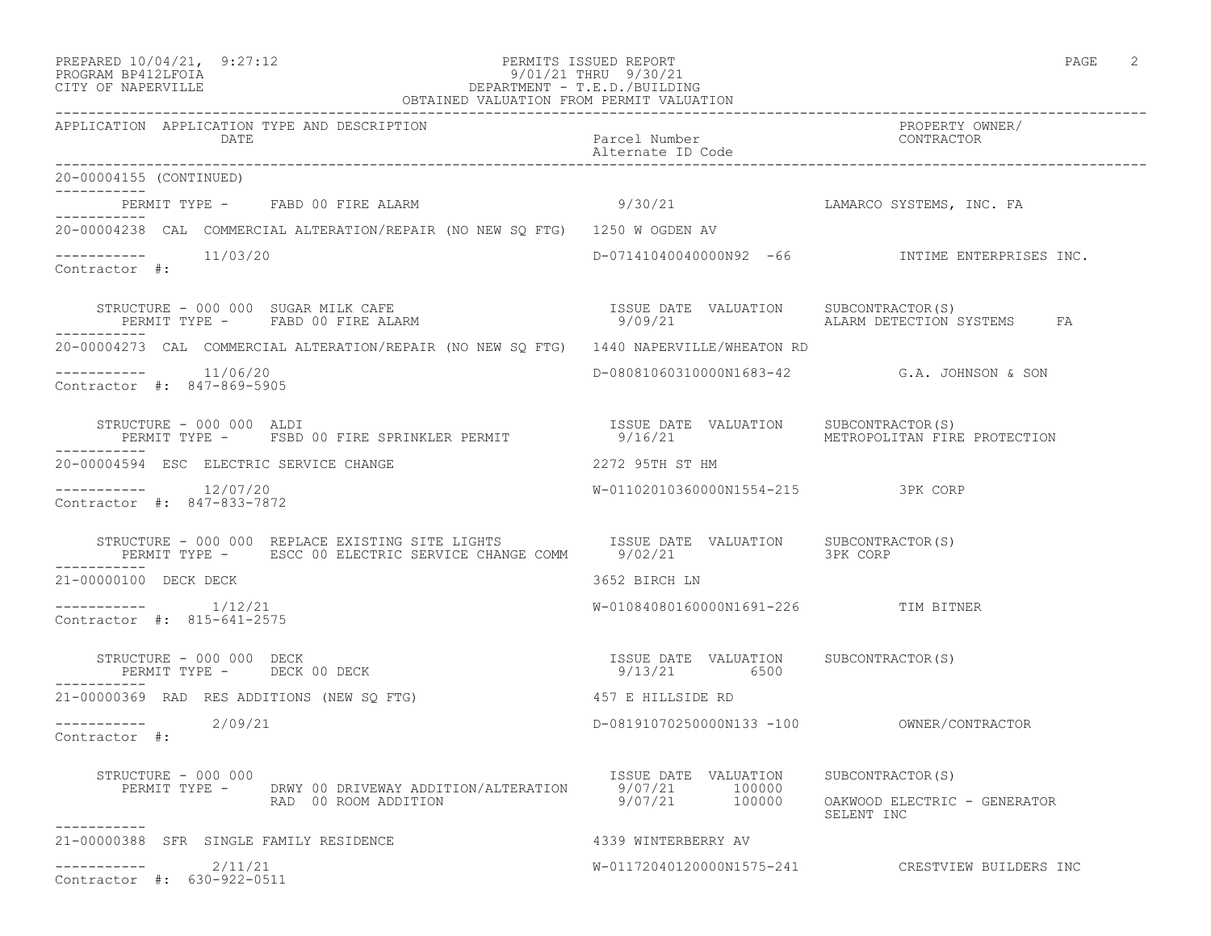| PREPARED 10/04/21,  | 9:27:12 |
|---------------------|---------|
| DDOCDAM DD410T DOTA |         |

## PREPARED 10/04/21, 9:27:12 PERMITS ISSUED REPORT<br>PROGRAM BP412LFOIA PAGE 2 9/01/21 THRU 9/30/21 PROGRAM BP412LFOIA 9/01/21 THRU 9/30/21 CITY OF NAPERVILLE DEPARTMENT - T.E.D./BUILDING

| OBTAINED VALUATION FROM PERMIT VALUATION                                                                                                                                                                                          |                                                       |                                                   |  |
|-----------------------------------------------------------------------------------------------------------------------------------------------------------------------------------------------------------------------------------|-------------------------------------------------------|---------------------------------------------------|--|
| APPLICATION APPLICATION TYPE AND DESCRIPTION<br>DATE                                                                                                                                                                              | Parcel Number<br>Alternate ID Code                    | PROPERTY OWNER/<br>CONTRACTOR                     |  |
| 20-00004155 (CONTINUED)                                                                                                                                                                                                           |                                                       |                                                   |  |
| PERMIT TYPE - FABD 00 FIRE ALARM<br>-----------                                                                                                                                                                                   | 9/30/21                                               | LAMARCO SYSTEMS, INC. FA                          |  |
| 20-00004238 CAL COMMERCIAL ALTERATION/REPAIR (NO NEW SO FTG) 1250 W OGDEN AV                                                                                                                                                      |                                                       |                                                   |  |
| ----------    11/03/20<br>Contractor #:                                                                                                                                                                                           |                                                       | $D-07141040040000N92$ -66 INTIME ENTERPRISES INC. |  |
| STRUCTURE - 000 000 SUGAR MILK CAFE                                ISSUE DATE VALUATION    SUBCONTRACTOR(S)<br>PERMIT TYPE -     FABD 00 FIRE ALARM                                   9/09/21                       ALARM DETECTI |                                                       |                                                   |  |
| 20-00004273 CAL COMMERCIAL ALTERATION/REPAIR (NO NEW SQ FTG) 1440 NAPERVILLE/WHEATON RD                                                                                                                                           |                                                       |                                                   |  |
| -----------    11/06/20<br>Contractor #: 847-869-5905                                                                                                                                                                             |                                                       | D-08081060310000N1683-42 G.A. JOHNSON & SON       |  |
| STRUCTURE - 000 000 ALDI<br>PERMIT TYPE - FSBD 00 FIRE SPRINKLER PERMIT                                                                                                                                                           | ISSUE DATE VALUATION<br>9/16/21                       | SUBCONTRACTOR(S)<br>METROPOLITAN FIRE PROTECTION  |  |
| 20-00004594 ESC ELECTRIC SERVICE CHANGE                                                                                                                                                                                           | 2272 95TH ST HM                                       |                                                   |  |
| $--------- 12/07/20$<br>Contractor #: 847-833-7872                                                                                                                                                                                | W-01102010360000N1554-215 3PK CORP                    |                                                   |  |
| ___________                                                                                                                                                                                                                       |                                                       |                                                   |  |
| 21-00000100 DECK DECK                                                                                                                                                                                                             | 3652 BIRCH LN                                         |                                                   |  |
| $--------- 1/12/21$<br>Contractor #: 815-641-2575                                                                                                                                                                                 | W-01084080160000N1691-226 TIM BITNER                  |                                                   |  |
| STRUCTURE - 000 000 DECK<br>PERMIT TYPE - DECK 00 DECK                                                                                                                                                                            | ISSUE DATE VALUATION SUBCONTRACTOR(S)<br>9/13/21 6500 |                                                   |  |
| 21-00000369 RAD RES ADDITIONS (NEW SQ FTG)                                                                                                                                                                                        | 457 E HILLSIDE RD                                     |                                                   |  |
| $--------- 2/09/21$<br>Contractor #:                                                                                                                                                                                              |                                                       |                                                   |  |
| STRUCTURE - 000 000<br>PERMIT TYPE - DRWY 00 DRIVEWAY ADDITION/ALTERATION 9/07/21 100000<br>RAD 00 ROOM ADDITION 9/07/21 100000                                                                                                   | ISSUE DATE VALUATION SUBCONTRACTOR(S)                 | OAKWOOD ELECTRIC - GENERATOR<br>SELENT INC        |  |
| 21-00000388 SFR SINGLE FAMILY RESIDENCE                                                                                                                                                                                           | 4339 WINTERBERRY AV                                   |                                                   |  |
| 2/11/21<br>Contractor #: 630-922-0511                                                                                                                                                                                             |                                                       | W-01172040120000N1575-241 CRESTVIEW BUILDERS INC  |  |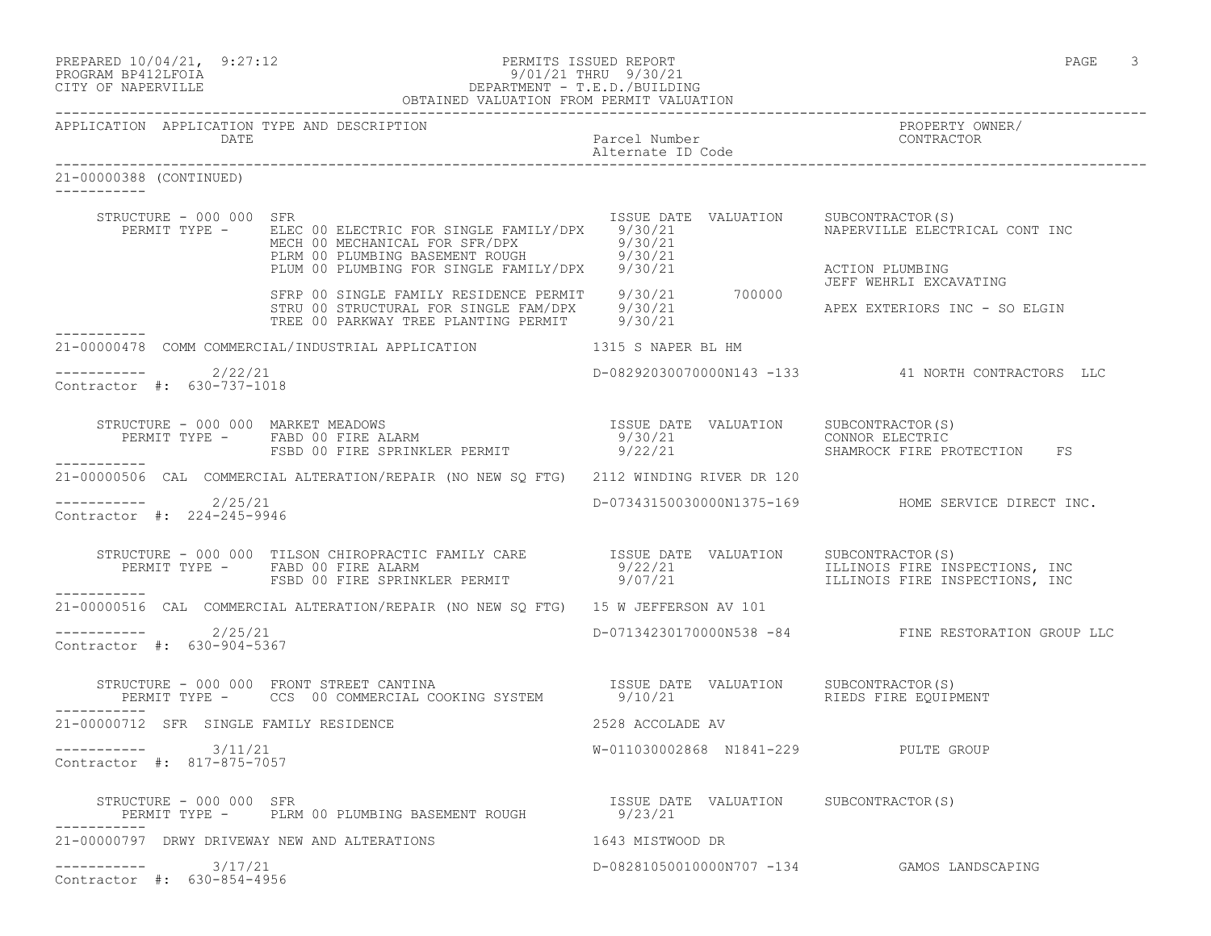| PREPARED 10/04/21, 9:27:12 | PERMITS ISSUED REPORT | PAGE |  |
|----------------------------|-----------------------|------|--|
|                            |                       |      |  |

#### PROGRAM BP412LFOIA 9/01/21 THRU 9/30/21 CITY OF NAPERVILLE DEPARTMENT - T.E.D./BUILDING OBTAINED VALUATION FROM PERMIT VALUATION

------------------------------------------------------------------------------------------------------------------------------------

APPLICATION APPLICATION TYPE AND DESCRIPTION PROPERTY OWNER/ DATE Parcel Number Alternate ID Code ------------------------------------------------------------------------------------------------------------------------------------ 21-00000388 (CONTINUED) ----------- STRUCTURE - 000 000 SFR ISSUE DATE VALUATION SUBCONTRACTOR(S) PERMIT TYPE - BLEC 00 ELECTRIC FOR SINGLE FAMILY/DPX 9/30/21 NAPERVILLE ELECTRICAL CONT INC MECH 00 MECHANICAL FOR SFR/DPX 9/30/21 PLRM 00 PLUMBING BASEMENT ROUGH 9/30/21 PLUM 00 PLUMBING FOR SINGLE FAMILY/DPX 9/30/21 ACTION PLUMBING JEFF WEHRLI EXCAVATING SFRP 00 SINGLE FAMILY RESIDENCE PERMIT 9/30/21 700000 STRU 00 STRUCTURAL FOR SINGLE FAM/DPX 9/30/21 APEX EXTERIORS INC - SO ELGIN TREE 00 PARKWAY TREE PLANTING PERMIT 9/30/21 ----------- 21-00000478 COMM COMMERCIAL/INDUSTRIAL APPLICATION 1315 S NAPER BL HM ---------------------- 2/22/21 D-08292030070000N143 -133 41 NORTH CONTRACTORS LLC Contractor #: 630-737-1018 STRUCTURE - 000 000 MARKET MEADOWS ISSUE DATE VALUATION SUBCONTRACTOR(S) PERMIT TYPE - FABD 00 FIRE ALARM 6 8 9/30/21 CONNOR ELECTRIC FSBD 00 FIRE SPRINKLER PERMIT 9/22/21 SHAMROCK FIRE PROTECTION FS ----------- 21-00000506 CAL COMMERCIAL ALTERATION/REPAIR (NO NEW SQ FTG) 2112 WINDING RIVER DR 120 ----------- 2/25/21 D-07343150030000N1375-169 HOME SERVICE DIRECT INC. Contractor #: 224-245-9946 STRUCTURE - 000 000 TILSON CHIROPRACTIC FAMILY CARE ISSUE DATE VALUATION SUBCONTRACTOR(S) PERMIT TYPE - FABD 00 FIRE ALARM 199/22/21 1999 9/22/21 1999 ILLINOIS FIRE INSPECTIONS, INC FSBD 00 FIRE SPRINKLER PERMIT 9/07/21 TILLINOIS FIRE INSPECTIONS, INC ----------- 21-00000516 CAL COMMERCIAL ALTERATION/REPAIR (NO NEW SQ FTG) 15 W JEFFERSON AV 101  $---------2/25/21$ ----------- 2/25/21 D-07134230170000N538 -84 FINE RESTORATION GROUP LLC Contractor #: 630-904-5367 STRUCTURE - 000 000 FRONT STREET CANTINA ISSUE DATE VALUATION SUBCONTRACTOR(S) PERMIT TYPE - CCS 00 COMMERCIAL COOKING SYSTEM 9/10/21 RIEDS FIRE EQUIPMENT ----------- 21-00000712 SFR SINGLE FAMILY RESIDENCE 2528 ACCOLADE AV ----------- 3/11/21 W-011030002868 N1841-229 PULTE GROUP Contractor #: 817-875-7057 STRUCTURE - 000 000 SFR ISSUE DATE VALUATION SUBCONTRACTOR(S) PERMIT TYPE - PLRM 00 PLUMBING BASEMENT ROUGH 9/23/21 ----------- 21-00000797 DRWY DRIVEWAY NEW AND ALTERATIONS 1643 MISTWOOD DR ----------- 3/17/21 D-08281050010000N707 -134 GAMOS LANDSCAPING Contractor #: 630-854-4956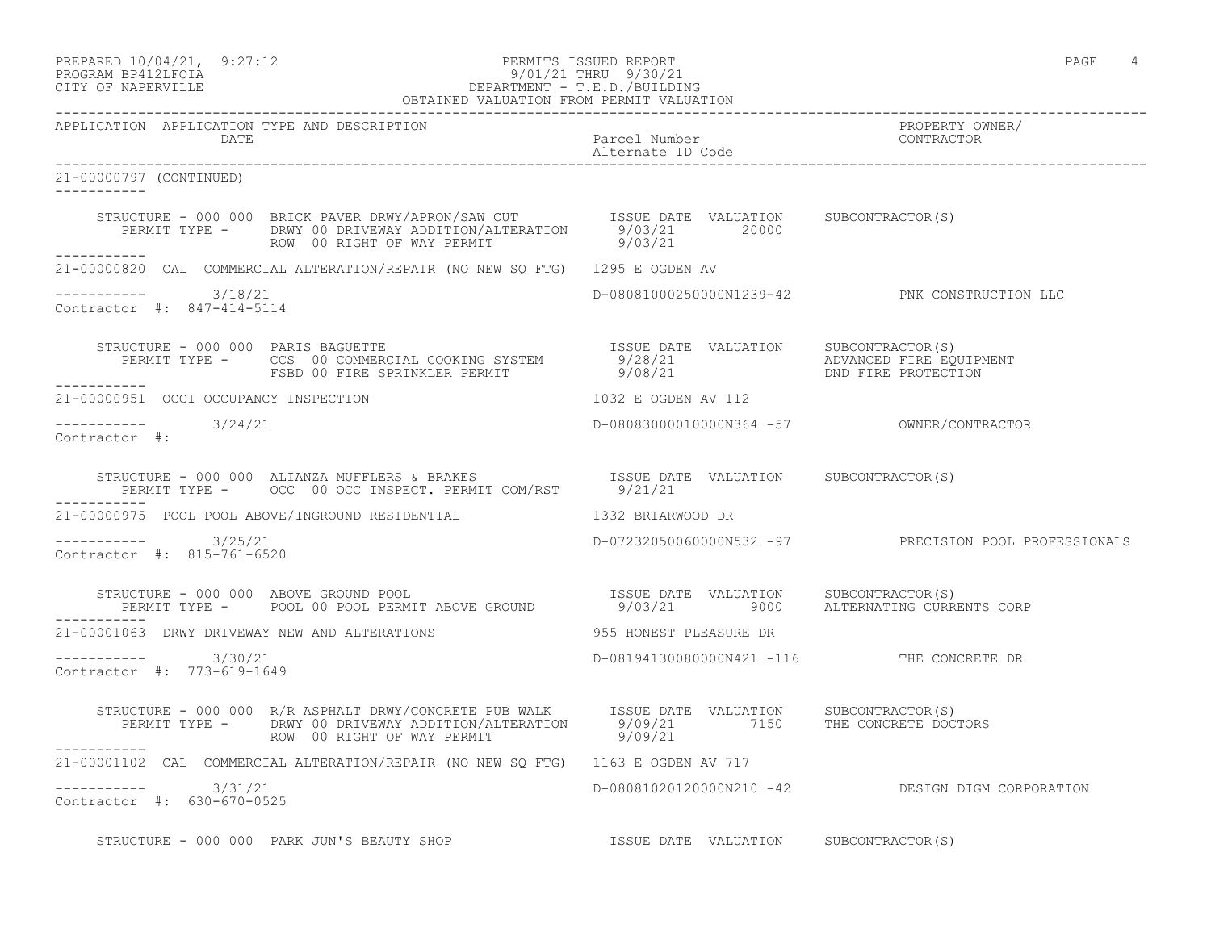## PREPARED 10/04/21, 9:27:12<br>PROGRAM BP412LFOIA PAGE 4 PROGRAM BP412LFOIA 9/01/21 THRU 9/30/21 CITY OF NAPERVILLE CITY OF NAPERVILLE DEPARTMENT - T.E.D./BUILDING

| OBTAINED VALUATION FROM PERMIT VALUATION             |                                                                                                                                                                                                                                      |                                           |                                                       |
|------------------------------------------------------|--------------------------------------------------------------------------------------------------------------------------------------------------------------------------------------------------------------------------------------|-------------------------------------------|-------------------------------------------------------|
| APPLICATION APPLICATION TYPE AND DESCRIPTION<br>DATE |                                                                                                                                                                                                                                      | Parcel Number<br>Alternate ID Code        | PROPERTY OWNER/<br>CONTRACTOR                         |
| 21-00000797 (CONTINUED)<br>___________               |                                                                                                                                                                                                                                      |                                           |                                                       |
|                                                      | STRUCTURE - 000 000 BRICK PAVER DRWY/APRON/SAW CUT<br>PERMIT TYPE - DRWY 00 DRIVEWAY ADDITION/ALTERATION 9/03/21 20000 20000<br>ROW 00 RIGHT OF WAY PERMIT 9/03/21<br>ROW 00 RIGHT OF WAY PERMIT 9/03/21                             |                                           |                                                       |
|                                                      | 21-00000820 CAL COMMERCIAL ALTERATION/REPAIR (NO NEW SQ FTG) 1295 E OGDEN AV                                                                                                                                                         |                                           |                                                       |
| ----------- 3/18/21<br>Contractor #: 847-414-5114    |                                                                                                                                                                                                                                      |                                           | D-08081000250000N1239-42 PNK CONSTRUCTION LLC         |
| ___________                                          | STRUCTURE - 000 000 PARIS BAGUETTE                                 ISSUE DATE VALUATION   SUBCONTRACTOR(S)<br>PERMIT TYPE -     CCS 00 COMMERCIAL COOKING SYSTEM       9/28/21             ADVANCED FIRE EQUIPMENT<br>FSBD 00 FIRE S |                                           |                                                       |
|                                                      | 21-00000951 OCCI OCCUPANCY INSPECTION                                                                                                                                                                                                | 1032 E OGDEN AV 112                       |                                                       |
| $--------$ 3/24/21<br>Contractor #:                  |                                                                                                                                                                                                                                      |                                           |                                                       |
|                                                      |                                                                                                                                                                                                                                      |                                           |                                                       |
|                                                      | 21-00000975 POOL POOL ABOVE/INGROUND RESIDENTIAL 40 1332 BRIARWOOD DR                                                                                                                                                                |                                           |                                                       |
| -----------    3/25/21<br>Contractor #: 815-761-6520 |                                                                                                                                                                                                                                      |                                           | D-07232050060000N532 -97 PRECISION POOL PROFESSIONALS |
|                                                      |                                                                                                                                                                                                                                      |                                           |                                                       |
|                                                      |                                                                                                                                                                                                                                      |                                           |                                                       |
| $--------$ 3/30/21<br>Contractor #: 773-619-1649     |                                                                                                                                                                                                                                      | D-08194130080000N421 -116 THE CONCRETE DR |                                                       |
| ------------                                         | STRUCTURE - 000 000 R/R ASPHALT DRWY/CONCRETE PUB WALK ISSUE DATE VALUATION SUBCONTRACTOR(S)<br>PERMIT TYPE - DRWY 00 DRIVEWAY ADDITION/ALTERATION 9/09/21 7150 THE CONCRETE DOCTORS<br>-------                                      |                                           |                                                       |
|                                                      | 21-00001102 CAL COMMERCIAL ALTERATION/REPAIR (NO NEW SQ FTG) 1163 E OGDEN AV 717                                                                                                                                                     |                                           |                                                       |
| ---------- 3/31/21<br>Contractor #: 630-670-0525     |                                                                                                                                                                                                                                      |                                           | D-08081020120000N210 -42 DESIGN DIGM CORPORATION      |

STRUCTURE - 000 000 PARK JUN'S BEAUTY SHOP **ISSUE DATE** VALUATION SUBCONTRACTOR(S)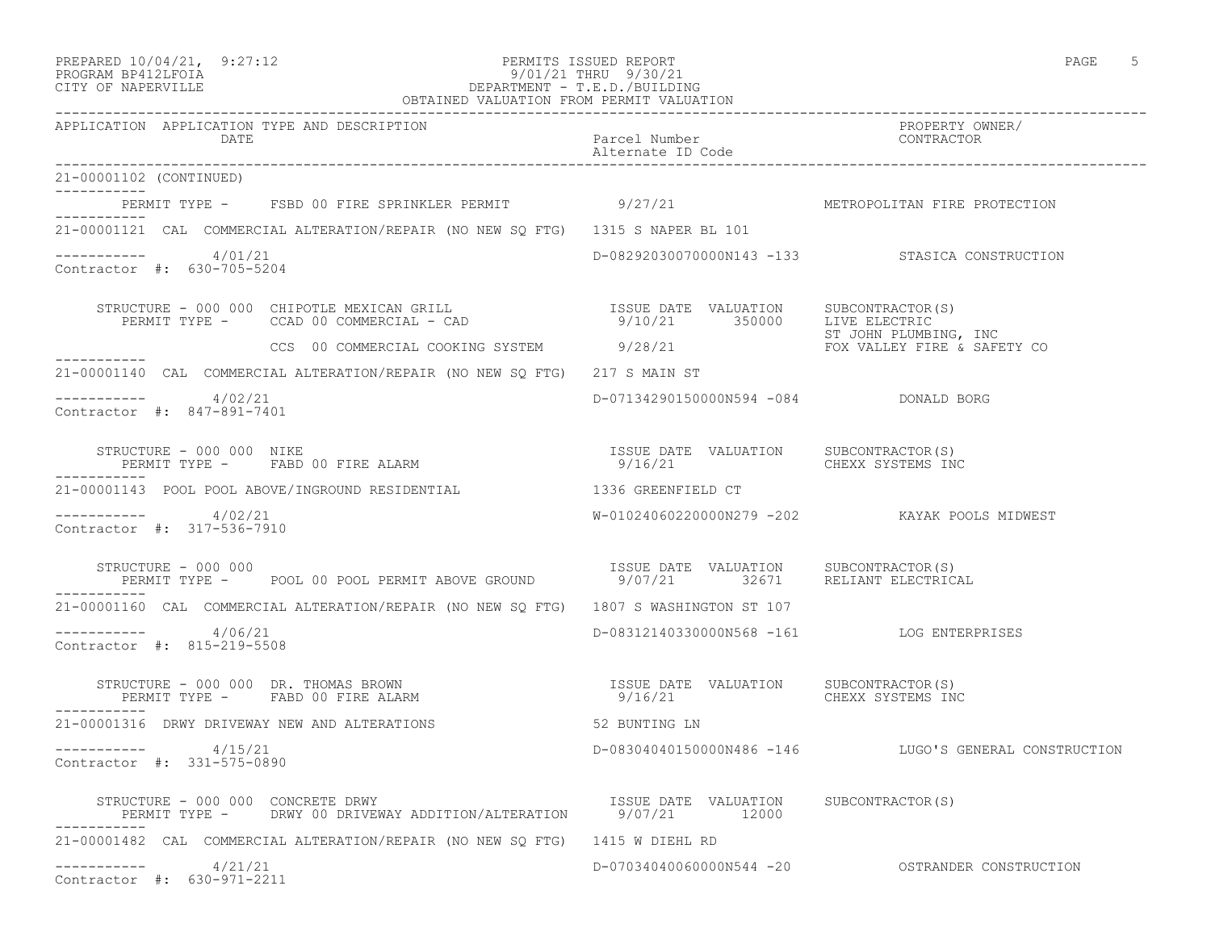#### PREPARED 10/04/21, 9:27:12 PERMITS ISSUED REPORT PAGE 5 PROGRAM BP412LFOIA 9/01/21 THRU 9/30/21 CITY OF NAPERVILLE DEPARTMENT - T.E.D./BUILDING OBTAINED VALUATION FROM PERMIT VALUATION

| APPLICATION APPLICATION TYPE AND DESCRIPTION<br>DATE  |                                                                                                                                                                                                                                                                                                                                                                                                                                                               | Parcel Number<br>Alternate ID Code                | PROPERTY OWNER/<br>CONTRACTOR                         |
|-------------------------------------------------------|---------------------------------------------------------------------------------------------------------------------------------------------------------------------------------------------------------------------------------------------------------------------------------------------------------------------------------------------------------------------------------------------------------------------------------------------------------------|---------------------------------------------------|-------------------------------------------------------|
| 21-00001102 (CONTINUED)                               |                                                                                                                                                                                                                                                                                                                                                                                                                                                               |                                                   |                                                       |
| ___________<br>__________                             | PERMIT TYPE - FSBD 00 FIRE SPRINKLER PERMIT 9/27/21 METROPOLITAN FIRE PROTECTION                                                                                                                                                                                                                                                                                                                                                                              |                                                   |                                                       |
|                                                       | 21-00001121 CAL COMMERCIAL ALTERATION/REPAIR (NO NEW SQ FTG) 1315 S NAPER BL 101                                                                                                                                                                                                                                                                                                                                                                              |                                                   |                                                       |
| ---------- 4/01/21<br>Contractor #: 630-705-5204      |                                                                                                                                                                                                                                                                                                                                                                                                                                                               |                                                   | D-08292030070000N143 -133 STASICA CONSTRUCTION        |
|                                                       |                                                                                                                                                                                                                                                                                                                                                                                                                                                               |                                                   |                                                       |
|                                                       | CCS 00 COMMERCIAL COOKING SYSTEM 9/28/21 99 POSSESSES FOX VALLEY FIRE & SAFETY CO                                                                                                                                                                                                                                                                                                                                                                             |                                                   |                                                       |
|                                                       | 21-00001140 CAL COMMERCIAL ALTERATION/REPAIR (NO NEW SQ FTG) 217 S MAIN ST                                                                                                                                                                                                                                                                                                                                                                                    |                                                   |                                                       |
| $--------- 4/02/21$<br>Contractor #: 847-891-7401     |                                                                                                                                                                                                                                                                                                                                                                                                                                                               | D-07134290150000N594 -084 DONALD BORG             |                                                       |
| STRUCTURE - 000 000 NIKE                              |                                                                                                                                                                                                                                                                                                                                                                                                                                                               | 9/16/21 CHEXX SYSTEMS INC                         |                                                       |
|                                                       | 21-00001143 POOL POOL ABOVE/INGROUND RESIDENTIAL 1336 GREENFIELD CT                                                                                                                                                                                                                                                                                                                                                                                           |                                                   |                                                       |
| $--------- 4/02/21$<br>Contractor #: 317-536-7910     |                                                                                                                                                                                                                                                                                                                                                                                                                                                               |                                                   | W-01024060220000N279 -202 KAYAK POOLS MIDWEST         |
|                                                       | $\begin{array}{cccccc} \texttt{STRUCTURE} & - & 000 & 000 & & & & \\ \texttt{PERMIT} & \texttt{TOOL} & 00 & \texttt{POOL} & \texttt{PERMIT} & \texttt{ABOVE} & \texttt{GROUND} & & & & & \\ \texttt{PERMIT} & \texttt{TPE} & - & & \texttt{POOL} & 00 & \texttt{PCRMIT} & \texttt{ABOVE} & \texttt{GROUND} & & & & \\ \end{array} \qquad \begin{array}{cccccc} \texttt{ISSUE} & \texttt{DATE} & \texttt{VALUATION} & & \texttt{SUBCONTRACTOR(S)}\\ 32671 & &$ |                                                   |                                                       |
| ------------                                          | 21-00001160 CAL COMMERCIAL ALTERATION/REPAIR (NO NEW SQ FTG) 1807 S WASHINGTON ST 107                                                                                                                                                                                                                                                                                                                                                                         |                                                   |                                                       |
| $--------- 4/06/21$<br>Contractor #: 815-219-5508     |                                                                                                                                                                                                                                                                                                                                                                                                                                                               | D-08312140330000N568 -161 LOG ENTERPRISES         |                                                       |
|                                                       | STRUCTURE - 000 000 DR. THOMAS BROWN<br>PERMIT TYPE - FABD 00 FIRE ALARM                                                                                                                                                                                                                                                                                                                                                                                      | ISSUE DATE VALUATION SUBCONTRACTOR (S)<br>9/16/21 | CHEXX SYSTEMS INC                                     |
| 21-00001316 DRWY DRIVEWAY NEW AND ALTERATIONS         |                                                                                                                                                                                                                                                                                                                                                                                                                                                               | 52 BUNTING LN                                     |                                                       |
| -----------     4/15/21<br>Contractor #: 331-575-0890 |                                                                                                                                                                                                                                                                                                                                                                                                                                                               |                                                   | D-08304040150000N486 -146 LUGO'S GENERAL CONSTRUCTION |
| STRUCTURE - 000 000 CONCRETE DRWY                     | PERMIT TYPE - DRWY 00 DRIVEWAY ADDITION/ALTERATION 9/07/21 12000                                                                                                                                                                                                                                                                                                                                                                                              | ISSUE DATE VALUATION SUBCONTRACTOR(S)             |                                                       |
|                                                       | 21-00001482 CAL COMMERCIAL ALTERATION/REPAIR (NO NEW SQ FTG) 1415 W DIEHL RD                                                                                                                                                                                                                                                                                                                                                                                  |                                                   |                                                       |
| $--------- 4/21/21$<br>Contractor #: 630-971-2211     |                                                                                                                                                                                                                                                                                                                                                                                                                                                               |                                                   |                                                       |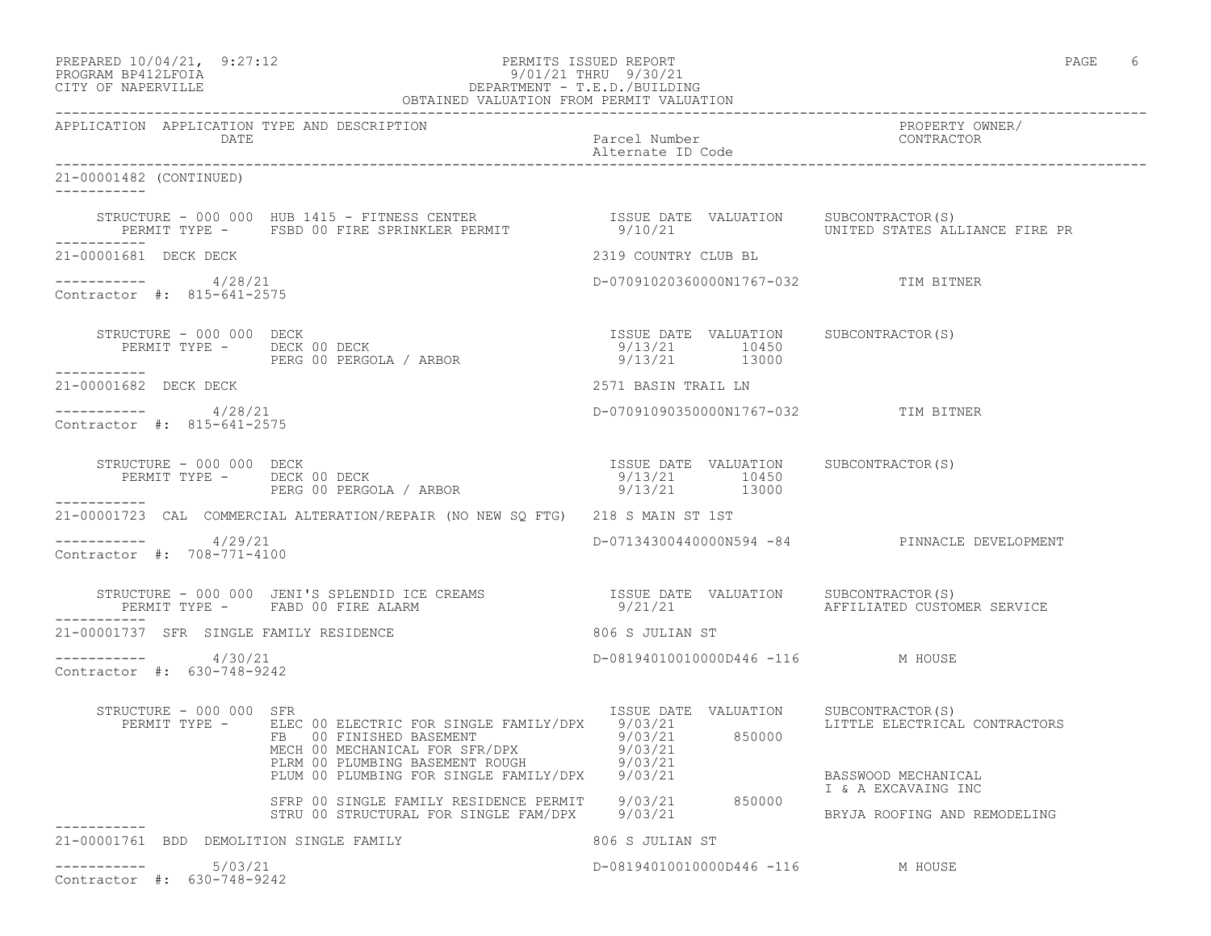| PREPARED 10/04/21,  | 9:27:12 |
|---------------------|---------|
| DDOCDAM DD410T DOTA |         |

#### PREPARED  $10/04/21$ , 9:27:12 PERMITS ISSUED REPORT PAGE 6 PROGRAM BP412LFOIA 9/01/21 THRU 9/30/21 CITY OF NAPERVILLE DEPARTMENT - T.E.D./BUILDING

| OBTAINED VALUATION FROM PERMIT VALUATION               |                                                                                                                                                                                                                                   |                                                                         |                                                   |
|--------------------------------------------------------|-----------------------------------------------------------------------------------------------------------------------------------------------------------------------------------------------------------------------------------|-------------------------------------------------------------------------|---------------------------------------------------|
| APPLICATION APPLICATION TYPE AND DESCRIPTION<br>DATE   |                                                                                                                                                                                                                                   | Parcel Number<br>Alternate ID Code                                      | PROPERTY OWNER/<br>CONTRACTOR                     |
| 21-00001482 (CONTINUED)<br>-----------                 |                                                                                                                                                                                                                                   |                                                                         |                                                   |
|                                                        | STRUCTURE - 000 000 HUB 1415 - FITNESS CENTER                  ISSUE DATE VALUATION     SUBCONTRACTOR(S)<br>PERMIT TYPE -     FSBD 00 FIRE SPRINKLER PERMIT                       9/10/21                       UNITED STATES ALL |                                                                         |                                                   |
| 21-00001681 DECK DECK                                  |                                                                                                                                                                                                                                   | 2319 COUNTRY CLUB BL                                                    |                                                   |
| $--------$ 4/28/21<br>Contractor #: 815-641-2575       |                                                                                                                                                                                                                                   | D-07091020360000N1767-032 TIM BITNER                                    |                                                   |
| STRUCTURE - 000 000 DECK<br>-----------                | STRUCTURE - 000 000 DECK<br>PERMIT TYPE -     DECK 00 DECK<br>- 000 000 DECK<br>TISSUE DATE VALUATION SUBCONTRACTOR(S)<br>PERG 00 PERGOLA / ARBOR 10/13/21 10450<br>9/13/21 13000                                                 |                                                                         |                                                   |
| 21-00001682 DECK DECK                                  |                                                                                                                                                                                                                                   | 2571 BASIN TRAIL LN                                                     |                                                   |
| -----------    4/28/21<br>Contractor #: 815-641-2575   |                                                                                                                                                                                                                                   | D-07091090350000N1767-032 TIM BITNER                                    |                                                   |
| STRUCTURE - 000 000 DECK<br>PERMIT TYPE - DECK 00 DECK | ) DECK<br>DECK 00 DECK<br>PERG 00 PERGOLA / ARBOR                                                                                                                                                                                 | ISSUE DATE VALUATION SUBCONTRACTOR(S)<br>9/13/21 10450<br>9/13/21 13000 |                                                   |
| ------------                                           | 21-00001723 CAL COMMERCIAL ALTERATION/REPAIR (NO NEW SQ FTG) 218 S MAIN ST 1ST                                                                                                                                                    |                                                                         |                                                   |
| $--------$ 4/29/21<br>Contractor #: 708-771-4100       |                                                                                                                                                                                                                                   |                                                                         | D-07134300440000N594 -84 PINNACLE DEVELOPMENT     |
|                                                        | STRUCTURE - 000 000 JENI'S SPLENDID ICE CREAMS<br>PERMIT TYPE - FABD 00 FIRE ALARM                                                                                                                                                | ISSUE DATE VALUATION<br>9/21/21                                         | SUBCONTRACTOR(S)<br>AFFILIATED CUSTOMER SERVICE   |
| 21-00001737 SFR SINGLE FAMILY RESIDENCE                |                                                                                                                                                                                                                                   | 806 S JULIAN ST                                                         |                                                   |
| $--------- 4/30/21$<br>Contractor #: 630-748-9242      |                                                                                                                                                                                                                                   | D-08194010010000D446 -116 M HOUSE                                       |                                                   |
| STRUCTURE - 000 000 SFR<br>PERMIT TYPE -               | ELEC 00 ELECTRIC FOR SINGLE FAMILY/DPX 9/03/21<br>FB 00 FINISHED BASEMENT 9/03/21 850000<br>NECH 00 MECHANICAL FOR SFR/DPX 9/03/21<br>PLRM 00 PLUMBING BASEMENT ROUGH 9/03/21<br>PLUM 00 PLUMBING FOR SINGLE FAMILY/DPX 9/03/21   | ISSUE DATE VALUATION                                                    | SUBCONTRACTOR(S)<br>LITTLE ELECTRICAL CONTRACTORS |
|                                                        |                                                                                                                                                                                                                                   |                                                                         | BASSWOOD MECHANICAL<br>I & A EXCAVAING INC        |
|                                                        | SFRP 00 SINGLE FAMILY RESIDENCE PERMIT 9/03/21 850000<br>STRU 00 STRUCTURAL FOR SINGLE FAM/DPX 9/03/21                                                                                                                            |                                                                         | BRYJA ROOFING AND REMODELING                      |
| 21-00001761 BDD DEMOLITION SINGLE FAMILY               |                                                                                                                                                                                                                                   | 806 S JULIAN ST                                                         |                                                   |
| 5/03/21<br>Contractor #: 630-748-9242                  |                                                                                                                                                                                                                                   | D-08194010010000D446 -116 M HOUSE                                       |                                                   |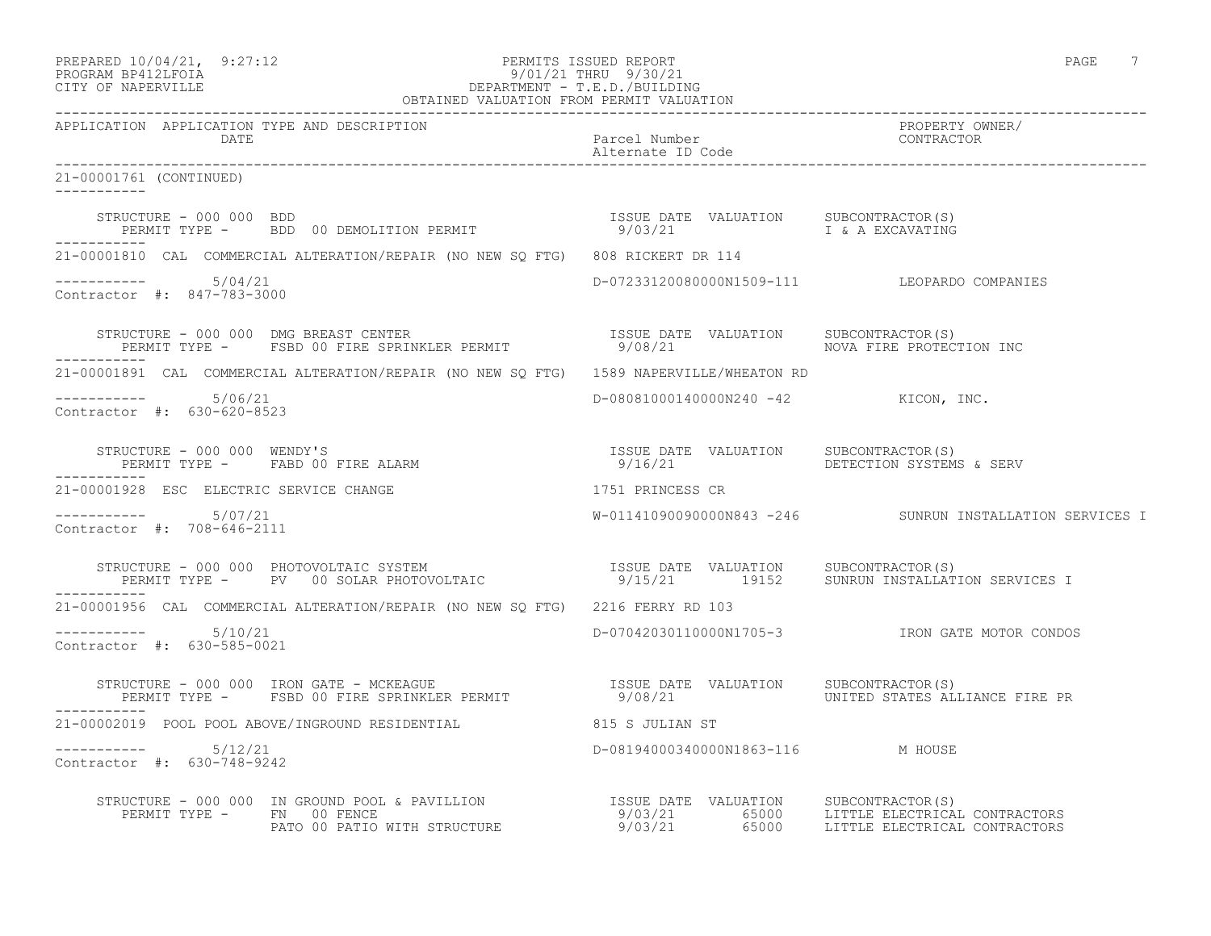| PREPARED 10/04/21,        | 9:27:12 |
|---------------------------|---------|
| <b>PROGRAME PRACTROTA</b> |         |

#### PREPARED 10/04/21, 9:27:12 PERMITS ISSUED REPORT PAGE 7 PROGRAM BP412LFOIA 9/01/21 THRU 9/30/21 CITY OF NAPERVILLE DEPARTMENT - T.E.D./BUILDING

| OBTAINED VALUATION FROM PERMIT VALUATION                                                                                                                                                                                             |                                      |                                                          |  |
|--------------------------------------------------------------------------------------------------------------------------------------------------------------------------------------------------------------------------------------|--------------------------------------|----------------------------------------------------------|--|
| APPLICATION APPLICATION TYPE AND DESCRIPTION<br>DATE                                                                                                                                                                                 | Parcel Number<br>Alternate ID Code   | PROPERTY OWNER/<br>CONTRACTOR                            |  |
| 21-00001761 (CONTINUED)                                                                                                                                                                                                              |                                      |                                                          |  |
| STRUCTURE - 000 000 BDD<br>PERMIT TYPE -   BDD 00 DEMOLITION PERMIT                       9/03/21         I & A EXCAVATING                                                                                                           |                                      |                                                          |  |
| 21-00001810 CAL COMMERCIAL ALTERATION/REPAIR (NO NEW SQ FTG) 808 RICKERT DR 114                                                                                                                                                      |                                      |                                                          |  |
| $--------- 5/04/21$<br>Contractor #: 847-783-3000                                                                                                                                                                                    |                                      | D-07233120080000N1509-111 LEOPARDO COMPANIES             |  |
| STRUCTURE - 000 000 DMG BREAST CENTER<br>PERMIT TYPE - FSBD 00 FIRE SPRINKLER PERMIT                   9/08/21                   NOVA FIRE PROTECTION INC<br>-----------                                                             |                                      |                                                          |  |
| 21-00001891 CAL COMMERCIAL ALTERATION/REPAIR (NO NEW SO FTG) 1589 NAPERVILLE/WHEATON RD                                                                                                                                              |                                      |                                                          |  |
| $--------- 5/06/21$<br>Contractor #: 630-620-8523                                                                                                                                                                                    | D-08081000140000N240 -42 KICON, INC. |                                                          |  |
| STRUCTURE – 000 000 WENDY'S<br>PERMIT TYPE – FABD 00 FIRE ALARM – 19/16/21 – 9/16/21 – DETECTION SYSTEMS & SERV<br>. _ _ _ _ _ _ _ _ _ _                                                                                             |                                      |                                                          |  |
| 21-00001928 ESC ELECTRIC SERVICE CHANGE                                                                                                                                                                                              | 1751 PRINCESS CR                     |                                                          |  |
| $--------- 5/07/21$<br>Contractor #: 708-646-2111                                                                                                                                                                                    |                                      | W-01141090090000N843 -246 SUNRUN INSTALLATION SERVICES I |  |
| STRUCTURE - 000 000 PHOTOVOLTAIC SYSTEM                       ISSUE DATE VALUATION   SUBCONTRACTOR(S)<br>PERMIT TYPE -   PV  00 SOLAR PHOTOVOLTAIC               9/15/21       19152   SUNRUN INSTALLATION SERVICES I<br>----------- |                                      |                                                          |  |
| 21-00001956 CAL COMMERCIAL ALTERATION/REPAIR (NO NEW SQ FTG) 2216 FERRY RD 103                                                                                                                                                       |                                      |                                                          |  |
| $--------- 5/10/21$<br>Contractor #: 630-585-0021                                                                                                                                                                                    |                                      |                                                          |  |
| STRUCTURE - 000 000 IRON GATE - MCKEAGUE                       ISSUE DATE VALUATION   SUBCONTRACTOR(S)<br>PERMIT TYPE -   FSBD 00 FIRE SPRINKLER PERMIT             9/08/21           UNITED STATES ALLIANCE FIRE PR                 |                                      |                                                          |  |
| 21-00002019 POOL POOL ABOVE/INGROUND RESIDENTIAL 615 S JULIAN ST                                                                                                                                                                     |                                      |                                                          |  |
| Contractor #: 630-748-9242                                                                                                                                                                                                           | D-08194000340000N1863-116 M HOUSE    |                                                          |  |
|                                                                                                                                                                                                                                      |                                      |                                                          |  |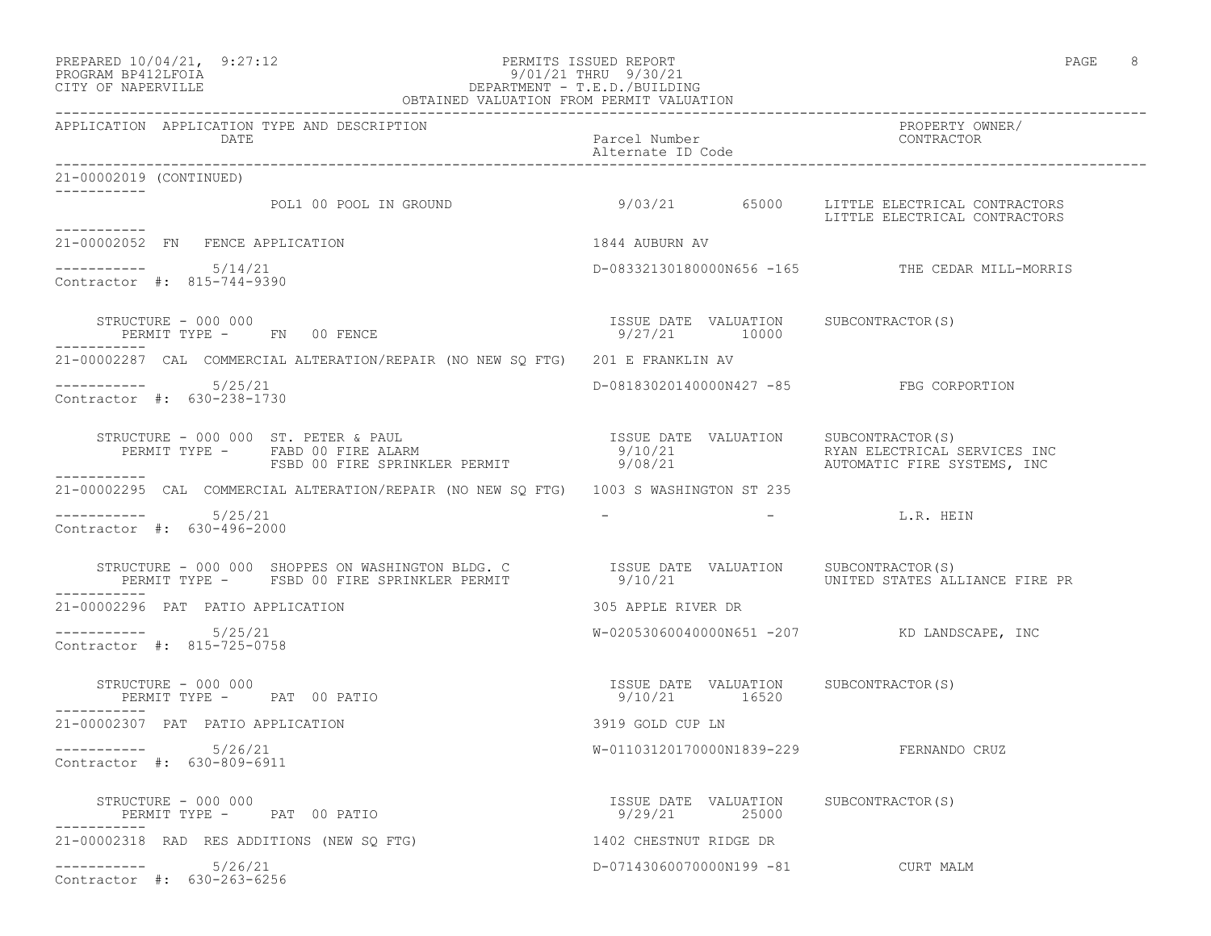#### PREPARED 10/04/21, 9:27:12 PERMITS ISSUED REPORT PAGE 8 PROGRAM BP412LFOIA 9/01/21 THRU 9/30/21 CITY OF NAPERVILLE DEPARTMENT - T.E.D./BUILDING

| OBTAINED VALUATION FROM PERMIT VALUATION                                                                                                                                                                                          |                                                        |                                                                              |  |
|-----------------------------------------------------------------------------------------------------------------------------------------------------------------------------------------------------------------------------------|--------------------------------------------------------|------------------------------------------------------------------------------|--|
| APPLICATION APPLICATION TYPE AND DESCRIPTION<br>DATE                                                                                                                                                                              | Parcel Number<br>Alternate ID Code                     | PROPERTY OWNER/<br>CONTRACTOR                                                |  |
| 21-00002019 (CONTINUED)<br>------------                                                                                                                                                                                           |                                                        |                                                                              |  |
| POL1 00 POOL IN GROUND<br>-----------                                                                                                                                                                                             |                                                        | 9/03/21 65000 LITTLE ELECTRICAL CONTRACTORS<br>LITTLE ELECTRICAL CONTRACTORS |  |
| 21-00002052 FN FENCE APPLICATION                                                                                                                                                                                                  | 1844 AUBURN AV                                         |                                                                              |  |
| $--------- 5/14/21$<br>Contractor #: 815-744-9390                                                                                                                                                                                 |                                                        | D-08332130180000N656 -165 THE CEDAR MILL-MORRIS                              |  |
| STRUCTURE - 000 000<br>PERMIT TYPE - FN 00 FENCE                                                                                                                                                                                  | ISSUE DATE VALUATION SUBCONTRACTOR(S)<br>9/27/21 10000 |                                                                              |  |
| 21-00002287 CAL COMMERCIAL ALTERATION/REPAIR (NO NEW SQ FTG) 201 E FRANKLIN AV                                                                                                                                                    |                                                        |                                                                              |  |
| $--------- 5/25/21$<br>Contractor #: 630-238-1730                                                                                                                                                                                 | D-08183020140000N427 -85 FBG CORPORTION                |                                                                              |  |
| MIT TYPE - FABD 00 FIRE ALARM 9/10/21<br>FSBD 00 FIRE SPRINKLER PERMIT 9/08/21                                                                                                                                                    |                                                        | RYAN ELECTRICAL SERVICES INC<br>AUTOMATIC FIRE SYSTEMS, INC                  |  |
| -----------<br>21-00002295 CAL COMMERCIAL ALTERATION/REPAIR (NO NEW SQ FTG) 1003 S WASHINGTON ST 235                                                                                                                              |                                                        |                                                                              |  |
| 5/25/21<br>Contractor #: 630-496-2000                                                                                                                                                                                             |                                                        | - L.R. HEIN                                                                  |  |
| STRUCTURE - 000 000 SHOPPES ON WASHINGTON BLDG. C              ISSUE DATE VALUATION    SUBCONTRACTOR(S)<br>PERMIT TYPE -     FSBD 00 FIRE SPRINKLER PERMIT                9/10/21                  UNITED STATES ALLIANCE FIRE PR |                                                        |                                                                              |  |
| 21-00002296 PAT PATIO APPLICATION                                                                                                                                                                                                 | 305 APPLE RIVER DR                                     |                                                                              |  |
| $--------- 5/25/21$<br>Contractor #: 815-725-0758                                                                                                                                                                                 |                                                        | W-02053060040000N651 -207 KD LANDSCAPE, INC                                  |  |
| PERMIT TYPE - PAT 00 PATIO<br>--------<br>-00002207 ---                                                                                                                                                                           | ISSUE DATE VALUATION SUBCONTRACTOR(S)<br>9/10/21 16520 |                                                                              |  |
| 21-00002307 PAT PATIO APPLICATION                                                                                                                                                                                                 | 3919 GOLD CUP LN                                       |                                                                              |  |
| ----------- 5/26/21<br>Contractor #: 630-809-6911                                                                                                                                                                                 | W-01103120170000N1839-229 FERNANDO CRUZ                |                                                                              |  |
| STRUCTURE - 000 000<br>PERMIT TYPE - PAT 00 PATIO                                                                                                                                                                                 | ISSUE DATE VALUATION SUBCONTRACTOR(S)<br>9/29/21 25000 |                                                                              |  |
| 21-00002318 RAD RES ADDITIONS (NEW SO FTG)                                                                                                                                                                                        | 1402 CHESTNUT RIDGE DR                                 |                                                                              |  |
| $--------- 5/26/21$<br>Contractor #: 630-263-6256                                                                                                                                                                                 | D-07143060070000N199 -81 CURT MALM                     |                                                                              |  |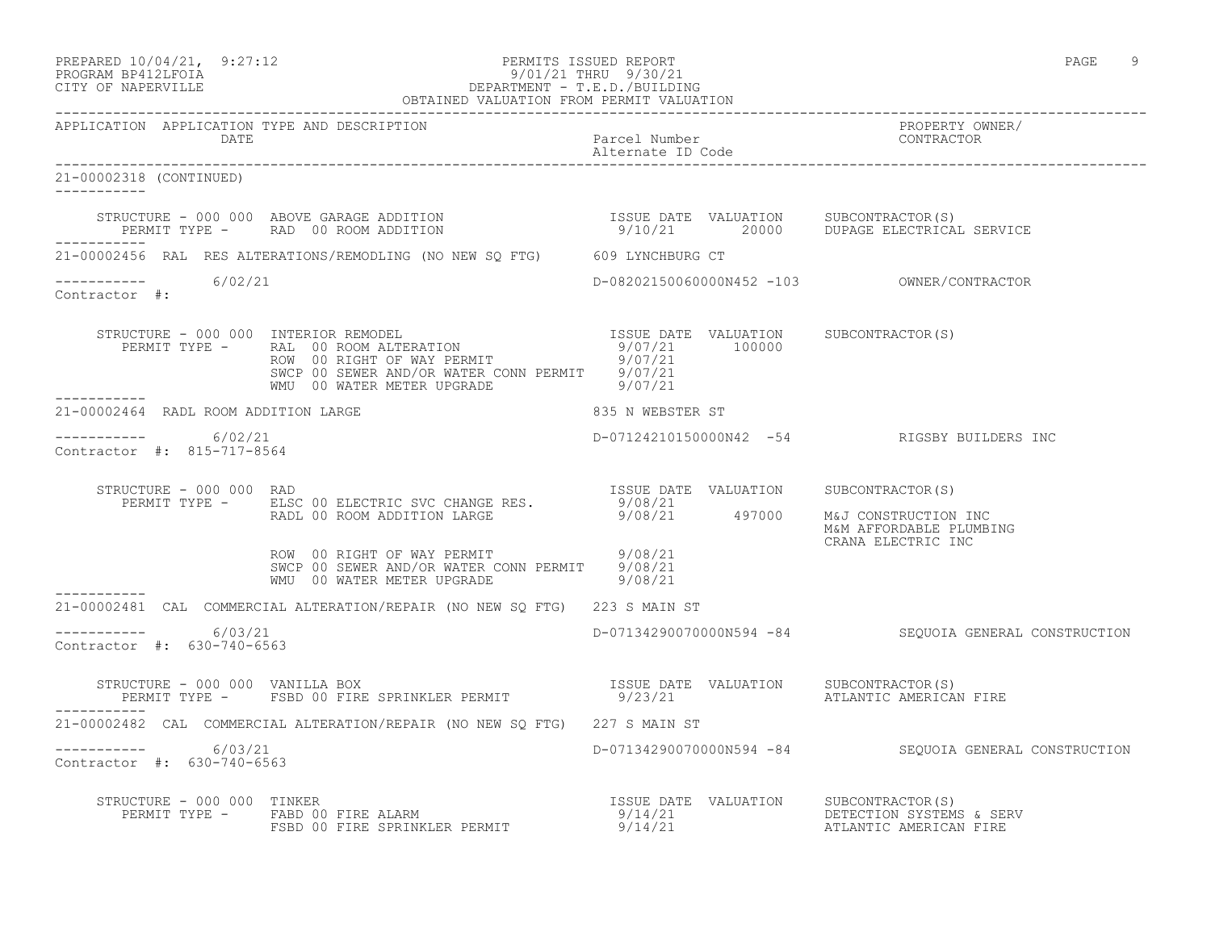#### PREPARED 10/04/21, 9:27:12 PERMITS ISSUED REPORT PAGE 9 PROGRAM BP412LFOIA 9/01/21 THRU 9/30/21 CITY OF NAPERVILLE DEPARTMENT - T.E.D./BUILDING OBTAINED VALUATION FROM PERMIT VALUATION

------------------------------------------------------------------------------------------------------------------------------------ APPLICATION APPLICATION TYPE AND DESCRIPTION PROPERTY OWNER/ DATE Parcel Number CONTRACTOR Alternate ID Code ------------------------------------------------------------------------------------------------------------------------------------ 21-00002318 (CONTINUED) ----------- STRUCTURE - 000 000 ABOVE GARAGE ADDITION ISSUE DATE VALUATION SUBCONTRACTOR(S) PERMIT TYPE - RAD 00 ROOM ADDITION 9/10/21 20000 DUPAGE ELECTRICAL SERVICE ----------- 21-00002456 RAL RES ALTERATIONS/REMODLING (NO NEW SQ FTG) 609 LYNCHBURG CT ----------- 6/02/21 D-08202150060000N452 -103 OWNER/CONTRACTOR Contractor #: STRUCTURE - 000 000 INTERIOR REMODEL ISSUE DATE VALUATION SUBCONTRACTOR(S) PERMIT TYPE - RAL 00 ROOM ALTERATION 100000 9/07/21 100000 ROW 00 RIGHT OF WAY PERMIT 3/07/21 SWCP 00 SEWER AND/OR WATER CONN PERMIT 9/07/21 WMU 00 WATER METER UPGRADE 9/07/21 ----------- 21-00002464 RADL ROOM ADDITION LARGE 835 N WEBSTER ST \_\_\_\_\_\_\_\_\_\_\_ ----------- 6/02/21 D-07124210150000N42 -54 RIGSBY BUILDERS INC Contractor #: 815-717-8564 STRUCTURE - 000 000 RAD ISSUE DATE VALUATION SUBCONTRACTOR(S) PERMIT TYPE - ELSC 00 ELECTRIC SVC CHANGE RES. 9/08/21 RADL 00 ROOM ADDITION LARGE 9/08/21 497000 M&J CONSTRUCTION INC M&M AFFORDABLE PLUMBING CRANA ELECTRIC INC ROW 00 RIGHT OF WAY PERMIT 19/08/21 SWCP 00 SEWER AND/OR WATER CONN PERMIT 9/08/21 WMU 00 WATER METER UPGRADE 9/08/21 ----------- 21-00002481 CAL COMMERCIAL ALTERATION/REPAIR (NO NEW SQ FTG) 223 S MAIN ST \_\_\_\_\_\_\_\_\_\_\_ ----------- 6/03/21 D-07134290070000N594 -84 SEQUOIA GENERAL CONSTRUCTION Contractor #: 630-740-6563 STRUCTURE - 000 000 VANILLA BOX ISSUE DATE VALUATION SUBCONTRACTOR(S) PERMIT TYPE - FSBD 00 FIRE SPRINKLER PERMIT 69/23/21 ATLANTIC AMERICAN FIRE ----------- 21-00002482 CAL COMMERCIAL ALTERATION/REPAIR (NO NEW SQ FTG) 227 S MAIN ST ----------- 6/03/21 D-07134290070000N594 -84 SEQUOIA GENERAL CONSTRUCTION Contractor #: 630-740-6563 STRUCTURE - 000 000 TINKER ISSUE DATE VALUATION SUBCONTRACTOR(S) PERMIT TYPE - FABD 00 FIRE ALARM 2000 00 FIRE ALARM 2000 09/14/21 DETECTION SYSTEMS & SERV FSBD 00 FIRE SPRINKLER PERMIT  $9/14/21$  atlantic american fire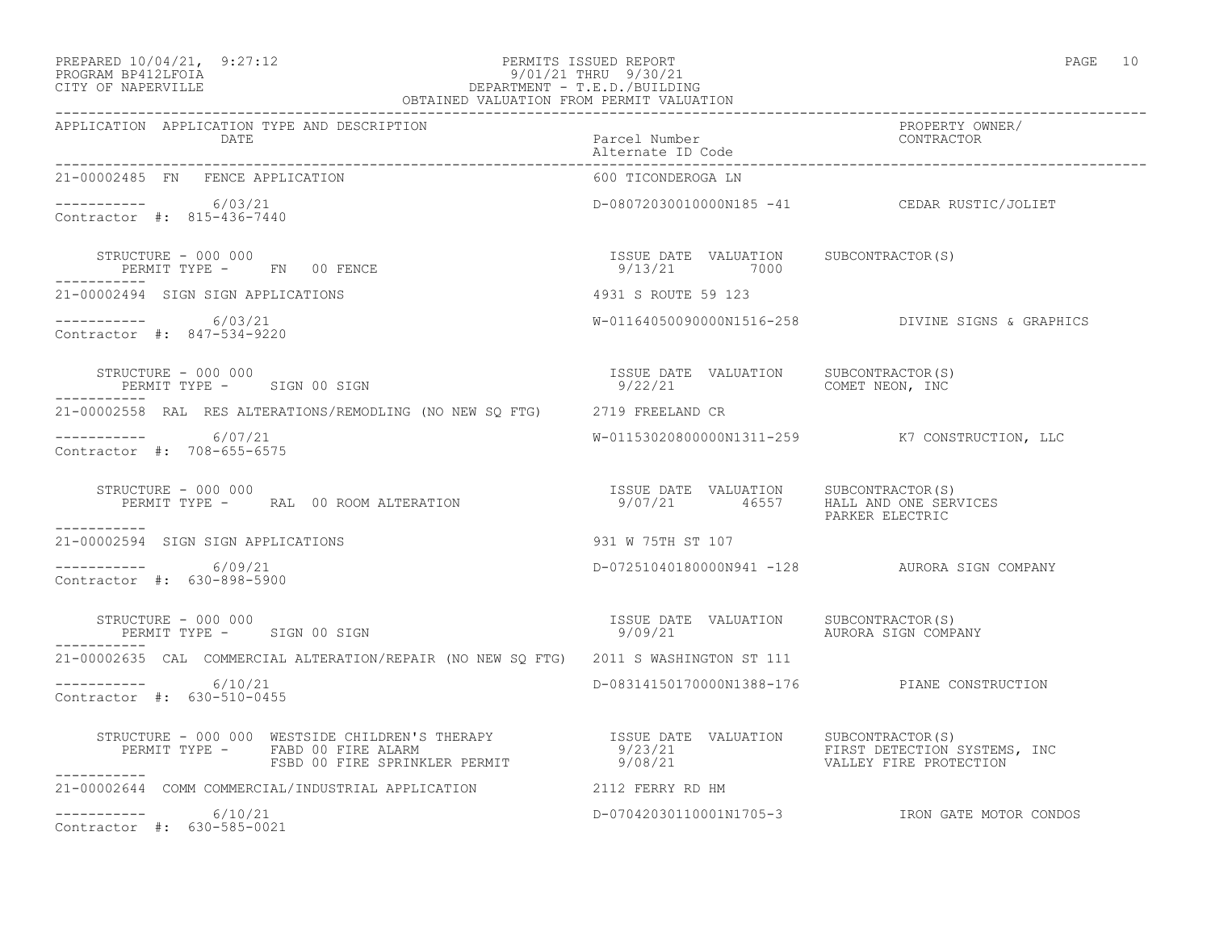#### PREPARED  $10/04/21$ , 9:27:12 PERMITS ISSUED REPORT PAGE 10 PROGRAM BP412LFOIA 9/01/21 THRU 9/30/21 CITY OF NAPERVILLE DEPARTMENT - T.E.D./BUILDING OBTAINED VALUATION FROM PERMIT VALUATION

| 21-00002485 FN FENCE APPLICATION                                                      | 600 TICONDEROGA LN                                                               |                                                   |
|---------------------------------------------------------------------------------------|----------------------------------------------------------------------------------|---------------------------------------------------|
| $--------- 6/03/21$<br>Contractor #: 815-436-7440                                     |                                                                                  | D-08072030010000N185 -41 CEDAR RUSTIC/JOLIET      |
| STRUCTURE - 000 000<br>PERMIT TYPE - FN 00 FENCE                                      | ISSUE DATE VALUATION SUBCONTRACTOR(S)<br>9/13/21 7000                            |                                                   |
| 21-00002494 SIGN SIGN APPLICATIONS                                                    | 4931 S ROUTE 59 123                                                              |                                                   |
| -----------     6/03/21<br>Contractor #: 847-534-9220                                 |                                                                                  | W-01164050090000N1516-258 DIVINE SIGNS & GRAPHICS |
| STRUCTURE - 000 000<br>PERMIT TYPE - SIGN 00 SIGN<br>------------                     |                                                                                  |                                                   |
| 21-00002558 RAL RES ALTERATIONS/REMODLING (NO NEW SQ FTG) 2719 FREELAND CR            |                                                                                  |                                                   |
| $--------- 6/07/21$<br>Contractor #: 708-655-6575                                     |                                                                                  | W-01153020800000N1311-259 K7 CONSTRUCTION, LLC    |
| STRUCTURE - 000 000<br>PERMIT TYPE - RAL 00 ROOM ALTERATION<br>-----------            | ISSUE DATE VALUATION SUBCONTRACTOR(S)<br>9/07/21   46557   HALL AND ONE SERVICES | PARKER ELECTRIC                                   |
| 21-00002594 SIGN SIGN APPLICATIONS                                                    | 931 W 75TH ST 107                                                                |                                                   |
| ----------- 6/09/21<br>Contractor #: 630-898-5900                                     |                                                                                  | D-07251040180000N941 -128 AURORA SIGN COMPANY     |
| STRUCTURE - 000 000<br>PERMIT TYPE - SIGN 00 SIGN                                     |                                                                                  | AURORA SIGN COMPANY                               |
| 21-00002635 CAL COMMERCIAL ALTERATION/REPAIR (NO NEW SQ FTG) 2011 S WASHINGTON ST 111 |                                                                                  |                                                   |
| $--------- 6/10/21$<br>Contractor #: 630-510-0455                                     |                                                                                  | D-08314150170000N1388-176 PIANE CONSTRUCTION      |
| ------------                                                                          |                                                                                  |                                                   |
| 21-00002644 COMM COMMERCIAL/INDUSTRIAL APPLICATION 2112 FERRY RD HM                   |                                                                                  |                                                   |
| $--------- 6/10/21$<br>Contractor #: 630-585-0021                                     |                                                                                  | D-07042030110001N1705-3 IRON GATE MOTOR CONDOS    |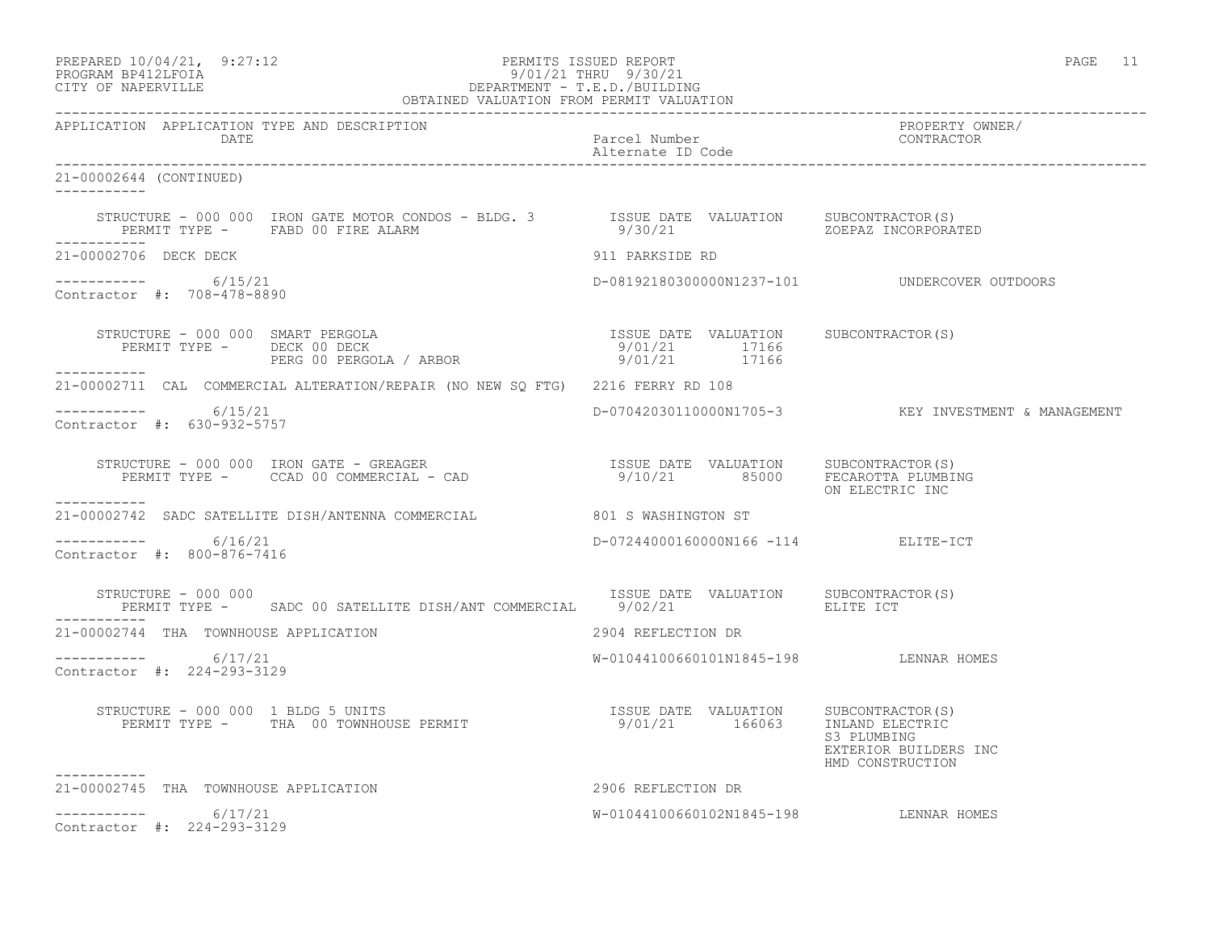| PREPARED 10/04/21,  | 9:27:12 |
|---------------------|---------|
| DDOOD3M DD410T DOT3 |         |

## PREPARED 10/04/21, 9:27:12 PERMITS ISSUED REPORT<br>PROGRAM BP412LFOIA PAGE 11 9/01/21 THRU 9/30/21 PROGRAM BP412LFOIA 9/01/21 THRU 9/30/21 CITY OF NAPERVILLE DEPARTMENT - T.E.D./BUILDING

| OBTAINED VALUATION FROM PERMIT VALUATION                                                                                                                     |                                        |                                                          |
|--------------------------------------------------------------------------------------------------------------------------------------------------------------|----------------------------------------|----------------------------------------------------------|
| APPLICATION APPLICATION TYPE AND DESCRIPTION<br>DATE                                                                                                         | Parcel Number<br>Alternate ID Code     | PROPERTY OWNER/<br>CONTRACTOR                            |
| 21-00002644 (CONTINUED)<br>___________                                                                                                                       |                                        |                                                          |
| PERMIT TYPE - FABD 00 FIRE ALARM<br>___________                                                                                                              |                                        |                                                          |
| 21-00002706 DECK DECK                                                                                                                                        | 911 PARKSIDE RD                        |                                                          |
| -----------    6/15/21<br>Contractor #: 708-478-8890                                                                                                         |                                        | D-08192180300000N1237-101    UNDERCOVER OUTDOORS         |
| STRUCTURE - 000 000 SMART PERGOLA<br>PERMIT TYPE - DECK 00 DECK<br>PERG 00 PERGOLA / ARBOR 1710 9/01/21 17166<br>PERG 00 PERGOLA / ARBOR 17166 9/01/21 17166 |                                        |                                                          |
| 21-00002711 CAL COMMERCIAL ALTERATION/REPAIR (NO NEW SO FTG) 2216 FERRY RD 108                                                                               |                                        |                                                          |
| ----------- 6/15/21<br>Contractor #: 630-932-5757                                                                                                            |                                        | D-07042030110000N1705-3 KEY INVESTMENT & MANAGEMENT      |
| STRUCTURE - 000 000 IRON GATE - GREAGER<br>PERMIT TYPE - CCAD 00 COMMERCIAL - CAD (21 %) 9/10/21 % 25000 PECAROTTA PLUMBING                                  |                                        | ON ELECTRIC INC                                          |
| 21-00002742 SADC SATELLITE DISH/ANTENNA COMMERCIAL 801 S WASHINGTON ST                                                                                       |                                        |                                                          |
| -----------     6/16/21<br>Contractor #: 800-876-7416                                                                                                        | D-07244000160000N166 -114 ELITE-ICT    |                                                          |
| STRUCTURE – 000 000<br>PERMIT TYPE - SADC 00 SATELLITE DISH/ANT COMMERCIAL 9/02/21 5 2010 ELITE ICT                                                          | ISSUE DATE VALUATION SUBCONTRACTOR(S)  |                                                          |
| 21-00002744 THA TOWNHOUSE APPLICATION                                                                                                                        | 2904 REFLECTION DR                     |                                                          |
| $--------- 6/17/21$<br>Contractor #: 224-293-3129                                                                                                            | W-01044100660101N1845-198 LENNAR HOMES |                                                          |
|                                                                                                                                                              |                                        | S3 PLUMBING<br>EXTERIOR BUILDERS INC<br>HMD CONSTRUCTION |
| 21-00002745 THA TOWNHOUSE APPLICATION                                                                                                                        | 2906 REFLECTION DR                     |                                                          |
| $--------- 6/17/21$<br>Contractor #: 224-293-3129                                                                                                            | W-01044100660102N1845-198 LENNAR HOMES |                                                          |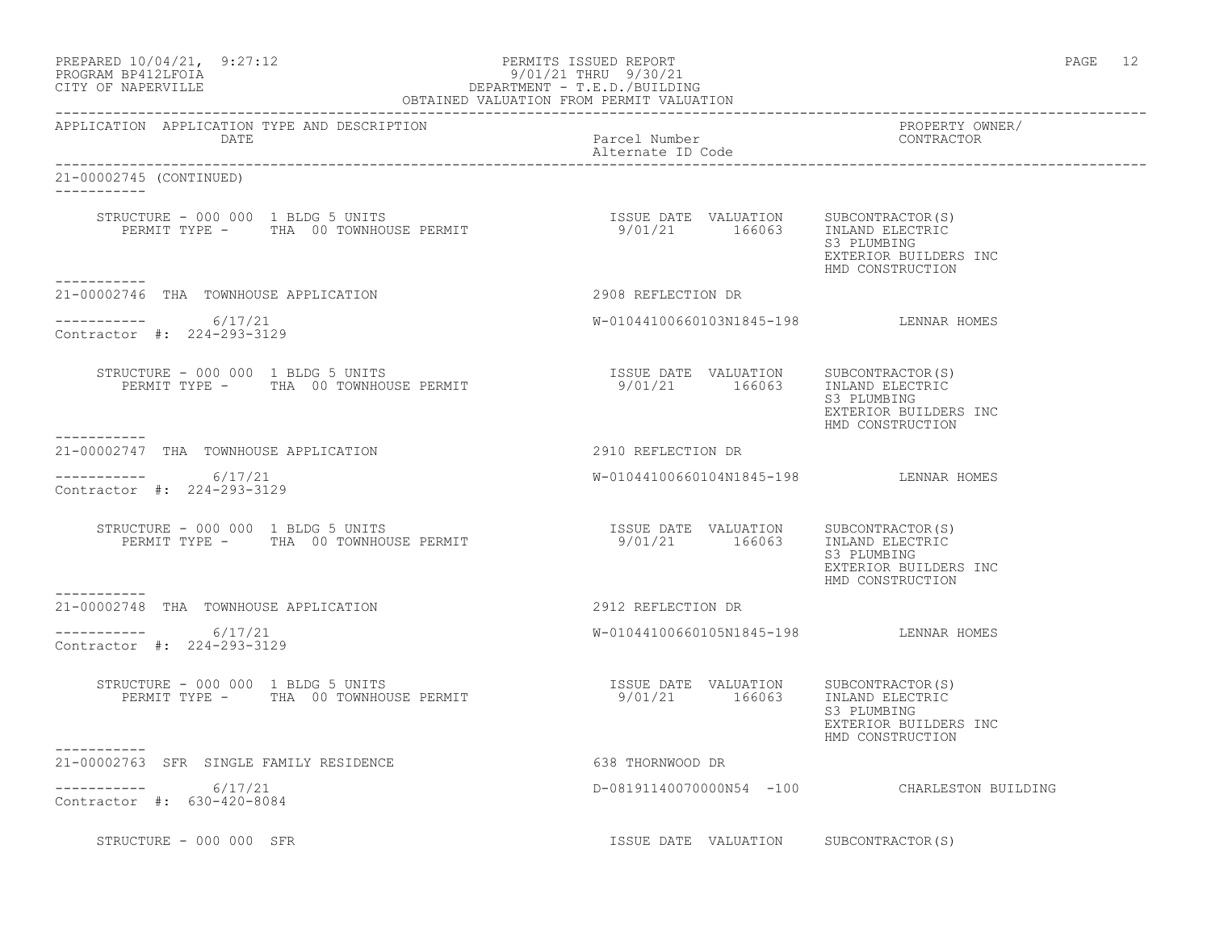| PREPARED 10/04/21, | 9:27:12 |
|--------------------|---------|
| PROCRAM RP412LFOIA |         |

## PERMITS ISSUED REPORT AND REPORT AND REPORT AND REPORT AND RESIDENT REPORT OF A SERIE OF A SERIE 2. PROGRAM BP412LFOIA 9/01/21 THRU 9/30/21 CITY OF NAPERVILLE CITY OF NAPERVILLE DEPARTMENT - T.E.D./BUILDING

| OBTAINED VALUATION FROM PERMIT VALUATION                                                                                                                                                                                                                                                                                                                                                                                       |                                        |                                                          |  |
|--------------------------------------------------------------------------------------------------------------------------------------------------------------------------------------------------------------------------------------------------------------------------------------------------------------------------------------------------------------------------------------------------------------------------------|----------------------------------------|----------------------------------------------------------|--|
| APPLICATION APPLICATION TYPE AND DESCRIPTION<br>DATE                                                                                                                                                                                                                                                                                                                                                                           | Parcel Number<br>Alternate ID Code     | PROPERTY OWNER/<br>CONTRACTOR                            |  |
| 21-00002745 (CONTINUED)<br>___________                                                                                                                                                                                                                                                                                                                                                                                         |                                        |                                                          |  |
| ___________                                                                                                                                                                                                                                                                                                                                                                                                                    |                                        | S3 PLUMBING<br>EXTERIOR BUILDERS INC<br>HMD CONSTRUCTION |  |
| 21-00002746 THA TOWNHOUSE APPLICATION                                                                                                                                                                                                                                                                                                                                                                                          | 2908 REFLECTION DR                     |                                                          |  |
| $--------- 6/17/21$<br>Contractor #: 224-293-3129                                                                                                                                                                                                                                                                                                                                                                              | W-01044100660103N1845-198 LENNAR HOMES |                                                          |  |
| $\begin{tabular}{lcccccc} \texttt{STRUCTURE} & - & 000 & 000 & 1 & \texttt{BLDG} & 5 & \texttt{UNITS} & & & & & & & & \\ & & & & & & & & & & & & & \\ \texttt{PERMIT TYPE} & - & & \texttt{TRA} & 00 & \texttt{TOWNHOUSE} & \texttt{PERMIT} & & & & & & \\ \end{tabular}$                                                                                                                                                      |                                        | S3 PLUMBING<br>EXTERIOR BUILDERS INC<br>HMD CONSTRUCTION |  |
| 21-00002747 THA TOWNHOUSE APPLICATION                                                                                                                                                                                                                                                                                                                                                                                          | 2910 REFLECTION DR                     |                                                          |  |
| -----------     6/17/21<br>Contractor #: 224-293-3129                                                                                                                                                                                                                                                                                                                                                                          | W-01044100660104N1845-198 LENNAR HOMES |                                                          |  |
| $\begin{tabular}{lcccccc} \texttt{STRUCTURE} & - & 000 & 000 & 1 & \texttt{BLDG} & 5 & \texttt{UNITS} & \texttt{BERNIT} & \texttt{S} & \texttt{S} & \texttt{S} & \texttt{S} & \texttt{S} & \texttt{S} & \texttt{S} & \texttt{S} & \texttt{S} & \texttt{S} & \texttt{S} & \texttt{S} & \texttt{S} & \texttt{S} & \texttt{S} & \texttt{S} & \texttt{S} & \texttt{S} & \texttt{S} & \texttt{S} & \texttt{S} & \texttt{S} & \text$ |                                        | S3 PLUMBING<br>EXTERIOR BUILDERS INC<br>HMD CONSTRUCTION |  |
| -----------<br>21-00002748 THA TOWNHOUSE APPLICATION                                                                                                                                                                                                                                                                                                                                                                           | 2912 REFLECTION DR                     |                                                          |  |
| $--------- 6/17/21$<br>Contractor #: 224-293-3129                                                                                                                                                                                                                                                                                                                                                                              | W-01044100660105N1845-198 LENNAR HOMES |                                                          |  |
| STRUCTURE - 000 000 1 BLDG 5 UNITS<br>PERMIT TYPE - THA 00 TOWNHOUSE PERMIT 1600 101/21 166063 INLAND ELECTRIC                                                                                                                                                                                                                                                                                                                 |                                        | S3 PLUMBING<br>EXTERIOR BUILDERS INC<br>HMD CONSTRUCTION |  |
| ----------<br>21-00002763 SFR SINGLE FAMILY RESIDENCE                                                                                                                                                                                                                                                                                                                                                                          | 638 THORNWOOD DR                       |                                                          |  |
| ----------- 6/17/21<br>Contractor #: 630-420-8084                                                                                                                                                                                                                                                                                                                                                                              |                                        | D-08191140070000N54 -100 CHARLESTON BUILDING             |  |
| STRUCTURE - 000 000 SFR                                                                                                                                                                                                                                                                                                                                                                                                        | ISSUE DATE VALUATION SUBCONTRACTOR(S)  |                                                          |  |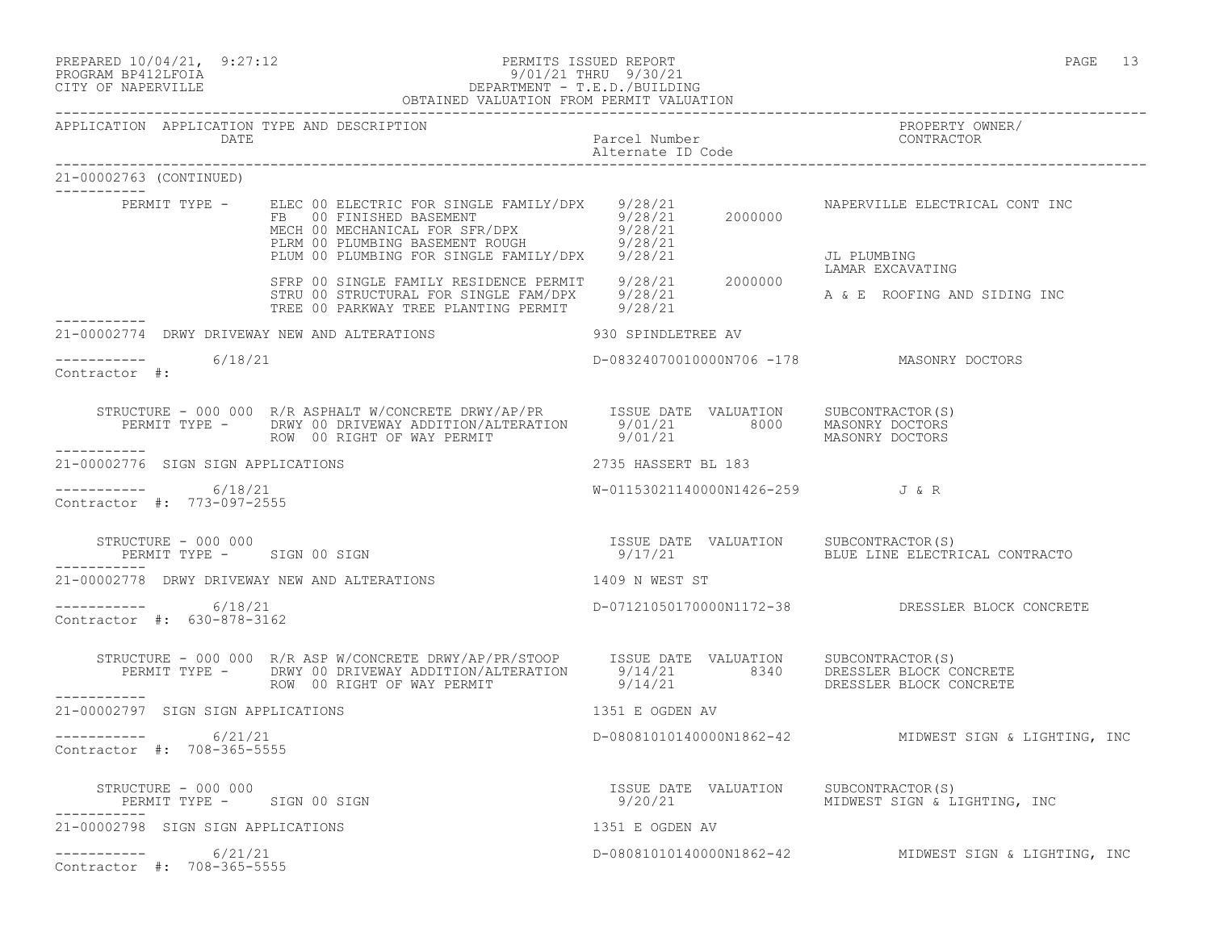| PREPARED 10/04/21, 9:27:12 | PERMITS ISSUED REPORT          | PAGE |  |
|----------------------------|--------------------------------|------|--|
|                            | a /a · /a · ------ a /a · /a · |      |  |

## PROGRAM BP412LFOIA 9/01/21 THRU 9/30/21 CITY OF NAPERVILLE DEPARTMENT - T.E.D./BUILDING

|                         |                                                      | OBTAINED VALUATION FROM PERMIT VALUATION                                                                                                                                                                                               |                                    |                                                                          |
|-------------------------|------------------------------------------------------|----------------------------------------------------------------------------------------------------------------------------------------------------------------------------------------------------------------------------------------|------------------------------------|--------------------------------------------------------------------------|
|                         | DATE                                                 | APPLICATION APPLICATION TYPE AND DESCRIPTION                                                                                                                                                                                           | Parcel Number<br>Alternate ID Code | PROPERTY OWNER/<br>CONTRACTOR                                            |
| 21-00002763 (CONTINUED) |                                                      |                                                                                                                                                                                                                                        |                                    |                                                                          |
|                         |                                                      | PERMIT TYPE - ELEC 00 ELECTRIC FOR SINGLE FAMILY/DPX 9/28/21<br>FB 00 FINISHED BASEMENT 9/28/21 2000000<br>MECH 00 MECHANICAL FOR SFR/DPX 9/28/21 2000000<br>PLRM 00 PLUMBING BASEMENT ROUGH 9/28/21<br>PLUM 00 PLUMBING FOR SINGLE FA |                                    | NAPERVILLE ELECTRICAL CONT INC<br>JL PLUMBING                            |
|                         |                                                      | SFRP 00 SINGLE FAMILY RESIDENCE PERMIT<br>STRU 00 STRUCTURAL FOR SINGLE FAM/DPX 9/28/21 2000000<br>TREE 00 PARKWAY TREE PLANTING PERMIT 9/28/21 A & E ROOFING AND SIDING INC                                                           |                                    |                                                                          |
|                         |                                                      | 21-00002774 DRWY DRIVEWAY NEW AND ALTERATIONS                                                                                                                                                                                          | 930 SPINDLETREE AV                 |                                                                          |
| Contractor #:           | $--------- 6/18/21$                                  |                                                                                                                                                                                                                                        |                                    | D-08324070010000N706 -178 MASONRY DOCTORS                                |
| -----------             |                                                      |                                                                                                                                                                                                                                        |                                    |                                                                          |
|                         | 21-00002776 SIGN SIGN APPLICATIONS                   |                                                                                                                                                                                                                                        | 2735 HASSERT BL 183                |                                                                          |
|                         | ----------     6/18/21<br>Contractor #: 773-097-2555 |                                                                                                                                                                                                                                        |                                    | W-01153021140000N1426-259 J&R                                            |
|                         | STRUCTURE - 000 000                                  | PERMIT TYPE - SIGN 00 SIGN                                                                                                                                                                                                             |                                    | 9/17/21                                   BLUE LINE ELECTRICAL CONTRACTO |
|                         |                                                      | 21-00002778 DRWY DRIVEWAY NEW AND ALTERATIONS                                                                                                                                                                                          | 1409 N WEST ST                     |                                                                          |
|                         | -----------    6/18/21<br>Contractor #: 630-878-3162 |                                                                                                                                                                                                                                        |                                    | D-07121050170000N1172-38 DRESSLER BLOCK CONCRETE                         |
|                         |                                                      | STRUCTURE - 000 000 R/R ASP W/CONCRETE DRWY/AP/PR/STOOP ISSUE DATE VALUATION SUBCONTRACTOR(S)<br>PERMIT TYPE - DRWY 00 DRIVEWAY ADDITION/ALTERATION 9/14/21 8340 DRESSLER BLOCK CONCRETE<br>ROW 00 RIGHT OF WAY PERMIT 9/14/21 9/14/   |                                    |                                                                          |
|                         | 21-00002797 SIGN SIGN APPLICATIONS                   |                                                                                                                                                                                                                                        | 1351 E OGDEN AV                    |                                                                          |
|                         | $--------- 6/21/21$<br>Contractor #: 708-365-5555    |                                                                                                                                                                                                                                        |                                    | D-08081010140000N1862-42 MIDWEST SIGN & LIGHTING, INC                    |
|                         |                                                      |                                                                                                                                                                                                                                        |                                    |                                                                          |
|                         | 21-00002798 SIGN SIGN APPLICATIONS                   |                                                                                                                                                                                                                                        | 1351 E OGDEN AV                    |                                                                          |
|                         | $--------- 6/21/21$<br>Contractor #: 708-365-5555    |                                                                                                                                                                                                                                        |                                    | D-08081010140000N1862-42 MIDWEST SIGN & LIGHTING, INC                    |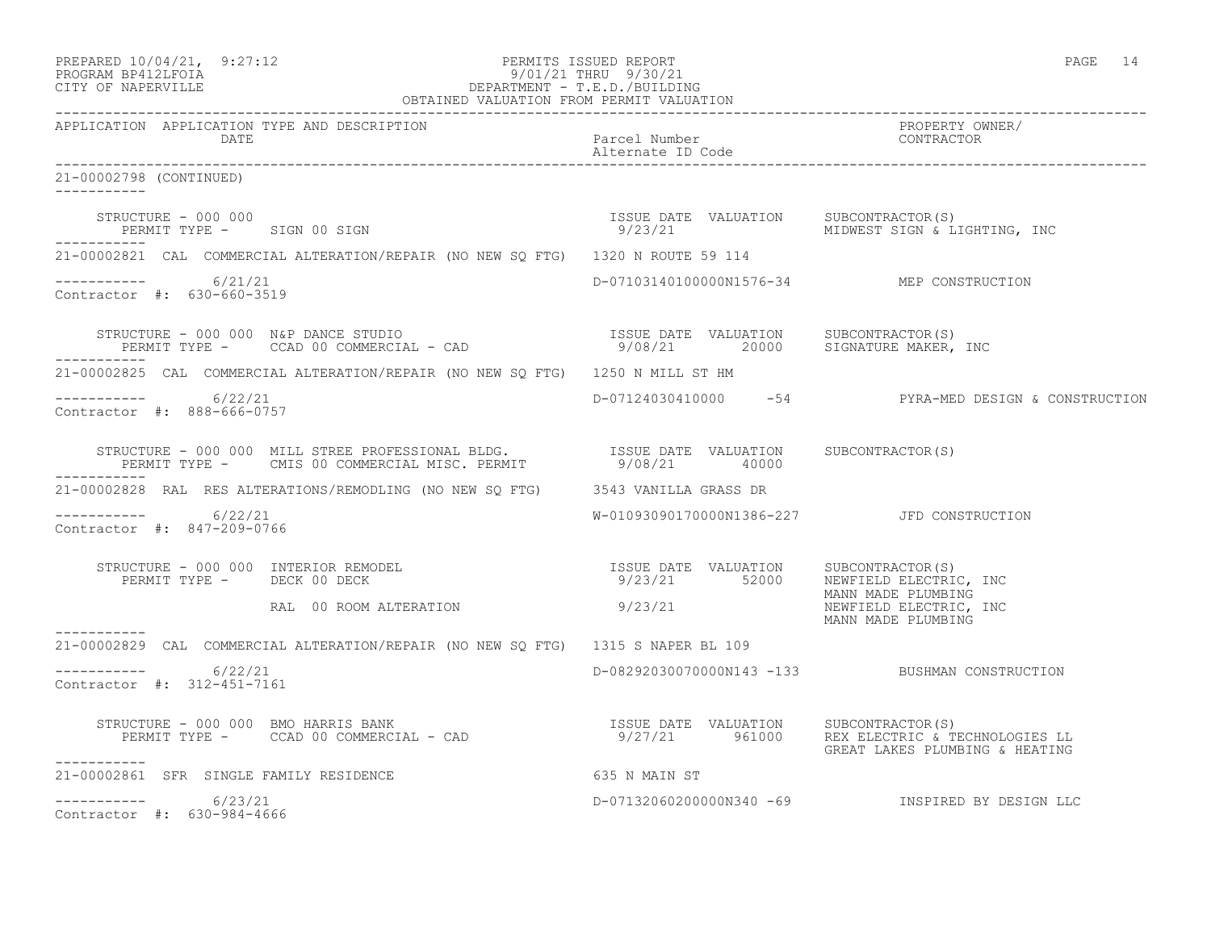|         | PREPARED 10/04/21, | 9:27:12 |
|---------|--------------------|---------|
| ------- |                    |         |

#### PREPARED  $10/04/21$ , 9:27:12 PERMITS ISSUED REPORT PAGE 14 PROGRAM BP412LFOIA 9/01/21 THRU 9/30/21 CITY OF NAPERVILLE DEPARTMENT - T.E.D./BUILDING

|                                                      | OBTAINED VALUATION FROM PERMIT VALUATION                                                                                                                                                        |                                                                                                                                                                                                                                                                                                    |                                                     |
|------------------------------------------------------|-------------------------------------------------------------------------------------------------------------------------------------------------------------------------------------------------|----------------------------------------------------------------------------------------------------------------------------------------------------------------------------------------------------------------------------------------------------------------------------------------------------|-----------------------------------------------------|
| APPLICATION APPLICATION TYPE AND DESCRIPTION         |                                                                                                                                                                                                 |                                                                                                                                                                                                                                                                                                    | PROPERTY OWNER/                                     |
| 21-00002798 (CONTINUED)<br>-----------               |                                                                                                                                                                                                 |                                                                                                                                                                                                                                                                                                    |                                                     |
|                                                      |                                                                                                                                                                                                 |                                                                                                                                                                                                                                                                                                    | 9/23/21 MIDWEST SIGN & LIGHTING, INC                |
|                                                      | 21-00002821 CAL COMMERCIAL ALTERATION/REPAIR (NO NEW SO FTG) 1320 N ROUTE 59 114                                                                                                                |                                                                                                                                                                                                                                                                                                    |                                                     |
| ----------- 6/21/21<br>Contractor #: 630-660-3519    |                                                                                                                                                                                                 | D-07103140100000N1576-34 MEP CONSTRUCTION                                                                                                                                                                                                                                                          |                                                     |
|                                                      | STRUCTURE – 000 000 N&P DANCE STUDIO<br>PERMIT TYPE – CCAD 00 COMMERCIAL – CAD                           9/08/21        20000    SIGNATURE MAKER, INC                                           |                                                                                                                                                                                                                                                                                                    |                                                     |
|                                                      | 21-00002825 CAL COMMERCIAL ALTERATION/REPAIR (NO NEW SO FTG) 1250 N MILL ST HM                                                                                                                  |                                                                                                                                                                                                                                                                                                    |                                                     |
| $--------- 6/22/21$<br>Contractor #: 888-666-0757    |                                                                                                                                                                                                 |                                                                                                                                                                                                                                                                                                    | D-07124030410000 -54 PYRA-MED DESIGN & CONSTRUCTION |
|                                                      | STRUCTURE - 000 000 MILL STREE PROFESSIONAL BLDG.               ISSUE DATE VALUATION     SUBCONTRACTOR(S)<br>PERMIT TYPE -     CMIS 00 COMMERCIAL MISC. PERMIT              9/08/21       40000 |                                                                                                                                                                                                                                                                                                    |                                                     |
|                                                      | 21-00002828 RAL RES ALTERATIONS/REMODLING (NO NEW SQ FTG) 3543 VANILLA GRASS DR                                                                                                                 |                                                                                                                                                                                                                                                                                                    |                                                     |
| ----------     6/22/21<br>Contractor #: 847-209-0766 |                                                                                                                                                                                                 | W-01093090170000N1386-227 JFD CONSTRUCTION                                                                                                                                                                                                                                                         |                                                     |
|                                                      | STRUCTURE - 000 000 INTERIOR REMODEL (S) (SUB DATE VALUATION SUBCONTRACTOR)<br>PERMIT TYPE - DECK 00 DECK                                                                                       | $9/23/21$ 52000 $\frac{1}{100}$ 52000 $\frac{1}{100}$ $\frac{1}{100}$ $\frac{1}{100}$ $\frac{1}{100}$ $\frac{1}{100}$ $\frac{1}{100}$ $\frac{1}{100}$ $\frac{1}{100}$ $\frac{1}{100}$ $\frac{1}{100}$ $\frac{1}{100}$ $\frac{1}{100}$ $\frac{1}{100}$ $\frac{1}{100}$ $\frac{1}{100}$ $\frac{1}{1$ | MANN MADE PLUMBING                                  |
|                                                      | RAL 00 ROOM ALTERATION                                                                                                                                                                          | 9/23/21                                                                                                                                                                                                                                                                                            | NEWFIELD ELECTRIC, INC<br>MANN MADE PLUMBING        |
|                                                      | 21-00002829 CAL COMMERCIAL ALTERATION/REPAIR (NO NEW SQ FTG) 1315 S NAPER BL 109                                                                                                                |                                                                                                                                                                                                                                                                                                    |                                                     |
| $--------- 6/22/21$<br>Contractor #: 312-451-7161    |                                                                                                                                                                                                 |                                                                                                                                                                                                                                                                                                    | D-08292030070000N143 -133 BUSHMAN CONSTRUCTION      |
| ___________                                          |                                                                                                                                                                                                 |                                                                                                                                                                                                                                                                                                    | GREAT LAKES PLUMBING & HEATING                      |
| 21-00002861 SFR SINGLE FAMILY RESIDENCE              | 635 N MAIN ST                                                                                                                                                                                   |                                                                                                                                                                                                                                                                                                    |                                                     |
| $--------- 6/23/21$<br>Contractor #: 630-984-4666    |                                                                                                                                                                                                 |                                                                                                                                                                                                                                                                                                    | D-07132060200000N340 -69 INSPIRED BY DESIGN LLC     |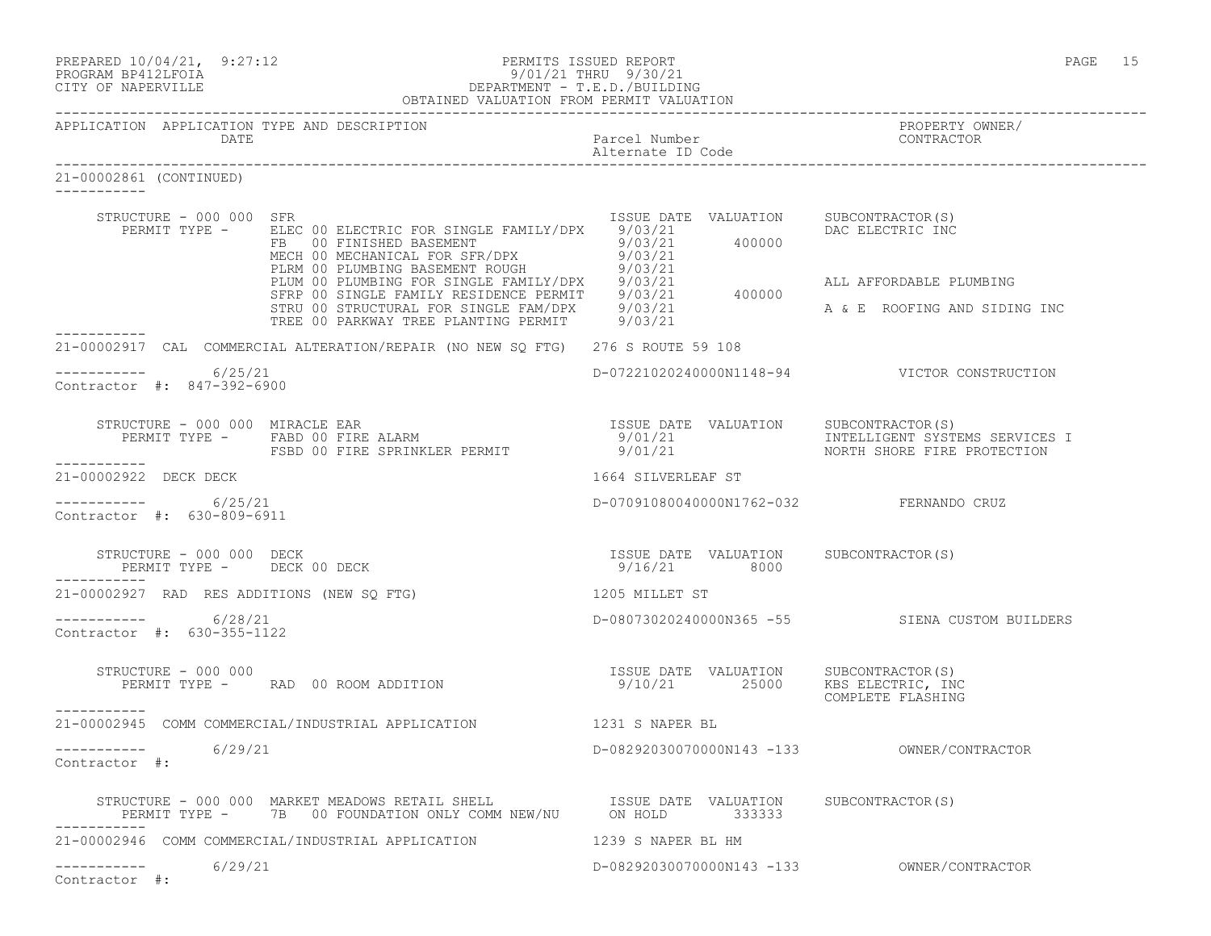| PREPARED 10/04/21, 9:27:12<br>PROGRAM BP412LFOIA<br>CITY OF NAPERVILLE                                                                                                                                                                                            |                                                                         | PAGE 15                                        |
|-------------------------------------------------------------------------------------------------------------------------------------------------------------------------------------------------------------------------------------------------------------------|-------------------------------------------------------------------------|------------------------------------------------|
| APPLICATION APPLICATION TYPE AND DESCRIPTION<br>DATE                                                                                                                                                                                                              | Parcel Number<br>Alternate ID Code                                      | PROPERTY OWNER/<br>CONTRACTOR                  |
| 21-00002861 (CONTINUED)                                                                                                                                                                                                                                           |                                                                         |                                                |
| STRUCTURE - 000 000 SFR<br>REAMIT TYPE - ELEC 00 ELECTRIC FOR SINGLE FAMILY/DPX 9/03/21<br>FERMIT TYPE - ELEC 00 ELECTRIC FOR SINGLE FAMILY/DPX 9/03/21<br>FE 00 FINISHED BASEMENT<br>MECH 00 MECHANICAL FOR SFR/DPX 9/03/21<br>PLIM 00 PLUMBING FOR SINGLE FAMIL | ISSUE DATE VALUATION SUBCONTRACTOR(S)                                   | DAC ELECTRIC INC<br>ALL AFFORDABLE PLUMBING    |
|                                                                                                                                                                                                                                                                   |                                                                         | A & E ROOFING AND SIDING INC                   |
| 21-00002917 CAL COMMERCIAL ALTERATION/REPAIR (NO NEW SQ FTG) 276 S ROUTE 59 108                                                                                                                                                                                   |                                                                         |                                                |
| $--------- 6/25/21$<br>Contractor #: 847-392-6900                                                                                                                                                                                                                 |                                                                         | D-07221020240000N1148-94 VICTOR CONSTRUCTION   |
| -----------                                                                                                                                                                                                                                                       |                                                                         |                                                |
| 21-00002922 DECK DECK                                                                                                                                                                                                                                             | 1664 SILVERLEAF ST                                                      |                                                |
| $---------$ 6/25/21<br>Contractor #: 630-809-6911                                                                                                                                                                                                                 | D-07091080040000N1762-032 FERNANDO CRUZ                                 |                                                |
| ISSUE DATE VALUATION SUBCONTRACTOR(S)<br>STRUCTURE - 000 000 DECK<br>PERMIT TYPE - DECK 00 DECK                                                                                                                                                                   | 9/16/21 8000                                                            |                                                |
| 21-00002927 RAD RES ADDITIONS (NEW SO FTG)                                                                                                                                                                                                                        | 1205 MILLET ST                                                          |                                                |
| $--------- 6/28/21$<br>Contractor #: 630-355-1122                                                                                                                                                                                                                 |                                                                         | D-08073020240000N365 -55 SIENA CUSTOM BUILDERS |
| STRUCTURE - 000 000<br>PERMIT TYPE - RAD 00 ROOM ADDITION<br>-----------                                                                                                                                                                                          | ISSUE DATE VALUATION SUBCONTRACTOR(S)<br>9/10/21 25000 KBS_ELECTRIC,_IN | KBS ELECTRIC, INC<br>COMPLETE FLASHING         |
| 21-00002945 COMM COMMERCIAL/INDUSTRIAL APPLICATION                                                                                                                                                                                                                | 1231 S NAPER BL                                                         |                                                |
| 6/29/21<br>------------<br>Contractor $\#$ :                                                                                                                                                                                                                      | D-08292030070000N143 -133                                               | OWNER/CONTRACTOR                               |
| STRUCTURE - 000 000 MARKET MEADOWS RETAIL SHELL SING ISSUE DATE VALUATION SUBCONTRACTOR(S)<br>PERMIT TYPE - 7B 00 FOUNDATION ONLY COMM NEW/NU ON HOLD 333333                                                                                                      |                                                                         |                                                |
| 21-00002946 COMM COMMERCIAL/INDUSTRIAL APPLICATION                                                                                                                                                                                                                | 1239 S NAPER BL HM                                                      |                                                |
| 6/29/21<br>Contractor #:                                                                                                                                                                                                                                          |                                                                         |                                                |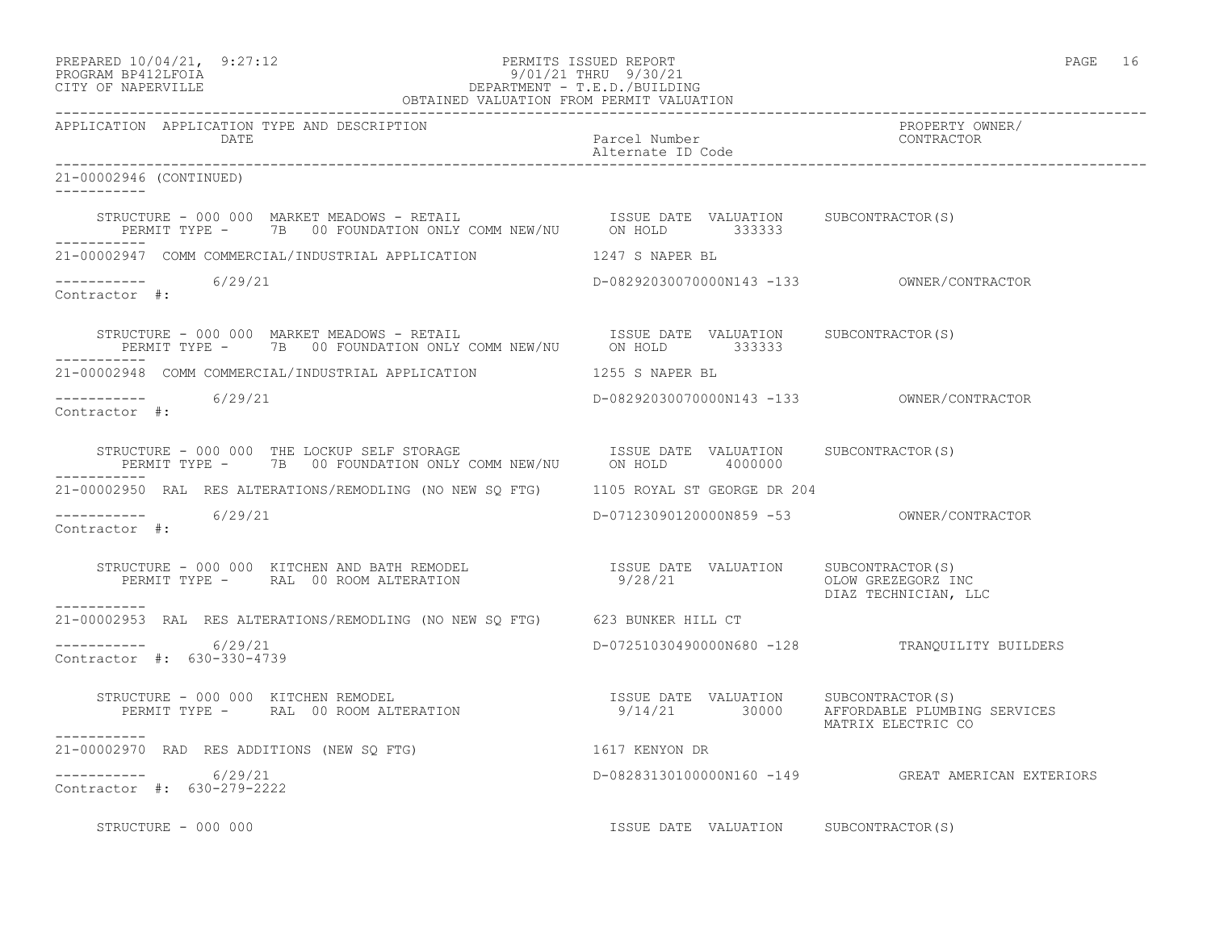## PREPARED 10/04/21, 9:27:12 PERMITS ISSUED REPORT PAGE 16 PROGRAM BP412LFOIA 9/01/21 THRU 9/30/21 CITY OF NAPERVILLE DEPARTMENT - T.E.D./BUILDING

| OBTAINED VALUATION FROM PERMIT VALUATION                                                                                                                                                                                                          |                                            |                                                                                                           |
|---------------------------------------------------------------------------------------------------------------------------------------------------------------------------------------------------------------------------------------------------|--------------------------------------------|-----------------------------------------------------------------------------------------------------------|
| APPLICATION APPLICATION TYPE AND DESCRIPTION<br>DATE                                                                                                                                                                                              | Parcel Number<br>Alternate ID Code         | PROPERTY OWNER/<br>CONTRACTOR                                                                             |
| 21-00002946 (CONTINUED)                                                                                                                                                                                                                           |                                            |                                                                                                           |
| STRUCTURE - 000 000 MARKET MEADOWS - RETAIL                           ISSUE DATE VALUATION      SUBCONTRACTOR(S)<br>PERMIT TYPE -       7B   00 FOUNDATION ONLY COMM NEW/NU        ON HOLD         333333                                         |                                            |                                                                                                           |
| 21-00002947 COMM COMMERCIAL/INDUSTRIAL APPLICATION 1247 S NAPER BL                                                                                                                                                                                |                                            |                                                                                                           |
| $--------- 6/29/21$<br>Contractor #:                                                                                                                                                                                                              |                                            |                                                                                                           |
| STRUCTURE - 000 000 MARKET MEADOWS - RETAIL                            ISSUE DATE VALUATION      SUBCONTRACTOR(S)<br>PERMIT TYPE -       7B    00 FOUNDATION ONLY COMM NEW/NU        ON HOLD         333333<br>-----------                        |                                            |                                                                                                           |
| 21-00002948 COMM COMMERCIAL/INDUSTRIAL APPLICATION 1255 S NAPER BL                                                                                                                                                                                |                                            |                                                                                                           |
| $--------- 6/29/21$<br>Contractor #:                                                                                                                                                                                                              | D-08292030070000N143 -133 OWNER/CONTRACTOR |                                                                                                           |
| STRUCTURE - 000 000 THE LOCKUP SELF STORAGE                            ISSUE DATE VALUATION      SUBCONTRACTOR(S)<br>PERMIT TYPE -       7B   00 FOUNDATION ONLY COMM NEW/NU        ON HOLD      4000000                                          |                                            |                                                                                                           |
| 21-00002950 RAL RES ALTERATIONS/REMODLING (NO NEW SQ FTG) 1105 ROYAL ST GEORGE DR 204                                                                                                                                                             |                                            |                                                                                                           |
| $--------- 6/29/21$<br>Contractor #:                                                                                                                                                                                                              |                                            |                                                                                                           |
| STRUCTURE – 000 000 KITCHEN AND BATH REMODEL                      ISSUE DATE VALUATION    SUBCONTRACTOR(S)<br>PERMIT TYPE –      RAL  00 ROOM ALTERATION                           9/28/21                         OLOW GREZEGORZ<br>------------ |                                            | OLOW GREZEGORZ INC<br>DIAZ TECHNICIAN, LLC                                                                |
| 21-00002953 RAL RES ALTERATIONS/REMODLING (NO NEW SQ FTG) 623 BUNKER HILL CT                                                                                                                                                                      |                                            |                                                                                                           |
| $--------- 6/29/21$<br>Contractor #: 630-330-4739                                                                                                                                                                                                 |                                            | D-07251030490000N680 -128 TRANQUILITY BUILDERS                                                            |
| STRUCTURE - 000 000 KITCHEN REMODEL<br>PERMIT TYPE - RAL 00 ROOM ALTERATION                                                                                                                                                                       |                                            | ISSUE DATE VALUATION SUBCONTRACTOR(S)<br>9/14/21 30000 AFFORDABLE PLUMBING SERVICES<br>MATRIX ELECTRIC CO |
| -----------<br>21-00002970 RAD RES ADDITIONS (NEW SQ FTG) 60 1617 KENYON DR                                                                                                                                                                       |                                            |                                                                                                           |
| $--------- 6/29/21$<br>Contractor #: 630-279-2222                                                                                                                                                                                                 |                                            | D-08283130100000N160 -149 GREAT AMERICAN EXTERIORS                                                        |
| STRUCTURE - 000 000                                                                                                                                                                                                                               | ISSUE DATE VALUATION SUBCONTRACTOR(S)      |                                                                                                           |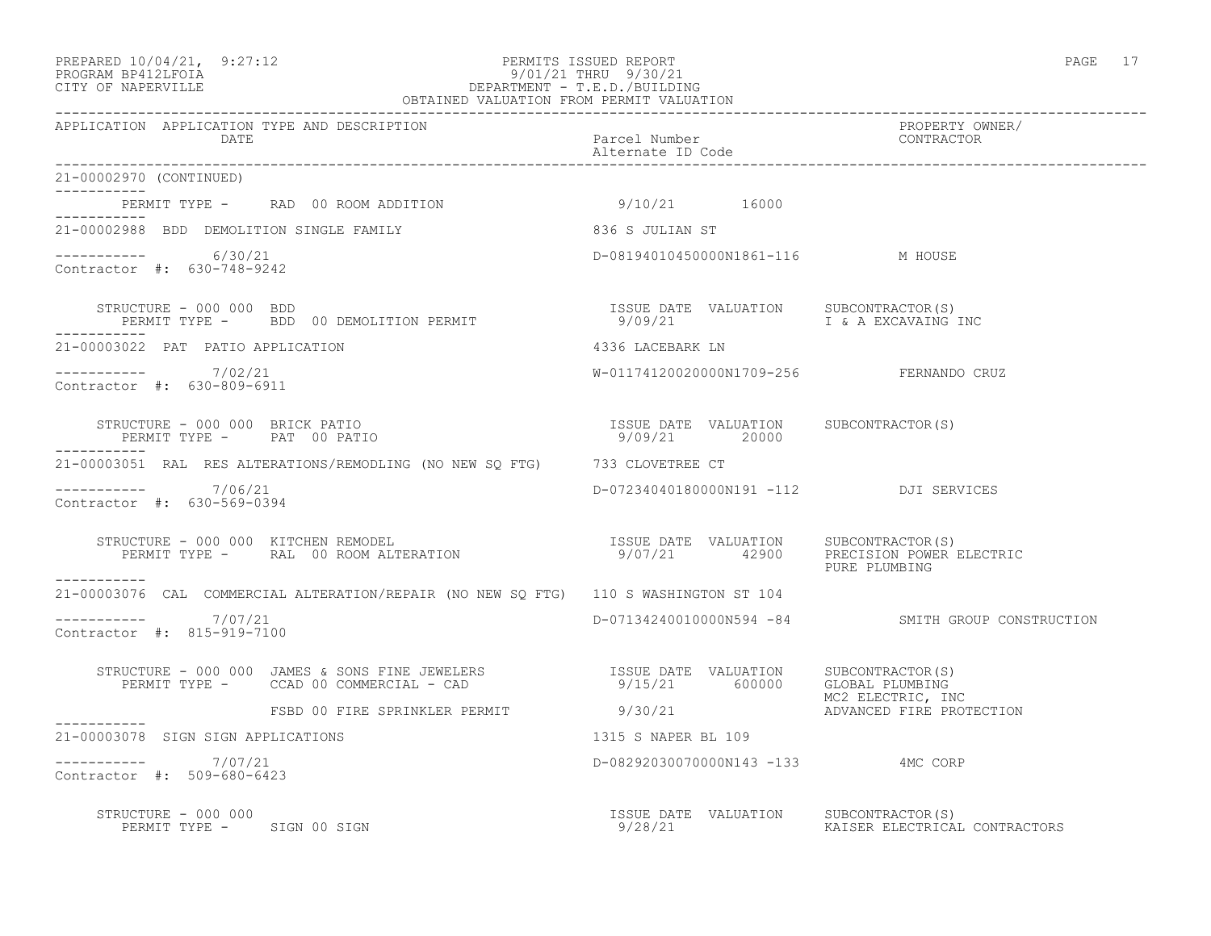## PREPARED 10/04/21, 9:27:12 PERMITS ISSUED REPORT PAGE 17 PROGRAM BP412LFOIA 9/01/21 THRU 9/30/21 CITY OF NAPERVILLE DEPARTMENT - T.E.D./BUILDING

| OBTAINED VALUATION FROM PERMIT VALUATION                                                                          |                                                        |                                                   |
|-------------------------------------------------------------------------------------------------------------------|--------------------------------------------------------|---------------------------------------------------|
| APPLICATION APPLICATION TYPE AND DESCRIPTION<br>DATE                                                              | Parcel Number<br>Alternate ID Code                     | PROPERTY OWNER/<br>CONTRACTOR                     |
| 21-00002970 (CONTINUED)                                                                                           |                                                        |                                                   |
| PERMIT TYPE - RAD 00 ROOM ADDITION 9/10/21 16000<br>-----------                                                   |                                                        |                                                   |
| 21-00002988 BDD DEMOLITION SINGLE FAMILY                                                                          | 836 S JULIAN ST                                        |                                                   |
| -----------     6/30/21<br>Contractor #: 630-748-9242                                                             | D-08194010450000N1861-116 M HOUSE                      |                                                   |
| STRUCTURE - 000 000 BDD<br>PERMIT TYPE - BDD 00 DEMOLITION PERMIT<br>------                                       | ISSUE DATE VALUATION SUBCONTRACTOR(S)                  |                                                   |
| 21-00003022 PAT PATIO APPLICATION                                                                                 | 4336 LACEBARK LN                                       |                                                   |
| ----------- 7/02/21<br>Contractor #: 630-809-6911                                                                 | W-01174120020000N1709-256 FERNANDO CRUZ                |                                                   |
| STRUCTURE - 000 000 BRICK PATIO<br>PERMIT TYPE - PAT 00 PATIO                                                     | ISSUE DATE VALUATION SUBCONTRACTOR(S)<br>9/09/21 20000 |                                                   |
| 21-00003051 RAL RES ALTERATIONS/REMODLING (NO NEW SO FTG) 733 CLOVETREE CT                                        |                                                        |                                                   |
| -----------     7/06/21<br>Contractor #: 630-569-0394                                                             | D-07234040180000N191 -112 DJI SERVICES                 |                                                   |
| ----------                                                                                                        |                                                        | PURE PLUMBING                                     |
| 21-00003076 CAL COMMERCIAL ALTERATION/REPAIR (NO NEW SQ FTG) 110 S WASHINGTON ST 104                              |                                                        |                                                   |
| -----------    7/07/21<br>Contractor #: 815-919-7100                                                              |                                                        | D-07134240010000N594 -84 SMITH GROUP CONSTRUCTION |
| STRUCTURE - 000 000 JAMES & SONS FINE JEWELERS<br>PERMIT TYPE - CCAD 00 COMMERCIAL - CAD (2000) SUBCONTRACTOR (S) |                                                        |                                                   |
| FSBD 00 FIRE SPRINKLER PERMIT 9/30/21<br>------------                                                             |                                                        | MC2 ELECTRIC, INC<br>ADVANCED FIRE PROTECTION     |
| 21-00003078 SIGN SIGN APPLICATIONS                                                                                | 1315 S NAPER BL 109                                    |                                                   |
| $--------- 7/07/21$<br>Contractor #: 509-680-6423                                                                 | D-08292030070000N143 -133 4MC CORP                     |                                                   |
| STRUCTURE - 000 000                                                                                               |                                                        |                                                   |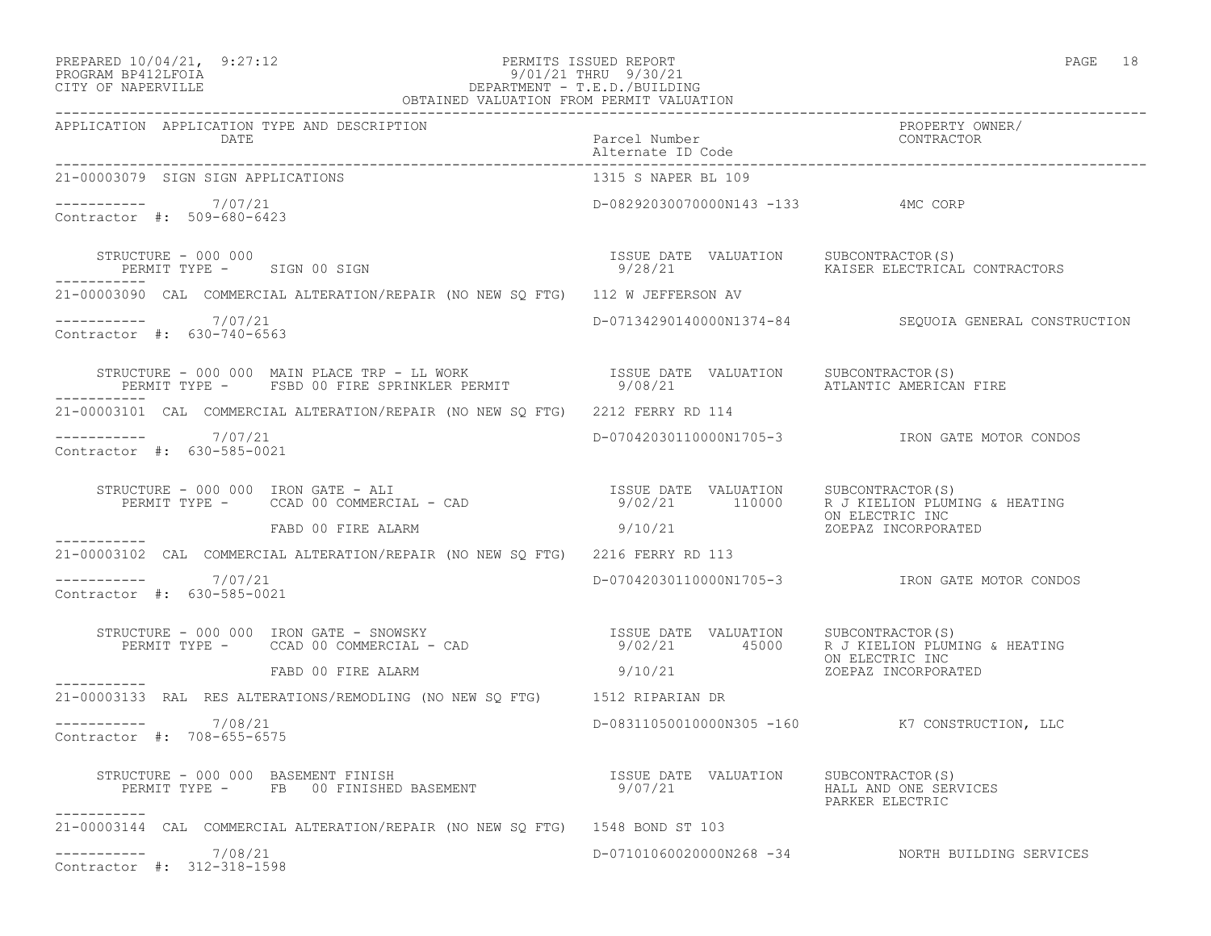## PREPARED 10/04/21, 9:27:12 PERMITS ISSUED REPORT<br>PROGRAM BP412LFOIA PAGE 18 9/01/21 THRU 9/30/21 PROGRAM BP412LFOIA 9/01/21 THRU 9/30/21 CITY OF NAPERVILLE DEPARTMENT - T.E.D./BUILDING

| OBTAINED VALUATION FROM PERMIT VALUATION                                                                                                                                                                                       |                                                  |                                                       |
|--------------------------------------------------------------------------------------------------------------------------------------------------------------------------------------------------------------------------------|--------------------------------------------------|-------------------------------------------------------|
| APPLICATION APPLICATION TYPE AND DESCRIPTION<br>DATE                                                                                                                                                                           | Parcel Number<br>Alternate ID Code               | PROPERTY OWNER/<br>CONTRACTOR                         |
| 21-00003079 SIGN SIGN APPLICATIONS                                                                                                                                                                                             | 1315 S NAPER BL 109                              |                                                       |
| $--------- 7/07/21$<br>Contractor #: 509-680-6423                                                                                                                                                                              | D-08292030070000N143 -133 4MC CORP               |                                                       |
| STRUCTURE - 000 000<br>PERMIT TYPE - SIGN 00 SIGN                                                                                                                                                                              | ISSUE DATE VALUATION SUBCONTRACTOR(S)<br>9/28/21 | KAISER ELECTRICAL CONTRACTORS                         |
| 21-00003090 CAL COMMERCIAL ALTERATION/REPAIR (NO NEW SO FTG) 112 W JEFFERSON AV                                                                                                                                                |                                                  |                                                       |
| $--------- 7/07/21$<br>Contractor #: 630-740-6563                                                                                                                                                                              |                                                  | D-07134290140000N1374-84 SEQUOIA GENERAL CONSTRUCTION |
| STRUCTURE – 000 000 MAIN PLACE TRP – LL WORK                      ISSUE DATE VALUATION    SUBCONTRACTOR(S)<br>PERMIT TYPE –     FSBD 00 FIRE SPRINKLER PERMIT                 9/08/21                        ATLANTIC AMERICAN |                                                  | ATLANTIC AMERICAN FIRE                                |
| 21-00003101 CAL COMMERCIAL ALTERATION/REPAIR (NO NEW SO FTG) 2212 FERRY RD 114                                                                                                                                                 |                                                  |                                                       |
| -----------    7/07/21<br>Contractor #: 630-585-0021                                                                                                                                                                           |                                                  | D-07042030110000N1705-3 IRON GATE MOTOR CONDOS        |
| STRUCTURE - 000 000 IRON GATE - ALI<br>PERMIT TYPE - CCAD 00 COMMERCIAL - CAD (9/02/21 110000 R J KIELION PLUMING & HEATING                                                                                                    |                                                  | ON ELECTRIC INC                                       |
|                                                                                                                                                                                                                                | 9/10/21                                          | ZOEPAZ INCORPORATED                                   |
| 21-00003102 CAL COMMERCIAL ALTERATION/REPAIR (NO NEW SQ FTG) 2216 FERRY RD 113                                                                                                                                                 |                                                  |                                                       |
| $--------- 7/07/21$<br>Contractor #: 630-585-0021                                                                                                                                                                              |                                                  |                                                       |
| STRUCTURE - 000 000 IRON GATE - SNOWSKY<br>PERMIT TYPE - CCAD 00 COMMERCIAL - CAD COMPONERED AT SALUATION A J KIELION PLUMING & HEATING<br>ON ELECTRIC INC                                                                     |                                                  |                                                       |
| FABD 00 FIRE ALARM                                                                                                                                                                                                             | 9/10/21                                          | ZOEPAZ INCORPORATED                                   |
| -----------<br>21-00003133 RAL RES ALTERATIONS/REMODLING (NO NEW SQ FTG) 1512 RIPARIAN DR                                                                                                                                      |                                                  |                                                       |
| ----------    7/08/21<br>Contractor #: 708-655-6575                                                                                                                                                                            |                                                  | D-08311050010000N305 -160 K7 CONSTRUCTION, LLC        |
| Example 2000 100 AND FOR THE PASSES OF THE RESULT ON THE VALUATION SUBCONTRACTOR (S)<br>PERMIT TYPE - FREQUEST ON FINISHED BASEMENT THE SUBLEMENT SERVICES<br>STRUCTURE - 000 000 BASEMENT FINISH<br>----------                |                                                  | PARKER ELECTRIC                                       |
| 21-00003144 CAL COMMERCIAL ALTERATION/REPAIR (NO NEW SQ FTG) 1548 BOND ST 103                                                                                                                                                  |                                                  |                                                       |
| $--------$ 7/08/21<br>Contractor #: 312-318-1598                                                                                                                                                                               |                                                  | D-07101060020000N268 -34 NORTH BUILDING SERVICES      |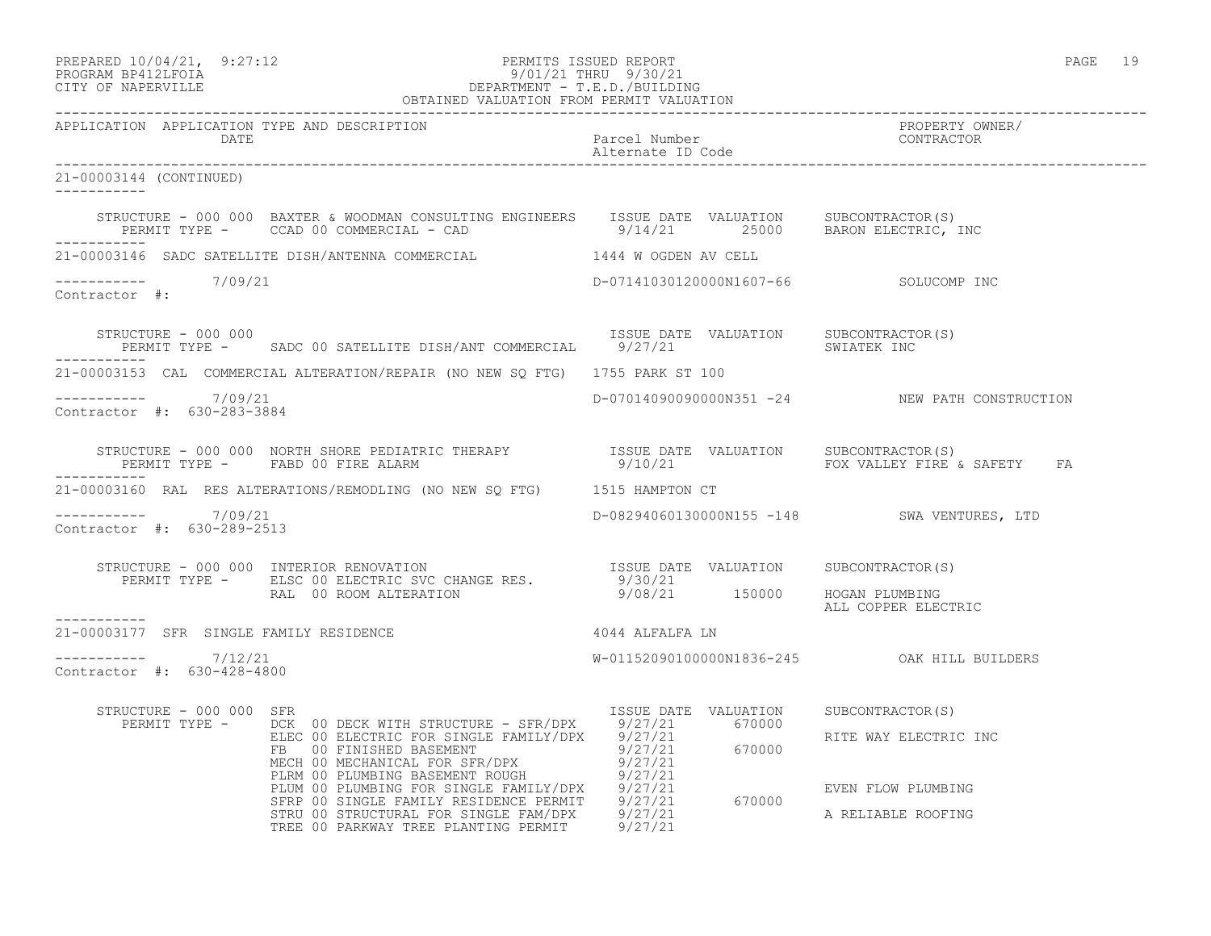| PREPARED 10/04/21,  | 9:27:12 |
|---------------------|---------|
| גד∩ם זר11תם וגמר∩חם |         |

## PREPARED 10/04/21, 9:27:12 PERMITS ISSUED REPORT<br>PROGRAM BP412LFOIA PAGE 19<br>9/01/21 THRU 9/30/21 PROGRAM BP412LFOIA 9/01/21 THRU 9/30/21 CITY OF NAPERVILLE DEPARTMENT - T.E.D./BUILDING

|                                                   | OBTAINED VALUATION FROM PERMIT VALUATION                                                                                                                                                                                                                                                                                                                                                                                                                |                                       |                                                |
|---------------------------------------------------|---------------------------------------------------------------------------------------------------------------------------------------------------------------------------------------------------------------------------------------------------------------------------------------------------------------------------------------------------------------------------------------------------------------------------------------------------------|---------------------------------------|------------------------------------------------|
| APPLICATION APPLICATION TYPE AND DESCRIPTION      |                                                                                                                                                                                                                                                                                                                                                                                                                                                         |                                       | PROPERTY OWNER/                                |
| 21-00003144 (CONTINUED)                           |                                                                                                                                                                                                                                                                                                                                                                                                                                                         |                                       |                                                |
|                                                   | STRUCTURE - 000 000 BAXTER & WOODMAN CONSULTING ENGINEERS ISSUE DATE VALUATION SUBCONTRACTOR(S)<br>PERMIT TYPE - CCAD 00 COMMERCIAL - CAD 9/14/21 25000 BARON ELECTRIC, INC                                                                                                                                                                                                                                                                             |                                       |                                                |
|                                                   | 21-00003146 SADC SATELLITE DISH/ANTENNA COMMERCIAL 6 1444 W OGDEN AV CELL                                                                                                                                                                                                                                                                                                                                                                               |                                       |                                                |
| Contractor #:                                     |                                                                                                                                                                                                                                                                                                                                                                                                                                                         | D-07141030120000N1607-66 SOLUCOMP INC |                                                |
|                                                   | STRUCTURE - 000 000<br>PERMIT TYPE - SADC 00 SATELLITE DISH/ANT COMMERCIAL 9/27/21 SWIATEN INC                                                                                                                                                                                                                                                                                                                                                          |                                       |                                                |
|                                                   | 21-00003153 CAL COMMERCIAL ALTERATION/REPAIR (NO NEW SQ FTG) 1755 PARK ST 100                                                                                                                                                                                                                                                                                                                                                                           |                                       |                                                |
| $--------- 7/09/21$<br>Contractor #: 630-283-3884 |                                                                                                                                                                                                                                                                                                                                                                                                                                                         |                                       | D-07014090090000N351 -24 NEW PATH CONSTRUCTION |
|                                                   | STRUCTURE - 000 000 NORTH SHORE PEDIATRIC THERAPY               ISSUE DATE VALUATION     SUBCONTRACTOR(S)<br>PERMIT TYPE -     FABD 00 FIRE ALARM                                 9/10/21                      FOX VALLEY FIRE &                                                                                                                                                                                                                        |                                       | FOX VALLEY FIRE & SAFETY FA                    |
|                                                   | 21-00003160 RAL RES ALTERATIONS/REMODLING (NO NEW SQ FTG) 1515 HAMPTON CT                                                                                                                                                                                                                                                                                                                                                                               |                                       |                                                |
| $--------- 7/09/21$<br>Contractor #: 630-289-2513 |                                                                                                                                                                                                                                                                                                                                                                                                                                                         |                                       | D-08294060130000N155 -148 SWA VENTURES, LTD    |
|                                                   | STRUCTURE - 000 000 INTERIOR RENOVATION<br>PERMIT TYPE - ELSC 00 ELECTRIC SVC CHANGE RES. 9/30/21<br>RAL 00 ROOM ALTERATION 9/08/21 150000 HOGAN PLUMBING                                                                                                                                                                                                                                                                                               |                                       |                                                |
| -----------                                       |                                                                                                                                                                                                                                                                                                                                                                                                                                                         |                                       | ALL COPPER ELECTRIC                            |
| 21-00003177 SFR SINGLE FAMILY RESIDENCE           | 4044 ALFALFA LN                                                                                                                                                                                                                                                                                                                                                                                                                                         |                                       |                                                |
| ----------- 7/12/21<br>Contractor #: 630-428-4800 |                                                                                                                                                                                                                                                                                                                                                                                                                                                         |                                       | W-01152090100000N1836-245 OAK HILL BUILDERS    |
| STRUCTURE - 000 000 SFR                           |                                                                                                                                                                                                                                                                                                                                                                                                                                                         |                                       |                                                |
|                                                   | $\begin{tabular}{l c c c c c} \multicolumn{1}{c}{\textbf{RE}} & $\mathsf{INC} & $\mathsf{INC} & $\mathsf{INC} & $\mathsf{INC} & $\mathsf{INC} & $\mathsf{INC} & $\mathsf{INC} & $\mathsf{INC} & $\mathsf{INC} & $\mathsf{INC} & $\mathsf{INC} & $\mathsf{INC} & $\mathsf{INC} & $\mathsf{INC} & $\mathsf{INC} & $\mathsf{INC} & $\mathsf{INC} & $\mathsf{INC} & $\mathsf{INC} & $\mathsf{INC} & $\mathsf{INC} & $\mathsf{INC} & $\mathsf{INC} & $\math$ |                                       |                                                |
|                                                   |                                                                                                                                                                                                                                                                                                                                                                                                                                                         |                                       |                                                |

TREE 00 PARKWAY TREE PLANTING PERMIT 9/27/21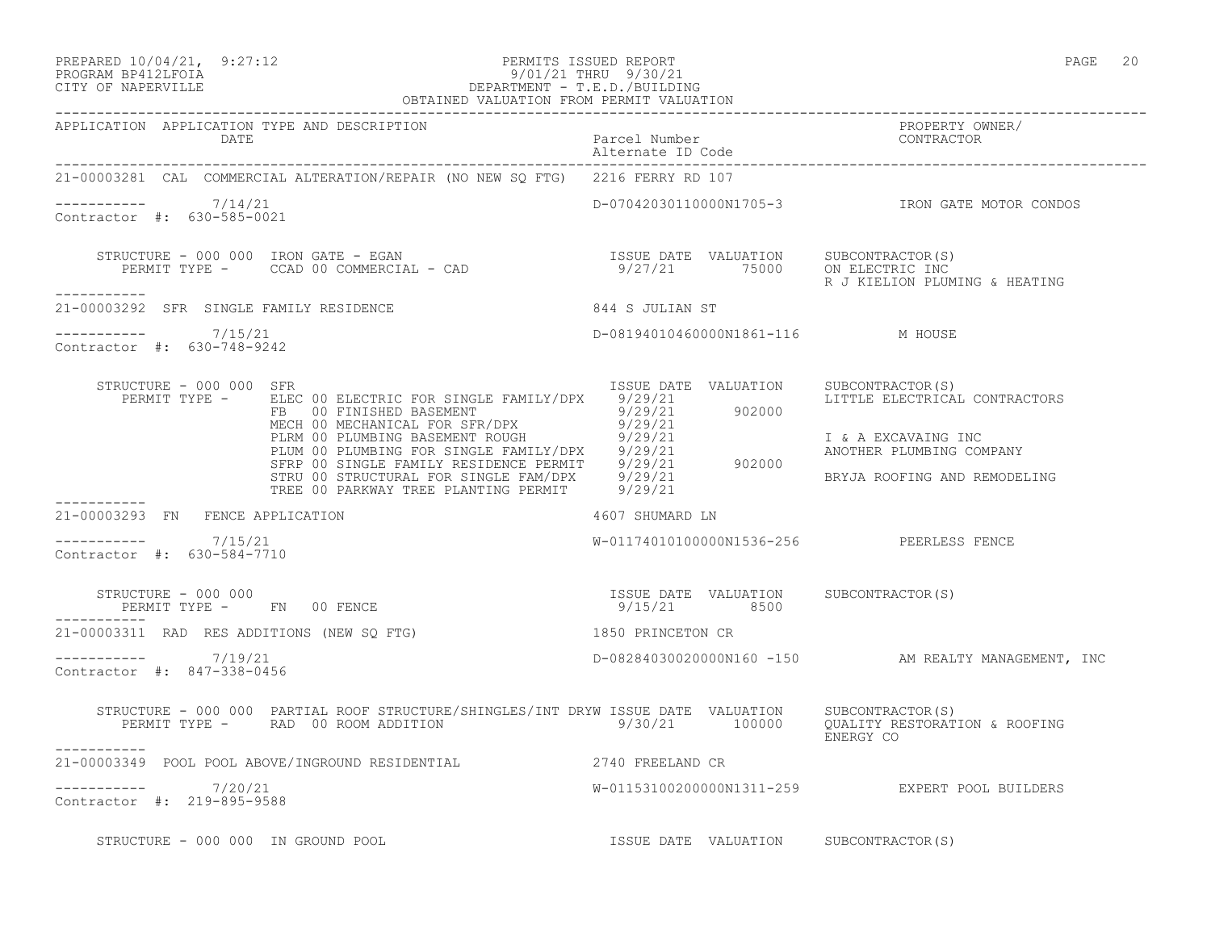-----------

-----------

-----------

-----------

#### PREPARED  $10/04/21$ , 9:27:12 PERMITS ISSUED REPORT PAGE 20 PROGRAM BP412LFOIA 9/01/21 THRU 9/30/21 CITY OF NAPERVILLE DEPARTMENT - T.E.D./BUILDING OBTAINED VALUATION FROM PERMIT VALUATION

------------------------------------------------------------------------------------------------------------------------------------ APPLICATION APPLICATION TYPE AND DESCRIPTION PROPERTY OWNER/ DATE **Parcel Number** Parcel Number Alternate ID Code ------------------------------------------------------------------------------------------------------------------------------------ 21-00003281 CAL COMMERCIAL ALTERATION/REPAIR (NO NEW SQ FTG) 2216 FERRY RD 107  $--------- 7/14/21$ ----------- 7/14/21 D-07042030110000N1705-3 IRON GATE MOTOR CONDOS Contractor #: 630-585-0021 STRUCTURE - 000 000 IRON GATE - EGAN ISSUE DATE VALUATION SUBCONTRACTOR(S) PERMIT TYPE - CCAD 00 COMMERCIAL - CAD 9/27/21 75000 ON ELECTRIC INC R J KIELION PLUMING & HEATING 21-00003292 SFR SINGLE FAMILY RESIDENCE 844 S JULIAN ST  $--------- 7/15/21$ D-08194010460000N1861-116 M HOUSE Contractor #: 630-748-9242 STRUCTURE - 000 000 SFR ISSUE DATE VALUATION SUBCONTRACTOR(S) PERMIT TYPE - ELEC 00 ELECTRIC FOR SINGLE FAMILY/DPX 9/29/21 LITTLE ELECTRICAL CONTRACTORS FB 00 FINISHED BASEMENT 9/29/21 902000 MECH 00 MECHANICAL FOR SFR/DPX 9/29/21 PLRM 00 PLUMBING BASEMENT ROUGH 9/29/21 1 1 & A EXCAVAING INC PLUM 00 PLUMBING FOR SINGLE FAMILY/DPX 9/29/21 ANOTHER PLUMBING COMPANY SFRP 00 SINGLE FAMILY RESIDENCE PERMIT 9/29/21 902000 STRU 00 STRUCTURAL FOR SINGLE FAM/DPX 9/29/21 BRYJA ROOFING AND REMODELING TREE 00 PARKWAY TREE PLANTING PERMIT 9/29/21 21-00003293 FN FENCE APPLICATION 4607 SHUMARD LN  $--------- 7/15/21$ W-01174010100000N1536-256 PEERLESS FENCE Contractor #: 630-584-7710 STRUCTURE - 000 000 ISSUE DATE VALUATION SUBCONTRACTOR(S) PERMIT TYPE - FN 00 FENCE 21-00003311 RAD RES ADDITIONS (NEW SQ FTG) 1850 PRINCETON CR ----------- 7/19/21 D-08284030020000N160 -150 AM REALTY MANAGEMENT, INC Contractor #: 847-338-0456 STRUCTURE - 000 000 PARTIAL ROOF STRUCTURE/SHINGLES/INT DRYW ISSUE DATE VALUATION SUBCONTRACTOR(S) PERMIT TYPE - RAD 00 ROOM ADDITION 9/30/21 100000 QUALITY RESTORATION & ROOFING ENERGY CO 21-00003349 POOL POOL ABOVE/INGROUND RESIDENTIAL 2740 FREELAND CR ----------- 7/20/21 W-01153100200000N1311-259 EXPERT POOL BUILDERS

Contractor #: 219-895-9588

STRUCTURE - 000 000 IN GROUND POOL **ISSUE DATE VALUATION** SUBCONTRACTOR(S)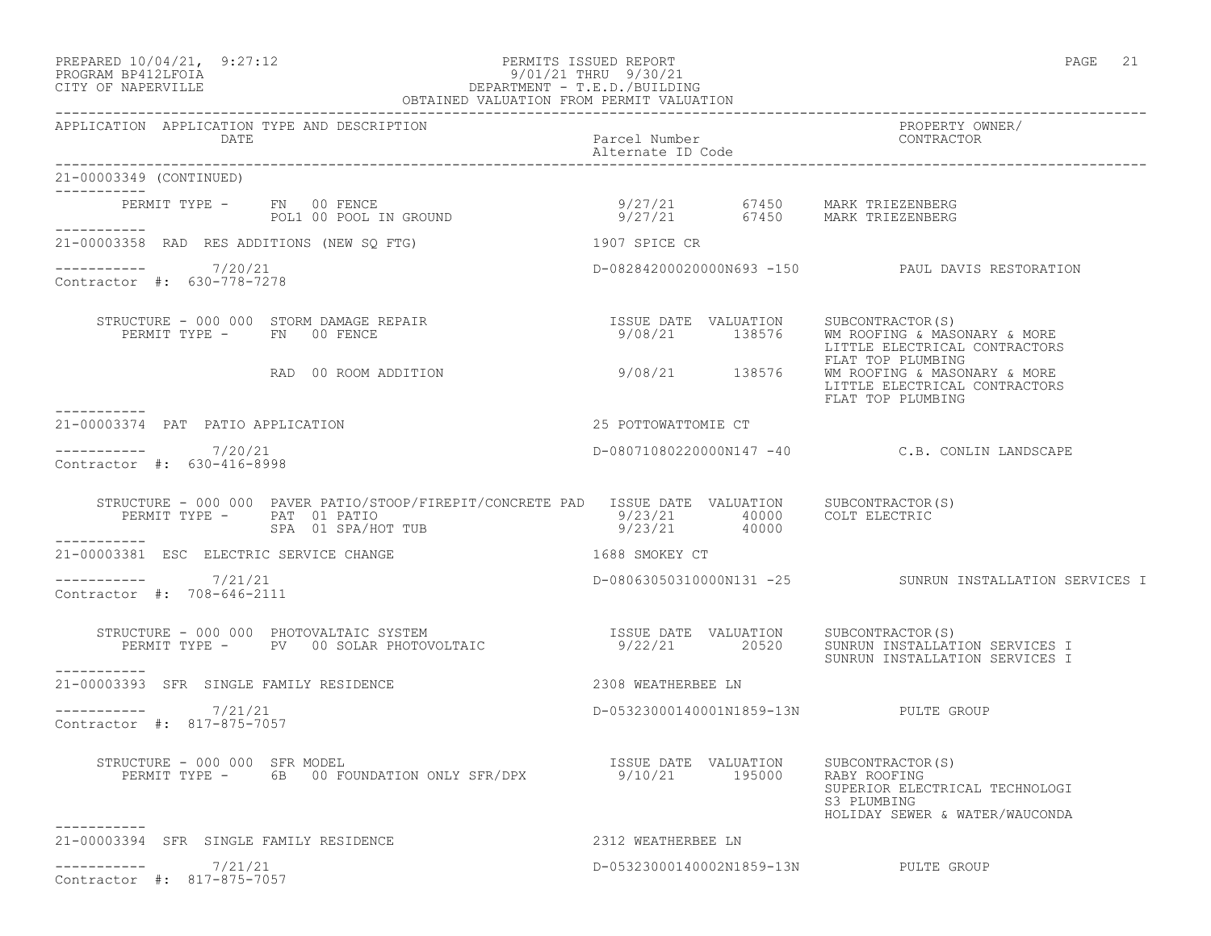## PREPARED  $10/04/21$ , 9:27:12 PERMITS ISSUED REPORT PAGE 21 PROGRAM BP412LFOIA 9/01/21 THRU 9/30/21 CITY OF NAPERVILLE DEPARTMENT - T.E.D./BUILDING

|                                                        | OBTAINED VALUATION FROM PERMIT VALUATION                                                                                               |                                                          |       |                                                                                                                                        |
|--------------------------------------------------------|----------------------------------------------------------------------------------------------------------------------------------------|----------------------------------------------------------|-------|----------------------------------------------------------------------------------------------------------------------------------------|
| APPLICATION APPLICATION TYPE AND DESCRIPTION<br>DATE   |                                                                                                                                        | Parcel Number<br>Alternate ID Code                       |       | PROPERTY OWNER/<br>CONTRACTOR                                                                                                          |
| 21-00003349 (CONTINUED)<br>------------                |                                                                                                                                        |                                                          |       |                                                                                                                                        |
| PERMIT TYPE - FN 00 FENCE<br>------------              |                                                                                                                                        |                                                          |       |                                                                                                                                        |
| 21-00003358 RAD RES ADDITIONS (NEW SQ FTG)             |                                                                                                                                        | 1907 SPICE CR                                            |       |                                                                                                                                        |
| $--------- 7/20/21$<br>Contractor #: 630-778-7278      |                                                                                                                                        |                                                          |       | D-08284200020000N693 -150 PAUL DAVIS RESTORATION                                                                                       |
| PERMIT TYPE - FN 00 FENCE                              | STRUCTURE - 000 000 STORM DAMAGE REPAIR<br>RAD 00 ROOM ADDITION                                                                        | ISSUE DATE VALUATION<br>9/08/21 138576<br>9/08/21 138576 |       | SUBCONTRACTOR(S)<br>WM ROOFING & MASONARY & MORE<br>LITTLE ELECTRICAL CONTRACTORS<br>FLAT TOP PLUMBING<br>WM ROOFING & MASONARY & MORE |
| -----------                                            |                                                                                                                                        |                                                          |       | LITTLE ELECTRICAL CONTRACTORS<br>FLAT TOP PLUMBING                                                                                     |
| 21-00003374 PAT PATIO APPLICATION                      |                                                                                                                                        | 25 POTTOWATTOMIE CT                                      |       |                                                                                                                                        |
| 7/20/21<br>Contractor #: 630-416-8998                  |                                                                                                                                        |                                                          |       | D-08071080220000N147 -40 C.B. CONLIN LANDSCAPE                                                                                         |
| PERMIT TYPE - PAT 01 PATIO                             | STRUCTURE - 000 000 PAVER PATIO/STOOP/FIREPIT/CONCRETE PAD ISSUE DATE VALUATION SUBCONTRACTOR(S)<br>PAT 01 PATIO<br>SPA 01 SPA/HOT TUB | $9/23/21$ 40000                                          |       | 9/23/21 40000 COLT ELECTRIC                                                                                                            |
| -----------<br>21-00003381 ESC ELECTRIC SERVICE CHANGE |                                                                                                                                        | 1688 SMOKEY CT                                           |       |                                                                                                                                        |
| -----------     7/21/21<br>Contractor #: 708-646-2111  |                                                                                                                                        |                                                          |       | D-08063050310000N131 -25 SUNRUN INSTALLATION SERVICES I                                                                                |
| -----------                                            | STRUCTURE - 000 000 PHOTOVALTAIC SYSTEM<br>PERMIT TYPE - PV 00 SOLAR PHOTOVOLTAIC                                                      | ISSUE DATE VALUATION<br>9/22/21                          | 20520 | SUBCONTRACTOR (S)<br>SUNRUN INSTALLATION SERVICES I<br>SUNRUN INSTALLATION SERVICES I                                                  |
| 21-00003393 SFR SINGLE FAMILY RESIDENCE                |                                                                                                                                        | 2308 WEATHERBEE LN                                       |       |                                                                                                                                        |
| $--------$ 7/21/21<br>Contractor #: 817-875-7057       |                                                                                                                                        |                                                          |       | D-05323000140001N1859-13N PULTE GROUP                                                                                                  |
| STRUCTURE - 000 000 SFR MODEL                          | PERMIT TYPE - 6B 00 FOUNDATION ONLY SFR/DPX                                                                                            | ISSUE DATE VALUATION<br>9/10/21 195000                   |       | SUBCONTRACTOR (S)<br>RABY ROOFING<br>SUPERIOR ELECTRICAL TECHNOLOGI<br>S3 PLUMBING<br>HOLIDAY SEWER & WATER/WAUCONDA                   |
| -----------<br>21-00003394 SFR SINGLE FAMILY RESIDENCE |                                                                                                                                        | 2312 WEATHERBEE LN                                       |       |                                                                                                                                        |
| 7/21/21<br>-----------<br>Contractor #: 817-875-7057   |                                                                                                                                        |                                                          |       | D-05323000140002N1859-13N PULTE GROUP                                                                                                  |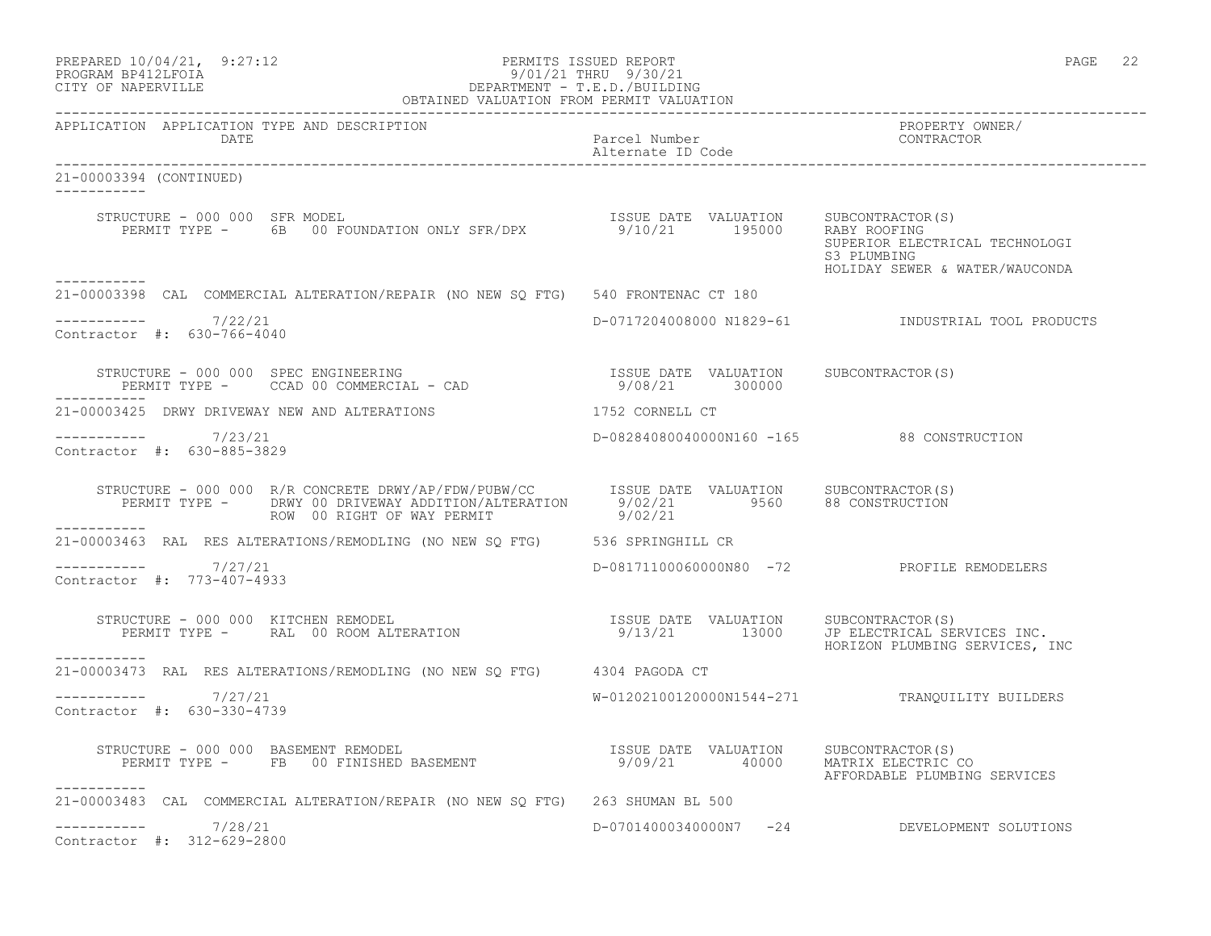| PREPARED 10/04/21, 9:27:12 | PERMITS ISSUED REPORT           | PAGE | $\cap$ $\cap$<br>ZZ. |
|----------------------------|---------------------------------|------|----------------------|
| PROGRAM PRACTROTA          | $0/01/01$ $m_{\rm H}$ $0/00/01$ |      |                      |

#### PROGRAM BP412LFOIA 9/01/21 THRU 9/30/21 CITY OF NAPERVILLE DEPARTMENT - T.E.D./BUILDING OBTAINED VALUATION FROM PERMIT VALUATION

------------------------------------------------------------------------------------------------------------------------------------

APPLICATION APPLICATION TYPE AND DESCRIPTION<br>DATE bated parcel Number property owner/ Parcel Number<br>Alternate ID Code Alternate ID Code ------------------------------------------------------------------------------------------------------------------------------------ 21-00003394 (CONTINUED) ----------- STRUCTURE - 000 000 SFR MODEL ISSUE DATE VALUATION SUBCONTRACTOR(S) PERMIT TYPE - 6B 00 FOUNDATION ONLY SFR/DPX 9/10/21 195000 RABY ROOFING SUPERIOR ELECTRICAL TECHNOLOGI<br>S3 PLUMBING S3 PLUMBING HOLIDAY SEWER & WATER/WAUCONDA ----------- 21-00003398 CAL COMMERCIAL ALTERATION/REPAIR (NO NEW SQ FTG) 540 FRONTENAC CT 180  $--------- 7/22/21$ ----------- 7/22/21 D-0717204008000 N1829-61 INDUSTRIAL TOOL PRODUCTS Contractor #: 630-766-4040 STRUCTURE - 000 000 SPEC ENGINEERING ISSUE DATE VALUATION SUBCONTRACTOR(S) PERMIT TYPE - CCAD 00 COMMERCIAL - CAD 9/08/21 300000 ----------- 21-00003425 DRWY DRIVEWAY NEW AND ALTERATIONS 1752 CORNELL CT ----------- 7/23/21 7/23/21 D-08284080040000N160 -165 88 CONSTRUCTION Contractor #: 630-885-3829 STRUCTURE - 000 000 R/R CONCRETE DRWY/AP/FDW/PUBW/CC ISSUE DATE VALUATION SUBCONTRACTOR(S) PERMIT TYPE - DRWY 00 DRIVEWAY ADDITION/ALTERATION 9/02/21 9560 88 CONSTRUCTION ROW 00 RIGHT OF WAY PERMIT 9/02/21 ----------- 21-00003463 RAL RES ALTERATIONS/REMODLING (NO NEW SQ FTG) 536 SPRINGHILL CR  $--------- 7/27/21$ ----------- 7/27/21 D-08171100060000N80 -72 PROFILE REMODELERS Contractor #: 773-407-4933 STRUCTURE - 000 000 KITCHEN REMODEL ISSUE DATE VALUATION SUBCONTRACTOR(S) PERMIT TYPE - RAL 00 ROOM ALTERATION 19/13/21 13000 JP ELECTRICAL SERVICES INC. HORIZON PLUMBING SERVICES, INC ----------- 21-00003473 RAL RES ALTERATIONS/REMODLING (NO NEW SQ FTG) 4304 PAGODA CT  $--------- 7/27/21$ W-01202100120000N1544-271 TRANOUILITY BUILDERS Contractor #: 630-330-4739 STRUCTURE - 000 000 BASEMENT REMODEL ISSUE DATE VALUATION SUBCONTRACTOR(S) PERMIT TYPE - FB 00 FINISHED BASEMENT 9/09/21 40000 MATRIX ELECTRIC CO AFFORDABLE PLUMBING SERVICES ----------- 21-00003483 CAL COMMERCIAL ALTERATION/REPAIR (NO NEW SQ FTG) 263 SHUMAN BL 500  $--------- 7/28/21$ D-07014000340000N7 -24 DEVELOPMENT SOLUTIONS Contractor #: 312-629-2800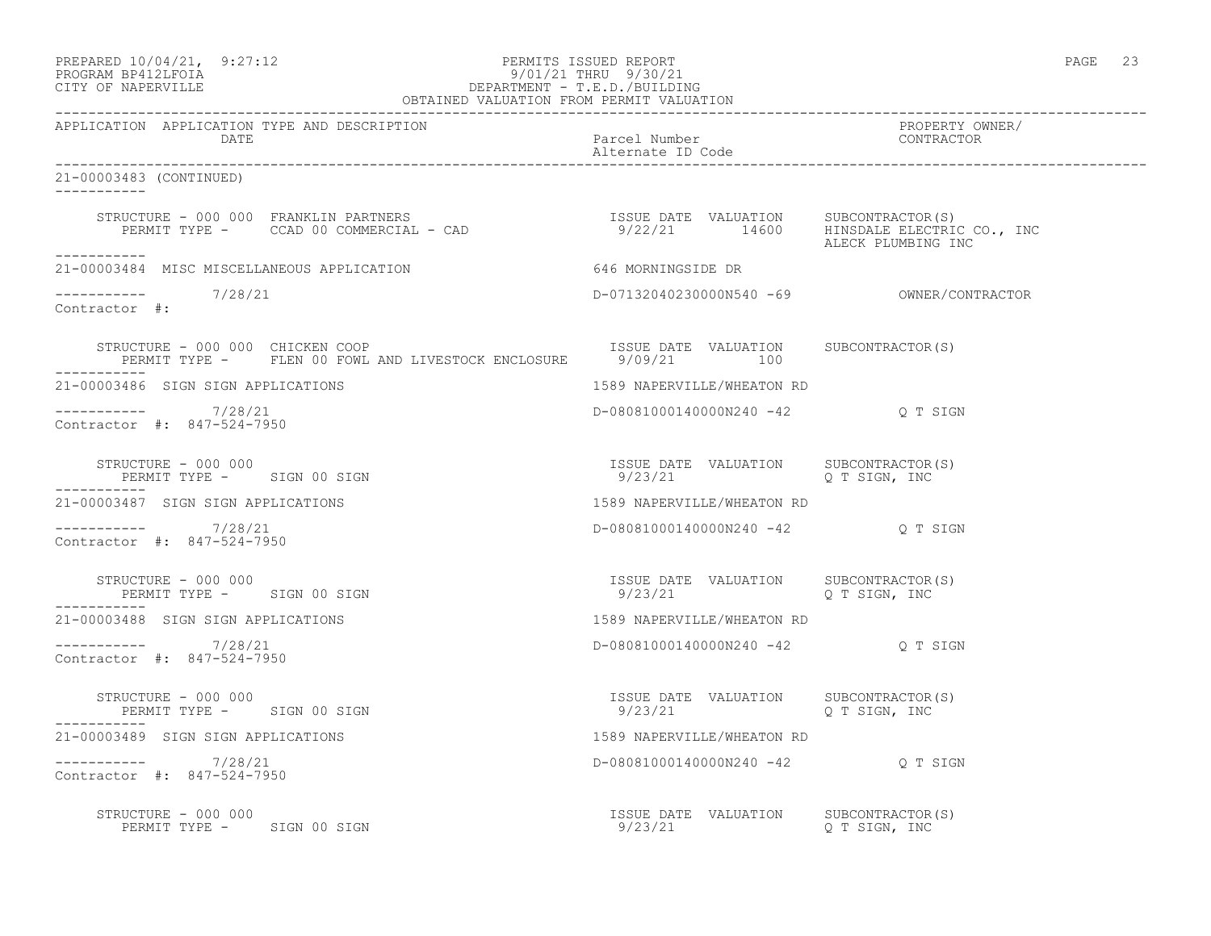#### PREPARED  $10/04/21$ , 9:27:12 PERMITS ISSUED REPORT PAGE 23 PROGRAM BP412LFOIA 9/01/21 THRU 9/30/21 CITY OF NAPERVILLE DEPARTMENT - T.E.D./BUILDING

| OBTAINED VALUATION FROM PERMIT VALUATION                                                                                                                                      |                                                                   |                               |  |
|-------------------------------------------------------------------------------------------------------------------------------------------------------------------------------|-------------------------------------------------------------------|-------------------------------|--|
| APPLICATION APPLICATION TYPE AND DESCRIPTION<br>DATE                                                                                                                          | Parcel Number<br>Alternate ID Code                                | PROPERTY OWNER/<br>CONTRACTOR |  |
| 21-00003483 (CONTINUED)                                                                                                                                                       |                                                                   |                               |  |
| STRUCTURE - 000 000 FRANKLIN PARTNERS<br>PERMIT TYPE - CCAD 00 COMMERCIAL - CAD                                 9/22/21       14600   HINSDALE ELECTRIC CO., INC              |                                                                   |                               |  |
| 21-00003484 MISC MISCELLANEOUS APPLICATION                                                                                                                                    | 646 MORNINGSIDE DR                                                |                               |  |
| $--------$ 7/28/21<br>Contractor #:                                                                                                                                           |                                                                   |                               |  |
| FIRUCTURE - 000 000 CHICKEN COOP [ISSUE DATE VALUATION SUBCONTRACTOR(S)<br>PERMIT TYPE - FIEN 00 FOWL AND LIVESTOCK ENCLOSURE 9/09/21 100<br>STRUCTURE - 000 000 CHICKEN COOP |                                                                   |                               |  |
| 21-00003486 SIGN SIGN APPLICATIONS                                                                                                                                            | 1589 NAPERVILLE/WHEATON RD                                        |                               |  |
| -----------    7/28/21<br>Contractor #: 847-524-7950                                                                                                                          | D-08081000140000N240 -42 Q T SIGN                                 |                               |  |
| STRUCTURE - 000 000<br>PERMIT TYPE - SIGN 00 SIGN                                                                                                                             |                                                                   |                               |  |
| 21-00003487 SIGN SIGN APPLICATIONS                                                                                                                                            | 1589 NAPERVILLE/WHEATON RD                                        |                               |  |
| $--------- 7/28/21$<br>Contractor #: 847-524-7950                                                                                                                             | D-08081000140000N240 -42 Q T SIGN                                 |                               |  |
| STRUCTURE - 000 000<br>PERMIT TYPE - SIGN 00 SIGN                                                                                                                             | ISSUE DATE VALUATION SUBCONTRACTOR(S)<br>$9/23/21$ Q T SIGN, INC  |                               |  |
| 21-00003488 SIGN SIGN APPLICATIONS                                                                                                                                            | 1589 NAPERVILLE/WHEATON RD                                        |                               |  |
| $--------- 7/28/21$<br>Contractor #: 847-524-7950                                                                                                                             | D-08081000140000N240 -42 Q T SIGN                                 |                               |  |
| STRUCTURE - 000 000<br>PERMIT TYPE - SIGN 00 SIGN                                                                                                                             | ISSUE DATE VALUATION SUBCONTRACTOR (S)<br>$9/23/21$ Q T SIGN, INC |                               |  |
| 21-00003489 SIGN SIGN APPLICATIONS                                                                                                                                            | 1589 NAPERVILLE/WHEATON RD                                        |                               |  |
| $--------- 7/28/21$<br>Contractor #: 847-524-7950                                                                                                                             | D-08081000140000N240 -42 Q T SIGN                                 |                               |  |
| STRUCTURE - 000 000<br>PERMIT TYPE - SIGN 00 SIGN                                                                                                                             | ISSUE DATE VALUATION SUBCONTRACTOR(S)<br>$9/23/21$ Q T SIGN, INC  |                               |  |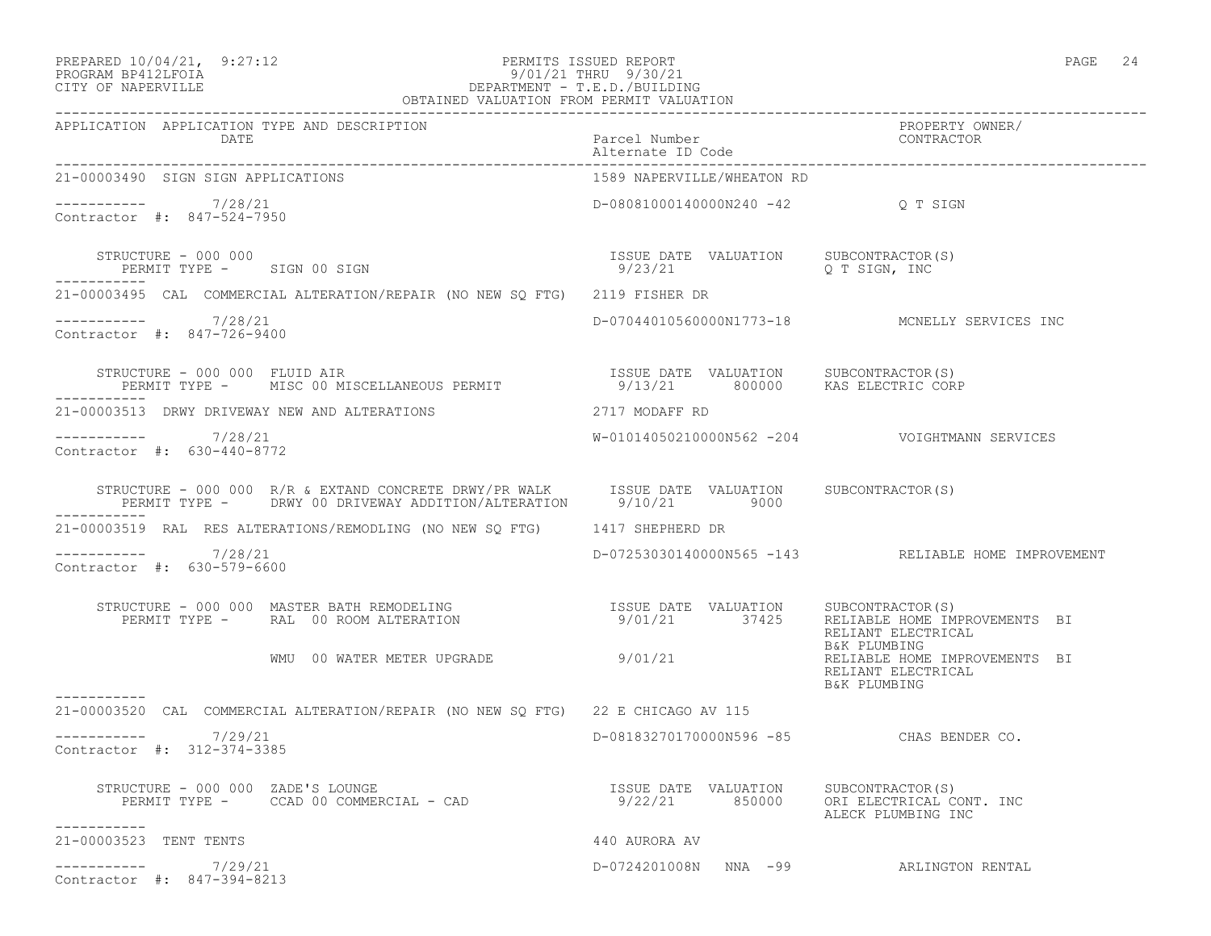#### PREPARED  $10/04/21$ , 9:27:12 PERMITS ISSUED REPORT PAGE 24 PROGRAM BP412LFOIA 9/01/21 THRU 9/30/21 CITY OF NAPERVILLE DEPARTMENT - T.E.D./BUILDING OBTAINED VALUATION FROM PERMIT VALUATION

| APPLICATION APPLICATION TYPE AND DESCRIPTION<br>DATE                                                                                                                      | Parcel Number<br>Alternate ID Code               | PROPERTY OWNER/<br>CONTRACTOR                                       |
|---------------------------------------------------------------------------------------------------------------------------------------------------------------------------|--------------------------------------------------|---------------------------------------------------------------------|
| 21-00003490 SIGN SIGN APPLICATIONS                                                                                                                                        | 1589 NAPERVILLE/WHEATON RD                       |                                                                     |
| $--------- 7/28/21$<br>Contractor #: 847-524-7950                                                                                                                         | D-08081000140000N240 -42 Q T SIGN                |                                                                     |
| STRUCTURE - 000 000<br>PERMIT TYPE - SIGN 00 SIGN<br>___________                                                                                                          | ISSUE DATE VALUATION SUBCONTRACTOR(S)<br>9/23/21 |                                                                     |
| 21-00003495 CAL COMMERCIAL ALTERATION/REPAIR (NO NEW SQ FTG) 2119 FISHER DR                                                                                               |                                                  |                                                                     |
| $--------- 7/28/21$<br>Contractor #: 847-726-9400                                                                                                                         |                                                  | D-07044010560000N1773-18 MCNELLY SERVICES INC                       |
| STRUCTURE - 000 000 FLUID AIR<br>PERMIT TYPE - MISC 00 MISCELLANEOUS PERMIT - 13/21 800000 KAS ELECTRIC CORP                                                              |                                                  |                                                                     |
| 21-00003513 DRWY DRIVEWAY NEW AND ALTERATIONS                                                                                                                             | 2717 MODAFF RD                                   |                                                                     |
| $--------- 7/28/21$<br>Contractor #: 630-440-8772                                                                                                                         |                                                  |                                                                     |
| STRUCTURE - 000 000 R/R & EXTAND CONCRETE DRWY/PR WALK   ISSUE DATE VALUATION   SUBCONTRACTOR(S)<br>PERMIT TYPE -   DRWY 00 DRIVEWAY ADDITION/ALTERATION   9/10/21   9000 |                                                  |                                                                     |
| 21-00003519 RAL RES ALTERATIONS/REMODLING (NO NEW SQ FTG) 1417 SHEPHERD DR                                                                                                |                                                  |                                                                     |
| $--------- 7/28/21$<br>Contractor #: 630-579-6600                                                                                                                         |                                                  | D-07253030140000N565 -143 RELIABLE HOME IMPROVEMENT                 |
|                                                                                                                                                                           |                                                  | RELIANT ELECTRICAL<br>B&K PLUMBING                                  |
| WMU 00 WATER METER UPGRADE 9/01/21<br>-----------                                                                                                                         |                                                  | RELIABLE HOME IMPROVEMENTS BI<br>RELIANT ELECTRICAL<br>B&K PLUMBING |
| 21-00003520 CAL COMMERCIAL ALTERATION/REPAIR (NO NEW SQ FTG) 22 E CHICAGO AV 115                                                                                          |                                                  |                                                                     |
| $--------- 7/29/21$<br>Contractor #: 312-374-3385                                                                                                                         | D-08183270170000N596 -85 CHAS BENDER CO.         |                                                                     |
| STRUCTURE - 000 000 ZADE'S LOUNGE<br>PERMIT TYPE - CCAD 00 COMMERCIAL - CAD (22) 21 850000 ORI ELECTRICAL CONT. INC<br>STRUCTURE - 000 000 ZADE'S LOUNGE<br>-----------   |                                                  | ALECK PLUMBING INC                                                  |
| 21-00003523 TENT TENTS                                                                                                                                                    | 440 AURORA AV                                    |                                                                     |
| $--------- 7/29/21$<br>Contractor #: 847-394-8213                                                                                                                         | D-0724201008N NNA -99 ARLINGTON RENTAL           |                                                                     |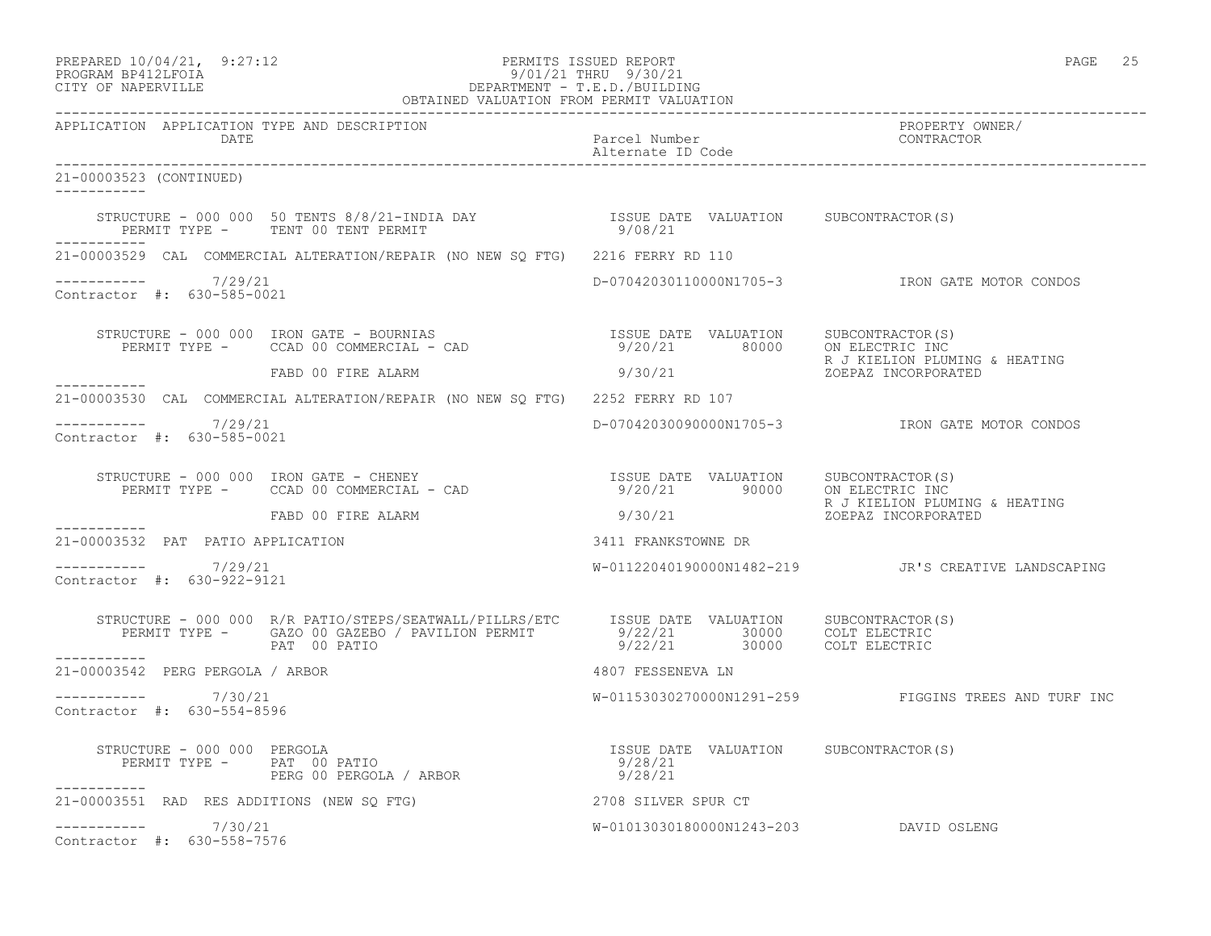### PREPARED  $10/04/21$ , 9:27:12 PERMITS ISSUED REPORT PAGE 25 PROGRAM BP412LFOIA 9/01/21 THRU 9/30/21 CITY OF NAPERVILLE DEPARTMENT - T.E.D./BUILDING

|                                                             | OBTAINED VALUATION FROM PERMIT VALUATION                                                                                                                                                                                                                                 |                                        |                                                      |
|-------------------------------------------------------------|--------------------------------------------------------------------------------------------------------------------------------------------------------------------------------------------------------------------------------------------------------------------------|----------------------------------------|------------------------------------------------------|
| APPLICATION APPLICATION TYPE AND DESCRIPTION<br><b>DATE</b> |                                                                                                                                                                                                                                                                          | Parcel Number<br>Alternate ID Code     | PROPERTY OWNER/<br>CONTRACTOR                        |
| 21-00003523 (CONTINUED)<br>___________                      |                                                                                                                                                                                                                                                                          |                                        |                                                      |
| -----------                                                 | PERMIT TYPE - TENT 00 TENT PERMIT                                                                                                                                                                                                                                        |                                        |                                                      |
|                                                             | 21-00003529 CAL COMMERCIAL ALTERATION/REPAIR (NO NEW SO FTG) 2216 FERRY RD 110                                                                                                                                                                                           |                                        |                                                      |
| $--------- 7/29/21$<br>Contractor #: 630-585-0021           |                                                                                                                                                                                                                                                                          |                                        | D-07042030110000N1705-3 IRON GATE MOTOR CONDOS       |
|                                                             | STRUCTURE - 000 000 IRON GATE - BOURNIAS<br>PERMIT TYPE - CCAD 00 COMMERCIAL - CAD (20) COMPERANT TYPE - CCAD 00 COMMERCIAL - CAD                                                                                                                                        |                                        | R J KIELION PLUMING & HEATING                        |
|                                                             | FABD 00 FIRE ALARM                                                                                                                                                                                                                                                       | 9/30/21                                | K J NIBILON 1-.<br>ZOEPAZ INCORPORATED               |
|                                                             | 21-00003530 CAL COMMERCIAL ALTERATION/REPAIR (NO NEW SQ FTG) 2252 FERRY RD 107                                                                                                                                                                                           |                                        |                                                      |
| ----------- 7/29/21<br>Contractor #: 630-585-0021           |                                                                                                                                                                                                                                                                          |                                        | D-07042030090000N1705-3 IRON GATE MOTOR CONDOS       |
|                                                             | STRUCTURE – 000 000 IRON GATE – CHENEY<br>PERMIT TYPE – CCAD 00 COMMERCIAL – CAD (20) COMPERANT SUBCONTRACTOR (S)                                                                                                                                                        |                                        | R J KIELION PLUMING & HEATING                        |
|                                                             | FABD 00 FIRE ALARM                                                                                                                                                                                                                                                       | 9/30/21 20EPAZ INCORPORATED            |                                                      |
| 21-00003532 PAT PATIO APPLICATION                           |                                                                                                                                                                                                                                                                          | 3411 FRANKSTOWNE DR                    |                                                      |
| $--------- 7/29/21$<br>Contractor #: 630-922-9121           |                                                                                                                                                                                                                                                                          |                                        | W-01122040190000N1482-219 JR'S CREATIVE LANDSCAPING  |
| ------------                                                | STRUCTURE - 000 000 R/R PATIO/STEPS/SEATWALL/PILLRS/ETC ISSUE DATE VALUATION SUBCONTRACTOR(S)<br>PERMIT TYPE - GAZO 00 GAZEBO / PAVILION PERMIT 9/22/21 30000 COLT ELECTRIC<br>PAT 00 PATIO 2011 9/22/21 30000 COLT ELECTRIC                                             |                                        |                                                      |
| 21-00003542 PERG PERGOLA / ARBOR                            |                                                                                                                                                                                                                                                                          | 4807 FESSENEVA LN                      |                                                      |
| ----------- 7/30/21<br>Contractor #: 630-554-8596           |                                                                                                                                                                                                                                                                          |                                        | W-01153030270000N1291-259 FIGGINS TREES AND TURF INC |
| ------------                                                | $\begin{array}{cccccccc} \texttt{STRUCTURE} & - & 000 & 000 & \texttt{PERGOLA} & & & \\ \texttt{PERMIT TYPE} & - & \texttt{PAT} & 00 & \texttt{PATIO} & & & \\ \texttt{PERMIT TYPE} & - & \texttt{PART} & 00 & \texttt{PERGOLA} & / \texttt{ARBOR} & & & \\ \end{array}$ |                                        |                                                      |
|                                                             | 21-00003551 RAD RES ADDITIONS (NEW SQ FTG) 42708 SILVER SPUR CT                                                                                                                                                                                                          |                                        |                                                      |
| $--------- 7/30/21$<br>Contractor #: 630-558-7576           |                                                                                                                                                                                                                                                                          | W-01013030180000N1243-203 DAVID OSLENG |                                                      |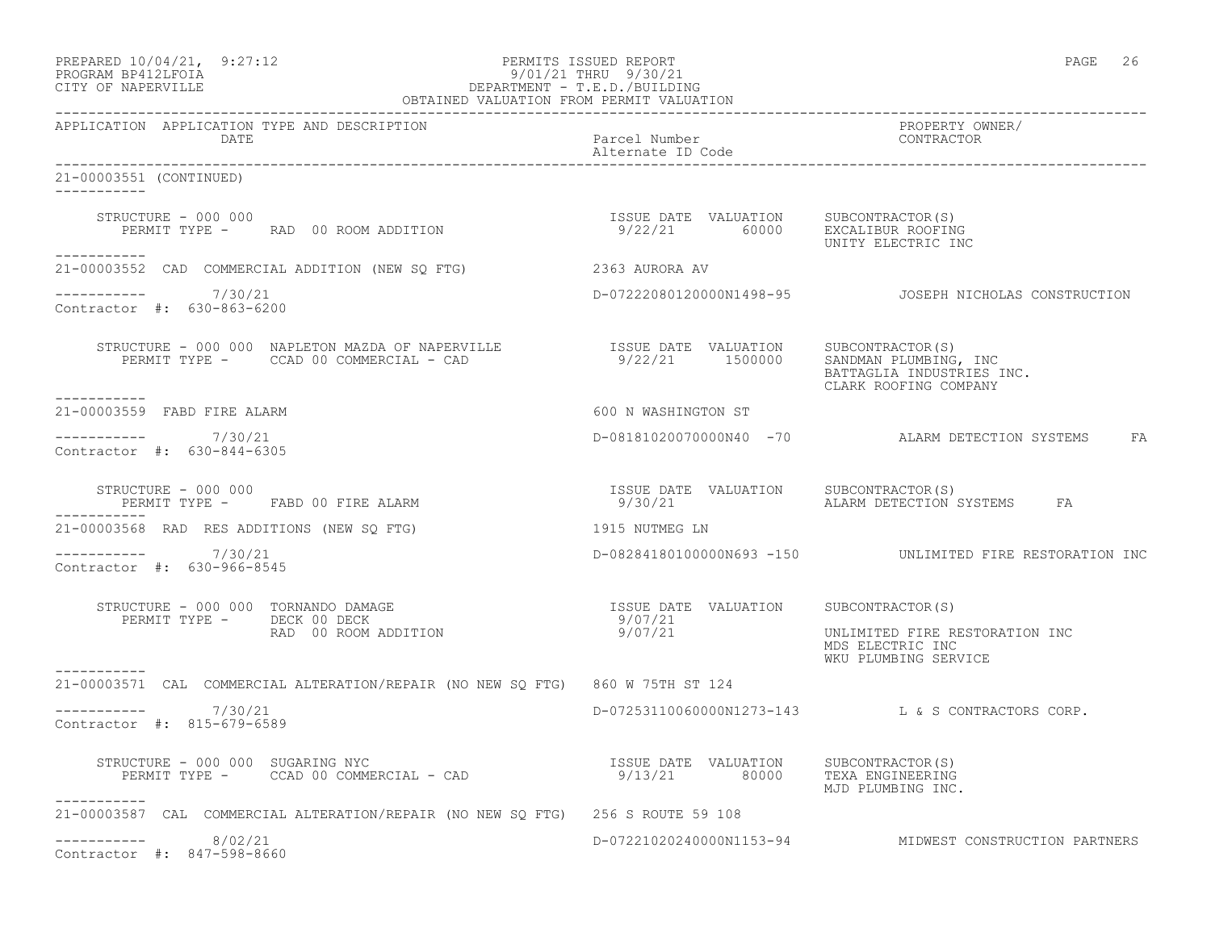| 9/01/21 THRU 9/30/21<br>PROGRAM BP412LFOIA<br>DEPARTMENT - T.E.D./BUILDING<br>CITY OF NAPERVILLE<br>OBTAINED VALUATION FROM PERMIT VALUATION |                                                                          |                                                                             |  |  |
|----------------------------------------------------------------------------------------------------------------------------------------------|--------------------------------------------------------------------------|-----------------------------------------------------------------------------|--|--|
| APPLICATION APPLICATION TYPE AND DESCRIPTION<br><b>Example 12 DATE</b>                                                                       | Parcel Number<br>Alternate ID Code                                       | PROPERTY OWNER/<br>CONTRACTOR                                               |  |  |
| 21-00003551 (CONTINUED)                                                                                                                      |                                                                          |                                                                             |  |  |
| STRUCTURE - 000 000<br>FIRUCTURE - UUU UUU<br>PERMIT TYPE -       RAD   00  ROOM  ADDITION<br>-----------                                    | ISSUE DATE VALUATION SUBCONTRACTOR(S)<br>9/22/21 60000 EXCALIBUR ROOFING | UNITY ELECTRIC INC                                                          |  |  |
| 21-00003552 CAD COMMERCIAL ADDITION (NEW SQ FTG)                                                                                             | 2363 AURORA AV                                                           |                                                                             |  |  |
| $--------- 7/30/21$<br>Contractor #: 630-863-6200                                                                                            |                                                                          |                                                                             |  |  |
| ----------                                                                                                                                   |                                                                          | SANDMAN PLUMBING, INC<br>BATTAGLIA INDUSTRIES INC.<br>CLARK ROOFING COMPANY |  |  |
| 21-00003559 FABD FIRE ALARM                                                                                                                  | 600 N WASHINGTON ST                                                      |                                                                             |  |  |
| 7/30/21<br>Contractor #: 630-844-6305                                                                                                        |                                                                          | D-08181020070000N40 -70 ALARM DETECTION SYSTEMS FA                          |  |  |
| STRUCTURE - 000 000<br>PERMIT TYPE - FABD 00 FIRE ALARM                                                                                      | ISSUE DATE VALUATION<br>9/30/21                                          | SUBCONTRACTOR(S)<br>ALARM DETECTION SYSTEMS FA                              |  |  |
| 1915 NUTMEG LN<br>21-00003568 RAD RES ADDITIONS (NEW SQ FTG)                                                                                 |                                                                          |                                                                             |  |  |
| ----------     7/30/21<br>Contractor #: 630-966-8545                                                                                         |                                                                          | D-08284180100000N693 -150 UNLIMITED FIRE RESTORATION INC                    |  |  |
| STRUCTURE - 000 000 TORNANDO DAMAGE                                                                                                          | ISSUE DATE VALUATION SUBCONTRACTOR(S)<br>9/07/21<br>9/07/21              | UNLIMITED FIRE RESTORATION INC<br>MDS ELECTRIC INC<br>WKU PLUMBING SERVICE  |  |  |
| 21-00003571 CAL COMMERCIAL ALTERATION/REPAIR (NO NEW SO FTG) 860 W 75TH ST 124                                                               |                                                                          |                                                                             |  |  |
| ---------- 7/30/21<br>Contractor #: 815-679-6589                                                                                             |                                                                          | D-07253110060000N1273-143 L&S CONTRACTORS CORP.                             |  |  |
| RUCTURE - 000 000 SUGARING NYC<br>PERMIT TYPE -     CCAD 00 COMMERCIAL - CAD<br>STRUCTURE - 000 000 SUGARING NYC                             | ISSUE DATE VALUATION SUBCONTRACTOR (S)<br>9/13/21 80000                  | TEXA ENGINEERING<br>MJD PLUMBING INC.                                       |  |  |
| 21-00003587 CAL COMMERCIAL ALTERATION/REPAIR (NO NEW SQ FTG) 256 S ROUTE 59 108                                                              |                                                                          |                                                                             |  |  |
| 8/02/21<br>Contractor #: 847-598-8660                                                                                                        |                                                                          | D-07221020240000N1153-94 MIDWEST CONSTRUCTION PARTNERS                      |  |  |

PREPARED  $10/04/21$ ,  $9:27:12$  PERMITS ISSUED REPORT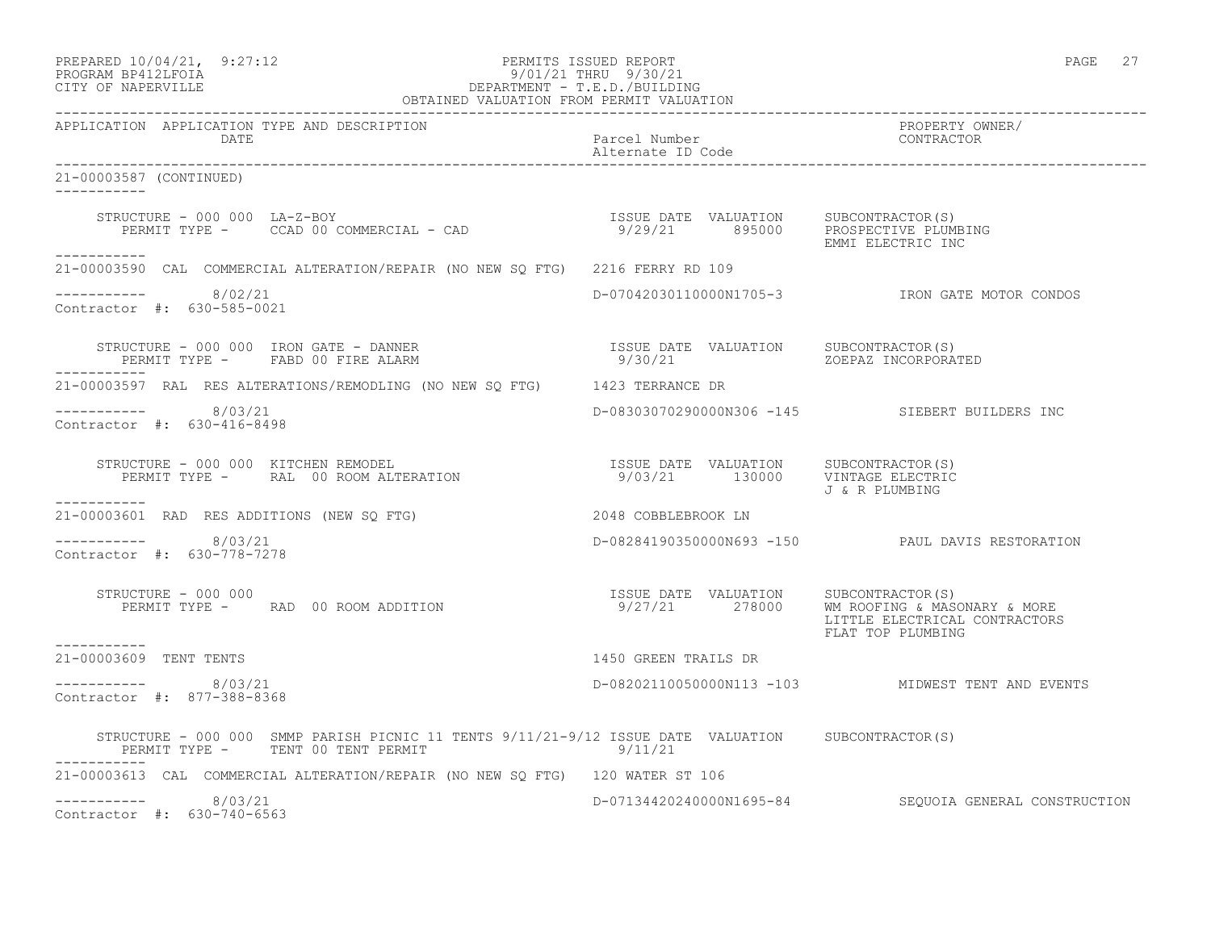| PREPARED 10/04/21, 9:27:12 | PERMITS ISSUED REPORT     | PAGE |  |
|----------------------------|---------------------------|------|--|
| DDOCD3M DD410TDOT3         | $0/01/01$ munti $0/00/01$ |      |  |

# PROGRAM BP412LFOIA 9/01/21 THRU 9/30/21 CITY OF NAPERVILLE DEPARTMENT - T.E.D./BUILDING

| OBTAINED VALUATION FROM PERMIT VALUATION                                                                                                                                                                                                                                     |                          |                                                    |
|------------------------------------------------------------------------------------------------------------------------------------------------------------------------------------------------------------------------------------------------------------------------------|--------------------------|----------------------------------------------------|
| APPLICATION APPLICATION TYPE AND DESCRIPTION<br>DATE                                                                                                                                                                                                                         | Parcel Number            | PROPERTY OWNER/<br>CONTRACTOR                      |
| 21-00003587 (CONTINUED)                                                                                                                                                                                                                                                      |                          |                                                    |
| STRUCTURE - 000 000 LA-Z-BOY<br>PERMIT TYPE - CCAD 00 COMMERCIAL - CAD (29/21 895000 PROSPECTIVE PLUMBING                                                                                                                                                                    |                          | EMMI ELECTRIC INC                                  |
| ___________<br>21-00003590 CAL COMMERCIAL ALTERATION/REPAIR (NO NEW SQ FTG) 2216 FERRY RD 109                                                                                                                                                                                |                          |                                                    |
| $--------- 8/02/21$<br>Contractor #: 630-585-0021                                                                                                                                                                                                                            |                          | D-07042030110000N1705-3 IRON GATE MOTOR CONDOS     |
| ------------                                                                                                                                                                                                                                                                 |                          |                                                    |
| 21-00003597 RAL RES ALTERATIONS/REMODLING (NO NEW SQ FTG) 1423 TERRANCE DR                                                                                                                                                                                                   |                          |                                                    |
| 8/03/21<br>Contractor #: 630-416-8498                                                                                                                                                                                                                                        |                          | D-08303070290000N306 -145 SIEBERT BUILDERS INC     |
| $\begin{array}{cccc} \texttt{STRUCTURE} - 000 000 & \texttt{KITCHEN REMODEL} & \texttt{ISSUE DATE} & \texttt{VALUATION} & \texttt{SUBCONTRACTOR(S)} \\ \texttt{PERMIT TYPE} - & \texttt{RAL} & 00 ROM ALTERATION & 9/03/21 & 130000 & \texttt{VINTAGE ELECTRIC} \end{array}$ |                          | J & R PLUMBING                                     |
| ----------<br>21-00003601 RAD RES ADDITIONS (NEW SQ FTG) 2048 COBBLEBROOK LN                                                                                                                                                                                                 |                          |                                                    |
| ----------- 8/03/21<br>Contractor #: 630-778-7278                                                                                                                                                                                                                            |                          | D-08284190350000N693 -150 PAUL DAVIS RESTORATION   |
| STRUCTURE - 000 000                                                                                                                                                                                                                                                          |                          | LITTLE ELECTRICAL CONTRACTORS<br>FLAT TOP PLUMBING |
| ------------<br>21-00003609 TENT TENTS                                                                                                                                                                                                                                       | 1450 GREEN TRAILS DR     |                                                    |
| $--------- 8/03/21$<br>Contractor #: 877-388-8368                                                                                                                                                                                                                            |                          | D-08202110050000N113 -103 MIDWEST TENT AND EVENTS  |
| STRUCTURE - 000 000 SMMP PARISH PICNIC 11 TENTS 9/11/21-9/12 ISSUE DATE VALUATION SUBCONTRACTOR(S)<br>PERMIT TYPE - TENT 00 TENT PERMIT<br>9/11/21                                                                                                                           |                          |                                                    |
| -----------<br>21-00003613 CAL COMMERCIAL ALTERATION/REPAIR (NO NEW SO FTG) 120 WATER ST 106                                                                                                                                                                                 |                          |                                                    |
| 8/03/21<br>Contractor #: 630-740-6563                                                                                                                                                                                                                                        | D-07134420240000N1695-84 | SEOUOIA GENERAL CONSTRUCTION                       |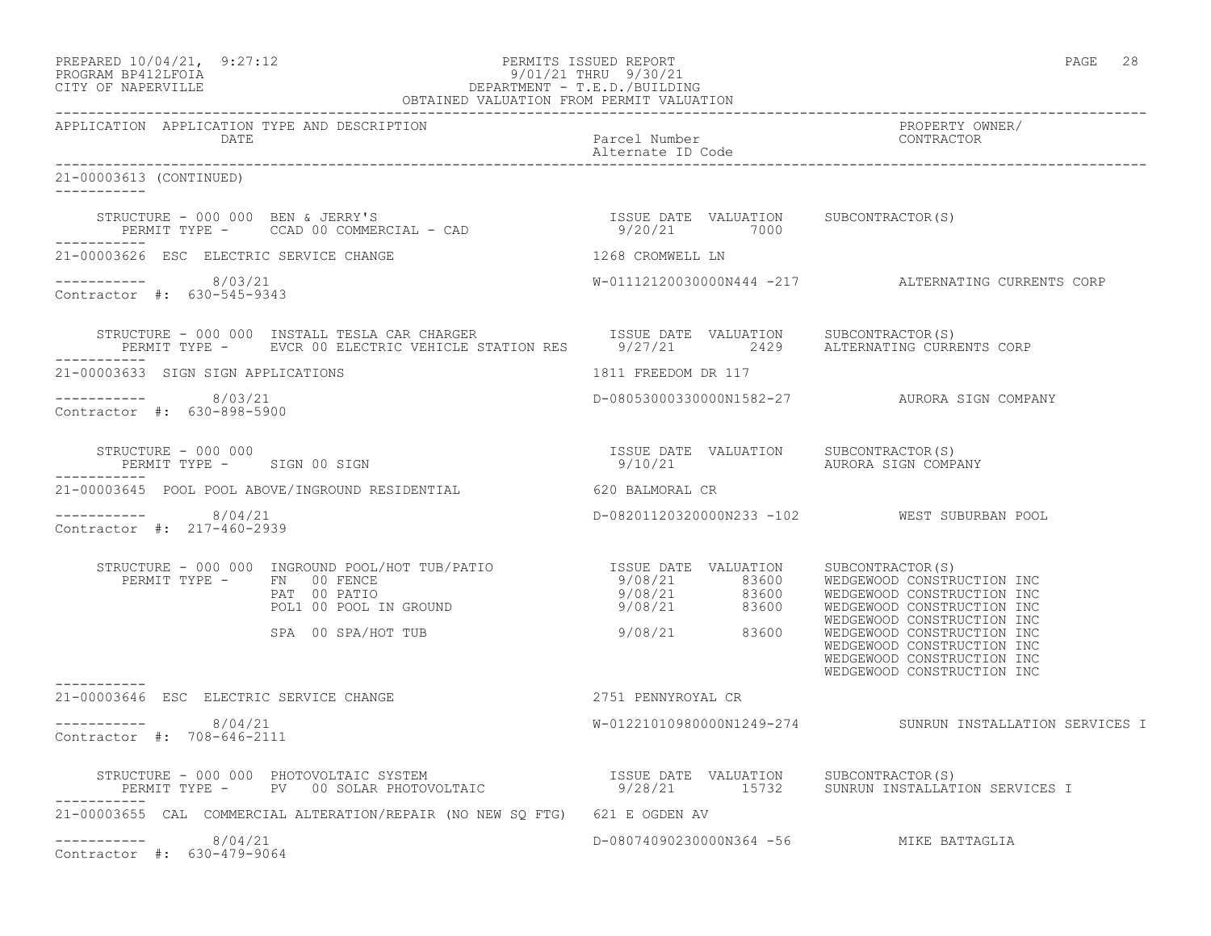| PREPARED 10/04/21, 9:27:12 | PERMITS ISSUED REPORT      | PAGE | 28 |
|----------------------------|----------------------------|------|----|
| גדמה זמנומת ווגמממת        | $0/01/21$ minuti $0/20/21$ |      |    |

# PROGRAM BP412LFOIA 9/01/21 THRU 9/30/21 CITY OF NAPERVILLE DEPARTMENT - T.E.D./BUILDING

|                                                      | OBTAINED VALUATION FROM PERMIT VALUATION                                                                                                                                                                                                                                           |                                         |                                                                                                                                                    |
|------------------------------------------------------|------------------------------------------------------------------------------------------------------------------------------------------------------------------------------------------------------------------------------------------------------------------------------------|-----------------------------------------|----------------------------------------------------------------------------------------------------------------------------------------------------|
| APPLICATION APPLICATION TYPE AND DESCRIPTION<br>DATE |                                                                                                                                                                                                                                                                                    | Parcel Number<br>Alternate ID Code      | PROPERTY OWNER/<br>CONTRACTOR                                                                                                                      |
| 21-00003613 (CONTINUED)<br>___________               |                                                                                                                                                                                                                                                                                    |                                         |                                                                                                                                                    |
|                                                      |                                                                                                                                                                                                                                                                                    |                                         |                                                                                                                                                    |
| 21-00003626 ESC ELECTRIC SERVICE CHANGE              |                                                                                                                                                                                                                                                                                    | 1268 CROMWELL LN                        |                                                                                                                                                    |
| ----------- 8/03/21<br>Contractor #: 630-545-9343    |                                                                                                                                                                                                                                                                                    |                                         | W-01112120030000N444 -217 ALTERNATING CURRENTS CORP                                                                                                |
|                                                      | STRUCTURE - 000 000 INSTALL TESLA CAR CHARGER                       ISSUE DATE VALUATION     SUBCONTRACTOR(S)<br>PERMIT TYPE -       EVCR 00 ELECTRIC VEHICLE STATION RES        9/27/21          2429      ALTERNATING CURRENTS                                                   |                                         |                                                                                                                                                    |
| 21-00003633 SIGN SIGN APPLICATIONS                   |                                                                                                                                                                                                                                                                                    | 1811 FREEDOM DR 117                     |                                                                                                                                                    |
| $--------- 8/03/21$<br>Contractor #: 630-898-5900    |                                                                                                                                                                                                                                                                                    |                                         | D-08053000330000N1582-27 AURORA SIGN COMPANY                                                                                                       |
| STRUCTURE - 000 000                                  | PERMIT TYPE - SIGN 00 SIGN                                                                                                                                                                                                                                                         | 9/10/21 AURORA SIGN COMPANY             |                                                                                                                                                    |
|                                                      | 21-00003645 POOL POOL ABOVE/INGROUND RESIDENTIAL 620 BALMORAL CR                                                                                                                                                                                                                   |                                         |                                                                                                                                                    |
| ---------- 8/04/21<br>Contractor #: 217-460-2939     |                                                                                                                                                                                                                                                                                    |                                         | D-08201120320000N233 -102 WEST SUBURBAN POOL                                                                                                       |
|                                                      | STRUCTURE - 000 000 INGROUND POOL/HOT TUB/PATIO<br>PERMIT TYPE - FN 00 FENCE<br>PERMIT TYPE - FN 00 PATIO<br>PAT 00 PATIO<br>POLI 00 POOL IN GROUND<br>POLI 00 POOL IN GROUND<br>POLI 00 POOL IN GROUND<br>POLI 00 POOL IN GROUND<br>POLI 00 P<br>SPA 00 SPA/HOT TUB 3/08/21 83600 |                                         | WEDGEWOOD CONSTRUCTION INC<br>WEDGEWOOD CONSTRUCTION INC<br>WEDGEWOOD CONSTRUCTION INC<br>WEDGEWOOD CONSTRUCTION INC<br>WEDGEWOOD CONSTRUCTION INC |
|                                                      | 21-00003646 ESC ELECTRIC SERVICE CHANGE <b>And CONTROL</b> 2751 PENNYROYAL CR                                                                                                                                                                                                      |                                         |                                                                                                                                                    |
| $--------- 8/04/21$<br>Contractor #: 708-646-2111    |                                                                                                                                                                                                                                                                                    |                                         | W-01221010980000N1249-274 SUNRUN INSTALLATION SERVICES I                                                                                           |
|                                                      | STRUCTURE - 000 000 PHOTOVOLTAIC SYSTEM                         ISSUE DATE VALUATION   SUBCONTRACTOR(S)<br>PERMIT TYPE -   PV  00 SOLAR PHOTOVOLTAIC               9/28/21       15732   SUNRUN INSTALLATION SERVICES I                                                            |                                         |                                                                                                                                                    |
|                                                      | 21-00003655 CAL COMMERCIAL ALTERATION/REPAIR (NO NEW SO FTG) 621 E OGDEN AV                                                                                                                                                                                                        |                                         |                                                                                                                                                    |
| $--------- 8/04/21$<br>Contractor #: 630-479-9064    |                                                                                                                                                                                                                                                                                    | D-08074090230000N364 -56 MIKE BATTAGLIA |                                                                                                                                                    |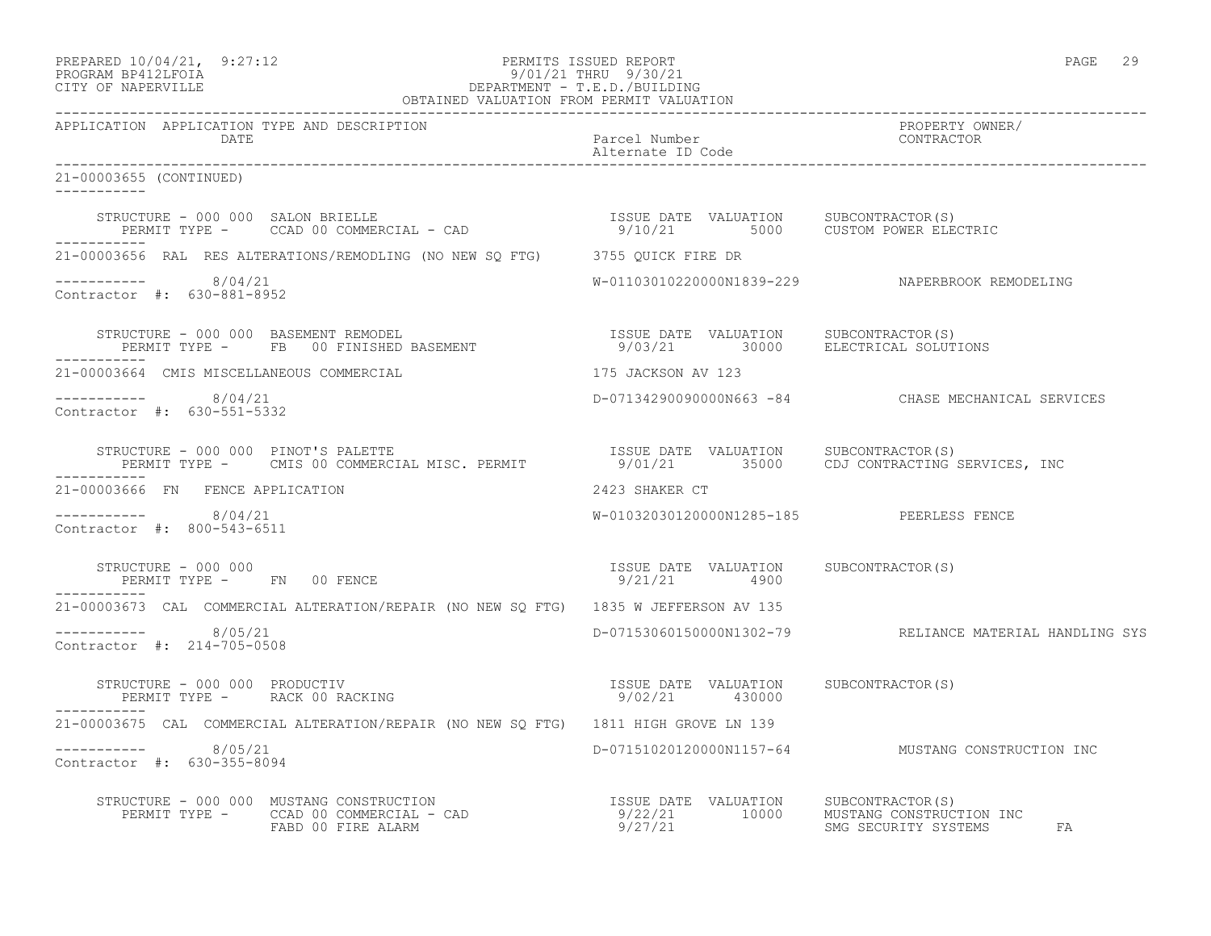| PREPARED 10/04/21,  | 9:27:1 |
|---------------------|--------|
| DDOCDAM DD410T DOTA |        |

## PREPARED 10/04/21, 9:27:12 PERMITS ISSUED REPORT PAGE 29 PROGRAM BP412LFOIA 9/01/21 THRU 9/30/21 CITY OF NAPERVILLE DEPARTMENT - T.E.D./BUILDING

| OBTAINED VALUATION FROM PERMIT VALUATION                                                                                                                                                                                                                                                                                                                  |                                                       |                                                    |
|-----------------------------------------------------------------------------------------------------------------------------------------------------------------------------------------------------------------------------------------------------------------------------------------------------------------------------------------------------------|-------------------------------------------------------|----------------------------------------------------|
| APPLICATION APPLICATION TYPE AND DESCRIPTION<br>DATE                                                                                                                                                                                                                                                                                                      | Parcel Number<br>Alternate ID Code                    | PROPERTY OWNER/<br>CONTRACTOR                      |
| 21-00003655 (CONTINUED)                                                                                                                                                                                                                                                                                                                                   |                                                       |                                                    |
|                                                                                                                                                                                                                                                                                                                                                           |                                                       |                                                    |
| 21-00003656 RAL RES ALTERATIONS/REMODLING (NO NEW SQ FTG) 3755 QUICK FIRE DR                                                                                                                                                                                                                                                                              |                                                       |                                                    |
| $--------$ 8/04/21<br>Contractor #: 630-881-8952                                                                                                                                                                                                                                                                                                          |                                                       | W-01103010220000N1839-229 NAPERBROOK REMODELING    |
| -----------                                                                                                                                                                                                                                                                                                                                               |                                                       |                                                    |
| 21-00003664 CMIS MISCELLANEOUS COMMERCIAL                                                                                                                                                                                                                                                                                                                 | 175 JACKSON AV 123                                    |                                                    |
| $--------- 8/04/21$<br>Contractor #: 630-551-5332                                                                                                                                                                                                                                                                                                         |                                                       | D-07134290090000N663 -84 CHASE MECHANICAL SERVICES |
| STRUCTURE - 000 000 PINOT'S PALETTE<br>PERMIT TYPE - CMIS 00 COMMERCIAL MISC. PERMIT 9/01/21 35000 CDJ CONTRACTING SERVICES, INC<br>___________                                                                                                                                                                                                           |                                                       |                                                    |
| 21-00003666 FN FENCE APPLICATION                                                                                                                                                                                                                                                                                                                          | 2423 SHAKER CT                                        |                                                    |
| $--------- 8/04/21$<br>Contractor #: 800-543-6511                                                                                                                                                                                                                                                                                                         | W-01032030120000N1285-185 PEERLESS FENCE              |                                                    |
| STRUCTURE - 000 000<br>PERMIT TYPE - FN 00 FENCE<br>------------                                                                                                                                                                                                                                                                                          | ISSUE DATE VALUATION SUBCONTRACTOR(S)<br>9/21/21 4900 |                                                    |
| 21-00003673 CAL COMMERCIAL ALTERATION/REPAIR (NO NEW SO FTG) 1835 W JEFFERSON AV 135                                                                                                                                                                                                                                                                      |                                                       |                                                    |
| ---------- 8/05/21<br>Contractor #: 214-705-0508                                                                                                                                                                                                                                                                                                          |                                                       |                                                    |
| $\begin{array}{cccc} \texttt{STRUCTURE} & - & 000 & 000 & \texttt{PRODUCTIV} \\ \texttt{PERMIT TYPE} & - & \texttt{RACK 00 RACKING} & \texttt{S9/02/21} & 430000 \\ \end{array} \qquad \begin{array}{cccc} \texttt{SSUE} & \texttt{DATE} & \texttt{VALUATION} & \texttt{SUBCONTRACTOR(S)} \\ \texttt{SUE} & 30000 & 430000 \\ \end{array}$<br>___________ |                                                       |                                                    |
| 21-00003675 CAL COMMERCIAL ALTERATION/REPAIR (NO NEW SO FTG) 1811 HIGH GROVE LN 139                                                                                                                                                                                                                                                                       |                                                       |                                                    |
| $--------$ 8/05/21<br>Contractor #: 630-355-8094                                                                                                                                                                                                                                                                                                          |                                                       | D-07151020120000N1157-64 MUSTANG CONSTRUCTION INC  |
| STRUCTURE - 000 000 MUSTANG CONSTRUCTION<br>PERMIT TYPE - CCAD 00 COMMERCIAL - CAD - 10000 MUSTANG CONSTRUCTION INC<br>FABD 00 FIRE ALARM - TRAM 9/27/21 10000 SMG SECURITY SYSTEMS                                                                                                                                                                       |                                                       | FA                                                 |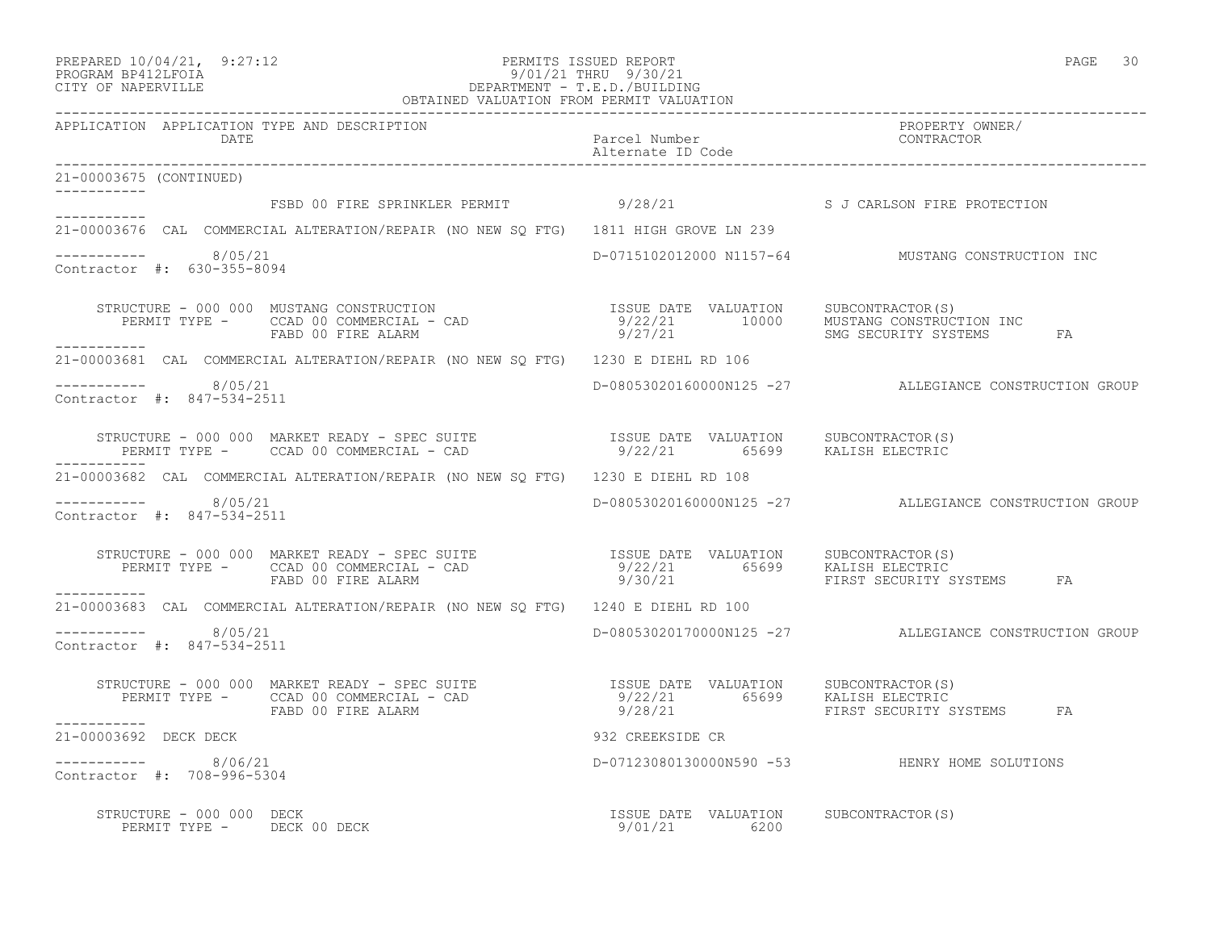| PREPARED 10/04/21, | 9:27:12 |
|--------------------|---------|
|                    |         |

## PREPARED 10/04/21, 9:27:12 PERMITS ISSUED REPORT PAGE 30 PROGRAM BP412LFOIA 9/01/21 THRU 9/30/21 CITY OF NAPERVILLE DEPARTMENT - T.E.D./BUILDING

| OBTAINED VALUATION FROM PERMIT VALUATION                                                                                                                                                                                                            |                                       |                                                        |  |
|-----------------------------------------------------------------------------------------------------------------------------------------------------------------------------------------------------------------------------------------------------|---------------------------------------|--------------------------------------------------------|--|
| APPLICATION APPLICATION TYPE AND DESCRIPTION<br>DATE                                                                                                                                                                                                | Parcel Number<br>Alternate ID Code    | PROPERTY OWNER/<br>CONTRACTOR                          |  |
| 21-00003675 (CONTINUED)                                                                                                                                                                                                                             |                                       |                                                        |  |
| FSBD 00 FIRE SPRINKLER PERMIT 9/28/21 S J CARLSON FIRE PROTECTION                                                                                                                                                                                   |                                       |                                                        |  |
| 21-00003676 CAL COMMERCIAL ALTERATION/REPAIR (NO NEW SQ FTG) 1811 HIGH GROVE LN 239                                                                                                                                                                 |                                       |                                                        |  |
| ---------- 8/05/21<br>Contractor #: 630-355-8094                                                                                                                                                                                                    |                                       | D-0715102012000 N1157-64 MUSTANG CONSTRUCTION INC      |  |
| ___________                                                                                                                                                                                                                                         |                                       |                                                        |  |
| 21-00003681 CAL COMMERCIAL ALTERATION/REPAIR (NO NEW SQ FTG) 1230 E DIEHL RD 106                                                                                                                                                                    |                                       |                                                        |  |
| $--------- 8/05/21$<br>Contractor #: 847-534-2511                                                                                                                                                                                                   |                                       | D-08053020160000N125 -27 ALLEGIANCE CONSTRUCTION GROUP |  |
| STRUCTURE - 000 000 MARKET READY - SPEC SUITE<br>PERMIT TYPE - CCAD 00 COMMERCIAL - CAD - 19/22/21 65699 KALISH ELECTRIC<br>--------                                                                                                                |                                       |                                                        |  |
| 21-00003682 CAL COMMERCIAL ALTERATION/REPAIR (NO NEW SQ FTG) 1230 E DIEHL RD 108                                                                                                                                                                    |                                       |                                                        |  |
| ----------- 8/05/21<br>Contractor #: 847-534-2511                                                                                                                                                                                                   |                                       | D-08053020160000N125 -27 ALLEGIANCE CONSTRUCTION GROUP |  |
| STRUCTURE - 000 000 MARKET READY - SPEC SUITE                     ISSUE DATE VALUATION    SUBCONTRACTOR(S)<br>PERMIT TYPE -     CCAD 00 COMMERCIAL - CAD                           9/22/21         65699     KALISH ELECTRIC<br>FABD<br>___________ |                                       |                                                        |  |
| 21-00003683 CAL COMMERCIAL ALTERATION/REPAIR (NO NEW SQ FTG) 1240 E DIEHL RD 100                                                                                                                                                                    |                                       |                                                        |  |
| $--------$ 8/05/21<br>Contractor #: 847-534-2511                                                                                                                                                                                                    |                                       | D-08053020170000N125 -27 ALLEGIANCE CONSTRUCTION GROUP |  |
| STRUCTURE - 000 000 MARKET READY - SPEC SUITE                     ISSUE DATE VALUATION    SUBCONTRACTOR(S)<br>PERMIT TYPE -    CCAD 00 COMMERCIAL - CAD                          9/22/21       65699    KALISH ELECTRIC<br>FABD 00 F                |                                       | FA                                                     |  |
| ___________<br>21-00003692 DECK DECK                                                                                                                                                                                                                | 932 CREEKSIDE CR                      |                                                        |  |
| $--------- 8/06/21$<br>Contractor #: 708-996-5304                                                                                                                                                                                                   |                                       | --- .<br>D-07123080130000N590 -53 HENRY HOME SOLUTIONS |  |
| RUCTURE – 000 000 DECK<br>PERMIT TYPE – DECK 00 DECK – 1999 – 1999 – 1999 – 1999 – 1999 – 1999 – 1999 – 1999 – 1999 – 1999 – 1999 – 199<br>STRUCTURE - 000 000 DECK                                                                                 | ISSUE DATE VALUATION SUBCONTRACTOR(S) |                                                        |  |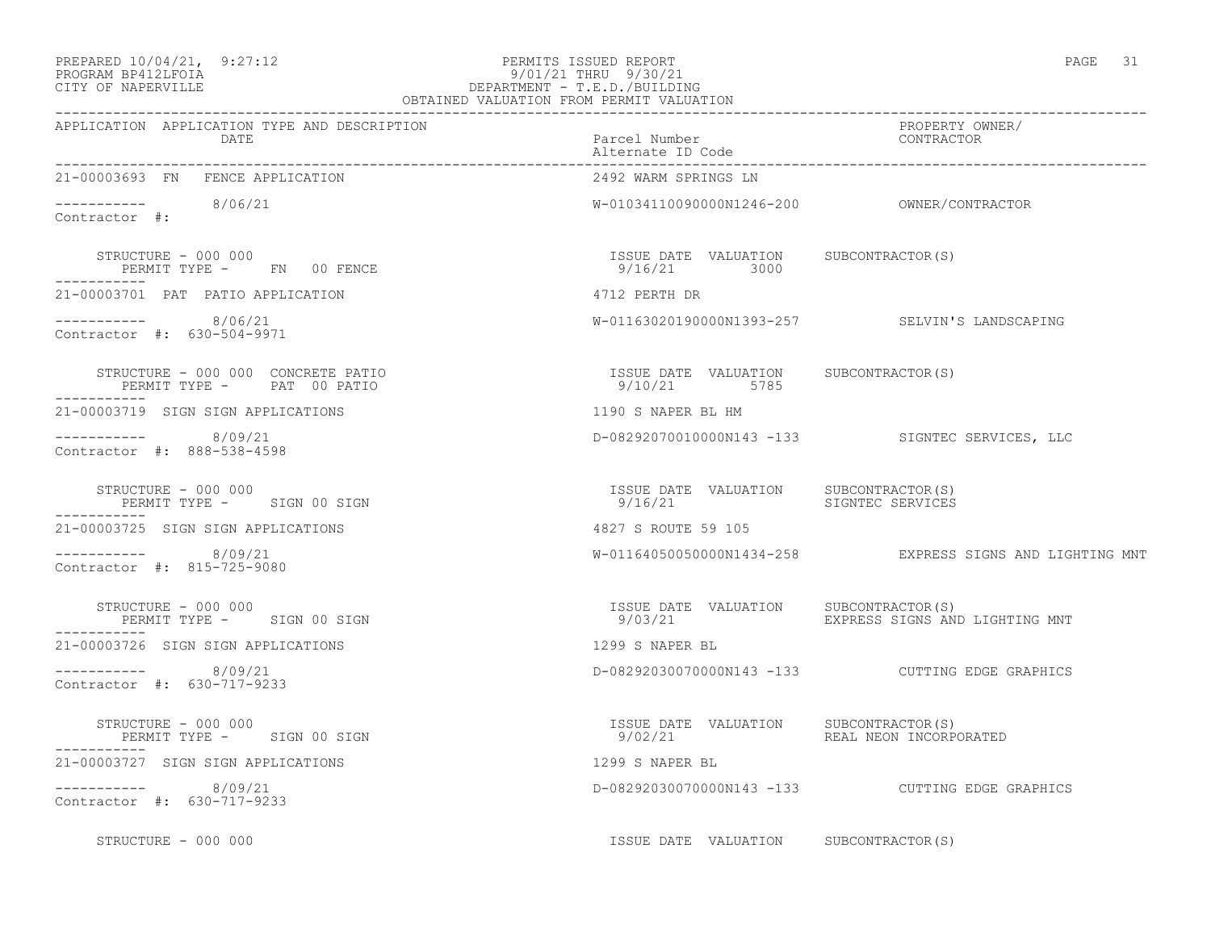#### PREPARED 10/04/21, 9:27:12 PERMITS ISSUED REPORT PAGE 31 PROGRAM BP412LFOIA 9/01/21 THRU 9/30/21 CITY OF NAPERVILLE DEPARTMENT - T.E.D./BUILDING OBTAINED VALUATION FROM PERMIT VALUATION

| APPLICATION APPLICATION TYPE AND DESCRIPTION<br>DATE             | Parcel Number<br>Alternate ID Code                                 | PROPERTY OWNER/<br>FROFERII OW<br>CONTRACTOR             |
|------------------------------------------------------------------|--------------------------------------------------------------------|----------------------------------------------------------|
| 21-00003693 FN FENCE APPLICATION                                 | 2492 WARM SPRINGS LN                                               |                                                          |
| $\frac{---------}{}$ 8/06/21                                     |                                                                    |                                                          |
| STRUCTURE - 000 000<br>PERMIT TYPE - FN 00 FENCE<br>-----------  | ISSUE DATE VALUATION SUBCONTRACTOR(S)<br>9/16/21 3000              |                                                          |
| 21-00003701 PAT PATIO APPLICATION                                | 4712 PERTH DR                                                      |                                                          |
| $--------- 8/06/21$<br>Contractor #: 630-504-9971                |                                                                    | W-01163020190000N1393-257 SELVIN'S LANDSCAPING           |
| STRUCTURE - 000 000 CONCRETE PATIO<br>PERMIT TYPE - PAT 00 PATIO | ISSUE DATE VALUATION SUBCONTRACTOR(S)<br>9/10/21 5785              |                                                          |
| 21-00003719 SIGN SIGN APPLICATIONS                               | 1190 S NAPER BL HM                                                 |                                                          |
| $--------- 8/09/21$<br>Contractor #: 888-538-4598                |                                                                    | D-08292070010000N143 -133 SIGNTEC SERVICES, LLC          |
| STRUCTURE - 000 000<br>PERMIT TYPE - SIGN 00 SIGN                | ISSUE DATE VALUATION SUBCONTRACTOR (S)<br>9/16/21 SIGNTEC SERVICES |                                                          |
| 21-00003725 SIGN SIGN APPLICATIONS                               | 4827 S ROUTE 59 105                                                |                                                          |
| $--------- 8/09/21$<br>Contractor #: 815-725-9080                |                                                                    | W-01164050050000N1434-258 EXPRESS SIGNS AND LIGHTING MNT |
| STRUCTURE - 000 000<br>PERMIT TYPE - SIGN 00 SIGN                | ISSUE DATE VALUATION SUBCONTRACTOR(S)<br>9/03/21                   | EXPRESS SIGNS AND LIGHTING MNT                           |
| 21-00003726 SIGN SIGN APPLICATIONS                               | 1299 S NAPER BL                                                    |                                                          |
| $--------- 8/09/21$<br>Contractor #: 630-717-9233                |                                                                    | D-08292030070000N143 -133 CUTTING EDGE GRAPHICS          |
| STRUCTURE - 000 000<br>PERMIT TYPE - SIGN 00 SIGN                | ISSUE DATE VALUATION SUBCONTRACTOR(S)<br>9/02/21                   | REAL NEON INCORPORATED                                   |
| 21-00003727 SIGN SIGN APPLICATIONS                               | 1299 S NAPER BL                                                    |                                                          |
| $--------- 8/09/21$<br>Contractor #: 630-717-9233                |                                                                    | D-08292030070000N143 -133 CUTTING EDGE GRAPHICS          |
| STRUCTURE - 000 000                                              | ISSUE DATE VALUATION SUBCONTRACTOR(S)                              |                                                          |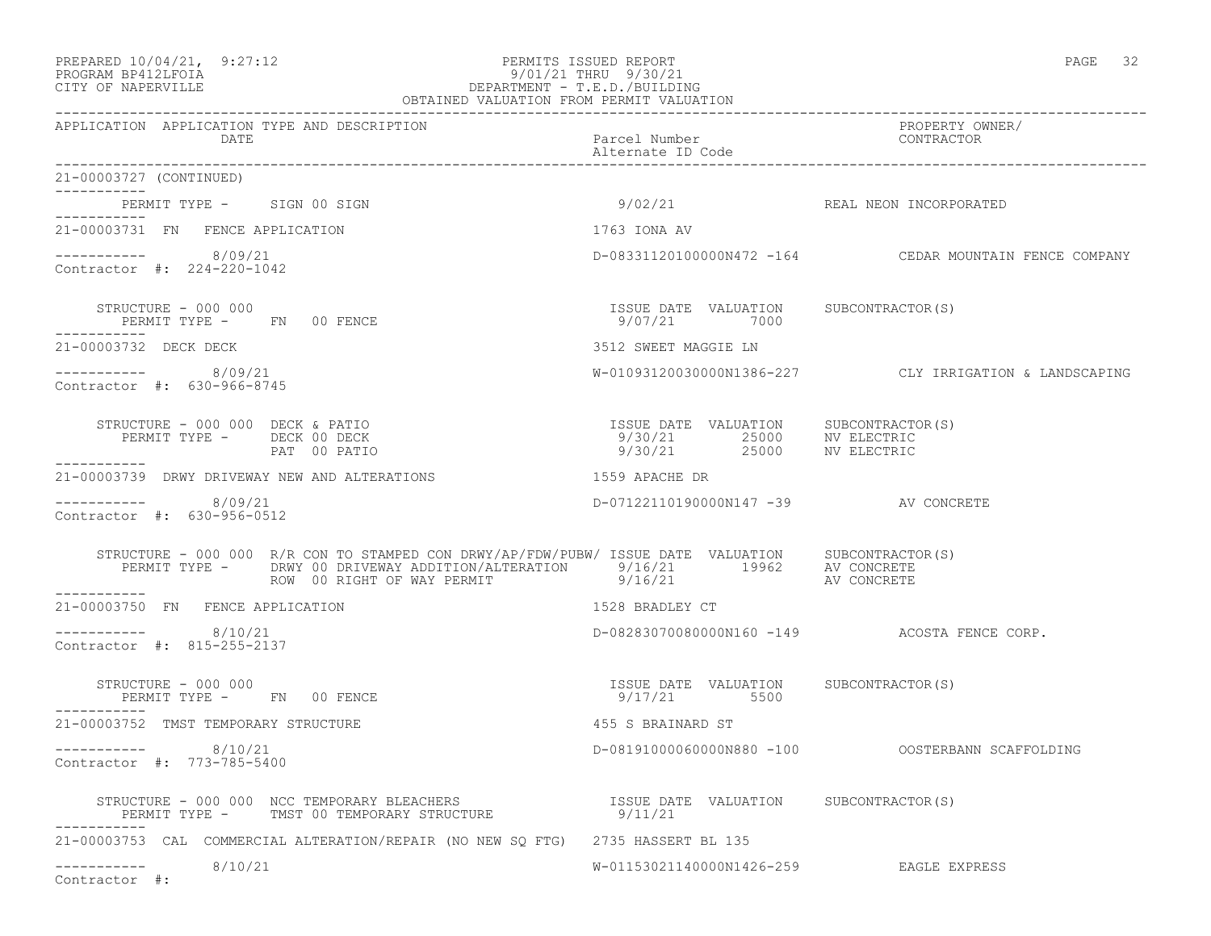#### PREPARED 10/04/21, 9:27:12 PERMITS ISSUED REPORT PAGE 32 PROGRAM BP412LFOIA 9/01/21 THRU 9/30/21 CITY OF NAPERVILLE DEPARTMENT - T.E.D./BUILDING OBTAINED VALUATION FROM PERMIT VALUATION

------------------------------------------------------------------------------------------------------------------------------------ APPLICATION APPLICATION TYPE AND DESCRIPTION PROPERTY OWNER/ DATE Parcel Number CONTRACTOR Alternate ID Code ------------------------------------------------------------------------------------------------------------------------------------ 21-00003727 (CONTINUED) ----------- PERMIT TYPE - SIGN 00 SIGN 800 SIGN 8000 SIGN 9/02/21 REAL NEON INCORPORATED ----------- 21-00003731 FN FENCE APPLICATION 1763 IONA AV  $--------- 8/09/21$ D-08331120100000N472 -164 CEDAR MOUNTAIN FENCE COMPANY Contractor #: 224-220-1042 STRUCTURE - 000 000 ISSUE DATE VALUATION SUBCONTRACTOR(S) PERMIT TYPE - FN 00 FENCE ----------- 21-00003732 DECK DECK 3512 SWEET MAGGIE LN ----------- 8/09/21 W-01093120030000N1386-227 CLY IRRIGATION & LANDSCAPING Contractor #: 630-966-8745 STRUCTURE - 000 000 DECK & PATIO ISSUE DATE VALUATION SUBCONTRACTOR(S) PERMIT TYPE - DECK 00 DECK 9/30/21 25000 NV ELECTRIC NE COOPSOURS SECTIVE ARRIVANCE COOPSOUR SECTION OF THE CHANNEL OF THE CHANNEL OF DECK OF DECK<br>
PAT 00 PATIO PATIO 25000 NV ELECTRIC<br>
9/30/21 25000 NV ELECTRIC ----------- 21-00003739 DRWY DRIVEWAY NEW AND ALTERATIONS 1559 APACHE DR  $--------- 8/09/21$ D-07122110190000N147 -39 AV CONCRETE Contractor #: 630-956-0512 STRUCTURE - 000 000 R/R CON TO STAMPED CON DRWY/AP/FDW/PUBW/ ISSUE DATE VALUATION SUBCONTRACTOR(S) PERMIT TYPE - DRWY 00 DRIVEWAY ADDITION/ALTERATION 9/16/21 19962 AV CONCRETE ROW 00 RIGHT OF WAY PERMIT 6 9/16/21 AV CONCRETE ----------- 21-00003750 FN FENCE APPLICATION 1528 BRADLEY CT  $--------- 8/10/21$ D-08283070080000N160 -149 ACOSTA FENCE CORP. Contractor #: 815-255-2137 STRUCTURE - 000 000 ISSUE DATE VALUATION SUBCONTRACTOR(S) PERMIT TYPE - FN 00 FENCE ----------- 21-00003752 TMST TEMPORARY STRUCTURE 455 S BRAINARD ST ----------- 8/10/21 D-08191000060000N880 -100 OOSTERBANN SCAFFOLDING Contractor #: 773-785-5400 STRUCTURE - 000 000 NCC TEMPORARY BLEACHERS ISSUE DATE VALUATION SUBCONTRACTOR(S) PERMIT TYPE - TMST 00 TEMPORARY STRUCTURE 9/11/21 ----------- 21-00003753 CAL COMMERCIAL ALTERATION/REPAIR (NO NEW SQ FTG) 2735 HASSERT BL 135 W-01153021140000N1426-259 EAGLE EXPRESS -----------<br>Contractor #: 8/10/21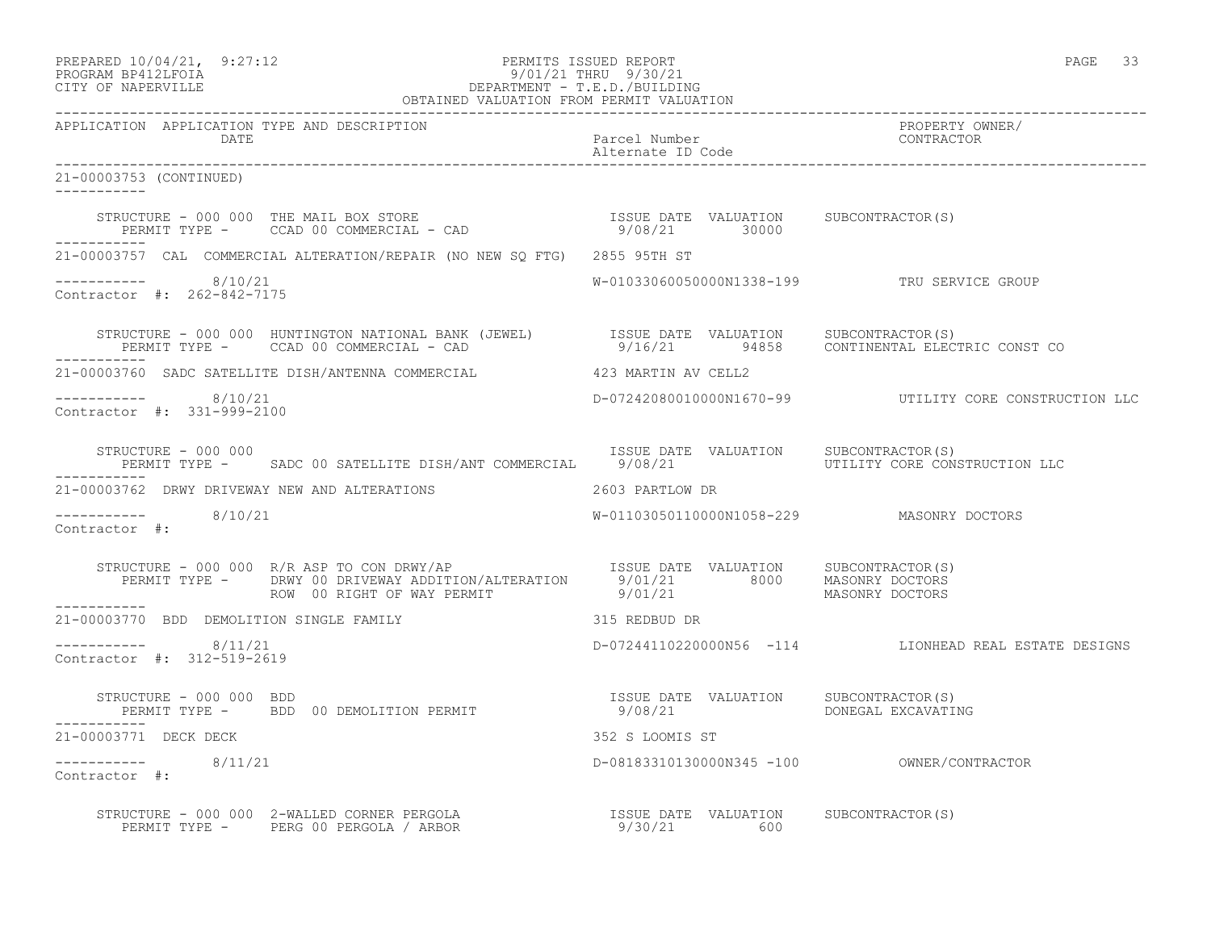| PREPARED 10/04/21, 9:27:12 | PERMITS ISSUED REPORT     | PAGE |  |
|----------------------------|---------------------------|------|--|
| גדמת זרונותם ווגסממס       | $0/01/21$ Tupii $0/20/21$ |      |  |

# PROGRAM BP412LFOIA 9/01/21 THRU 9/30/21 CITY OF NAPERVILLE DEPARTMENT - T.E.D./BUILDING

| OBTAINED VALUATION FROM PERMIT VALUATION              |                                                                                                                                                                                                                 |                                           |                                                         |
|-------------------------------------------------------|-----------------------------------------------------------------------------------------------------------------------------------------------------------------------------------------------------------------|-------------------------------------------|---------------------------------------------------------|
| APPLICATION APPLICATION TYPE AND DESCRIPTION<br>DATE  |                                                                                                                                                                                                                 | Parcel Number<br>Alternate ID Code        | PROPERTY OWNER/<br>CONTRACTOR                           |
| 21-00003753 (CONTINUED)                               |                                                                                                                                                                                                                 |                                           |                                                         |
|                                                       | STRUCTURE - 000 000 THE MAIL BOX STORE                               ISSUE DATE VALUATION     SUBCONTRACTOR(S)<br>PERMIT TYPE -     CCAD 00 COMMERCIAL - CAD                              9/08/21         30000 |                                           |                                                         |
|                                                       | 21-00003757 CAL COMMERCIAL ALTERATION/REPAIR (NO NEW SO FTG) 2855 95TH ST                                                                                                                                       |                                           |                                                         |
| -----------     8/10/21<br>Contractor #: 262-842-7175 |                                                                                                                                                                                                                 |                                           | W-01033060050000N1338-199 TRU SERVICE GROUP             |
| -----------                                           | STRUCTURE - 000 000 HUNTINGTON NATIONAL BANK (JEWEL)   ISSUE DATE VALUATION SUBCONTRACTOR(S)<br>PERMIT TYPE - CCAD 00 COMMERCIAL - CAD     9/16/21 94858 CONTINENTAL ELECTRIC CONST CO                          |                                           |                                                         |
|                                                       | 21-00003760 SADC SATELLITE DISH/ANTENNA COMMERCIAL 423 MARTIN AV CELL2                                                                                                                                          |                                           |                                                         |
| $--------- 8/10/21$<br>Contractor #: 331-999-2100     |                                                                                                                                                                                                                 |                                           | D-07242080010000N1670-99  UTILITY CORE CONSTRUCTION LLC |
| STRUCTURE - 000 000<br>------------                   |                                                                                                                                                                                                                 | ISSUE DATE VALUATION SUBCONTRACTOR(S)     |                                                         |
| 21-00003762 DRWY DRIVEWAY NEW AND ALTERATIONS         |                                                                                                                                                                                                                 | 2603 PARTLOW DR                           |                                                         |
| $--------- 8/10/21$<br>Contractor #:                  |                                                                                                                                                                                                                 | W-01103050110000N1058-229 MASONRY DOCTORS |                                                         |
| ___________                                           |                                                                                                                                                                                                                 |                                           |                                                         |
|                                                       | 21-00003770 BDD DEMOLITION SINGLE FAMILY 1997 1997 1998 1999 215 REDBUD DR                                                                                                                                      |                                           |                                                         |
| $--------- 8/11/21$<br>Contractor #: 312-519-2619     |                                                                                                                                                                                                                 |                                           | D-07244110220000N56 -114 LIONHEAD REAL ESTATE DESIGNS   |
|                                                       | STRUCTURE - 000 000 BDD<br>PERMIT TYPE -     BDD 00 DEMOLITION PERMIT                               9/08/21             DONEGAL EXCAVATING                                                                      |                                           |                                                         |
| 21-00003771 DECK DECK                                 |                                                                                                                                                                                                                 | 352 S LOOMIS ST                           |                                                         |
| $--------- 8/11/21$<br>Contractor #:                  |                                                                                                                                                                                                                 |                                           |                                                         |
|                                                       |                                                                                                                                                                                                                 |                                           |                                                         |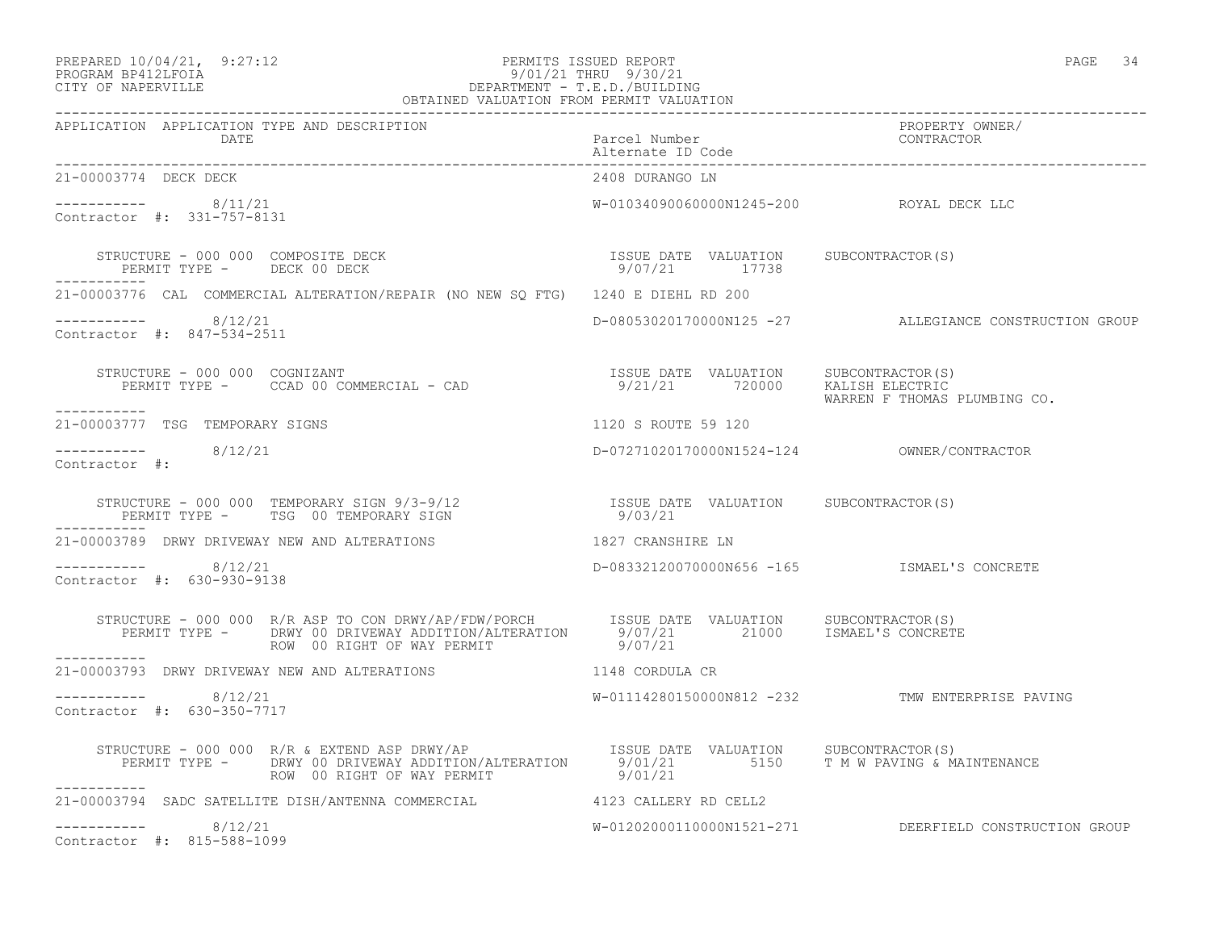-----------

#### PREPARED 10/04/21, 9:27:12 PERMITS ISSUED REPORT PAGE 34 PROGRAM BP412LFOIA 9/01/21 THRU 9/30/21 CITY OF NAPERVILLE DEPARTMENT - T.E.D./BUILDING OBTAINED VALUATION FROM PERMIT VALUATION

| APPLICATION APPLICATION TYPE AND DESCRIPTION<br>DATE                             | Parcel Number<br>Alternate ID Code           | PROPERTY OWNER/<br>CONTRACTOR                                       |
|----------------------------------------------------------------------------------|----------------------------------------------|---------------------------------------------------------------------|
| 21-00003774 DECK DECK                                                            | 2408 DURANGO LN                              |                                                                     |
| 8/11/21<br>Contractor #: 331-757-8131                                            | W-01034090060000N1245-200                    | ROYAL DECK LLC                                                      |
| STRUCTURE - 000 000 COMPOSITE DECK<br>PERMIT TYPE - DECK 00 DECK                 | ISSUE DATE<br>VALUATION<br>9/07/21<br>17738  | SUBCONTRACTOR(S)                                                    |
| 21-00003776 CAL COMMERCIAL ALTERATION/REPAIR (NO NEW SQ FTG) 1240 E DIEHL RD 200 |                                              |                                                                     |
| 8/12/21<br>Contractor #: 847-534-2511                                            | D-08053020170000N125 -27                     | ALLEGIANCE CONSTRUCTION GROUP                                       |
| STRUCTURE - 000 000<br>COGNIZANT<br>PERMIT TYPE - CCAD 00 COMMERCIAL - CAD       | ISSUE DATE<br>VALUATION<br>9/21/21<br>720000 | SUBCONTRACTOR(S)<br>KALISH ELECTRIC<br>WARREN F THOMAS PLUMBING CO. |
|                                                                                  |                                              |                                                                     |

----------- 8/12/21 D-07271020170000N1524-124 OWNER/CONTRACTOR

 $--------- 8/12/21$ Contractor #:

 STRUCTURE - 000 000 TEMPORARY SIGN 9/3-9/12 ISSUE DATE VALUATION SUBCONTRACTOR(S) PERMIT TYPE - TSG 00 TEMPORARY SIGN 9/03/21 -----------

21-00003777 TSG TEMPORARY SIGNS 1120 S ROUTE 59 120

21-00003789 DRWY DRIVEWAY NEW AND ALTERATIONS 1827 CRANSHIRE LN

----------- 8/12/21 D-08332120070000N656 -165 ISMAEL'S CONCRETE Contractor #: 630-930-9138

 STRUCTURE - 000 000 R/R ASP TO CON DRWY/AP/FDW/PORCH ISSUE DATE VALUATION SUBCONTRACTOR(S) PERMIT TYPE - DRWY 00 DRIVEWAY ADDITION/ALTERATION 9/07/21 21000 ISMAEL'S CONCRETE ROW 00 RIGHT OF WAY PERMIT 19/07/21 ----------- 21-00003793 DRWY DRIVEWAY NEW AND ALTERATIONS 1148 CORDULA CR \_\_\_\_\_\_\_\_\_\_\_ ----------- 8/12/21 W-01114280150000N812 -232 TMW ENTERPRISE PAVING Contractor #: 630-350-7717 STRUCTURE - 000 000 R/R & EXTEND ASP DRWY/AP ISSUE DATE VALUATION SUBCONTRACTOR(S) PERMIT TYPE - DRWY 00 DRIVEWAY ADDITION/ALTERATION 9/01/21 5150 T M W PAVING & MAINTENANCE ROW 00 RIGHT OF WAY PERMIT 19/01/21 ----------- 21-00003794 SADC SATELLITE DISH/ANTENNA COMMERCIAL 4123 CALLERY RD CELL2

W-01202000110000N1521-271 DEERFIELD CONSTRUCTION GROUP

 $--------- 8/12/21$ Contractor #: 815-588-1099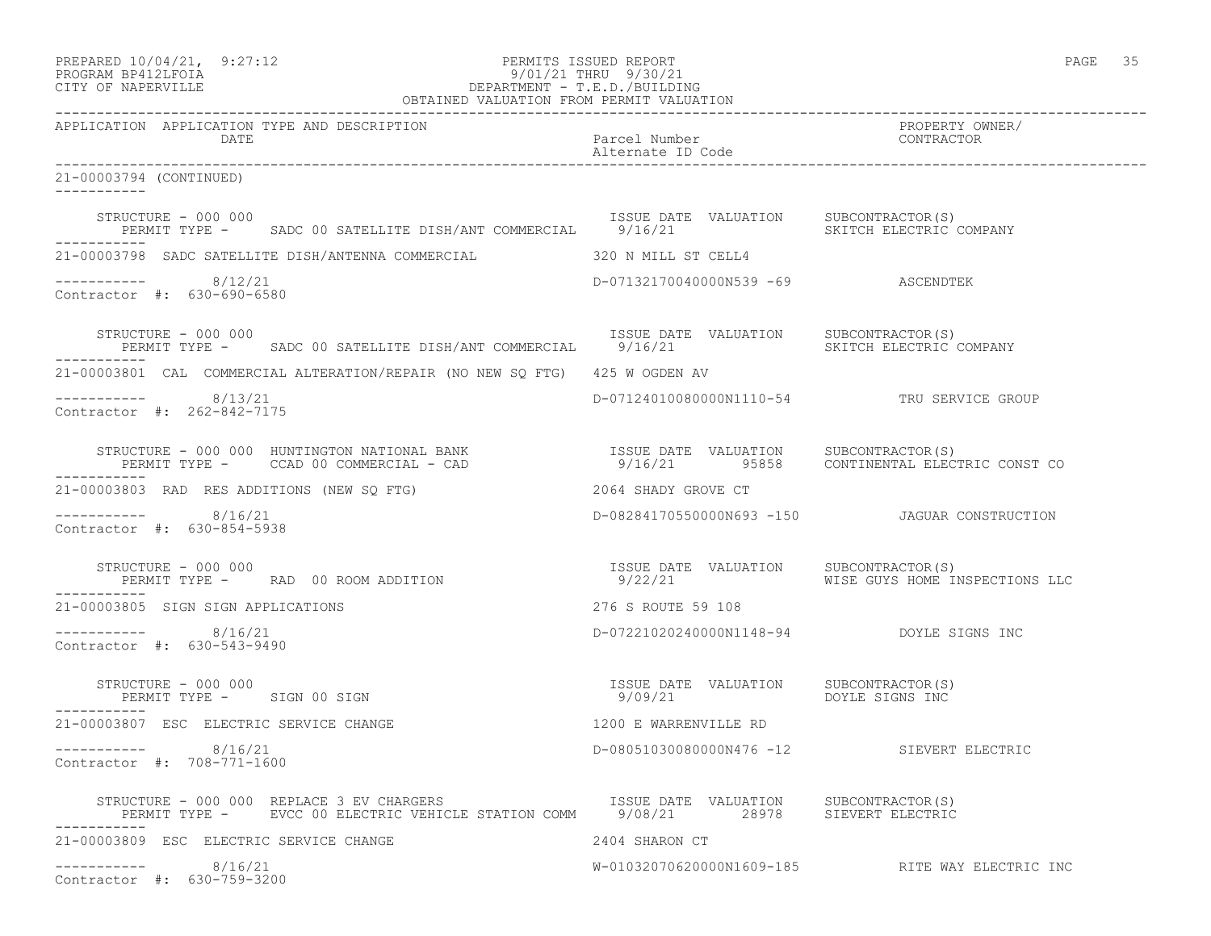| PROGRAM BP412LFOIA<br>9/01/21 THRU 9/30/21<br>DEPARTMENT - T.E.D./BUILDING<br>OBTAINED VALUATION FROM PERMIT VALUATION<br>CITY OF NAPERVILLE                                                                                                     |                                          |                                                 |
|--------------------------------------------------------------------------------------------------------------------------------------------------------------------------------------------------------------------------------------------------|------------------------------------------|-------------------------------------------------|
| APPLICATION APPLICATION TYPE AND DESCRIPTION<br>DATE                                                                                                                                                                                             | Parcel Number<br>Alternate ID Code       | PROPERTY OWNER/<br>CONTRACTOR                   |
| 21-00003794 (CONTINUED)                                                                                                                                                                                                                          |                                          |                                                 |
| STRUCTURE - 000 000<br>PERMIT TYPE - SADC 00 SATELLITE DISH/ANT COMMERCIAL 9/16/21 SALUATION SKITCH ELECTRIC COMPANY<br>------------                                                                                                             |                                          |                                                 |
| 21-00003798 SADC SATELLITE DISH/ANTENNA COMMERCIAL 320 N MILL ST CELL4                                                                                                                                                                           |                                          |                                                 |
| $--------- 8/12/21$<br>Contractor #: 630-690-6580                                                                                                                                                                                                | D-07132170040000N539 -69 ASCENDTEK       |                                                 |
| STRUCTURE - 000 000<br>PERMIT TYPE - SADC 00 SATELLITE DISH/ANT COMMERCIAL 9/16/21 SKITCH ELECTRIC COMPANY                                                                                                                                       | ISSUE DATE VALUATION SUBCONTRACTOR(S)    |                                                 |
| 21-00003801 CAL COMMERCIAL ALTERATION/REPAIR (NO NEW SQ FTG) 425 W OGDEN AV                                                                                                                                                                      |                                          |                                                 |
| $--------- 8/13/21$<br>Contractor #: 262-842-7175                                                                                                                                                                                                |                                          | D-07124010080000N1110-54 TRU SERVICE GROUP      |
| STRUCTURE - 000 000 HUNTINGTON NATIONAL BANK                       ISSUE DATE VALUATION    SUBCONTRACTOR(S)<br>PERMIT TYPE -     CCAD 00 COMMERCIAL - CAD                          9/16/21                       CONTINENTAL ELEC<br>----------- |                                          |                                                 |
| 21-00003803 RAD RES ADDITIONS (NEW SQ FTG)                                                                                                                                                                                                       | 2064 SHADY GROVE CT                      |                                                 |
| $--------- 8/16/21$<br>Contractor #: 630-854-5938                                                                                                                                                                                                |                                          | D-08284170550000N693 -150 JAGUAR CONSTRUCTION   |
| STRUCTURE - 000 000                                                                                                                                                                                                                              |                                          | WISE GUYS HOME INSPECTIONS LLC                  |
| 21-00003805 SIGN SIGN APPLICATIONS                                                                                                                                                                                                               | 276 S ROUTE 59 108                       |                                                 |
| $--------- 8/16/21$<br>Contractor #: 630-543-9490                                                                                                                                                                                                | D-07221020240000N1148-94 DOYLE SIGNS INC |                                                 |
| STRUCTURE - 000 000<br>PERMIT TYPE - SIGN 00 SIGN<br>------------                                                                                                                                                                                |                                          |                                                 |
| 21-00003807 ESC ELECTRIC SERVICE CHANGE                                                                                                                                                                                                          | 1200 E WARRENVILLE RD                    |                                                 |
| 8/16/21<br>-----------<br>Contractor #: 708-771-1600                                                                                                                                                                                             | D-08051030080000N476 -12                 | SIEVERT ELECTRIC                                |
|                                                                                                                                                                                                                                                  |                                          |                                                 |
| 21-00003809 ESC ELECTRIC SERVICE CHANGE                                                                                                                                                                                                          | 2404 SHARON CT                           |                                                 |
| ____________<br>8/16/21<br>Contractor #: 630-759-3200                                                                                                                                                                                            |                                          | W-01032070620000N1609-185 RITE WAY ELECTRIC INC |

PREPARED  $10/04/21$ ,  $9:27:12$  PERMITS ISSUED REPORT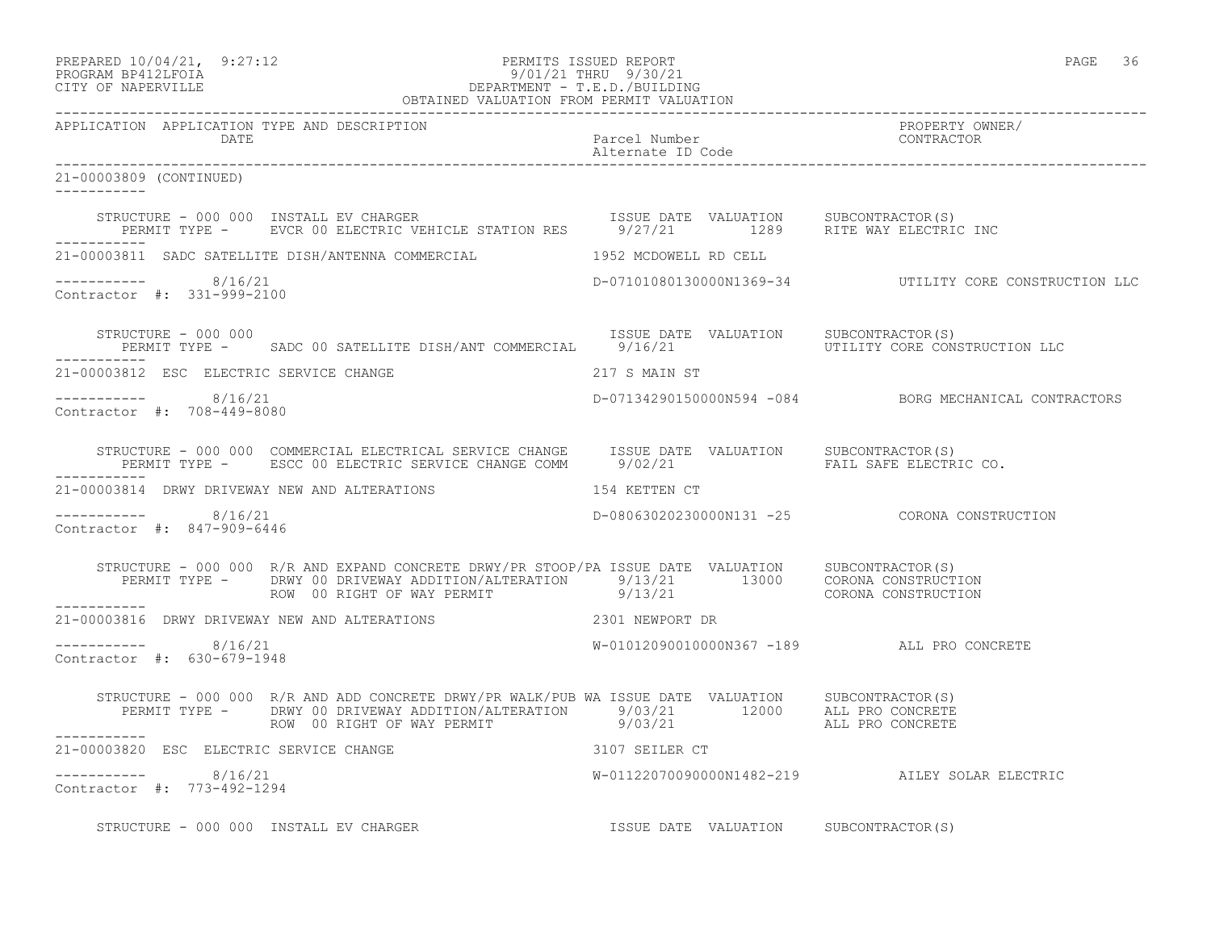| PREPARED 10/04/21, | 9:27:12 |
|--------------------|---------|
|                    |         |

## PREPARED 10/04/21, 9:27:12 PERMITS ISSUED REPORT<br>PROGRAM BP412LFOIA PAGE 36 PROGRAM BP412LFOIA 9/01/21 THRU 9/30/21 CITY OF NAPERVILLE DEPARTMENT - T.E.D./BUILDING

|                                                           | OBTAINED VALUATION FROM PERMIT VALUATION                                                                                                                                                                                                                      |                                            |                                                        |
|-----------------------------------------------------------|---------------------------------------------------------------------------------------------------------------------------------------------------------------------------------------------------------------------------------------------------------------|--------------------------------------------|--------------------------------------------------------|
| APPLICATION APPLICATION TYPE AND DESCRIPTION<br>DATE DATE |                                                                                                                                                                                                                                                               |                                            | PROPERTY OWNER/                                        |
| 21-00003809 (CONTINUED)<br>___________                    |                                                                                                                                                                                                                                                               |                                            |                                                        |
|                                                           | STRUCTURE - 000 000 INSTALL EV CHARGER                         ISSUE DATE VALUATION     SUBCONTRACTOR(S)<br>PERMIT TYPE -     EVCR 00 ELECTRIC VEHICLE STATION RES       9/27/21           1289     RITE WAY ELECTRIC INC                                     |                                            |                                                        |
|                                                           | 21-00003811 SADC SATELLITE DISH/ANTENNA COMMERCIAL 1952 MCDOWELL RD CELL                                                                                                                                                                                      |                                            |                                                        |
| $--------- 8/16/21$<br>Contractor #: 331-999-2100         |                                                                                                                                                                                                                                                               |                                            | D-07101080130000N1369-34 UTILITY CORE CONSTRUCTION LLC |
| STRUCTURE - 000 000<br>-----------                        | STRUCTURE - 000 000<br>PERMIT TYPE - SADC 00 SATELLITE DISH/ANT COMMERCIAL 9/16/21 UTILITY CORE CONSTRUCTION LLC                                                                                                                                              |                                            |                                                        |
|                                                           | 21-00003812 ESC ELECTRIC SERVICE CHANGE 60 10 217 S MAIN ST                                                                                                                                                                                                   |                                            |                                                        |
| $--------- 8/16/21$<br>Contractor #: 708-449-8080         |                                                                                                                                                                                                                                                               |                                            | D-07134290150000N594 -084 BORG MECHANICAL CONTRACTORS  |
|                                                           | STRUCTURE - 000 000 COMMERCIAL ELECTRICAL SERVICE CHANGE ISSUE DATE VALUATION SUBCONTRACTOR(S)<br>PERMIT TYPE - ESCC 00 ELECTRIC SERVICE CHANGE COMM 9/02/21 FAIL SAFE ELECTRIC CO.                                                                           |                                            |                                                        |
|                                                           | 21-00003814 DRWY DRIVEWAY NEW AND ALTERATIONS 154 KETTEN CT                                                                                                                                                                                                   |                                            |                                                        |
| ----------- 8/16/21<br>Contractor #: 847-909-6446         |                                                                                                                                                                                                                                                               |                                            | D-08063020230000N131 -25 CORONA CONSTRUCTION           |
| ___________                                               | STRUCTURE - 000 000 R/R AND EXPAND CONCRETE DRWY/PR STOOP/PA ISSUE DATE VALUATION SUBCONTRACTOR(S)<br>PERMIT TYPE - DRWY 00 DRIVEWAY ADDITION/ALTERATION 59/13/21 13000 CORONA CONSTRUCTION<br>ROW 00 RIGHT OF WAY PERMIT 9/13/21 9/13/21 CORONA CONSTRUCTION |                                            |                                                        |
|                                                           | 21-00003816 DRWY DRIVEWAY NEW AND ALTERATIONS 2301 NEWPORT DR                                                                                                                                                                                                 |                                            |                                                        |
| ----------- 8/16/21<br>Contractor #: 630-679-1948         |                                                                                                                                                                                                                                                               | W-01012090010000N367 -189 ALL PRO CONCRETE |                                                        |
|                                                           | STRUCTURE - 000 000 R/R AND ADD CONCRETE DRWY/PR WALK/PUB WA ISSUE DATE VALUATION SUBCONTRACTOR(S)<br>PERMIT TYPE - DRWY 00 DRIVEWAY ADDITION/ALTERATION 9/03/21 12000 ALL PRO CONCRETE<br>PROW 00 RIGHT OF WAY PERMIT 9/03/21 ALL P                          |                                            |                                                        |
| ___________                                               |                                                                                                                                                                                                                                                               |                                            |                                                        |
| $--------- 8/16/21$<br>Contractor #: 773-492-1294         |                                                                                                                                                                                                                                                               |                                            | W-01122070090000N1482-219 AILEY SOLAR ELECTRIC         |
|                                                           | STRUCTURE - 000 000 INSTALL EV CHARGER                                                                                                                                                                                                                        | ISSUE DATE VALUATION SUBCONTRACTOR(S)      |                                                        |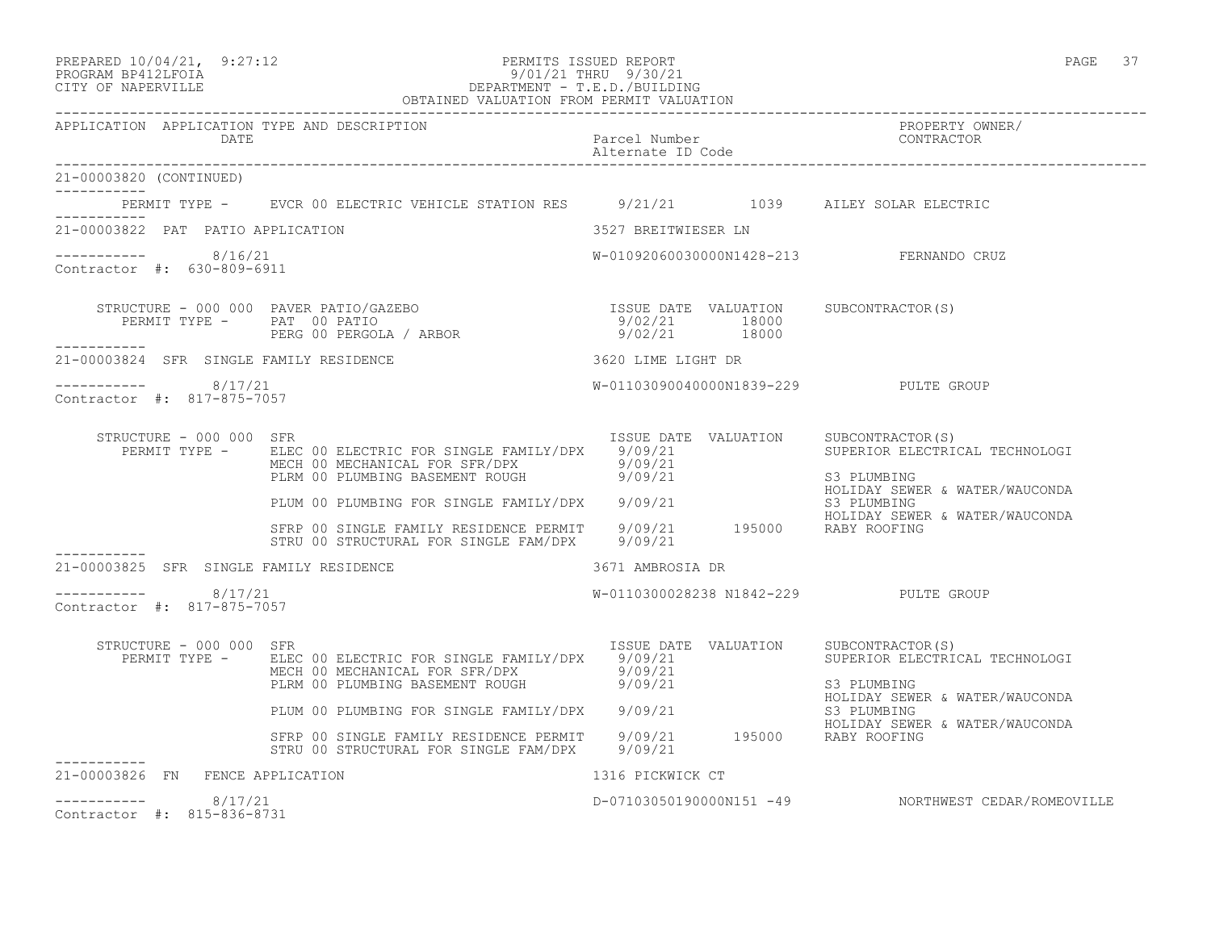| PREPARED 10/04/21, 9:27:12 | PERMITS ISSUED REPORT        | PAGE |  |
|----------------------------|------------------------------|------|--|
| -------------------        | $0.101101$ minute $0.100101$ |      |  |

# PROGRAM BP412LFOIA 9/01/21 THRU 9/30/21 CITY OF NAPERVILLE DEPARTMENT - T.E.D./BUILDING

|                                                             | OBTAINED VALUATION FROM PERMIT VALUATION                                                                                                                                                                                                                                                                                         |                                 |                                                                                        |
|-------------------------------------------------------------|----------------------------------------------------------------------------------------------------------------------------------------------------------------------------------------------------------------------------------------------------------------------------------------------------------------------------------|---------------------------------|----------------------------------------------------------------------------------------|
| APPLICATION APPLICATION TYPE AND DESCRIPTION<br><b>DATE</b> |                                                                                                                                                                                                                                                                                                                                  | Parcel Number                   | PROPERTY OWNER/<br>CONTRACTOR                                                          |
| 21-00003820 (CONTINUED)                                     |                                                                                                                                                                                                                                                                                                                                  |                                 |                                                                                        |
| -----------                                                 | PERMIT TYPE - EVCR 00 ELECTRIC VEHICLE STATION RES 9/21/21 1039 AILEY SOLAR ELECTRIC                                                                                                                                                                                                                                             |                                 |                                                                                        |
| 21-00003822 PAT PATIO APPLICATION                           |                                                                                                                                                                                                                                                                                                                                  | 3527 BREITWIESER LN             |                                                                                        |
| 8/16/21<br>Contractor #: 630-809-6911                       |                                                                                                                                                                                                                                                                                                                                  |                                 | W-01092060030000N1428-213 FERNANDO CRUZ                                                |
|                                                             | $\begin{array}{cccccccc} \texttt{STRUCTURE} & - & 000 & 000 & \texttt{PAVER} & \texttt{PATIO/GAZEBO} & & & & & & \\ \texttt{PERMIT} & \texttt{TYPE} & - & \texttt{PAT} & 00 & \texttt{PATHIO} & & & & \\ \texttt{PERMIT} & \texttt{TYPE} & - & \texttt{PAT} & 00 & \texttt{PERGOLA} & / & \texttt{ARBOR} & & & & \\ \end{array}$ |                                 |                                                                                        |
| 21-00003824 SFR SINGLE FAMILY RESIDENCE                     | 3620 LIME LIGHT DR                                                                                                                                                                                                                                                                                                               |                                 |                                                                                        |
| -----------    8/17/21<br>Contractor #: 817-875-7057        |                                                                                                                                                                                                                                                                                                                                  |                                 | W-01103090040000N1839-229 PULTE GROUP                                                  |
| STRUCTURE - 000 000 SFR<br>PERMIT TYPE -                    | ELEC 00 ELECTRIC FOR SINGLE FAMILY/DPX 9/09/21<br>MECH 00 MECHANICAL FOR SFR/DPX<br>MECH 00 MECHANICAL FOR SFR/DPX                 9/09/21<br>PLRM 00 PLUMBING BASEMENT ROUGH           9/09/21                                                                                                                                  | ISSUE DATE VALUATION<br>9/09/21 | SUBCONTRACTOR(S)<br>SUPERIOR ELECTRICAL TECHNOLOGI<br>S3 PLUMBING                      |
|                                                             | PLUM 00 PLUMBING FOR SINGLE FAMILY/DPX 9/09/21                                                                                                                                                                                                                                                                                   |                                 | HOLIDAY SEWER & WATER/WAUCONDA<br>S3 PLUMBING                                          |
|                                                             | SFRP 00 SINGLE FAMILY RESIDENCE PERMIT 9/09/21 195000 RABY ROOFING<br>STRU 00 STRUCTURAL FOR SINGLE FAM/DPX 9/09/21                                                                                                                                                                                                              |                                 | HOLIDAY SEWER & WATER/WAUCONDA                                                         |
| 21-00003825 SFR SINGLE FAMILY RESIDENCE                     |                                                                                                                                                                                                                                                                                                                                  | 3671 AMBROSIA DR                |                                                                                        |
| 8/17/21<br>Contractor #: 817-875-7057                       |                                                                                                                                                                                                                                                                                                                                  |                                 | W-0110300028238 N1842-229 PULTE GROUP                                                  |
| STRUCTURE - 000 000 SFR<br>PERMIT TYPE -                    | ELEC 00 ELECTRIC FOR SINGLE FAMILY/DPX 9/09/21<br>MECH 00 MECHANICAL FOR SFR/DPX 9/09/21<br>PLRM 00 PLUMBING BASEMENT ROUGH 9/09/21                                                                                                                                                                                              |                                 | ISSUE DATE VALUATION SUBCONTRACTOR(S)<br>SUPERIOR ELECTRICAL TECHNOLOGI<br>S3 PLUMBING |
|                                                             | PLUM 00 PLUMBING FOR SINGLE FAMILY/DPX 9/09/21                                                                                                                                                                                                                                                                                   |                                 | HOLIDAY SEWER & WATER/WAUCONDA<br>S3 PLUMBING                                          |
|                                                             | SFRP 00 SINGLE FAMILY RESIDENCE PERMIT 9/09/21 195000 RABY ROOFING<br>STRU 00 STRUCTURAL FOR SINGLE FAM/DPX 9/09/21                                                                                                                                                                                                              |                                 | HOLIDAY SEWER & WATER/WAUCONDA                                                         |
| 21-00003826 FN FENCE APPLICATION                            |                                                                                                                                                                                                                                                                                                                                  | 1316 PICKWICK CT                |                                                                                        |
| 8/17/21<br>Contractor #: 815-836-8731                       |                                                                                                                                                                                                                                                                                                                                  |                                 | D-07103050190000N151 -49 NORTHWEST CEDAR/ROMEOVILLE                                    |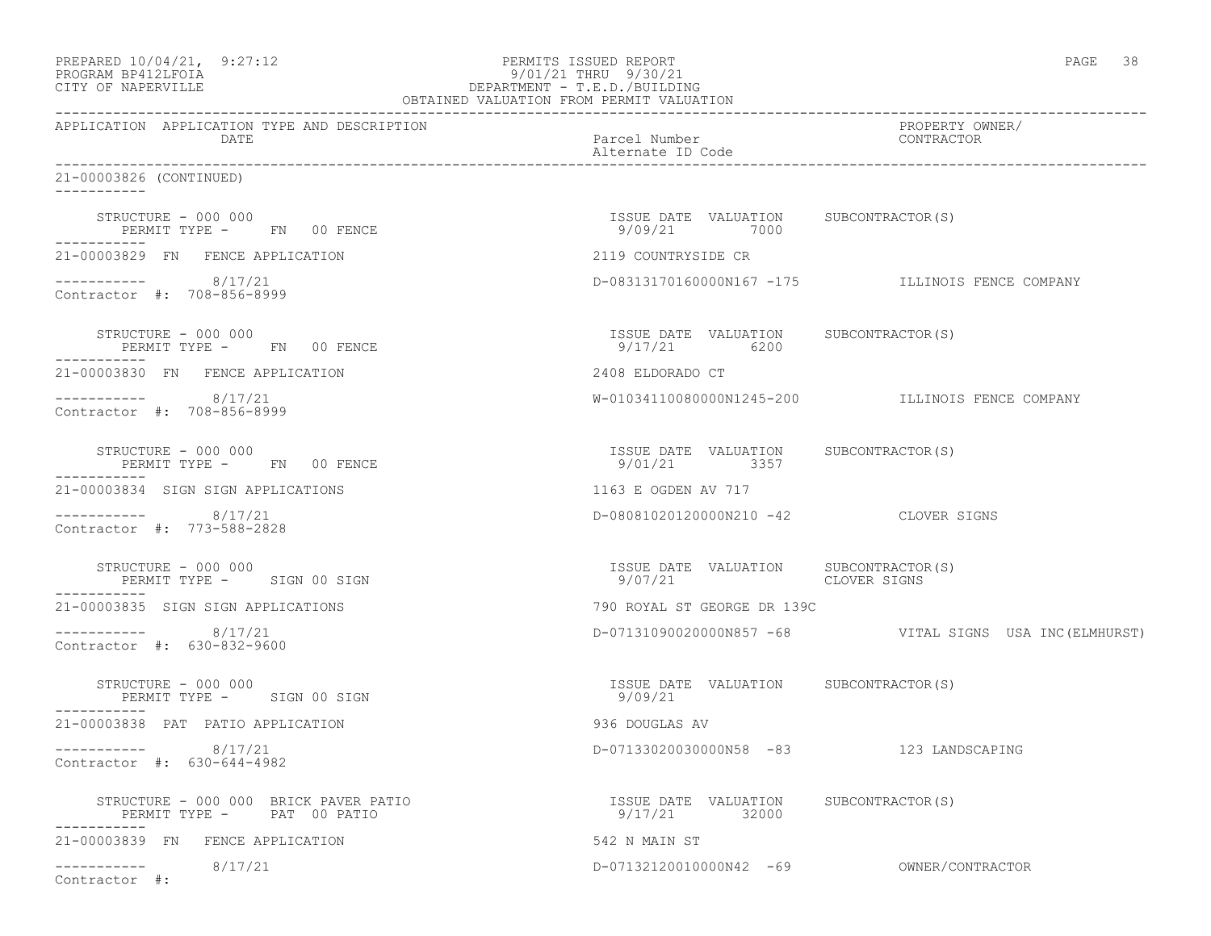| PREPARED 10/04/21, 9:27:12<br>PROGRAM BP412LFOIA<br>CITY OF NAPERVILLE             | PERMITS ISSUED REPORT<br>9/01/21 THRU 9/30/21<br>DEPARTMENT - T.E.D./BUILDING<br>OBTAINED VALUATION FROM PERMIT VALUATION | PAGE 38                                                 |
|------------------------------------------------------------------------------------|---------------------------------------------------------------------------------------------------------------------------|---------------------------------------------------------|
| APPLICATION APPLICATION TYPE AND DESCRIPTION<br>DATE                               | Parcel Number<br>Alternate ID Code                                                                                        | PROPERTY OWNER/<br>CONTRACTOR                           |
| 21-00003826 (CONTINUED)                                                            |                                                                                                                           |                                                         |
| STRUCTURE - 000 000<br>PERMIT TYPE - FN 00 FENCE<br>-----------                    | ISSUE DATE VALUATION SUBCONTRACTOR(S)<br>9/09/21 7000                                                                     |                                                         |
| 21-00003829 FN FENCE APPLICATION                                                   | 2119 COUNTRYSIDE CR                                                                                                       |                                                         |
| $--------- 8/17/21$<br>Contractor #: 708-856-8999                                  |                                                                                                                           | D-08313170160000N167 -175 ILLINOIS FENCE COMPANY        |
| STRUCTURE – 000 000<br>PERMIT TYPE - FN 00 FENCE                                   | ISSUE DATE VALUATION SUBCONTRACTOR(S)<br>9/17/21 6200                                                                     |                                                         |
| 21-00003830 FN FENCE APPLICATION                                                   | 2408 ELDORADO CT                                                                                                          |                                                         |
| $--------- 8/17/21$<br>Contractor #: 708-856-8999                                  |                                                                                                                           | W-01034110080000N1245-200 ILLINOIS FENCE COMPANY        |
| STRUCTURE - 000 000<br>PERMIT TYPE - FN 00 FENCE<br>-----------                    | ISSUE DATE VALUATION SUBCONTRACTOR(S)<br>9/01/21 3357                                                                     |                                                         |
| 21-00003834 SIGN SIGN APPLICATIONS                                                 | 1163 E OGDEN AV 717                                                                                                       |                                                         |
| $--------- 8/17/21$<br>Contractor #: 773-588-2828                                  | D-08081020120000N210 -42 CLOVER SIGNS                                                                                     |                                                         |
| STRUCTURE - 000 000<br>PERMIT TYPE - SIGN 00 SIGN                                  | ISSUE DATE VALUATION SUBCONTRACTOR(S)<br>9/07/21 CLOVER SIGNS                                                             |                                                         |
| 21-00003835 SIGN SIGN APPLICATIONS                                                 | 790 ROYAL ST GEORGE DR 139C                                                                                               |                                                         |
| $--------- 8/17/21$<br>Contractor #: 630-832-9600                                  |                                                                                                                           | D-07131090020000N857 -68 VITAL SIGNS USA INC (ELMHURST) |
| STRUCTURE - 000 000<br>PERMIT TYPE - SIGN 00 SIGN                                  | ISSUE DATE VALUATION SUBCONTRACTOR(S)<br>9/09/21                                                                          |                                                         |
| 21-00003838 PAT PATIO APPLICATION                                                  | 936 DOUGLAS AV                                                                                                            |                                                         |
| 8/17/21<br>Contractor #: 630-644-4982                                              | D-07133020030000N58 -83 123 LANDSCAPING                                                                                   |                                                         |
| STRUCTURE - 000 000 BRICK PAVER PATIO<br>PERMIT TYPE - PAT 00 PATIO<br>----------- | ISSUE DATE VALUATION SUBCONTRACTOR(S)<br>9/17/21 32000                                                                    |                                                         |
| 21-00003839 FN FENCE APPLICATION                                                   | 542 N MAIN ST                                                                                                             |                                                         |
| 8/17/21<br>___________<br>Contractor #:                                            | D-07132120010000N42 -69                                                                                                   | OWNER/CONTRACTOR                                        |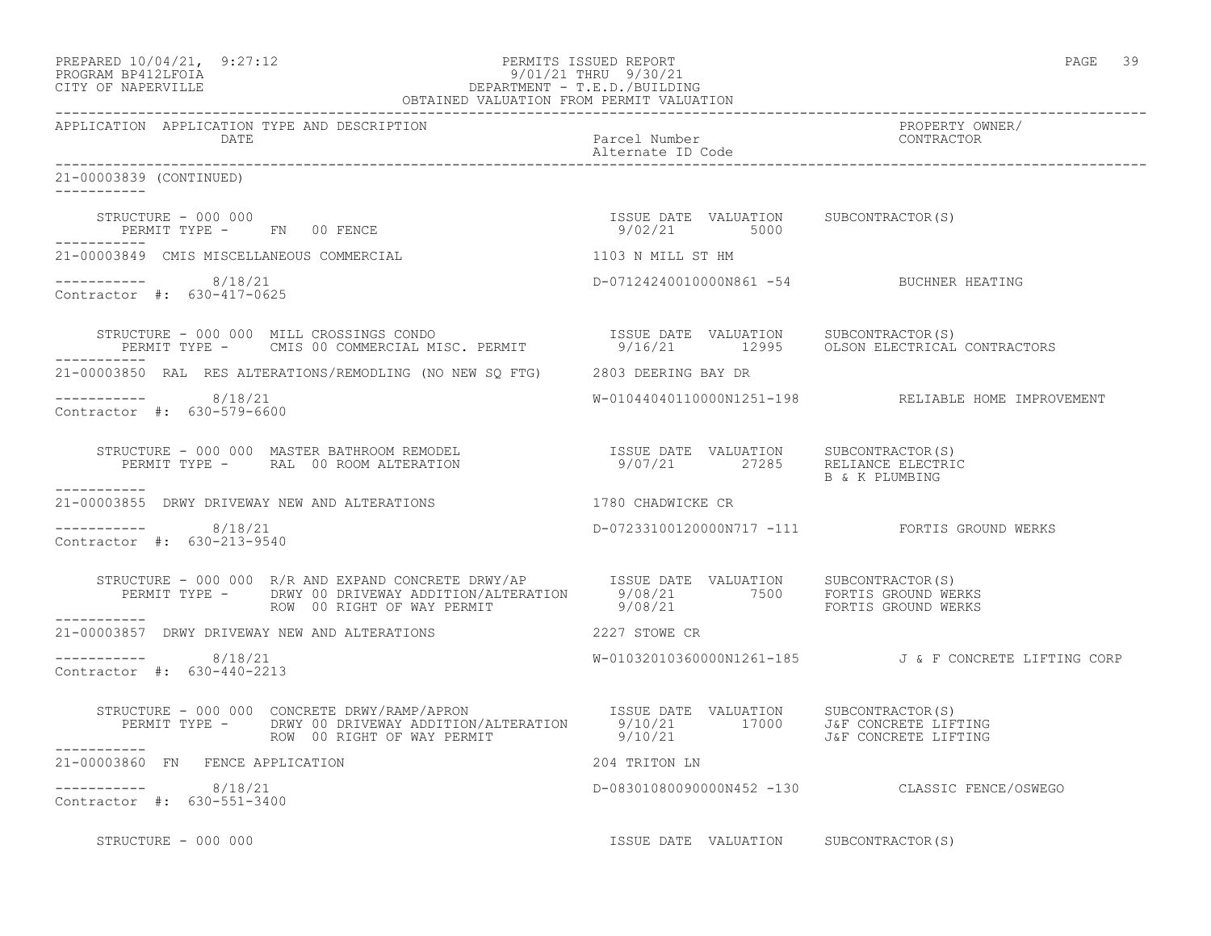| PREPARED 10/04/21,  | 9:27:12 |
|---------------------|---------|
| גדמק זלונים ומגסממס |         |

#### PERMITS ISSUED REPORT FOR THE PAGE 39 PAGE 39:12 PAGE 39:12 PAGE 39:12 PAGE 39:12 PAGE 39:12 PAGE 39:12 PAGE 39:12 PAGE 39:12 PAGE 39:12 PAGE 39:12 PAGE 39:12 PAGE 39:12 PAGE 39:12 PAGE 39:12 PAGE 39:12 PAGE 39:12 PAGE 39: PROGRAM BP412LFOIA 9/01/21 THRU 9/30/21 CITY OF NAPERVILLE DEPARTMENT - T.E.D./BUILDING OBTAINED VALUATION FROM PERMIT VALUATION

------------------------------------------------------------------------------------------------------------------------------------

APPLICATION APPLICATION TYPE AND DESCRIPTION PROPERTY OWNER/ DATE Parcel Number Contractor Contractor Parcel Number Parcel Number Alternate ID Code ------------------------------------------------------------------------------------------------------------------------------------ 21-00003839 (CONTINUED) ----------- STRUCTURE - 000 000 ISSUE DATE VALUATION SUBCONTRACTOR(S) PERMIT TYPE - FN 00 FENCE ----------- 21-00003849 CMIS MISCELLANEOUS COMMERCIAL 1103 N MILL ST HM ----------- 8/18/21 D-07124240010000N861 -54 BUCHNER HEATING Contractor #: 630-417-0625 STRUCTURE - 000 000 MILL CROSSINGS CONDO ISSUE DATE VALUATION SUBCONTRACTOR(S) PERMIT TYPE - CMIS 00 COMMERCIAL MISC. PERMIT 9/16/21 12995 OLSON ELECTRICAL CONTRACTORS ----------- 21-00003850 RAL RES ALTERATIONS/REMODLING (NO NEW SQ FTG) 2803 DEERING BAY DR ----------- 8/18/21 W-01044040110000N1251-198 RELIABLE HOME IMPROVEMENT Contractor #: 630-579-6600 STRUCTURE - 000 000 MASTER BATHROOM REMODEL ISSUE DATE VALUATION SUBCONTRACTOR(S) PERMIT TYPE - RAL 00 ROOM ALTERATION 9/07/21 27285 RELIANCE ELECTRIC B & K PLUMBING ----------- 21-00003855 DRWY DRIVEWAY NEW AND ALTERATIONS 1780 CHADWICKE CR  $--------- 8/18/21$ D-07233100120000N717 -111 FORTIS GROUND WERKS Contractor #: 630-213-9540 STRUCTURE - 000 000 R/R AND EXPAND CONCRETE DRWY/AP ISSUE DATE VALUATION SUBCONTRACTOR(S) PERMIT TYPE - DRWY 00 DRIVEWAY ADDITION/ALTERATION 9/08/21 7500 FORTIS GROUND WERKS ROW 00 RIGHT OF WAY PERMIT 9/08/21 FORTIS GROUND WERKS ----------- 21-00003857 DRWY DRIVEWAY NEW AND ALTERATIONS 2227 STOWE CR \_\_\_\_\_\_\_\_\_\_\_ ----------- 8/18/21 W-01032010360000N1261-185 J & F CONCRETE LIFTING CORP Contractor #: 630-440-2213 STRUCTURE - 000 000 CONCRETE DRWY/RAMP/APRON ISSUE DATE VALUATION SUBCONTRACTOR(S) PERMIT TYPE - DRWY 00 DRIVEWAY ADDITION/ALTERATION 9/10/21 17000 J&F CONCRETE LIFTING ROW 00 RIGHT OF WAY PERMIT 9/10/21 J&F CONCRETE LIFTING ----------- 21-00003860 FN FENCE APPLICATION 204 TRITON LN ----------- 8/18/21 D-08301080090000N452 -130 CLASSIC FENCE/OSWEGO Contractor #: 630-551-3400 STRUCTURE - 000 000 **ISSUE DATE VALUATION** SUBCONTRACTOR(S)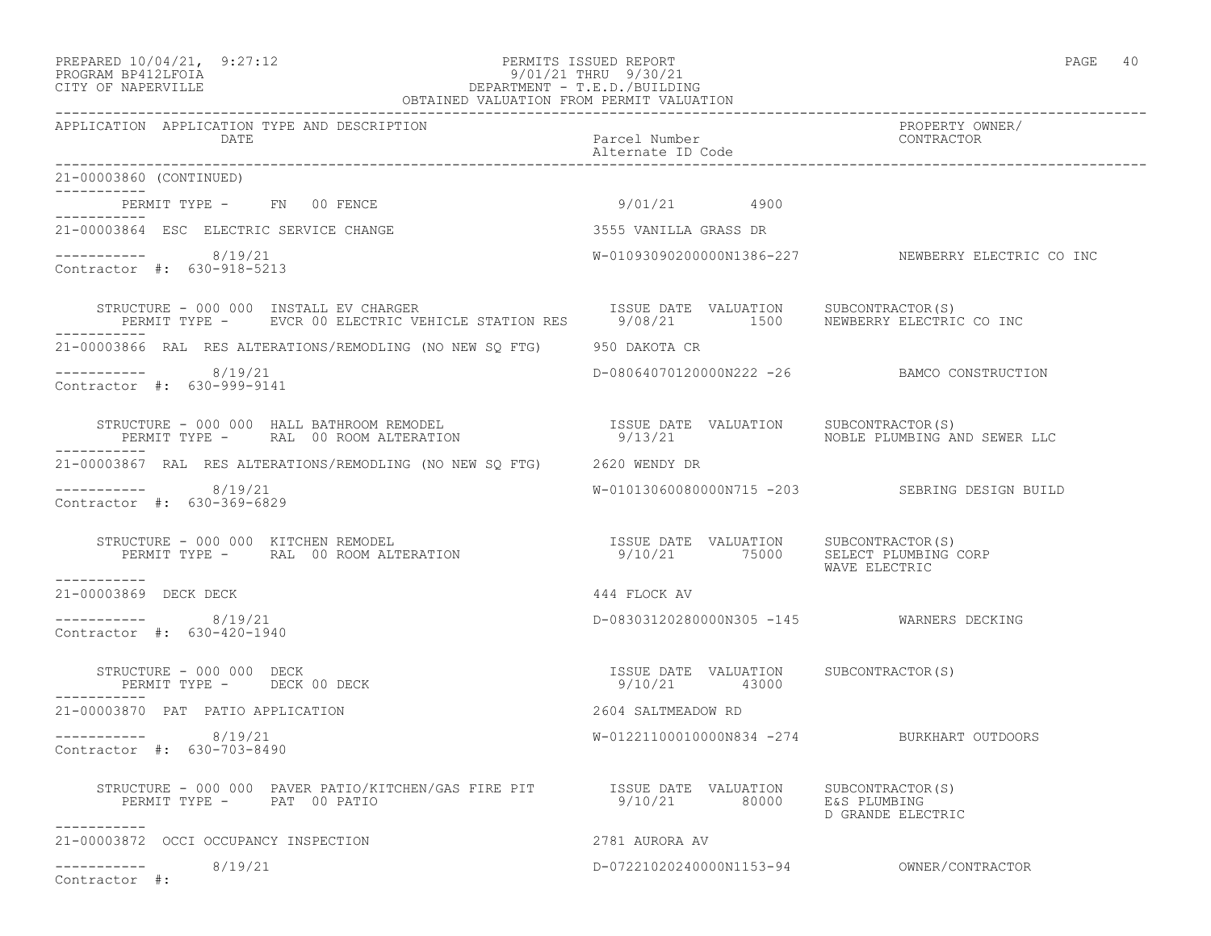#### PREPARED 10/04/21, 9:27:12 PERMITS ISSUED REPORT<br>PROGRAM BP412LFOIA PAGE 40<br>9/01/21 THRU 9/30/21 PROGRAM BP412LFOIA 9/01/21 THRU 9/30/21 CITY OF NAPERVILLE DEPARTMENT - T.E.D./BUILDING OBTAINED VALUATION FROM PERMIT VALUATION

| APPLICATION APPLICATION TYPE AND DESCRIPTION<br>DATE                                                                                                                                                                             | Parcel Number<br>Alternate ID Code                     | PROPERTY OWNER/<br>CONTRACTOR                      |
|----------------------------------------------------------------------------------------------------------------------------------------------------------------------------------------------------------------------------------|--------------------------------------------------------|----------------------------------------------------|
| 21-00003860 (CONTINUED)                                                                                                                                                                                                          |                                                        |                                                    |
| PERMIT TYPE - FN 00 FENCE<br>__________                                                                                                                                                                                          | 9/01/21 4900                                           |                                                    |
| 21-00003864 ESC ELECTRIC SERVICE CHANGE                                                                                                                                                                                          | 3555 VANILLA GRASS DR                                  |                                                    |
| $--------- 8/19/21$<br>Contractor #: 630-918-5213                                                                                                                                                                                |                                                        | W-01093090200000N1386-227 NEWBERRY ELECTRIC CO INC |
| STRUCTURE - 000 000 INSTALL EV CHARGER<br>PERMIT TYPE - EVCR 00 ELECTRIC VEHICLE STATION RES 59/08/21 1500 NEWBERRY ELECTRIC CO INC                                                                                              | ISSUE DATE VALUATION SUBCONTRACTOR(S)                  |                                                    |
| 21-00003866 RAL RES ALTERATIONS/REMODLING (NO NEW SQ FTG)     950 DAKOTA CR                                                                                                                                                      |                                                        |                                                    |
| $--------$ 8/19/21<br>Contractor #: 630-999-9141                                                                                                                                                                                 |                                                        | D-08064070120000N222 -26 BAMCO CONSTRUCTION        |
| STRUCTURE - 000 000 HALL BATHROOM REMODEL                           ISSUE DATE VALUATION    SUBCONTRACTOR(S)<br>PERIMIT TYPE -     RAL  00 ROOM ALTERATION                           9/13/21                      NOBLE PLUMBING |                                                        |                                                    |
| 21-00003867 RAL RES ALTERATIONS/REMODLING (NO NEW SQ FTG) 2620 WENDY DR                                                                                                                                                          |                                                        |                                                    |
| $--------- 8/19/21$<br>Contractor #: 630-369-6829                                                                                                                                                                                |                                                        | W-01013060080000N715 -203 SEBRING DESIGN BUILD     |
| ___________                                                                                                                                                                                                                      |                                                        | WAVE ELECTRIC                                      |
| 21-00003869 DECK DECK                                                                                                                                                                                                            | 444 FLOCK AV                                           |                                                    |
| ----------- 8/19/21<br>Contractor #: 630-420-1940                                                                                                                                                                                | D-08303120280000N305 -145 WARNERS DECKING              |                                                    |
| STRUCTURE - 000 000 DECK<br>PERMIT TYPE - DECK 00 DECK<br>-----------                                                                                                                                                            | ISSUE DATE VALUATION SUBCONTRACTOR(S)<br>9/10/21 43000 |                                                    |
| 21-00003870 PAT PATIO APPLICATION                                                                                                                                                                                                | 2604 SALTMEADOW RD                                     |                                                    |
| ----------- 8/19/21<br>Contractor #: 630-703-8490                                                                                                                                                                                | W-01221100010000N834 -274 BURKHART OUTDOORS            |                                                    |
| STRUCTURE - 000 000 PAVER PATIO/KITCHEN/GAS FIRE PIT TSSUE DATE VALUATION SUBCONTRACTOR(S)<br>PERMIT TYPE - PAT 00 PATIO<br>-----------                                                                                          | 9/10/21 80000 E&S PLUMBING                             | D GRANDE ELECTRIC                                  |
| 21-00003872 OCCI OCCUPANCY INSPECTION                                                                                                                                                                                            | 2781 AURORA AV                                         |                                                    |
| ----------- 8/19/21<br>Contractor #:                                                                                                                                                                                             |                                                        |                                                    |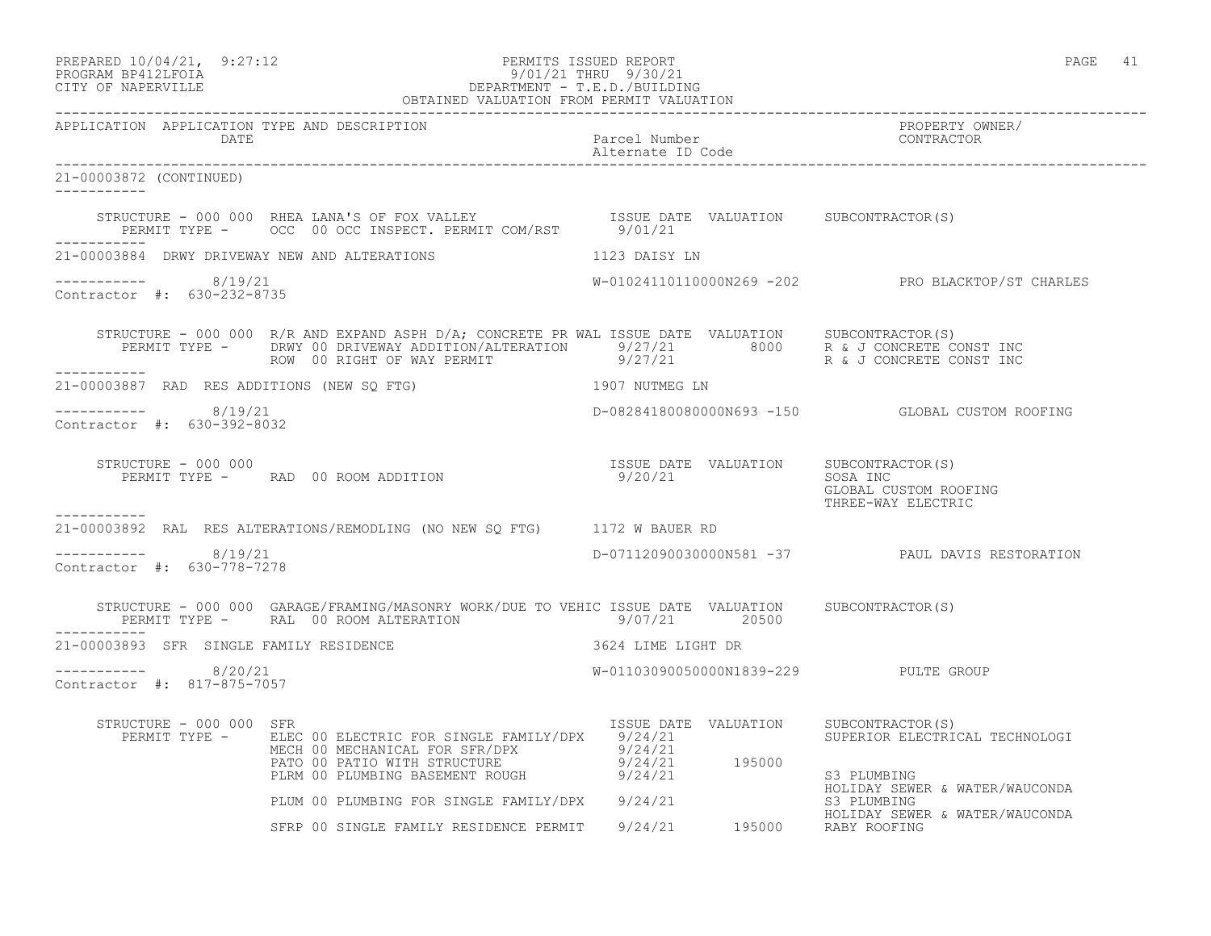# PREPARED 10/04/21, 9:27:12 PERMITS ISSUED REPORT PAGE 41 PROGRAM BP412LFOIA 9/01/21 THRU 9/30/21 CITY OF NAPERVILLE DEPARTMENT - T.E.D./BUILDING

|                                                      | OBTAINED VALUATION FROM PERMIT VALUATION                                                                                                                                                                                                                                                                                                                                                                                                                                               |                                                  |                                                                   |
|------------------------------------------------------|----------------------------------------------------------------------------------------------------------------------------------------------------------------------------------------------------------------------------------------------------------------------------------------------------------------------------------------------------------------------------------------------------------------------------------------------------------------------------------------|--------------------------------------------------|-------------------------------------------------------------------|
| APPLICATION APPLICATION TYPE AND DESCRIPTION<br>DATE |                                                                                                                                                                                                                                                                                                                                                                                                                                                                                        | Parcel Number<br>Alternate ID Code               | PROPERTY OWNER/<br>CONTRACTOR                                     |
| 21-00003872 (CONTINUED)<br>___________               |                                                                                                                                                                                                                                                                                                                                                                                                                                                                                        |                                                  |                                                                   |
|                                                      | STRUCTURE – 000 000 RHEA LANA'S OF FOX VALLEY ISSUE DATE VALUATION SUBCONTRACTOR(S)<br>PERMIT TYPE – OCC 00 OCC INSPECT. PERMIT COM/RST 9/01/21                                                                                                                                                                                                                                                                                                                                        |                                                  |                                                                   |
| 21-00003884 DRWY DRIVEWAY NEW AND ALTERATIONS        | 1123 DAISY LN                                                                                                                                                                                                                                                                                                                                                                                                                                                                          |                                                  |                                                                   |
| -----------    8/19/21<br>Contractor #: 630-232-8735 |                                                                                                                                                                                                                                                                                                                                                                                                                                                                                        |                                                  | W-01024110110000N269 -202 PRO BLACKTOP/ST CHARLES                 |
|                                                      | $\begin{array}{lllllllll} \texttt{STRUCTURE} & - & 000 & 000 & \texttt{R/R} \texttt{ AND EXPAND} \texttt{ ASPH D/A} & \texttt{CONCRETE PR} \texttt{ WAL} \texttt{ ISSUE} \texttt{ DATE} & \texttt{VALUATION} & & \texttt{SUBCONTRACTOR(S)} \\ \texttt{PERMIT TYPE} & - & \texttt{DRWY} & 00 & \texttt{DRIVEWAY} \texttt{ ADDITION/ALTERATION} & & 9/27/21 & & 8000 & \texttt{R} \texttt{ & J CONCRETE} \texttt{ CONST INC} \\ & & & 9/27/21 & & & 9/27/$<br>ROW 00 RIGHT OF WAY PERMIT |                                                  |                                                                   |
|                                                      | 21-00003887 RAD RES ADDITIONS (NEW SQ FTG) THE RESULT THAT A 1907 NUTMEG LN                                                                                                                                                                                                                                                                                                                                                                                                            |                                                  |                                                                   |
| $--------- 8/19/21$<br>Contractor #: 630-392-8032    |                                                                                                                                                                                                                                                                                                                                                                                                                                                                                        |                                                  | D-08284180080000N693 -150 GLOBAL CUSTOM ROOFING                   |
| STRUCTURE - 000 000                                  | PERMIT TYPE - RAD 00 ROOM ADDITION                                                                                                                                                                                                                                                                                                                                                                                                                                                     | ISSUE DATE VALUATION SUBCONTRACTOR(S)<br>9/20/21 | SOSA INC<br>GLOBAL CUSTOM ROOFING<br>THREE-WAY ELECTRIC           |
| ___________                                          | 21-00003892 RAL RES ALTERATIONS/REMODLING (NO NEW SO FTG) 1172 W BAUER RD                                                                                                                                                                                                                                                                                                                                                                                                              |                                                  |                                                                   |
| $--------$ 8/19/21<br>Contractor #: 630-778-7278     |                                                                                                                                                                                                                                                                                                                                                                                                                                                                                        |                                                  | D-07112090030000N581 -37 PAUL DAVIS RESTORATION                   |
| ___________                                          | STRUCTURE - 000 000 GARAGE/FRAMING/MASONRY WORK/DUE TO VEHIC ISSUE DATE VALUATION SUBCONTRACTOR(S)<br>PERMIT TYPE - RAL 00 ROOM ALTERATION 69/07/21 20500                                                                                                                                                                                                                                                                                                                              |                                                  |                                                                   |
| 21-00003893 SFR SINGLE FAMILY RESIDENCE              |                                                                                                                                                                                                                                                                                                                                                                                                                                                                                        | 3624 LIME LIGHT DR                               |                                                                   |
| -----------    8/20/21<br>Contractor #: 817-875-7057 |                                                                                                                                                                                                                                                                                                                                                                                                                                                                                        | W-01103090050000N1839-229 PULTE GROUP            |                                                                   |
| STRUCTURE - 000 000 SFR                              | PERMIT TYPE - ELEC 00 ELECTRIC FOR SINGLE FAMILY/DPX 9/24/21<br>MECH 00 MECHANICAL FOR SFR/DPX<br>PATO 00 PATIO WITH STRUCTURE 9/24/21 195000<br>PLRM 00 PLUMBING BASEMENT ROUGH 9/24/21                                                                                                                                                                                                                                                                                               | ISSUE DATE VALUATION                             | SUBCONTRACTOR(S)<br>SUPERIOR ELECTRICAL TECHNOLOGI<br>S3 PLUMBING |
|                                                      | PLUM 00 PLUMBING FOR SINGLE FAMILY/DPX 9/24/21                                                                                                                                                                                                                                                                                                                                                                                                                                         |                                                  | HOLIDAY SEWER & WATER/WAUCONDA<br>S3 PLUMBING                     |
|                                                      | SFRP 00 SINGLE FAMILY RESIDENCE PERMIT 9/24/21 195000 RABY ROOFING                                                                                                                                                                                                                                                                                                                                                                                                                     |                                                  | HOLIDAY SEWER & WATER/WAUCONDA                                    |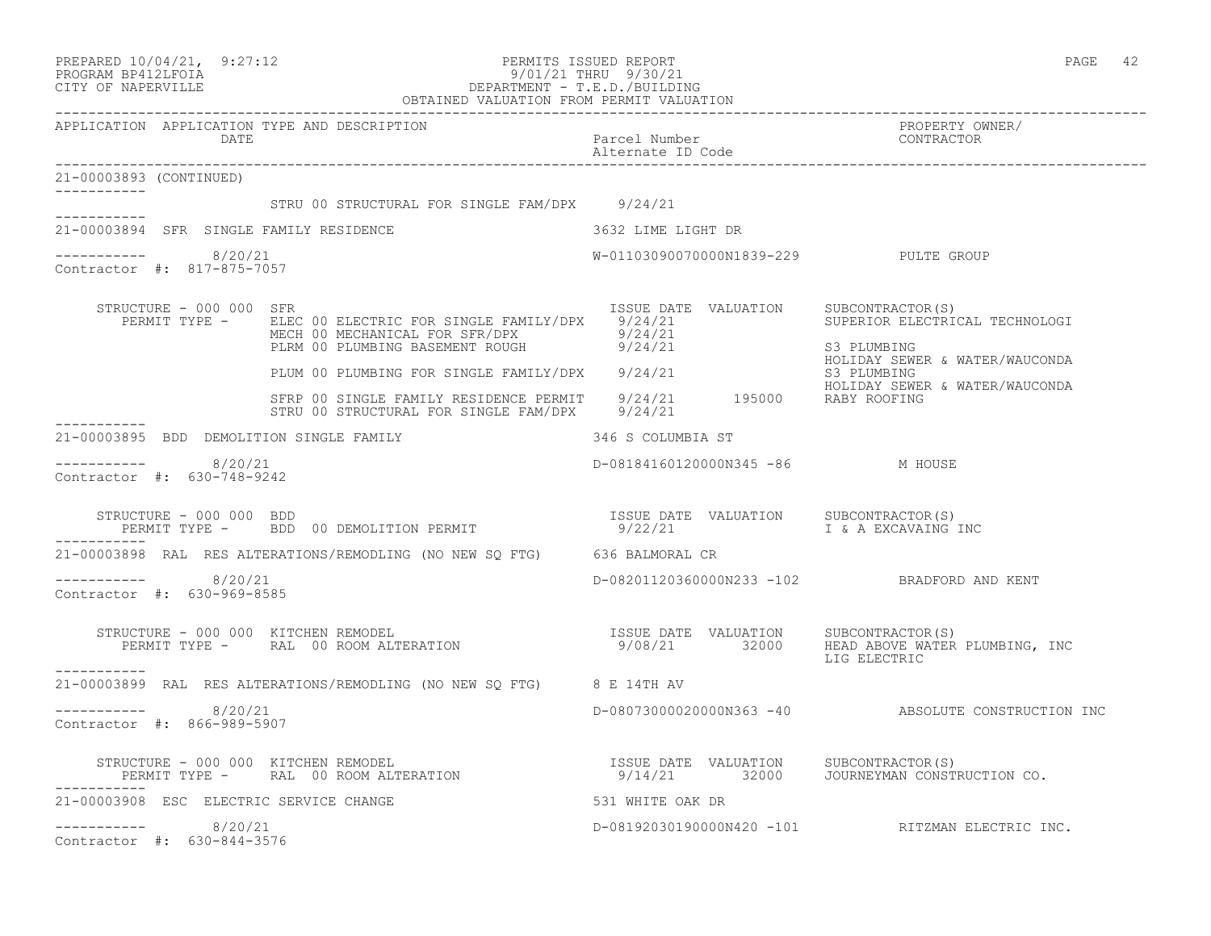|                                                      | PREPARED 10/04/21, 9:27:12<br>PERMITS ISSUED REPORT<br>PROGRAM BP412LFOIA 927:12<br>CITY OF NAPERVILLE DEPARTMENT - T.E.D./BUILDING<br>OBTAINED VALUATION FROM PERMIT VALUATION                                    |                                       | PAGE 42                                                                                             |
|------------------------------------------------------|--------------------------------------------------------------------------------------------------------------------------------------------------------------------------------------------------------------------|---------------------------------------|-----------------------------------------------------------------------------------------------------|
| APPLICATION APPLICATION TYPE AND DESCRIPTION<br>DATE |                                                                                                                                                                                                                    | Parcel Number<br>Alternate ID Code    | PROPERTY OWNER/<br>CONTRACTOR                                                                       |
| 21-00003893 (CONTINUED)                              |                                                                                                                                                                                                                    |                                       |                                                                                                     |
| -----------                                          | STRU 00 STRUCTURAL FOR SINGLE FAM/DPX 9/24/21                                                                                                                                                                      |                                       |                                                                                                     |
| 21-00003894 SFR SINGLE FAMILY RESIDENCE              |                                                                                                                                                                                                                    | 3632 LIME LIGHT DR                    |                                                                                                     |
| 8/20/21<br>Contractor #: 817-875-7057                |                                                                                                                                                                                                                    | W-01103090070000N1839-229 PULTE GROUP |                                                                                                     |
| STRUCTURE - 000 000 SFR                              | PERMIT TYPE - ELEC 00 ELECTRIC FOR SINGLE FAMILY/DPX 9/24/21<br>MECH 00 MECHANICAL FOR SFR/DPX 9/24/21<br>PLRM 00 PLUMBING BASEMENT ROUGH 9/24/21                                                                  | ISSUE DATE VALUATION                  | SUBCONTRACTOR(S)<br>SUPERIOR ELECTRICAL TECHNOLOGI<br>S3 PLUMBING<br>HOLIDAY SEWER & WATER/WAUCONDA |
|                                                      | PLUM 00 PLUMBING FOR SINGLE FAMILY/DPX 9/24/21                                                                                                                                                                     |                                       | S3 PLUMBING                                                                                         |
|                                                      | SFRP 00 SINGLE FAMILY RESIDENCE PERMIT 9/24/21 195000 RABY ROOFING<br>STRU 00 STRUCTURAL FOR SINGLE FAM/DPX 9/24/21                                                                                                |                                       | HOLIDAY SEWER & WATER/WAUCONDA                                                                      |
| 21-00003895 BDD DEMOLITION SINGLE FAMILY             |                                                                                                                                                                                                                    | 346 S COLUMBIA ST                     |                                                                                                     |
| $--------- 8/20/21$<br>Contractor #: 630-748-9242    |                                                                                                                                                                                                                    | D-08184160120000N345 -86 M HOUSE      |                                                                                                     |
| STRUCTURE - 000 000 BDD                              | TRUCTURE - 000 000 BDD<br>PERMIT TYPE -     BDD  00 DEMOLITION PERMIT                                                                                                                                              | ISSUE DATE VALUATION<br>9/22/21       | SUBCONTRACTOR(S)<br>I & A EXCAVAING INC                                                             |
|                                                      | 21-00003898 RAL RES ALTERATIONS/REMODLING (NO NEW SQ FTG) 636 BALMORAL CR                                                                                                                                          |                                       |                                                                                                     |
| $--------- 8/20/21$<br>Contractor #: 630-969-8585    |                                                                                                                                                                                                                    |                                       | D-08201120360000N233 -102 BRADFORD AND KENT                                                         |
| ___________                                          | STRUCTURE - 000 000 KITCHEN REMODEL                           ISSUE DATE VALUATION   SUBCONTRACTOR(S)<br>PERMIT TYPE -     RAL 00 ROOM ALTERATION               9/08/21     32000   HEAD ABOVE WATER PLUMBING, INC |                                       | LIG ELECTRIC                                                                                        |
|                                                      | 21-00003899 RAL RES ALTERATIONS/REMODLING (NO NEW SO FTG) 8 E 14TH AV                                                                                                                                              |                                       |                                                                                                     |
| $--------$ 8/20/21<br>Contractor #: 866-989-5907     |                                                                                                                                                                                                                    |                                       | D-08073000020000N363 -40 ABSOLUTE CONSTRUCTION INC                                                  |
|                                                      | STRUCTURE - 000 000 KITCHEN REMODEL<br>PERMIT TYPE -     RAL 00 ROOM ALTERATION                     9/14/21       32000   JOURNEYMAN CONSTRUCTION CO.                                                              |                                       |                                                                                                     |
| 21-00003908 ESC ELECTRIC SERVICE CHANGE              |                                                                                                                                                                                                                    | 531 WHITE OAK DR                      |                                                                                                     |
| $--------- 8/20/21$<br>Contractor #: 630-844-3576    |                                                                                                                                                                                                                    |                                       | D-08192030190000N420 -101 RITZMAN ELECTRIC INC.                                                     |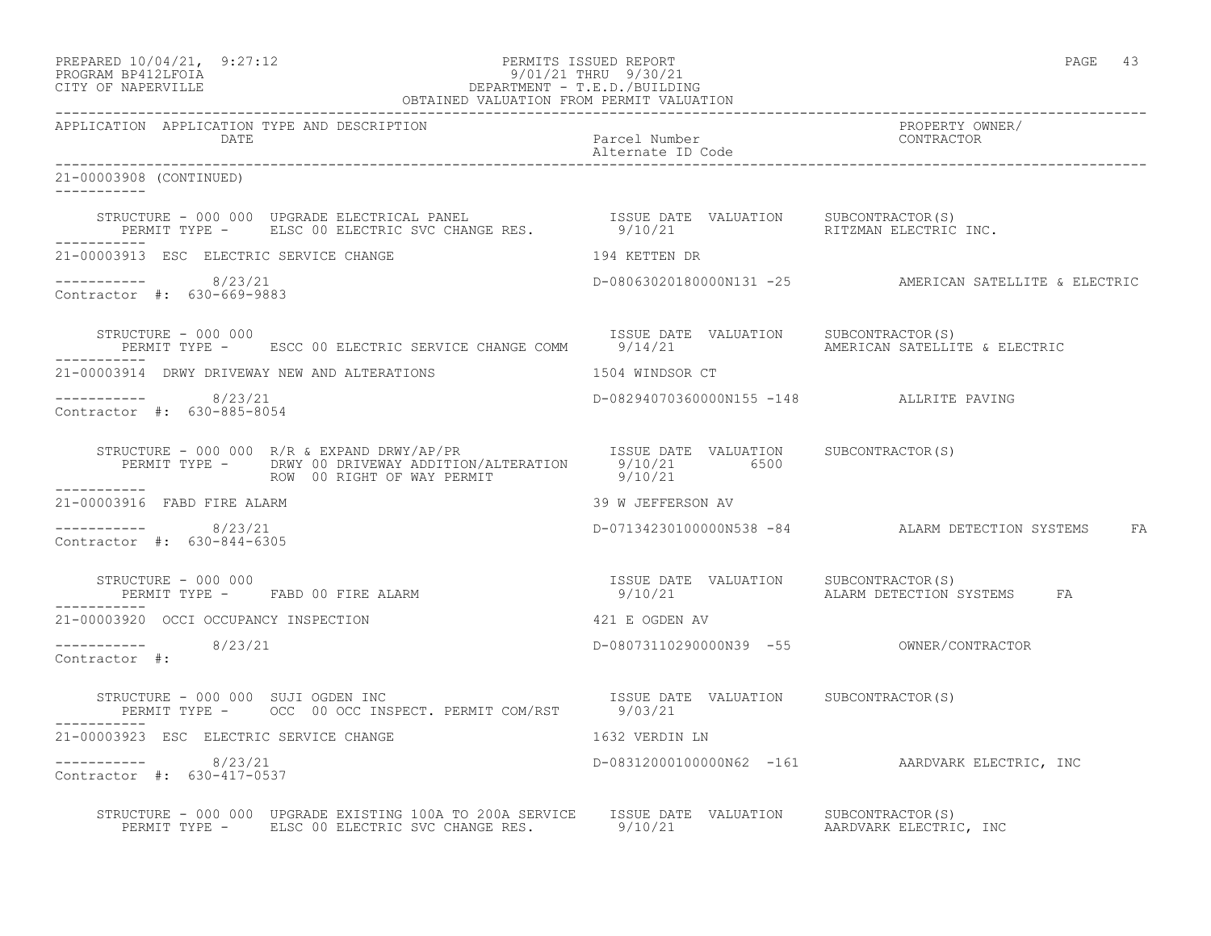#### PREPARED  $10/04/21$ , 9:27:12 PERMITS ISSUED REPORT PAGE 43 PROGRAM BP412LFOIA 9/01/21 THRU 9/30/21 CITY OF NAPERVILLE DEPARTMENT - T.E.D./BUILDING OBTAINED VALUATION FROM PERMIT VALUATION

------------------------------------------------------------------------------------------------------------------------------------ APPLICATION APPLICATION TYPE AND DESCRIPTION PROPERTY OWNER/ DATE Parcel Number CONTRACTOR Alternate ID Code ------------------------------------------------------------------------------------------------------------------------------------ 21-00003908 (CONTINUED) ----------- STRUCTURE - 000 000 UPGRADE ELECTRICAL PANEL ISSUE DATE VALUATION SUBCONTRACTOR(S) PERMIT TYPE - ELSC 00 ELECTRIC SVC CHANGE RES.  $9/10/21$  RITZMAN ELECTRIC INC. ----------- 21-00003913 ESC ELECTRIC SERVICE CHANGE 194 KETTEN DR ----------- 8/23/21 D-08063020180000N131 -25 AMERICAN SATELLITE & ELECTRIC Contractor #: 630-669-9883 STRUCTURE - 000 000<br>PERMIT TYPE - ESCC 00 ELECTRIC SERVICE CHANGE COMM 9/14/21 AMERICAN SATELLITE & ELECTRIC PERMIT TYPE - ESCC 00 ELECTRIC SERVICE CHANGE COMM 9/14/21 ----------- 21-00003914 DRWY DRIVEWAY NEW AND ALTERATIONS 1504 WINDSOR CT ----------- 8/23/21 D-08294070360000N155 -148 ALLRITE PAVING Contractor #: 630-885-8054 STRUCTURE - 000 000 R/R & EXPAND DRWY/AP/PR ISSUE DATE VALUATION SUBCONTRACTOR(S) PERMIT TYPE - DRWY 00 DRIVEWAY ADDITION/ALTERATION 9/10/21 6500 ROW 00 RIGHT OF WAY PERMIT 69/10/21 ----------- 21-00003916 FABD FIRE ALARM 39 W JEFFERSON AV  $--------- 8/23/21$ D-07134230100000N538 -84 ALARM DETECTION SYSTEMS FA Contractor #: 630-844-6305 STRUCTURE - 000 000 ISSUE DATE VALUATION SUBCONTRACTOR(S) PERMIT TYPE - FABD 00 FIRE ALARM 199/10/21 199/10/21 ALARM DETECTION SYSTEMS FA ----------- 21-00003920 OCCI OCCUPANCY INSPECTION 421 E OGDEN AV ----------- 8/23/21 D-08073110290000N39 -55 OWNER/CONTRACTOR Contractor #: STRUCTURE - 000 000 SUJI OGDEN INC<br>PERMIT TYPE - OCC 00 OCC INSPECT. PERMIT COM/RST 9/03/21 PERMIT TYPE - OCC 00 OCC INSPECT. PERMIT COM/RST 21-00003923 ESC ELECTRIC SERVICE CHANGE 1632 VERDIN LN ----------- 8/23/21 D-08312000100000N62 -161 AARDVARK ELECTRIC, INC Contractor #: 630-417-0537 STRUCTURE - 000 000 UPGRADE EXISTING 100A TO 200A SERVICE ISSUE DATE VALUATION SUBCONTRACTOR(S)<br>PERMIT TYPE - ELSC 00 ELECTRIC SVC CHANGE RES. 9/10/21 99 PERMIT TYPE - ELECTRIC. PERMIT TYPE - ELSC 00 ELECTRIC SVC CHANGE RES.  $9/10/21$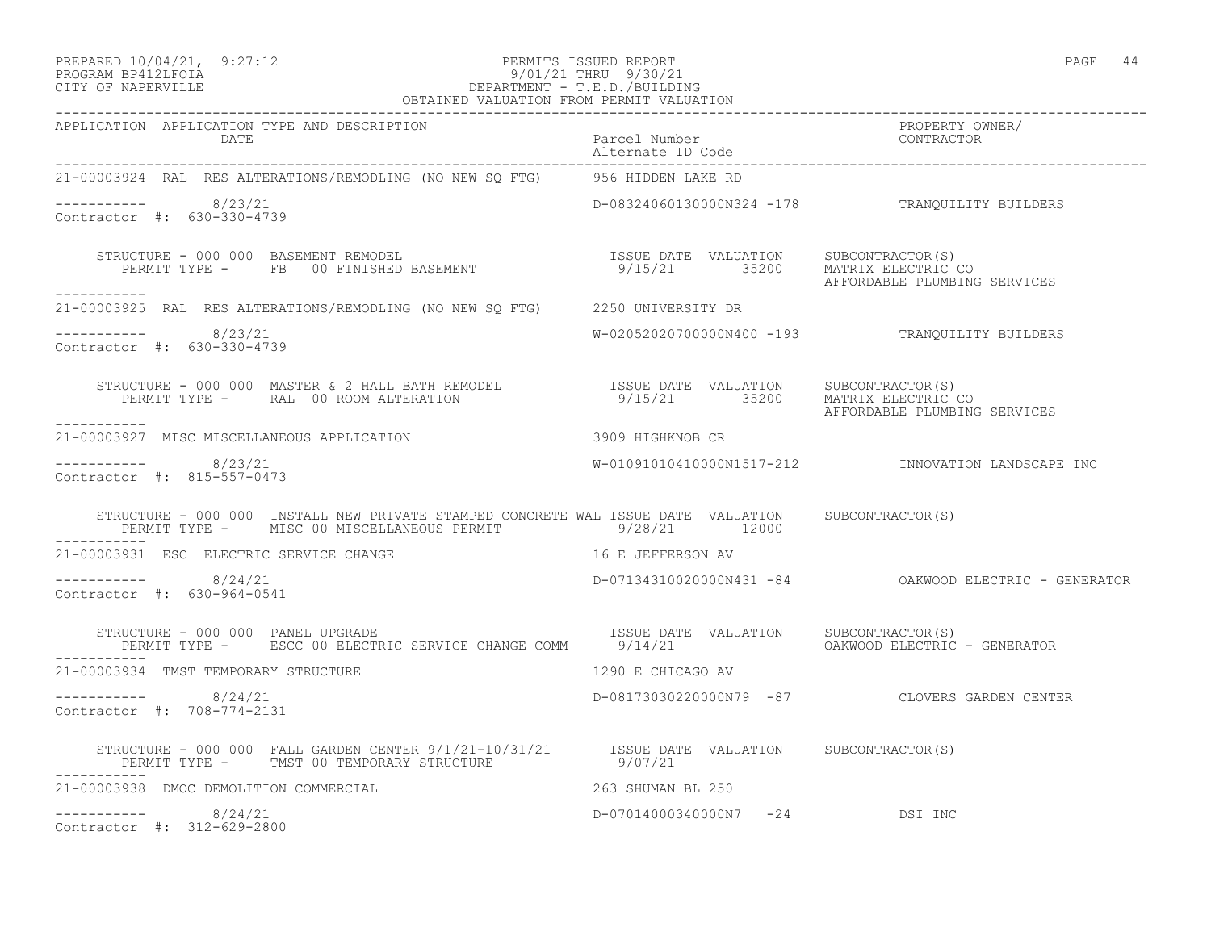#### PREPARED  $10/04/21$ , 9:27:12 PERMITS ISSUED REPORT PAGE 44 PROGRAM BP412LFOIA 9/01/21 THRU 9/30/21 CITY OF NAPERVILLE DEPARTMENT - T.E.D./BUILDING OBTAINED VALUATION FROM PERMIT VALUATION

| APPLICATION APPLICATION TYPE AND DESCRIPTION PACKERTY POWER PROPERTY OWNER (PROPERTY OWNER PACKERTY OWNER PACK<br>DATE Parcel Number alternate ID Code (PONTRACTOR Alternate ID Code enterproper parcel alternate ID Code enterpr          |                                |                                                       |
|--------------------------------------------------------------------------------------------------------------------------------------------------------------------------------------------------------------------------------------------|--------------------------------|-------------------------------------------------------|
| 21-00003924 RAL RES ALTERATIONS/REMODLING (NO NEW SQ FTG) 956 HIDDEN LAKE RD                                                                                                                                                               |                                |                                                       |
| ----------- 8/23/21<br>Contractor #: 630-330-4739                                                                                                                                                                                          |                                | D-08324060130000N324 -178 TRANQUILITY BUILDERS        |
| STRUCTURE - 000 000 BASEMENT REMODEL<br>PERMIT TYPE - FB 00 FINISHED BASEMENT - 9/15/21 35200 MATRIX ELECTRIC CO<br>-----------                                                                                                            |                                |                                                       |
| 21-00003925 RAL RES ALTERATIONS/REMODLING (NO NEW SQ FTG) 2250 UNIVERSITY DR                                                                                                                                                               |                                |                                                       |
| $--------- 8/23/21$<br>Contractor #: 630-330-4739                                                                                                                                                                                          |                                | W-02052020700000N400 -193 TRANQUILITY BUILDERS        |
| STRUCTURE - 000 000 MASTER & 2 HALL BATH REMODEL                 ISSUE DATE VALUATION    SUBCONTRACTOR(S)<br>PERMIT TYPE -     RAL 00 ROOM ALTERATION                           9/15/21         35200    MATRIX ELECTRIC CO<br>----------- |                                |                                                       |
| 3909 HIGHKNOB CR<br>21-00003927 MISC MISCELLANEOUS APPLICATION                                                                                                                                                                             |                                |                                                       |
| $--------- 8/23/21$<br>Contractor #: 815-557-0473                                                                                                                                                                                          |                                | W-01091010410000N1517-212 INNOVATION LANDSCAPE INC    |
| STRUCTURE - 000 000 INSTALL NEW PRIVATE STAMPED CONCRETE WAL ISSUE DATE VALUATION SUBCONTRACTOR(S)<br>PERMIT TYPE - MISC 00 MISCELLANEOUS PERMIT 49/28/21 12000<br>------------                                                            |                                |                                                       |
| 21-00003931 ESC ELECTRIC SERVICE CHANGE <b>And SECULIE 21-00003931</b> ESC ELECTRIC SERVICE CHANGE                                                                                                                                         |                                |                                                       |
| $--------- 8/24/21$<br>Contractor #: 630-964-0541                                                                                                                                                                                          |                                | D-07134310020000N431 -84 OAKWOOD ELECTRIC - GENERATOR |
| STRUCTURE - 000 000 PANEL UPGRADE<br>PERMIT TYPE -    ESCC 00 ELECTRIC SERVICE CHANGE COMM     9/14/21        OAKWOOD ELECTRIC - GENERATOR                                                                                                 |                                |                                                       |
| 21-00003934 TMST TEMPORARY STRUCTURE                                                                                                                                                                                                       | 1290 E CHICAGO AV              |                                                       |
| $--------- 8/24/21$<br>Contractor #: 708-774-2131                                                                                                                                                                                          |                                | D-08173030220000N79 -87 CLOVERS GARDEN CENTER         |
| STRUCTURE – 000 000 FALL GARDEN CENTER $9/1/21-10/31/21$ ISSUE DATE VALUATION SUBCONTRACTOR(S)<br>PERMIT TYPE – TMST 00 TEMPORARY STRUCTURE 9/07/21<br>-----------                                                                         |                                |                                                       |
| 21-00003938 DMOC DEMOLITION COMMERCIAL                                                                                                                                                                                                     | 263 SHUMAN BL 250              |                                                       |
| $--------- 8/24/21$<br>Contractor #: 312-629-2800                                                                                                                                                                                          | D-07014000340000N7 -24 DSI INC |                                                       |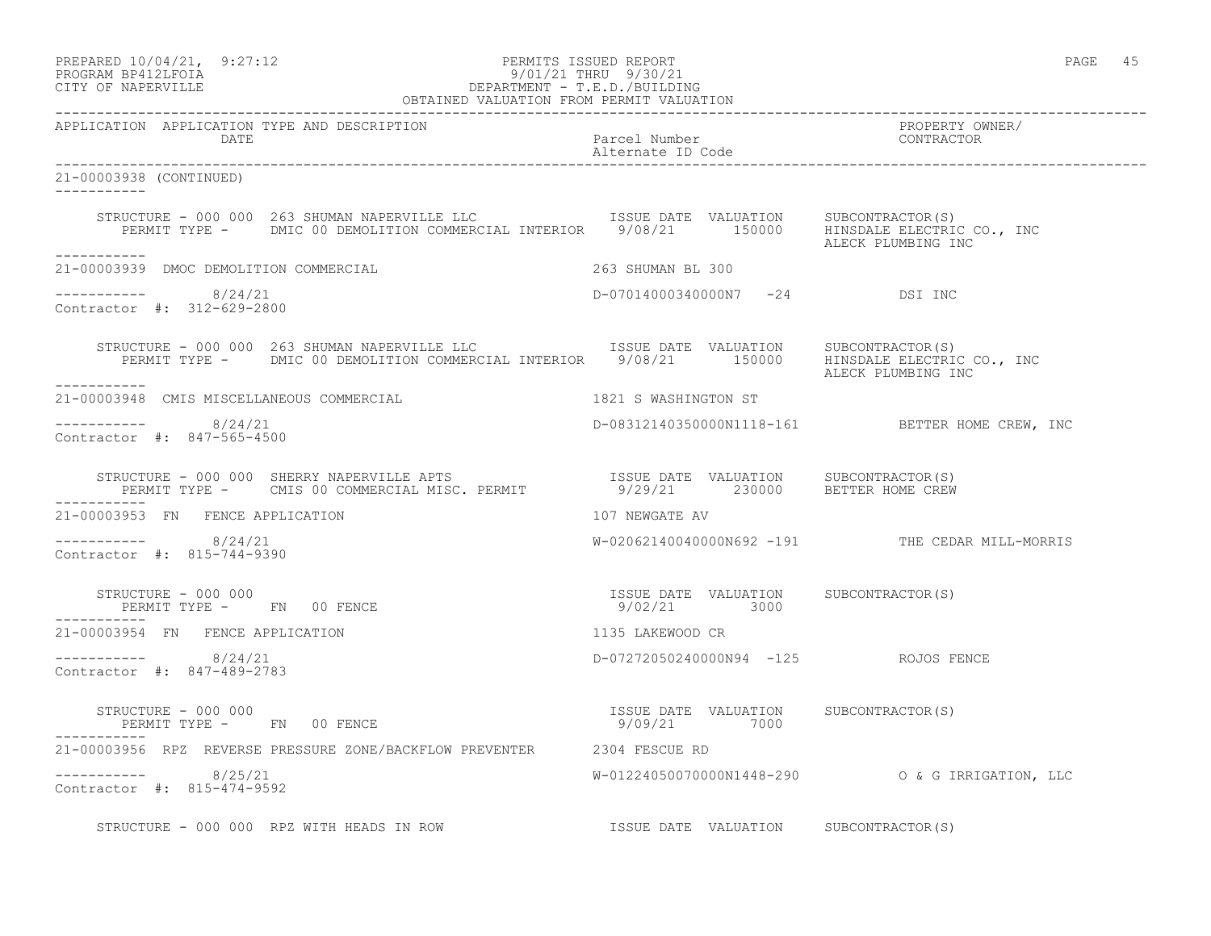| $\begin{tabular}{llllll} \bf PREPARED & 10/04/21, & 9:27.12 & 101.21 & 101.21 & 101.21 & 101.21 & 101.21 & 101.21 & 101.21 & 101.21 & 101.21 & 101.21 & 101.21 & 101.21 & 101.21 & 101.21 & 101.21 & 101.21 & 101.21 & 101.21 & 101.21 & 101.21 & 101.21 & 101.21 & 101.21$ | ____________________________________                   | PAGE 45                                         |
|-----------------------------------------------------------------------------------------------------------------------------------------------------------------------------------------------------------------------------------------------------------------------------|--------------------------------------------------------|-------------------------------------------------|
| APPLICATION APPLICATION TYPE AND DESCRIPTION<br>DATE                                                                                                                                                                                                                        | Parcel Number<br>Alternate ID Code                     | PROPERTY OWNER/<br>CONTRACTOR                   |
| 21-00003938 (CONTINUED)                                                                                                                                                                                                                                                     |                                                        |                                                 |
| STRUCTURE - 000 000 263 SHUMAN NAPERVILLE LLC<br>SISSUE DATE VALUATION SUBCONTRACTOR(S)<br>PERMIT TYPE - DMIC 00 DEMOLITION COMMERCIAL INTERIOR 9/08/21 150000 HINSDALE ELECTRIC CO., INC<br>-----------                                                                    |                                                        | ALECK PLUMBING INC                              |
| 21-00003939 DMOC DEMOLITION COMMERCIAL                                                                                                                                                                                                                                      | 263 SHUMAN BL 300                                      |                                                 |
| $--------- 8/24/21$<br>Contractor #: 312-629-2800                                                                                                                                                                                                                           | D-07014000340000N7 -24 DSI INC                         |                                                 |
| STRUCTURE - 000 000 263 SHUMAN NAPERVILLE LLC METALURIE DATE VALUATION SUBCONTRACTOR(S)<br>PERMIT TYPE - DMIC 00 DEMOLITION COMMERCIAL INTERIOR 9/08/21 150000 HINSDALE ELECTRIC CO., INC<br>-----------                                                                    |                                                        | ALECK PLUMBING INC                              |
| 21-00003948 CMIS MISCELLANEOUS COMMERCIAL                                                                                                                                                                                                                                   | 1821 S WASHINGTON ST                                   |                                                 |
| $--------- 8/24/21$<br>Contractor #: 847-565-4500                                                                                                                                                                                                                           |                                                        | D-08312140350000N1118-161 BETTER HOME CREW, INC |
| STRUCTURE - 000 000 SHERRY NAPERVILLE APTS                       ISSUE DATE VALUATION     SUBCONTRACTOR(S)<br>PERMIT TYPE -     CMIS 00 COMMERCIAL MISC. PERMIT           9/29/21       230000     BETTER HOME CREW                                                         |                                                        |                                                 |
| 21-00003953 FN FENCE APPLICATION                                                                                                                                                                                                                                            | 107 NEWGATE AV                                         |                                                 |
| $--------- 8/24/21$<br>Contractor #: 815-744-9390                                                                                                                                                                                                                           |                                                        | W-02062140040000N692 -191 THE CEDAR MILL-MORRIS |
| STRUCTURE - 000 000<br>PERMIT TYPE - FN 00 FENCE                                                                                                                                                                                                                            | ISSUE DATE VALUATION SUBCONTRACTOR(S)<br>9/02/21 3000  |                                                 |
| 21-00003954 FN FENCE APPLICATION                                                                                                                                                                                                                                            | 1135 LAKEWOOD CR                                       |                                                 |
| $--------- 8/24/21$<br>Contractor #: 847-489-2783                                                                                                                                                                                                                           | D-07272050240000N94 -125 ROJOS FENCE                   |                                                 |
| STRUCTURE - 000 000<br>PERMIT TYPE - FN 00 FENCE                                                                                                                                                                                                                            | ISSUE DATE VALUATION SUBCONTRACTOR (S)<br>9/09/21 7000 |                                                 |
| 21-00003956 RPZ REVERSE PRESSURE ZONE/BACKFLOW PREVENTER 2304 FESCUE RD                                                                                                                                                                                                     |                                                        |                                                 |
| ___________<br>8/25/21<br>Contractor #: 815-474-9592                                                                                                                                                                                                                        |                                                        |                                                 |
| STRUCTURE - 000 000 RPZ WITH HEADS IN ROW                                                                                                                                                                                                                                   | ISSUE DATE VALUATION SUBCONTRACTOR(S)                  |                                                 |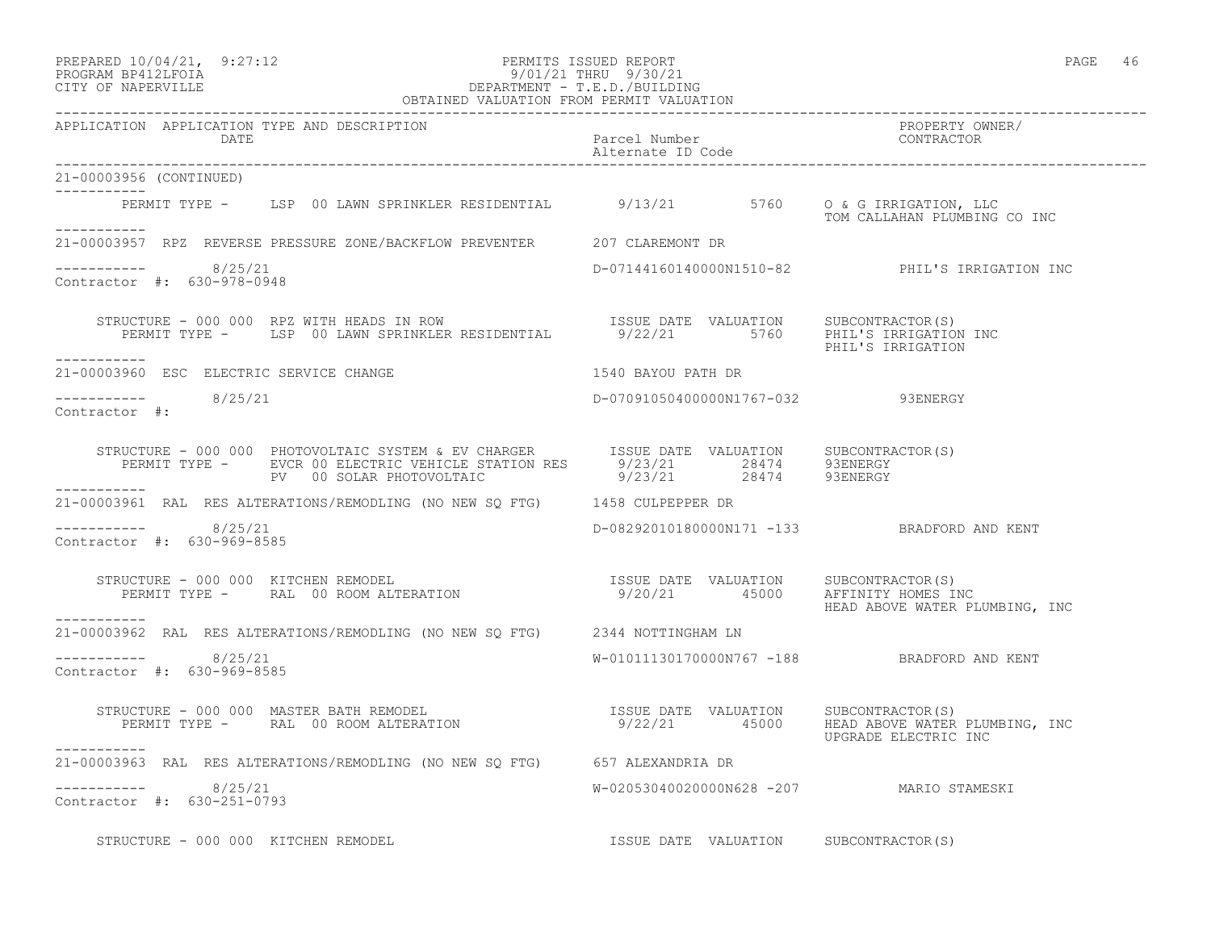#### PREPARED  $10/04/21$ , 9:27:12 PERMITS ISSUED REPORT PAGE 46 PROGRAM BP412LFOIA 9/01/21 THRU 9/30/21 CITY OF NAPERVILLE DEPARTMENT - T.E.D./BUILDING

|                                                                                                                                                                                                              | OBTAINED VALUATION FROM PERMIT VALUATION    |                                                |
|--------------------------------------------------------------------------------------------------------------------------------------------------------------------------------------------------------------|---------------------------------------------|------------------------------------------------|
| APPLICATION APPLICATION TYPE AND DESCRIPTION<br>DATE                                                                                                                                                         | Parcel Number<br>Alternate ID Code          | PROPERTY OWNER/<br>CONTRACTOR                  |
| 21-00003956 (CONTINUED)<br>------------                                                                                                                                                                      |                                             |                                                |
| PERMIT TYPE - LSP 00 LAWN SPRINKLER RESIDENTIAL 9/13/21 5760 0 & G IRRIGATION, LLC                                                                                                                           |                                             | TOM CALLAHAN PLUMBING CO INC                   |
| 21-00003957 RPZ REVERSE PRESSURE ZONE/BACKFLOW PREVENTER 207 CLAREMONT DR                                                                                                                                    |                                             |                                                |
| ----------- 8/25/21<br>Contractor #: 630-978-0948                                                                                                                                                            |                                             | D-07144160140000N1510-82 PHIL'S IRRIGATION INC |
| STRUCTURE - 000 000 RPZ WITH HEADS IN ROW [ISSUE DATE VALUATION SUBCONTRACTOR(S)<br>PERMIT TYPE - LSP 00 LAWN SPRINKLER RESIDENTIAL 9/22/21 5760 PHIL'S IRRIGATION INC<br>-----------                        |                                             |                                                |
| 21-00003960 ESC ELECTRIC SERVICE CHANGE                                                                                                                                                                      | 1540 BAYOU PATH DR                          |                                                |
| $--------- 8/25/21$<br>Contractor #:                                                                                                                                                                         | D-07091050400000N1767-032 93ENERGY          |                                                |
| STRUCTURE - 000 000 PHOTOVOLTAIC SYSTEM & EV CHARGER<br>PERMIT TYPE - EVCR 00 ELECTRIC VEHICLE STATION RES 9/23/21 28474 93ENERGY<br>------- PV 00 SOLAR PHOTOVOLTAIC 9/23/21 28474 93ENERGY<br>------------ |                                             |                                                |
| 21-00003961 RAL RES ALTERATIONS/REMODLING (NO NEW SQ FTG) 1458 CULPEPPER DR                                                                                                                                  |                                             |                                                |
| -----------    8/25/21<br>Contractor #: 630-969-8585                                                                                                                                                         | D-08292010180000N171 -133 BRADFORD AND KENT |                                                |
| -----------                                                                                                                                                                                                  |                                             |                                                |
| 21-00003962 RAL RES ALTERATIONS/REMODLING (NO NEW SQ FTG) 2344 NOTTINGHAM LN                                                                                                                                 |                                             |                                                |
| ----------- 8/25/21<br>Contractor #: 630-969-8585                                                                                                                                                            | W-01011130170000N767 -188 BRADFORD AND KENT |                                                |
| TRUCTURE – 000 000 MASTER BATH REMODEL<br>PERMIT TYPE –   RAL 00 ROOM ALTERATION                   9/22/21     45000   HEAD ABOVE WATER PLUMBING, INC<br>STRUCTURE - 000 000 MASTER BATH REMODEL             |                                             | UPGRADE ELECTRIC INC                           |
| 21-00003963 RAL RES ALTERATIONS/REMODLING (NO NEW SQ FTG) 657 ALEXANDRIA DR                                                                                                                                  |                                             |                                                |
| $--------$ 8/25/21<br>Contractor #: 630-251-0793                                                                                                                                                             | W-02053040020000N628 -207 MARIO STAMESKI    |                                                |
| STRUCTURE - 000 000 KITCHEN REMODEL                                                                                                                                                                          | ISSUE DATE VALUATION SUBCONTRACTOR(S)       |                                                |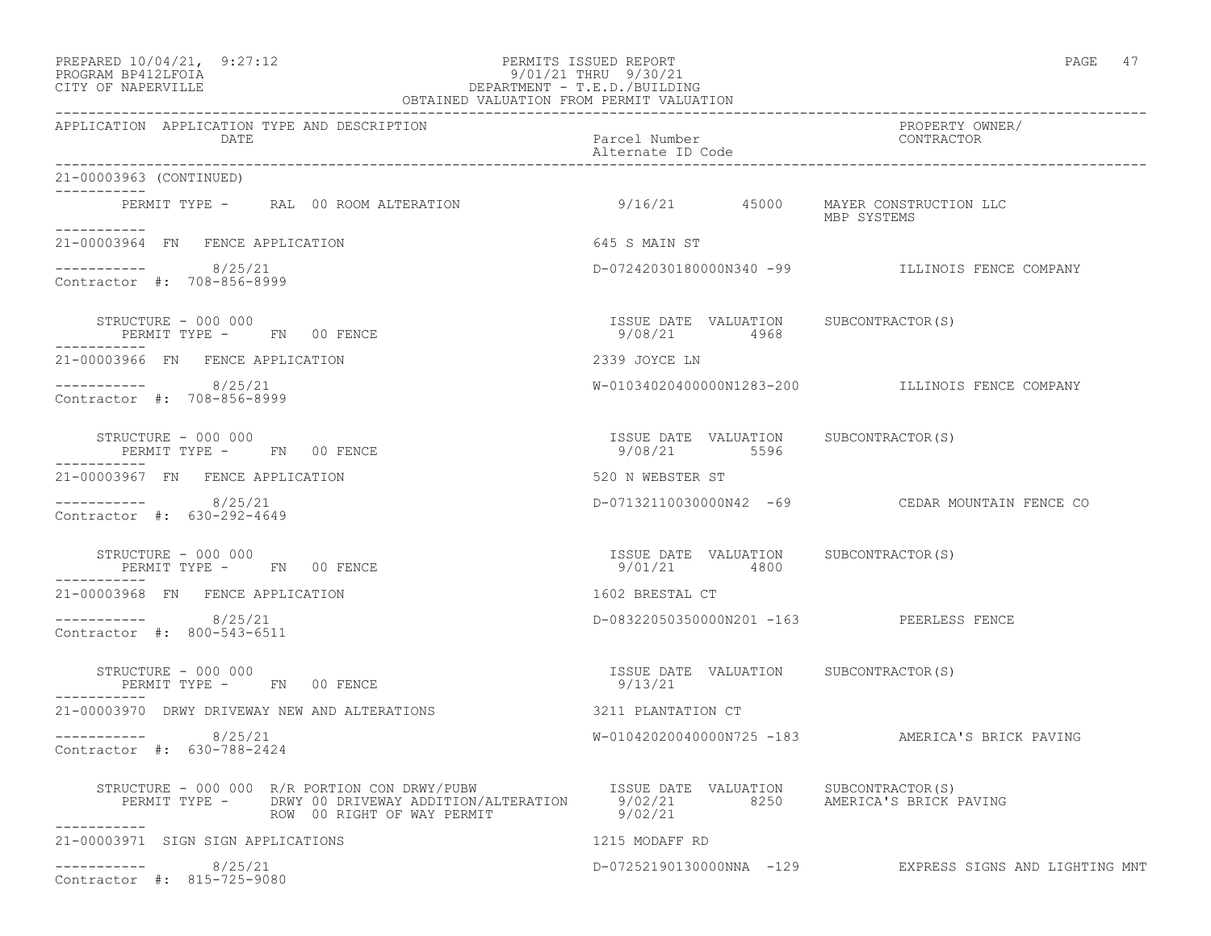#### PREPARED 10/04/21, 9:27:12 PERMITS ISSUED REPORT PAGE 47 PROGRAM BP412LFOIA 9/01/21 THRU 9/30/21 CITY OF NAPERVILLE DEPARTMENT - T.E.D./BUILDING

| OBTAINED VALUATION FROM PERMIT VALUATION                                                                                                                                                                            |                                                       |                                                         |
|---------------------------------------------------------------------------------------------------------------------------------------------------------------------------------------------------------------------|-------------------------------------------------------|---------------------------------------------------------|
| APPLICATION APPLICATION TYPE AND DESCRIPTION<br>DATE                                                                                                                                                                | Parcel Number<br>Alternate ID Code                    | PROPERTY OWNER/<br>CONTRACTOR                           |
| 21-00003963 (CONTINUED)<br>___________                                                                                                                                                                              |                                                       |                                                         |
| PERMIT TYPE - RAL 00 ROOM ALTERATION 0/16/21 45000 MAYER CONSTRUCTION LLC                                                                                                                                           |                                                       | MBP SYSTEMS                                             |
| ___________<br>21-00003964 FN FENCE APPLICATION                                                                                                                                                                     | 645 S MAIN ST                                         |                                                         |
| $--------- 8/25/21$<br>Contractor #: 708-856-8999                                                                                                                                                                   |                                                       | D-07242030180000N340 -99 ILLINOIS FENCE COMPANY         |
| STRUCTURE - 000 000<br>PERMIT TYPE - FN 00 FENCE                                                                                                                                                                    | ISSUE DATE VALUATION SUBCONTRACTOR(S)<br>9/08/21 4968 |                                                         |
| 21-00003966 FN FENCE APPLICATION                                                                                                                                                                                    | 2339 JOYCE LN                                         |                                                         |
| $--------- 8/25/21$<br>Contractor #: 708-856-8999                                                                                                                                                                   |                                                       | W-01034020400000N1283-200 ILLINOIS FENCE COMPANY        |
| STRUCTURE - 000 000<br>PERMIT TYPE - FN 00 FENCE                                                                                                                                                                    | ISSUE DATE VALUATION SUBCONTRACTOR(S)<br>9/08/21 5596 |                                                         |
| 21-00003967 FN FENCE APPLICATION                                                                                                                                                                                    | 520 N WEBSTER ST                                      |                                                         |
| $--------- 8/25/21$<br>Contractor #: 630-292-4649                                                                                                                                                                   |                                                       | D-07132110030000N42 -69 CEDAR MOUNTAIN FENCE CO         |
| STRUCTURE - 000 000<br>PERMIT TYPE - FN 00 FENCE                                                                                                                                                                    | ISSUE DATE VALUATION SUBCONTRACTOR(S)<br>9/01/21 4800 |                                                         |
| 21-00003968 FN FENCE APPLICATION                                                                                                                                                                                    | 1602 BRESTAL CT                                       |                                                         |
| $--------- 8/25/21$<br>Contractor #: 800-543-6511                                                                                                                                                                   | D-08322050350000N201 -163 PEERLESS FENCE              |                                                         |
| STRUCTURE - 000 000<br>PERMIT TYPE - FN 00 FENCE                                                                                                                                                                    | ISSUE DATE VALUATION SUBCONTRACTOR(S)<br>9/13/21      |                                                         |
| 21-00003970 DRWY DRIVEWAY NEW AND ALTERATIONS                                                                                                                                                                       | 3211 PLANTATION CT                                    |                                                         |
| 8/25/21<br>Contractor #: 630-788-2424                                                                                                                                                                               |                                                       | W-01042020040000N725 -183 AMERICA'S BRICK PAVING        |
| STRUCTURE - 000 000 R/R PORTION CON DRWY/PUBW ISSUE DATE VALUATION SUBCONTRACTOR(S)<br>PERMIT TYPE - DRWY 00 DRIVEWAY ADDITION/ALTERATION 9/02/21 8250 AMERICA'S BRICK PAVING<br>ROW 00 RIGHT OF WAY PERMIT 9/02/21 |                                                       |                                                         |
| 21-00003971 SIGN SIGN APPLICATIONS                                                                                                                                                                                  | 1215 MODAFF RD                                        |                                                         |
| 8/25/21<br>Contractor #: 815-725-9080                                                                                                                                                                               |                                                       | D-07252190130000NNA -129 EXPRESS SIGNS AND LIGHTING MNT |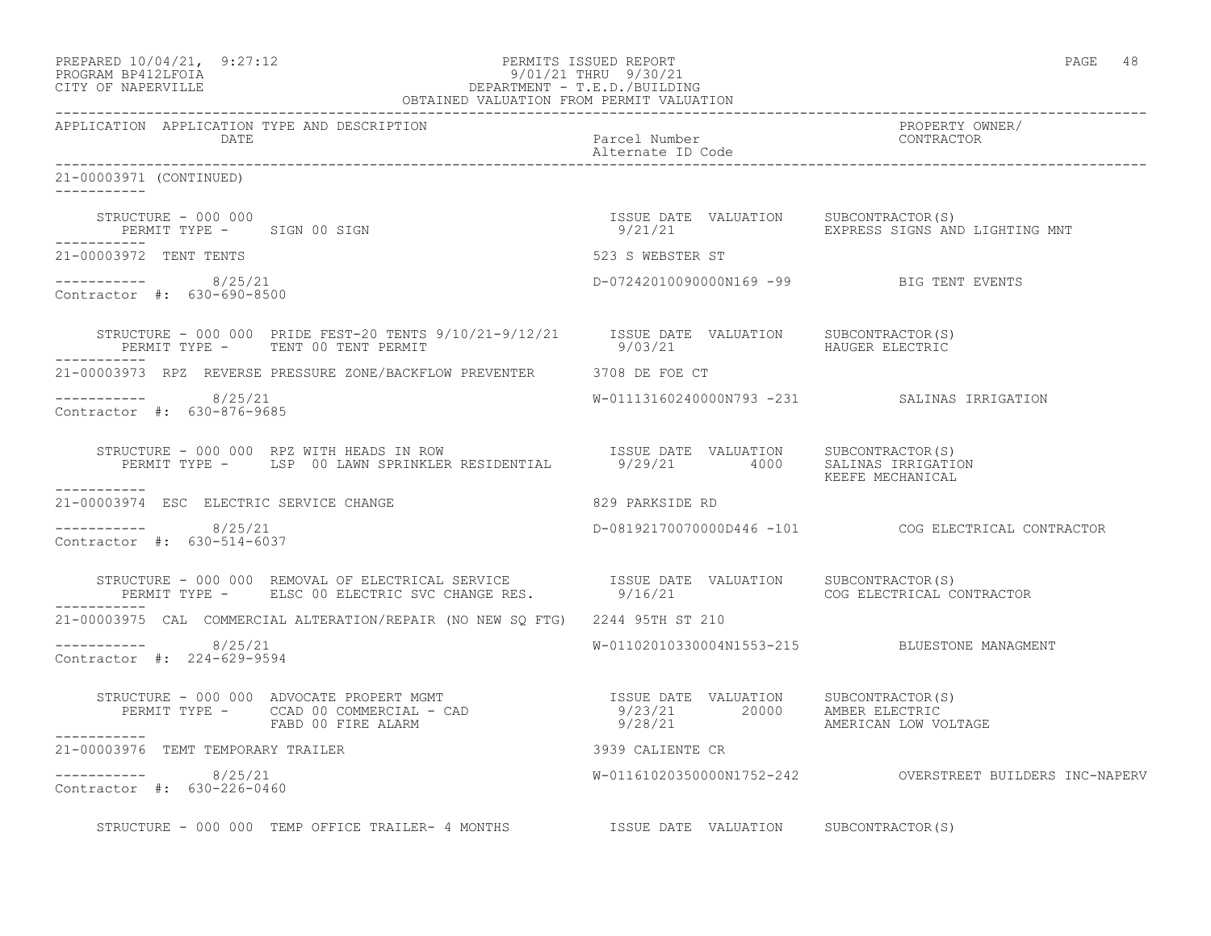| PREPARED 10/04/21, 9:27:12<br>PROGRAM BP412LFOIA 9/01/21 THRU 9/30/21<br>CITY OF NAPERVILLE DEPARTMENT - T.E.D./BUILDING<br>OBTAINED VALUATION FROM PERMIT VALUATION                                                          |                                          | PAGE 48                                                          |
|-------------------------------------------------------------------------------------------------------------------------------------------------------------------------------------------------------------------------------|------------------------------------------|------------------------------------------------------------------|
| APPLICATION APPLICATION TYPE AND DESCRIPTION<br>DATE                                                                                                                                                                          | Parcel Number<br>Alternate ID Code       | PROPERTY OWNER/<br>CONTRACTOR                                    |
| 21-00003971 (CONTINUED)                                                                                                                                                                                                       |                                          |                                                                  |
| STRUCTURE - 000 000<br>PERMIT TYPE - SIGN 00 SIGN                                                                                                                                                                             | ISSUE DATE VALUATION SUBCONTRACTOR(S)    | 9/21/21                           EXPRESS SIGNS AND LIGHTING MNT |
| 21-00003972 TENT TENTS                                                                                                                                                                                                        | 523 S WEBSTER ST                         |                                                                  |
| $--------- 8/25/21$<br>Contractor #: 630-690-8500                                                                                                                                                                             | D-07242010090000N169 -99 BIG TENT EVENTS |                                                                  |
| STRUCTURE - 000 000 PRIDE FEST-20 TENTS 9/10/21-9/12/21 ISSUE DATE VALUATION SUBCONTRACTOR(S)<br>PERMIT TYPE - TENT 00 TENT PERMIT                                                                                            | 9/03/21 HAUGER ELECTRIC                  |                                                                  |
| 21-00003973 RPZ REVERSE PRESSURE ZONE/BACKFLOW PREVENTER 3708 DE FOE CT                                                                                                                                                       |                                          |                                                                  |
| $--------- 8/25/21$<br>Contractor #: 630-876-9685                                                                                                                                                                             |                                          | W-01113160240000N793 -231 SALINAS IRRIGATION                     |
| STRUCTURE - 000 000 RPZ WITH HEADS IN ROW<br>PERMIT TYPE - LSP 00 LAWN SPRINKLER RESIDENTIAL 9/29/21 4000 SALUATION<br>-----------                                                                                            |                                          | KEEFE MECHANICAL                                                 |
| 21-00003974 ESC ELECTRIC SERVICE CHANGE                                                                                                                                                                                       | 829 PARKSIDE RD                          |                                                                  |
| $--------- 8/25/21$<br>Contractor #: 630-514-6037                                                                                                                                                                             |                                          | D-08192170070000D446 -101 COG ELECTRICAL CONTRACTOR              |
| STRUCTURE - 000 000 REMOVAL OF ELECTRICAL SERVICE              ISSUE DATE VALUATION    SUBCONTRACTOR(S)<br>PERMIT TYPE -      ELSC 00 ELECTRIC SVC CHANGE RES.             9/16/21                          COG ELECTRICAL CO |                                          | COG ELECTRICAL CONTRACTOR                                        |
| 21-00003975 CAL COMMERCIAL ALTERATION/REPAIR (NO NEW SQ FTG) 2244 95TH ST 210                                                                                                                                                 |                                          |                                                                  |
| $--------- 8/25/21$<br>Contractor #: 224-629-9594                                                                                                                                                                             |                                          | W-01102010330004N1553-215 BLUESTONE MANAGMENT                    |
|                                                                                                                                                                                                                               |                                          | AMERICAN LOW VOLTAGE                                             |
| 21-00003976 TEMT TEMPORARY TRAILER                                                                                                                                                                                            | 3939 CALIENTE CR                         |                                                                  |
| $--------- 8/25/21$<br>Contractor #: 630-226-0460                                                                                                                                                                             |                                          |                                                                  |
| STRUCTURE - 000 000 TEMP OFFICE TRAILER- 4 MONTHS TSSUE DATE VALUATION SUBCONTRACTOR(S)                                                                                                                                       |                                          |                                                                  |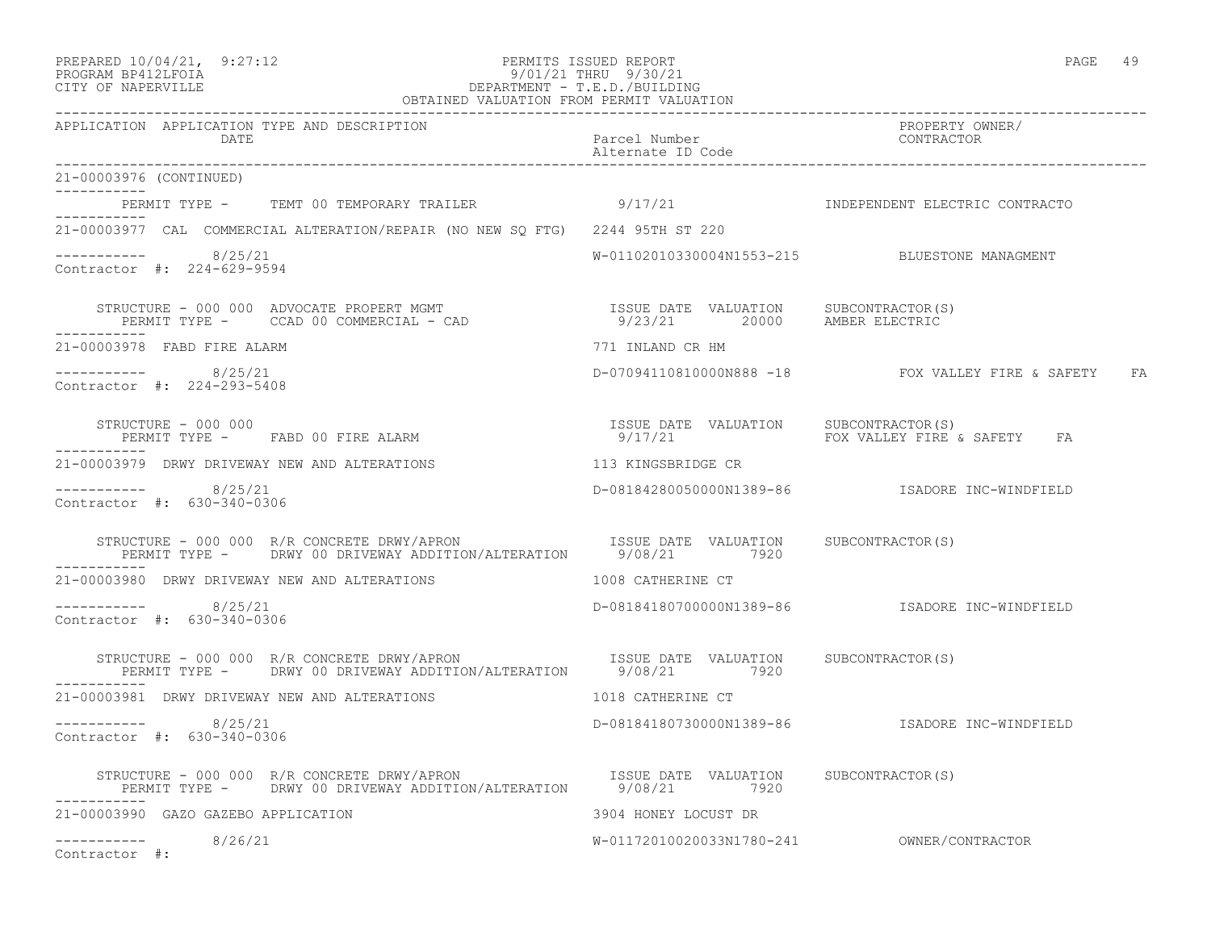| PREPARED 10/04/21, |                                         | 9:27:12 |
|--------------------|-----------------------------------------|---------|
| <b>DDAAD318</b>    | $\begin{array}{c}\n\hline\n\end{array}$ |         |

#### PREPARED  $10/04/21$ , 9:27:12 PERMITS ISSUED REPORT PAGE 49 PROGRAM BP412LFOIA 9/01/21 THRU 9/30/21 CITY OF NAPERVILLE DEPARTMENT - T.E.D./BUILDING

| OBTAINED VALUATION FROM PERMIT VALUATION                                                                                                                                                                                                                                                                                                                                                    |                                       |                                                      |
|---------------------------------------------------------------------------------------------------------------------------------------------------------------------------------------------------------------------------------------------------------------------------------------------------------------------------------------------------------------------------------------------|---------------------------------------|------------------------------------------------------|
| APPLICATION APPLICATION TYPE AND DESCRIPTION<br>DATE                                                                                                                                                                                                                                                                                                                                        | Parcel Number<br>Alternate ID Code    | PROPERTY OWNER/<br>CONTRACTOR                        |
| 21-00003976 (CONTINUED)                                                                                                                                                                                                                                                                                                                                                                     |                                       |                                                      |
| PERMIT TYPE - TEMT 00 TEMPORARY TRAILER 3/17/21 SERMIT SUDEPENDENT ELECTRIC CONTRACTO                                                                                                                                                                                                                                                                                                       |                                       |                                                      |
| 21-00003977 CAL COMMERCIAL ALTERATION/REPAIR (NO NEW SO FTG) 2244 95TH ST 220                                                                                                                                                                                                                                                                                                               |                                       |                                                      |
| -----------    8/25/21<br>Contractor #: 224-629-9594                                                                                                                                                                                                                                                                                                                                        |                                       | W-01102010330004N1553-215 BLUESTONE MANAGMENT        |
| STRUCTURE - 000 000 ADVOCATE PROPERT MGMT                            ISSUE DATE VALUATION     SUBCONTRACTOR(S)<br>PERMIT TYPE -     CCAD 00 COMMERCIAL - CAD                          9/23/21        20000    AMBER ELECTRIC                                                                                                                                                                |                                       |                                                      |
| 21-00003978 FABD FIRE ALARM                                                                                                                                                                                                                                                                                                                                                                 | 771 INLAND CR HM                      |                                                      |
| -----------    8/25/21<br>Contractor #: 224-293-5408                                                                                                                                                                                                                                                                                                                                        |                                       | D-07094110810000N888 -18 FOX VALLEY FIRE & SAFETY FA |
| $\begin{array}{cccccccccc} \texttt{STRUCTURE} & - & 000 & 000 & & & & & \\ \texttt{PERMIT TYPE} & - & & \texttt{FABD} & 00 & \texttt{FIRE} & \texttt{ALBARM} & & & & & \\ \end{array} \qquad \begin{array}{cccccccccc} \texttt{ISSUE} & \texttt{DATE} & \texttt{VALUATION} & & \texttt{SUBCONTRACTOR(S)}\\ & & & & & & \\ \texttt{9/17/21} & & & & & \\ \end{array}$<br>STRUCTURE - 000 000 |                                       | FOX VALLEY FIRE & SAFETY FA                          |
| 21-00003979 DRWY DRIVEWAY NEW AND ALTERATIONS                                                                                                                                                                                                                                                                                                                                               | 113 KINGSBRIDGE CR                    |                                                      |
| $--------- 8/25/21$<br>Contractor #: 630-340-0306                                                                                                                                                                                                                                                                                                                                           |                                       | D-08184280050000N1389-86    ISADORE INC-WINDFIELD    |
| STRUCTURE - 000 000 R/R CONCRETE DRWY/APRON TSSUE DATE VALUATION SUBCONTRACTOR(S)<br>PERMIT TYPE - DRWY 00 DRIVEWAY ADDITION/ALTERATION 5/08/21 7920                                                                                                                                                                                                                                        |                                       |                                                      |
| 21-00003980 DRWY DRIVEWAY NEW AND ALTERATIONS                                                                                                                                                                                                                                                                                                                                               | 1008 CATHERINE CT                     |                                                      |
| -----------    8/25/21<br>Contractor #: 630-340-0306                                                                                                                                                                                                                                                                                                                                        |                                       |                                                      |
| STRUCTURE - 000 000 R/R CONCRETE DRWY/APRON<br>PERMIT TYPE - DRWY 00 DRIVEWAY ADDITION/ALTERATION 5/08/21 7920                                                                                                                                                                                                                                                                              | ISSUE DATE VALUATION SUBCONTRACTOR(S) |                                                      |
| 21-00003981 DRWY DRIVEWAY NEW AND ALTERATIONS                                                                                                                                                                                                                                                                                                                                               | 1018 CATHERINE CT                     |                                                      |
| $--------$ 8/25/21<br>Contractor #: 630-340-0306                                                                                                                                                                                                                                                                                                                                            |                                       | D-08184180730000N1389-86    ISADORE INC-WINDFIELD    |
| STRUCTURE - 000 000 R/R CONCRETE DRWY/APRON                   ISSUE DATE VALUATION     SUBCONTRACTOR(S)<br>PERMIT TYPE -     DRWY 00 DRIVEWAY ADDITION/ALTERATION     9/08/21         7920                                                                                                                                                                                                  |                                       |                                                      |
| 21-00003990 GAZO GAZEBO APPLICATION                                                                                                                                                                                                                                                                                                                                                         | 3904 HONEY LOCUST DR                  |                                                      |
| -----------    8/26/21<br>Contractor #:                                                                                                                                                                                                                                                                                                                                                     |                                       |                                                      |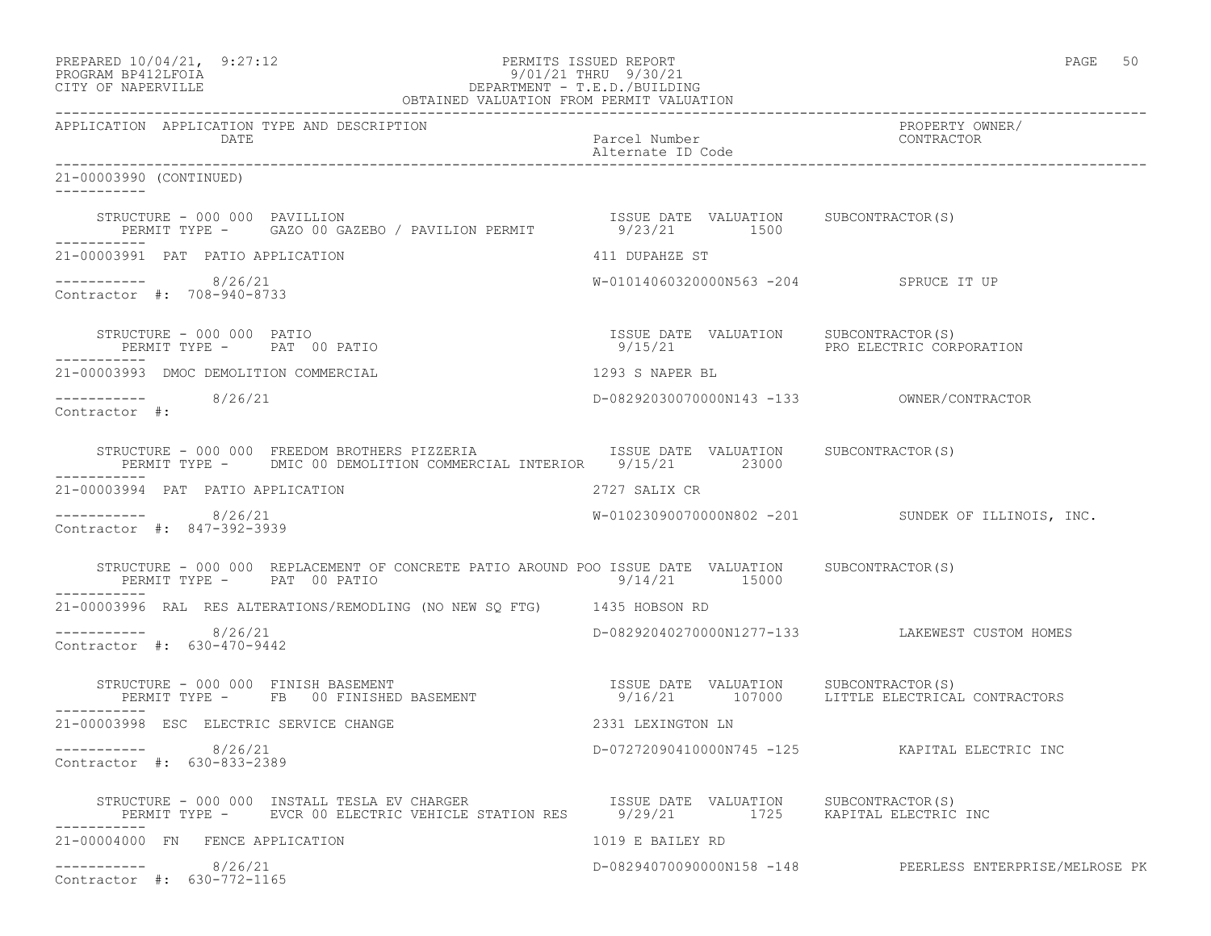| PREPARED 10/04/21,  | 9:27:12 |
|---------------------|---------|
| DDOCDAM DD410T POTA |         |

# PREPARED 10/04/21, 9:27:12 PERMITS ISSUED REPORT<br>PROGRAM BP412LFOIA PAGE 50<br>9/01/21 THRU 9/30/21 PROGRAM BP412LFOIA 9/01/21 THRU 9/30/21 CITY OF NAPERVILLE DEPARTMENT - T.E.D./BUILDING

|                                                                                                                                                                                                                              | OBTAINED VALUATION FROM PERMIT VALUATION              |                                                          |
|------------------------------------------------------------------------------------------------------------------------------------------------------------------------------------------------------------------------------|-------------------------------------------------------|----------------------------------------------------------|
| APPLICATION APPLICATION TYPE AND DESCRIPTION<br>DATE                                                                                                                                                                         | Parcel Number<br>Alternate ID Code                    | PROPERTY OWNER/<br>CONTRACTOR                            |
| 21-00003990 (CONTINUED)                                                                                                                                                                                                      |                                                       |                                                          |
| STRUCTURE - 000 000 PAVILLION<br>PERMIT TYPE - GAZO 00 GAZEBO / PAVILION PERMIT                                                                                                                                              | ISSUE DATE VALUATION SUBCONTRACTOR(S)<br>9/23/21 1500 |                                                          |
| 21-00003991 PAT PATIO APPLICATION                                                                                                                                                                                            | 411 DUPAHZE ST                                        |                                                          |
| ----------- 8/26/21<br>Contractor #: 708-940-8733                                                                                                                                                                            | W-01014060320000N563 -204 SPRUCE IT UP                |                                                          |
| STRUCTURE - 000 000 PATIO<br>PERMIT TYPE - PAT 00 PATIO                                                                                                                                                                      | ISSUE DATE VALUATION SUBCONTRACTOR(S)                 |                                                          |
| 21-00003993 DMOC DEMOLITION COMMERCIAL                                                                                                                                                                                       | 1293 S NAPER BL                                       |                                                          |
| ----------    8/26/21<br>Contractor #:                                                                                                                                                                                       |                                                       |                                                          |
| STRUCTURE - 000 000 FREEDOM BROTHERS PIZZERIA TSSUE DATE VALUATION SUBCONTRACTOR(S)<br>PERMIT TYPE - DMIC 00 DEMOLITION COMMERCIAL INTERIOR 9/15/21 23000<br>------------                                                    |                                                       |                                                          |
| 21-00003994 PAT PATIO APPLICATION                                                                                                                                                                                            | 2727 SALIX CR                                         |                                                          |
| ----------- 8/26/21<br>Contractor #: 847-392-3939                                                                                                                                                                            |                                                       | $W-01023090070000N802 -201$ SUNDEK OF ILLINOIS, INC.     |
| STRUCTURE - 000 000 REPLACEMENT OF CONCRETE PATIO AROUND POO ISSUE DATE VALUATION SUBCONTRACTOR(S)<br>PERMIT TYPE - PAT 00 PATIO                                                                                             | $9/14/21$ 15000                                       |                                                          |
| 21-00003996 RAL RES ALTERATIONS/REMODLING (NO NEW SQ FTG) 1435 HOBSON RD                                                                                                                                                     |                                                       |                                                          |
| $--------$ 8/26/21<br>Contractor #: 630-470-9442                                                                                                                                                                             |                                                       | D-08292040270000N1277-133 LAKEWEST CUSTOM HOMES          |
| STRUCTURE - 000 000 FINISH BASEMENT<br>PERMIT TYPE - FB 00 FINISHED BASEMENT - 107021 107000 LITTLE ELECTRICAL CONTRACTORS<br>PERMIT TYPE - FB 00 FINISHED BASEMENT                                                          |                                                       |                                                          |
| 21-00003998 ESC ELECTRIC SERVICE CHANGE                                                                                                                                                                                      | 2331 LEXINGTON LN                                     |                                                          |
| $--------- 8/26/21$<br>Contractor #: 630-833-2389                                                                                                                                                                            |                                                       | D-07272090410000N745 -125 KAPITAL ELECTRIC INC           |
| STRUCTURE - 000 000 INSTALL TESLA EV CHARGER                       ISSUE DATE VALUATION     SUBCONTRACTOR(S)<br>PERMIT TYPE -      EVCR 00 ELECTRIC VEHICLE STATION RES       9/29/21          1725     KAPITAL ELECTRIC INC |                                                       |                                                          |
| 21-00004000 FN FENCE APPLICATION                                                                                                                                                                                             | 1019 E BAILEY RD                                      |                                                          |
| 8/26/21<br>------------                                                                                                                                                                                                      |                                                       | D-082940700900000158 -148 PEERLESS ENTERPRISE/MELROSE PK |

Contractor #: 630-772-1165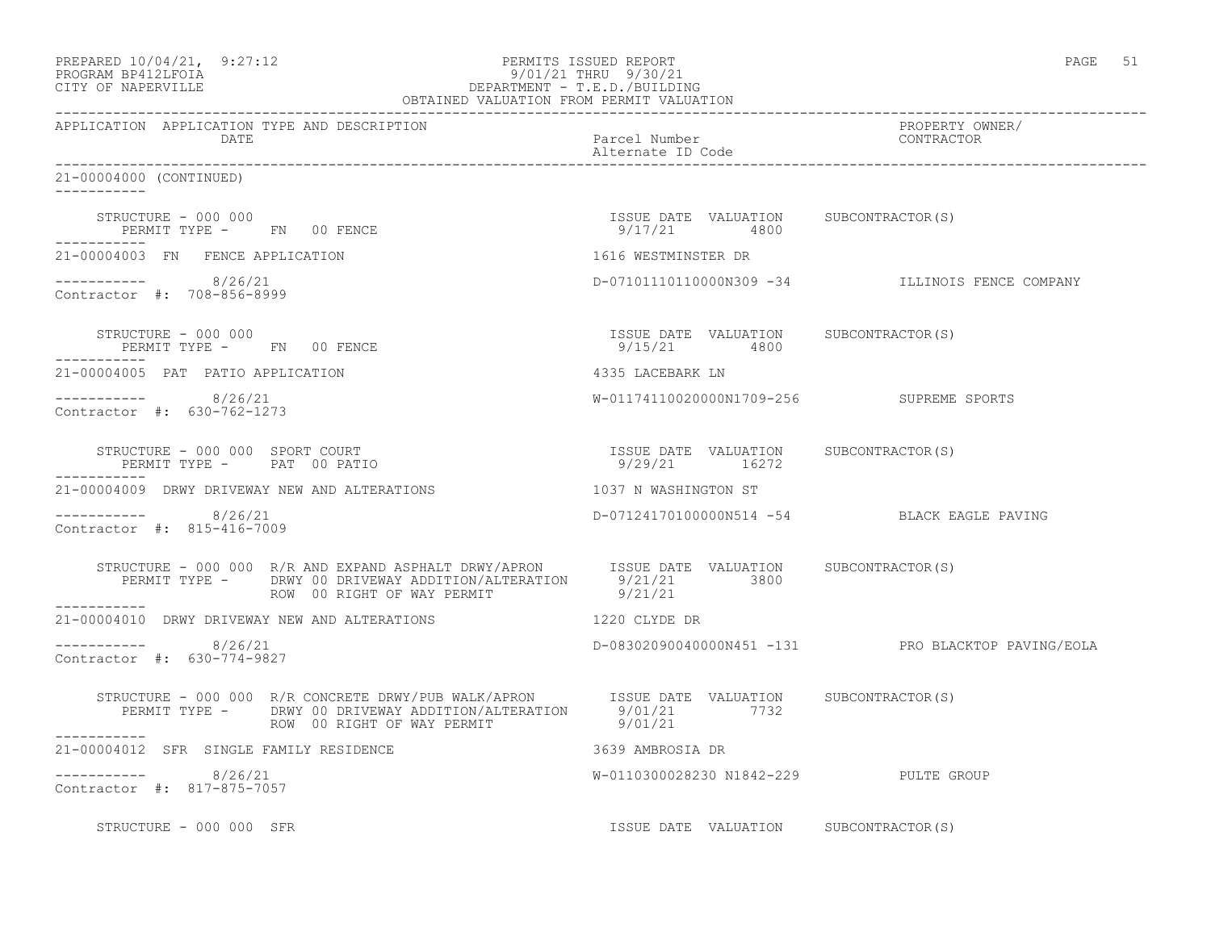| PREPARED 10/04/21, 9:27:12<br>PROGRAM BP412LFOIA<br>CITY OF NAPERVILLE       | $\begin{array}{cccc} & \mathcal{Y}/\cup\texttt{1/21} & \ldots \\ & \mathsf{DEPARTMENT} & -\mathsf{T.E.D.}/\mathsf{BUL}\cup\texttt{Inv-} \\ \mathsf{OBTAINED} & \mathsf{VALUATION} & \mathsf{FROM} & \mathsf{PERMIT} & \mathsf{VALUATION} \\ & & \mathsf{SUTALUATION} & \mathsf{FROM} & \mathsf{PERMIT} & \mathsf{VALUATION} \end{array}$ | PERMITS ISSUED REPORT              | PAGE 51                                                |
|------------------------------------------------------------------------------|------------------------------------------------------------------------------------------------------------------------------------------------------------------------------------------------------------------------------------------------------------------------------------------------------------------------------------------|------------------------------------|--------------------------------------------------------|
| APPLICATION APPLICATION TYPE AND DESCRIPTION<br>DATE                         |                                                                                                                                                                                                                                                                                                                                          | Parcel Number<br>Alternate ID Code | PROPERTY OWNER/<br>CONTRACTOR                          |
| 21-00004000 (CONTINUED)<br>-----------                                       |                                                                                                                                                                                                                                                                                                                                          |                                    |                                                        |
| STRUCTURE - 000 000<br>PERMIT TYPE - FN 00 FENCE<br>-----------              |                                                                                                                                                                                                                                                                                                                                          | 9/17/21 4800                       | ISSUE DATE VALUATION SUBCONTRACTOR(S)                  |
| 21-00004003 FN FENCE APPLICATION                                             |                                                                                                                                                                                                                                                                                                                                          | 1616 WESTMINSTER DR                |                                                        |
| ---------- 8/26/21<br>Contractor #: 708-856-8999                             |                                                                                                                                                                                                                                                                                                                                          |                                    | D-07101110110000N309 -34 ILLINOIS FENCE COMPANY        |
| STRUCTURE - 000 000<br>PERMIT TYPE - FN 00 FENCE                             |                                                                                                                                                                                                                                                                                                                                          | 9/15/21 4800                       | ISSUE DATE VALUATION SUBCONTRACTOR(S)                  |
| 21-00004005 PAT PATIO APPLICATION                                            |                                                                                                                                                                                                                                                                                                                                          | 4335 LACEBARK LN                   |                                                        |
| $--------- 8/26/21$<br>Contractor #: 630-762-1273                            |                                                                                                                                                                                                                                                                                                                                          |                                    | W-01174110020000N1709-256 SUPREME SPORTS               |
| STRUCTURE - 000 000 SPORT COURT<br>PERMIT TYPE - PAT 00 PATIO<br>----------- |                                                                                                                                                                                                                                                                                                                                          |                                    | ISSUE DATE VALUATION SUBCONTRACTOR(S)<br>9/29/21 16272 |
| 21-00004009 DRWY DRIVEWAY NEW AND ALTERATIONS                                |                                                                                                                                                                                                                                                                                                                                          | 1037 N WASHINGTON ST               |                                                        |
| $--------- 8/26/21$<br>Contractor #: 815-416-7009                            |                                                                                                                                                                                                                                                                                                                                          |                                    | D-07124170100000N514 -54 BLACK EAGLE PAVING            |
| ------------                                                                 | STRUCTURE - 000 000 R/R AND EXPAND ASPHALT DRWY/APRON ISSUE DATE VALUATION SUBCONTRACTOR(S)<br>PERMIT TYPE - DRWY 00 DRIVEWAY ADDITION/ALTERATION 9/21/21 3800<br>ROW 00 RIGHT OF WAY PERMIT 9/21/21                                                                                                                                     |                                    |                                                        |
|                                                                              | 21-00004010 DRWY DRIVEWAY NEW AND ALTERATIONS THE RESERVED TO A 1220 CLYDE DR                                                                                                                                                                                                                                                            |                                    |                                                        |
| ----------- 8/26/21<br>Contractor #: 630-774-9827                            |                                                                                                                                                                                                                                                                                                                                          |                                    | D-08302090040000N451 -131 PRO BLACKTOP PAVING/EOLA     |
|                                                                              | STRUCTURE - 000 000 R/R CONCRETE DRWY/PUB WALK/APRON ISSUE DATE VALUATION SUBCONTRACTOR(S)<br>PERMIT TYPE - DRWY 00 DRIVEWAY ADDITION/ALTERATION 9/01/21 7732<br>ROW 00 RIGHT OF WAY PERMIT 9/01/21                                                                                                                                      |                                    |                                                        |
| 21-00004012 SFR SINGLE FAMILY RESIDENCE                                      |                                                                                                                                                                                                                                                                                                                                          | 3639 AMBROSIA DR                   |                                                        |
| $--------- 8/26/21$<br>Contractor #: 817-875-7057                            |                                                                                                                                                                                                                                                                                                                                          |                                    | W-0110300028230 N1842-229 PULTE GROUP                  |
| STRUCTURE - 000 000 SFR                                                      |                                                                                                                                                                                                                                                                                                                                          |                                    | ISSUE DATE VALUATION SUBCONTRACTOR (S)                 |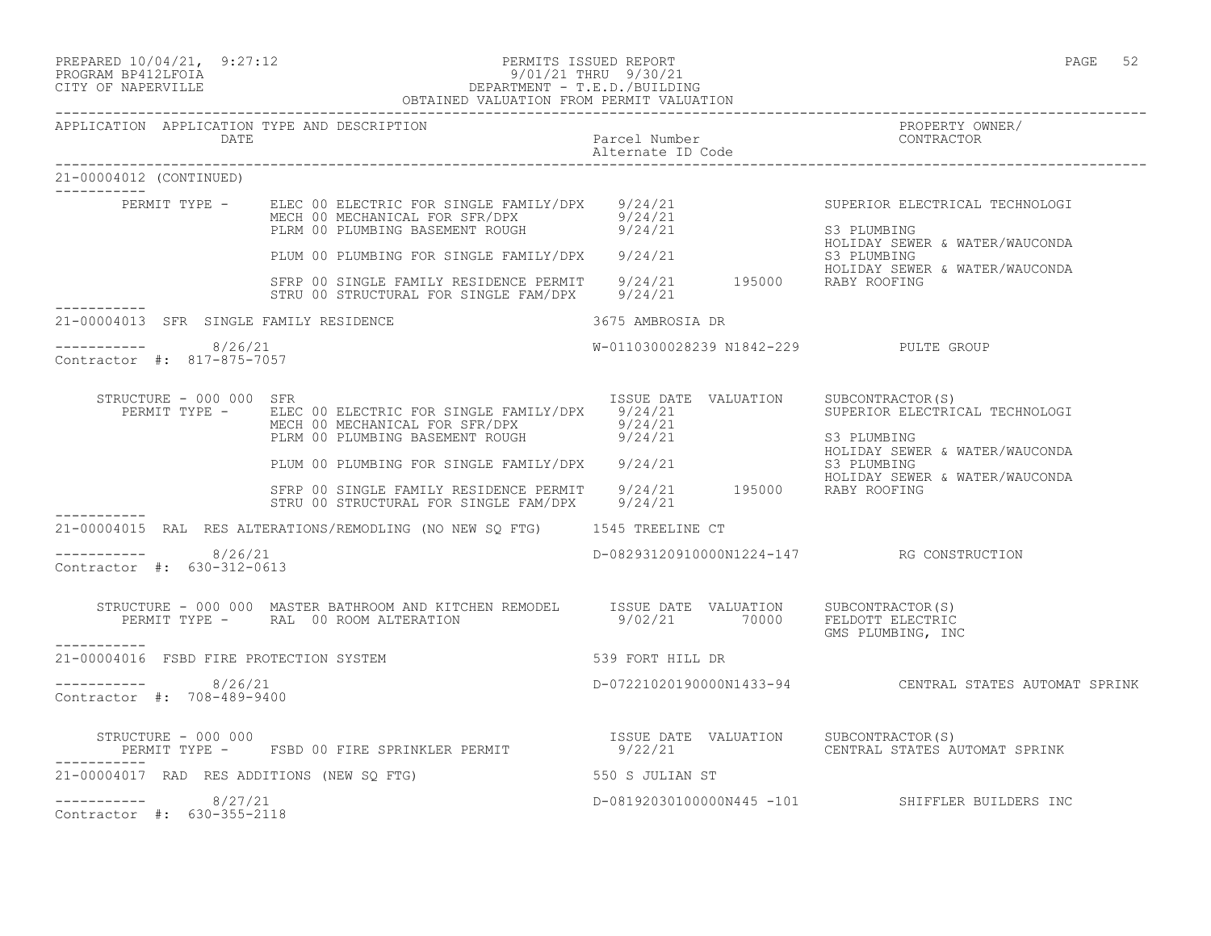| PREPARED 10/04/21, 9:27:12 | PERMITS ISSUED REPORT                                                                          | PAGE | ے ر |
|----------------------------|------------------------------------------------------------------------------------------------|------|-----|
| --------- ----------       | $m \cdot m \cdot r$ $\wedge$ $\wedge$ $\wedge$ $\wedge$ $\wedge$ $\wedge$ $\wedge$<br>0.101101 |      |     |

# PROGRAM BP412LFOIA 9/01/21 THRU 9/30/21 CITY OF NAPERVILLE DEPARTMENT - T.E.D./BUILDING

|                                                      | OBTAINED VALUATION FROM PERMIT VALUATION                                                                                                                                                                                                                                                                                                                    |                                           |                                                                                                                   |
|------------------------------------------------------|-------------------------------------------------------------------------------------------------------------------------------------------------------------------------------------------------------------------------------------------------------------------------------------------------------------------------------------------------------------|-------------------------------------------|-------------------------------------------------------------------------------------------------------------------|
| APPLICATION APPLICATION TYPE AND DESCRIPTION<br>DATE |                                                                                                                                                                                                                                                                                                                                                             | Parcel Number<br>Alternate ID Code        | PROPERTY OWNER/<br>CONTRACTOR                                                                                     |
| 21-00004012 (CONTINUED)                              |                                                                                                                                                                                                                                                                                                                                                             |                                           |                                                                                                                   |
|                                                      | PERMIT TYPE - ELEC 00 ELECTRIC FOR SINGLE FAMILY/DPX 9/24/21<br>MECH 00 MECHANICAL FOR SFR/DPX 9/24/21<br>PLRM 00 PLUMBING BASEMENT ROUGH 9/24/21<br>PLUM 00 PLUMBING FOR SINGLE FAMILY/DPX 9/24/21 63 PLUMBING<br>SFRP 00 SINGLE FAMILY RESIDENCE PERMIT 9/24/21 195000 RABY ROOFING<br>SERP 00 SINGLE FAMILY RESIDENCE PERMIT 9/24/21 195000 RABY ROOFING |                                           | SUPERIOR ELECTRICAL TECHNOLOGI<br>S3 PLUMBING<br>HOLIDAY SEWER & WATER/WAUCONDA<br>HOLIDAY SEWER & WATER/WAUCONDA |
|                                                      | STRU 00 STRUCTURAL FOR SINGLE FAM/DPX 9/24/21                                                                                                                                                                                                                                                                                                               |                                           |                                                                                                                   |
| 21-00004013 SFR SINGLE FAMILY RESIDENCE              | 3675 AMBROSIA DR                                                                                                                                                                                                                                                                                                                                            |                                           |                                                                                                                   |
| -----------    8/26/21<br>Contractor #: 817-875-7057 |                                                                                                                                                                                                                                                                                                                                                             | W-0110300028239 N1842-229 PULTE GROUP     |                                                                                                                   |
| STRUCTURE - 000 000 SFR                              | PERMIT TYPE - ELEC 00 ELECTRIC FOR SINGLE FAMILY/DPX 9/24/21<br>MECH 00 MECHANICAL FOR SFR/DPX<br>PLRM 00 PLUMBING BASEMENT ROUGH 9/24/21                                                                                                                                                                                                                   | ISSUE DATE VALUATION SUBCONTRACTOR(S)     | SUPERIOR ELECTRICAL TECHNOLOGI<br>S3 PLUMBING<br>HOLIDAY SEWER & WATER/WAUCONDA                                   |
|                                                      | PLKM OO PLUMBING FOR SINGLE FAMILY/DPX 9/24/21<br>HOLIDAY SEWER TAMILY RESIDENCE PERMIT 9/24/21 195000 RABY ROOFING<br>STRU 00 STRUCTURAL FOR SINGLE FAM/DPX 9/24/21                                                                                                                                                                                        |                                           | S3 PLUMBING<br>HOLIDAY SEWER & WATER/WAUCONDA                                                                     |
|                                                      | 21-00004015 RAL RES ALTERATIONS/REMODLING (NO NEW SQ FTG) 1545 TREELINE CT                                                                                                                                                                                                                                                                                  |                                           |                                                                                                                   |
| $--------- 8/26/21$<br>Contractor #: 630-312-0613    |                                                                                                                                                                                                                                                                                                                                                             | D-08293120910000N1224-147 RG CONSTRUCTION |                                                                                                                   |
| __________                                           | STRUCTURE - 000 000 MASTER BATHROOM AND KITCHEN REMODEL ISSUE DATE VALUATION SUBCONTRACTOR(S)<br>PERMIT TYPE - RAL 00 ROOM ALTERATION                                                                                                                                                                                                                       | 9/02/21 70000 FELDOTT ELECTRIC            | GMS PLUMBING, INC                                                                                                 |
| 21-00004016 FSBD FIRE PROTECTION SYSTEM              | 539 FORT HILL DR                                                                                                                                                                                                                                                                                                                                            |                                           |                                                                                                                   |
| $--------$ 8/26/21<br>Contractor #: 708-489-9400     |                                                                                                                                                                                                                                                                                                                                                             |                                           | D-07221020190000N1433-94 CENTRAL STATES AUTOMAT SPRINK                                                            |
|                                                      |                                                                                                                                                                                                                                                                                                                                                             |                                           | CENTRAL STATES AUTOMAT SPRINK                                                                                     |
|                                                      | 21-00004017 RAD RES ADDITIONS (NEW SQ FTG)                                                                                                                                                                                                                                                                                                                  | 550 S JULIAN ST                           |                                                                                                                   |
| $--------- 8/27/21$<br>Contractor #: 630-355-2118    |                                                                                                                                                                                                                                                                                                                                                             |                                           | D-08192030100000N445 -101 SHIFFLER BUILDERS INC                                                                   |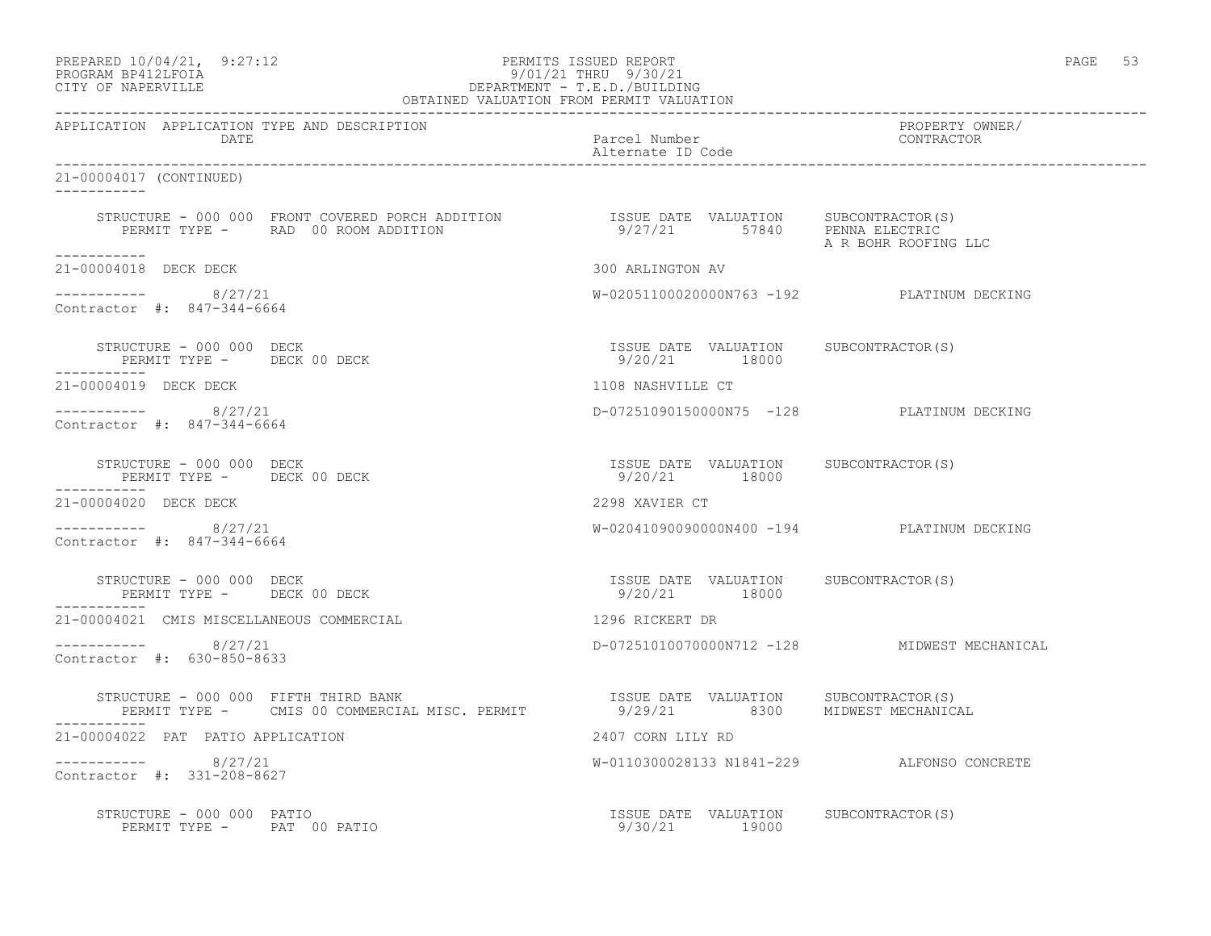# PREPARED 10/04/21, 9:27:12 PERMITS ISSUED REPORT PAGE 53 PROGRAM BP412LFOIA 9/01/21 THRU 9/30/21 CITY OF NAPERVILLE DEPARTMENT - T.E.D./BUILDING

|                                                                                                                                                     | OBTAINED VALUATION FROM PERMIT VALUATION               |                                            |
|-----------------------------------------------------------------------------------------------------------------------------------------------------|--------------------------------------------------------|--------------------------------------------|
| APPLICATION APPLICATION TYPE AND DESCRIPTION<br>DATE                                                                                                | Parcel Number<br>Alternate ID Code                     | PROPERTY OWNER/<br>CONTRACTOR              |
| 21-00004017 (CONTINUED)                                                                                                                             |                                                        |                                            |
| ___________                                                                                                                                         |                                                        | A R BOHR ROOFING LLC                       |
| 21-00004018 DECK DECK                                                                                                                               | 300 ARLINGTON AV                                       |                                            |
| ----------- 8/27/21<br>Contractor #: 847-344-6664                                                                                                   |                                                        | W-02051100020000N763 -192 PLATINUM DECKING |
| STRUCTURE - 000 000 DECK<br>PERMIT TYPE - DECK 00 DECK                                                                                              | ISSUE DATE VALUATION SUBCONTRACTOR(S)<br>9/20/21 18000 |                                            |
| 21-00004019 DECK DECK                                                                                                                               | 1108 NASHVILLE CT                                      |                                            |
| ----------- 8/27/21<br>Contractor #: 847-344-6664                                                                                                   |                                                        | D-07251090150000N75 -128 PLATINUM DECKING  |
| STRUCTURE - 000 000 DECK<br>PERMIT TYPE - DECK 00 DECK<br>-----------                                                                               | ISSUE DATE VALUATION SUBCONTRACTOR(S)<br>9/20/21 18000 |                                            |
| 21-00004020 DECK DECK                                                                                                                               | 2298 XAVIER CT                                         |                                            |
| ----------- 8/27/21<br>Contractor #: 847-344-6664                                                                                                   | W-02041090090000N400 -194 PLATINUM DECKING             |                                            |
| STRUCTURE - 000 000 DECK<br>PERMIT TYPE - DECK 00 DECK                                                                                              | ISSUE DATE VALUATION SUBCONTRACTOR(S)<br>9/20/21 18000 |                                            |
| 21-00004021 CMIS MISCELLANEOUS COMMERCIAL                                                                                                           | 1296 RICKERT DR                                        |                                            |
| $--------- 8/27/21$<br>Contractor #: 630-850-8633                                                                                                   | D-07251010070000N712 -128 MIDWEST MECHANICAL           |                                            |
| STRUCTURE - 000 000 FIFTH THIRD BANK<br>PERMIT TYPE - CMIS 00 COMMERCIAL MISC. PERMIT                  9/29/21          8300     MIDWEST MECHANICAL |                                                        |                                            |
| 21-00004022 PAT PATIO APPLICATION                                                                                                                   | 2407 CORN LILY RD                                      |                                            |
| $--------- 8/27/21$<br>Contractor #: 331-208-8627                                                                                                   | W-0110300028133 N1841-229 ALFONSO CONCRETE             |                                            |
| STRUCTURE - 000 000 PATIO<br>PERMIT TYPE - PAT 00 PATIO                                                                                             | ISSUE DATE VALUATION SUBCONTRACTOR(S)<br>9/30/21 19000 |                                            |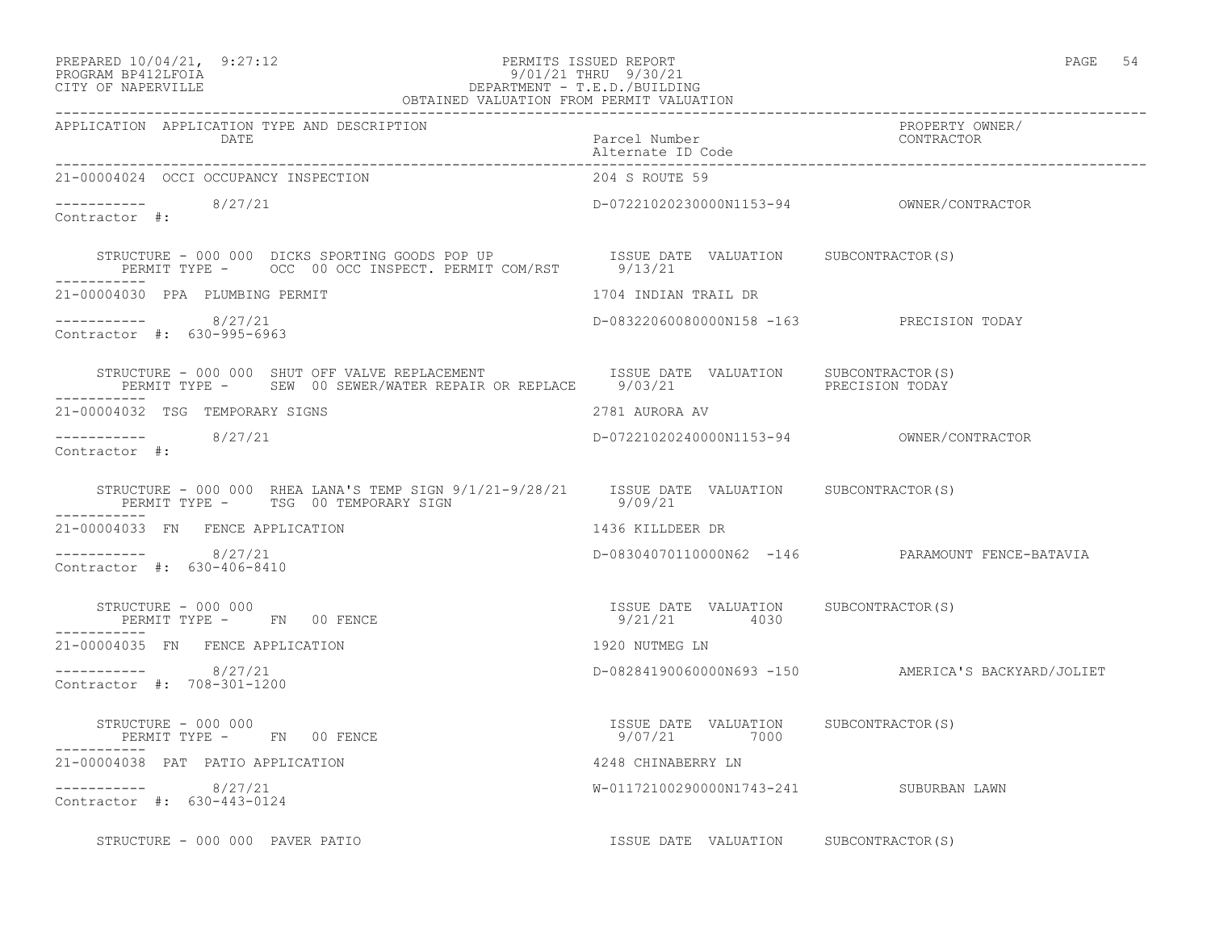#### PREPARED 10/04/21, 9:27:12 PERMITS ISSUED REPORT PAGE 54 PROGRAM BP412LFOIA 9/01/21 THRU 9/30/21 CITY OF NAPERVILLE DEPARTMENT - T.E.D./BUILDING OBTAINED VALUATION FROM PERMIT VALUATION

| APPLICATION APPLICATION TYPE AND DESCRIPTION<br>PROPERTY OWNER/<br>Parcel Number<br>Alternate ID Code<br>The Context of Context CONTRACTOR<br>DATE                               |                                                        |                                                     |  |
|----------------------------------------------------------------------------------------------------------------------------------------------------------------------------------|--------------------------------------------------------|-----------------------------------------------------|--|
| 21-00004024 OCCI OCCUPANCY INSPECTION                                                                                                                                            | 204 S ROUTE 59                                         |                                                     |  |
| $--------- 8/27/21$<br>Contractor #:                                                                                                                                             |                                                        |                                                     |  |
| STRUCTURE - 000 000 DICKS SPORTING GOODS POP UP               ISSUE DATE VALUATION      SUBCONTRACTOR(S)<br>PERMIT TYPE -      OCC 00 OCC INSPECT. PERMIT COM/RST        9/13/21 |                                                        |                                                     |  |
| 21-00004030 PPA PLUMBING PERMIT                                                                                                                                                  | 1704 INDIAN TRAIL DR                                   |                                                     |  |
| $--------- 8/27/21$<br>Contractor #: 630-995-6963                                                                                                                                | D-08322060080000N158 -163 PRECISION TODAY              |                                                     |  |
|                                                                                                                                                                                  |                                                        |                                                     |  |
| 21-00004032 TSG TEMPORARY SIGNS                                                                                                                                                  | 2781 AURORA AV                                         |                                                     |  |
| $\frac{1}{2}$ -----------<br>Contractor #: 8/27/21                                                                                                                               |                                                        |                                                     |  |
| STRUCTURE - 000 000 RHEA LANA'S TEMP SIGN 9/1/21-9/28/21  ISSUE DATE VALUATION  SUBCONTRACTOR(S)<br>PERMIT TYPE - TSG 00 TEMPORARY SIGN                                          | 9/09/21                                                |                                                     |  |
| 21-00004033 FN FENCE APPLICATION                                                                                                                                                 | 1436 KILLDEER DR                                       |                                                     |  |
| $--------- 8/27/21$<br>Contractor #: 630-406-8410                                                                                                                                |                                                        | D-08304070110000N62 -146 PARAMOUNT FENCE-BATAVIA    |  |
| STRUCTURE - 000 000<br>PERMIT TYPE - FN 00 FENCE<br>-----------                                                                                                                  | ISSUE DATE VALUATION SUBCONTRACTOR(S)<br>9/21/21  4030 |                                                     |  |
| 21-00004035 FN FENCE APPLICATION                                                                                                                                                 | 1920 NUTMEG LN                                         |                                                     |  |
| $--------- 8/27/21$<br>Contractor #: 708-301-1200                                                                                                                                |                                                        | D-08284190060000N693 -150 AMERICA'S BACKYARD/JOLIET |  |
| STRUCTURE - 000 000<br>PERMIT TYPE - FN 00 FENCE<br>-----------                                                                                                                  | ISSUE DATE VALUATION SUBCONTRACTOR(S)<br>9/07/21 7000  |                                                     |  |
| 21-00004038 PAT PATIO APPLICATION                                                                                                                                                | 4248 CHINABERRY LN                                     |                                                     |  |
| $--------- 8/27/21$<br>Contractor #: 630-443-0124                                                                                                                                | W-01172100290000N1743-241 SUBURBAN LAWN                |                                                     |  |
| STRUCTURE - 000 000 PAVER PATIO                                                                                                                                                  | ISSUE DATE VALUATION SUBCONTRACTOR(S)                  |                                                     |  |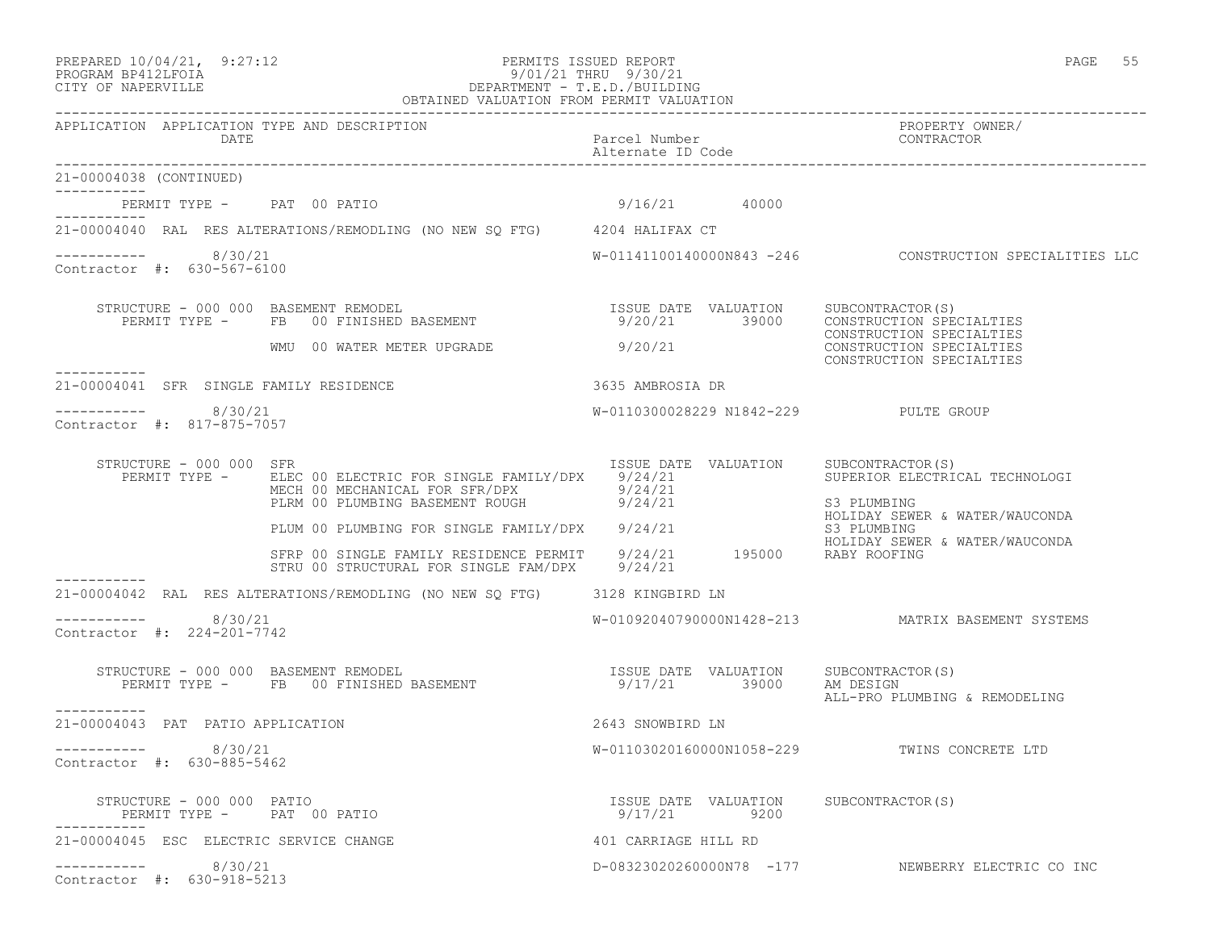# PREPARED 10/04/21, 9:27:12 PERMITS ISSUED REPORT PAGE 55 PROGRAM BP412LFOIA 9/01/21 THRU 9/30/21 CITY OF NAPERVILLE DEPARTMENT - T.E.D./BUILDING

|                                                      | OBTAINED VALUATION FROM PERMIT VALUATION                                                                                                                     |                                    |                                                                                                   |
|------------------------------------------------------|--------------------------------------------------------------------------------------------------------------------------------------------------------------|------------------------------------|---------------------------------------------------------------------------------------------------|
| APPLICATION APPLICATION TYPE AND DESCRIPTION<br>DATE |                                                                                                                                                              | Parcel Number<br>Alternate ID Code | PROPERTY OWNER/<br>CONTRACTOR                                                                     |
| 21-00004038 (CONTINUED)<br>------------              |                                                                                                                                                              |                                    |                                                                                                   |
| PERMIT TYPE - PAT 00 PATIO                           |                                                                                                                                                              | $9/16/21$ 40000                    |                                                                                                   |
|                                                      | 21-00004040 RAL RES ALTERATIONS/REMODLING (NO NEW SO FTG) 4204 HALIFAX CT                                                                                    |                                    |                                                                                                   |
| ----------    8/30/21<br>Contractor #: 630-567-6100  |                                                                                                                                                              |                                    | W-01141100140000N843 -246    CONSTRUCTION SPECIALITIES LLC                                        |
|                                                      | STRUCTURE - 000 000 BASEMENT REMODEL<br>NUCTURE – 000 000 BASEMENT REMODEL<br>PERMIT TYPE – FB 00 FINISHED BASEMENT – 9/20/21 39000 CONSTRUCTION SPECIALTIES |                                    | CONSTRUCTION SPECIALTIES                                                                          |
| -----------                                          | WMU 00 WATER METER UPGRADE                                                                                                                                   | 9/20/21                            | CONSTRUCTION SPECIALTIES<br>CONSTRUCTION SPECIALTIES                                              |
| 21-00004041 SFR SINGLE FAMILY RESIDENCE              |                                                                                                                                                              | 3635 AMBROSIA DR                   |                                                                                                   |
| ----------- 8/30/21<br>Contractor #: 817-875-7057    |                                                                                                                                                              |                                    | W-0110300028229 N1842-229 PULTE GROUP                                                             |
| STRUCTURE - 000 000 SFR<br>PERMIT TYPE -             | MECH 00 MECHANICAL FOR SFR/DPX 9/24/21<br>PLRM 00 PLUMBING BASEMENT ROUGH 9/24/21                                                                            |                                    | ISSUE DATE VALUATION SUBCONTRACTOR(S)<br>SUPERIOR ELECTRICAL TECHNOLOGI<br>S3 PLUMBING            |
|                                                      | PLRM 00 PLUMBING BASEFIENT NOOCH<br>PLUM 00 PLUMBING FOR SINGLE FAMILY/DPX 9/24/21                                                                           |                                    | HOLIDAY SEWER & WATER/WAUCONDA<br>S3 PLUMBING                                                     |
|                                                      | SFRP 00 SINGLE FAMILY RESIDENCE PERMIT 9/24/21 195000 RABY ROOFING<br>STRU 00 STRUCTURAL FOR SINGLE FAM/DPX 9/24/21                                          |                                    | HOLIDAY SEWER & WATER/WAUCONDA                                                                    |
|                                                      | 21-00004042 RAL RES ALTERATIONS/REMODLING (NO NEW SQ FTG) 3128 KINGBIRD LN                                                                                   |                                    |                                                                                                   |
| $--------$ 8/30/21<br>Contractor #: 224-201-7742     |                                                                                                                                                              |                                    | W-01092040790000N1428-213 MATRIX BASEMENT SYSTEMS                                                 |
| -----------                                          | STRUCTURE - 000 000 BASEMENT REMODEL<br>PERMIT TYPE - FB 00 FINISHED BASEMENT                                                                                |                                    | ISSUE DATE VALUATION SUBCONTRACTOR(S)<br>9/17/21 39000 AM DESIGN<br>ALL-PRO PLUMBING & REMODELING |
| 21-00004043 PAT PATIO APPLICATION                    |                                                                                                                                                              | 2643 SNOWBIRD LN                   |                                                                                                   |
| -----------    8/30/21<br>Contractor #: 630-885-5462 |                                                                                                                                                              |                                    | W-01103020160000N1058-229 TWINS CONCRETE LTD                                                      |
| STRUCTURE - 000 000 PATIO                            | PERMIT TYPE - PAT 00 PATIO                                                                                                                                   | 9/17/21 9200                       | ISSUE DATE VALUATION SUBCONTRACTOR(S)                                                             |
| 21-00004045 ESC ELECTRIC SERVICE CHANGE              |                                                                                                                                                              | 401 CARRIAGE HILL RD               |                                                                                                   |
| 8/30/21<br>Contractor #: 630-918-5213                |                                                                                                                                                              |                                    | D-08323020260000N78 -177 NEWBERRY ELECTRIC CO INC                                                 |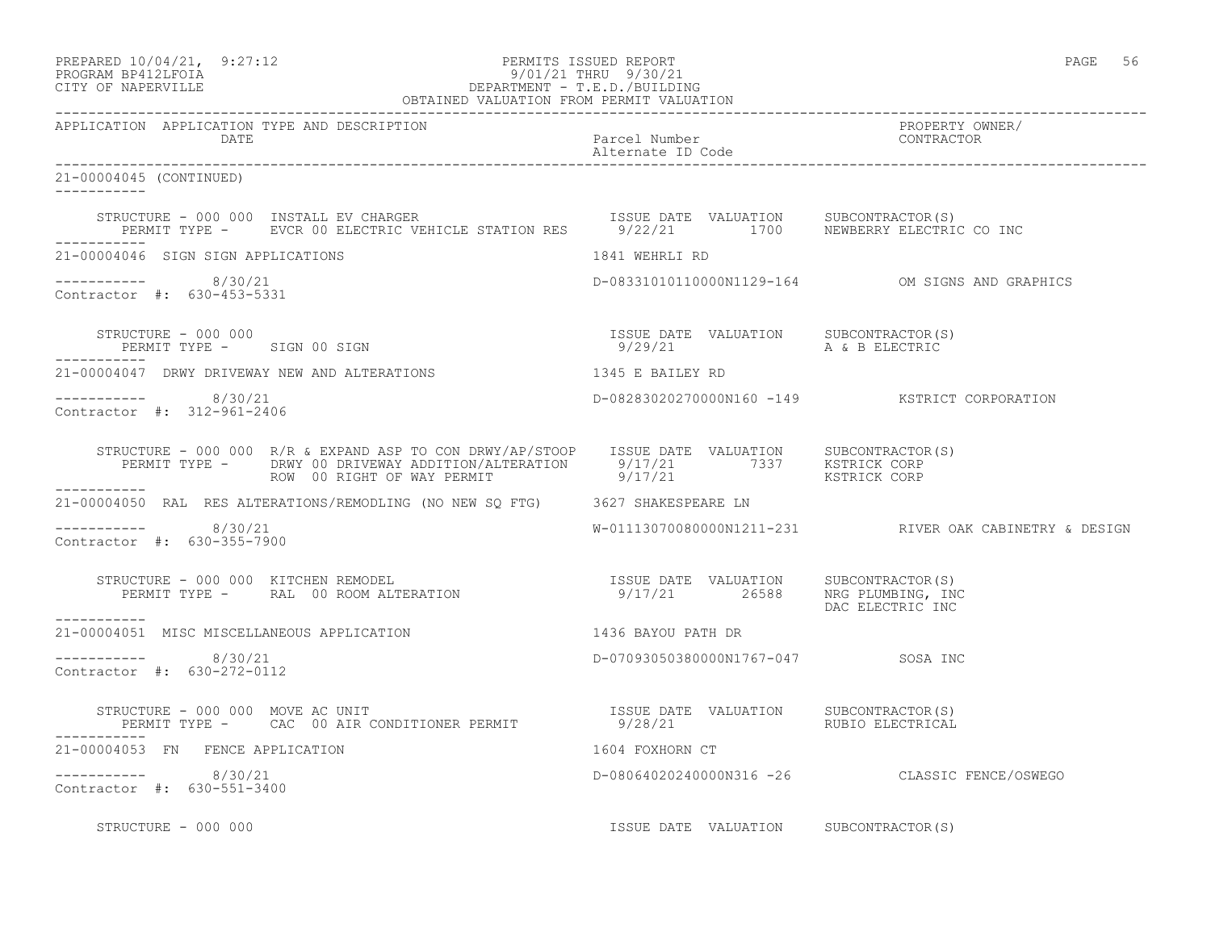| PREPARED 10/04/21,  | 9:27:12 |
|---------------------|---------|
| גדמה זמונות ווגמממת |         |

# PREPARED 10/04/21, 9:27:12 PERMITS ISSUED REPORT<br>PROGRAM BP412LFOIA PAGE 56 PROGRAM PROGRAM BP412LFOIA PROGRAM BP412LFOIA 9/01/21 THRU 9/30/21 CITY OF NAPERVILLE DEPARTMENT - T.E.D./BUILDING

| OBTAINED VALUATION FROM PERMIT VALUATION                                                                                                                                                                                             |                                       |                                                        |  |
|--------------------------------------------------------------------------------------------------------------------------------------------------------------------------------------------------------------------------------------|---------------------------------------|--------------------------------------------------------|--|
| APPLICATION APPLICATION TYPE AND DESCRIPTION<br>DATE                                                                                                                                                                                 | Parcel Number<br>Alternate ID Code    | PROPERTY OWNER/<br>CONTRACTOR                          |  |
| 21-00004045 (CONTINUED)                                                                                                                                                                                                              |                                       |                                                        |  |
| STRUCTURE - 000 000 INSTALL EV CHARGER                                   ISSUE DATE VALUATION      SUBCONTRACTOR(S)<br>PERMIT TYPE -       EVCR 00 ELECTRIC VEHICLE STATION RES       9/22/21         1700     NEWBERRY ELECTRIC     |                                       |                                                        |  |
| 21-00004046 SIGN SIGN APPLICATIONS                                                                                                                                                                                                   | 1841 WEHRLI RD                        |                                                        |  |
| ----------- 8/30/21<br>Contractor #: 630-453-5331                                                                                                                                                                                    |                                       | D-08331010110000N1129-164 OM SIGNS AND GRAPHICS        |  |
| ------------                                                                                                                                                                                                                         |                                       |                                                        |  |
| 21-00004047 DRWY DRIVEWAY NEW AND ALTERATIONS 1345 E BAILEY RD                                                                                                                                                                       |                                       |                                                        |  |
| $--------- 8/30/21$<br>Contractor #: 312-961-2406                                                                                                                                                                                    |                                       | D-08283020270000N160 -149 KSTRICT CORPORATION          |  |
| STRUCTURE - 000 000 R/R & EXPAND ASP TO CON DRWY/AP/STOOP ISSUE DATE VALUATION SUBCONTRACTOR(S)<br>PERMIT TYPE - DRWY 00 DRIVEWAY ADDITION/ALTERATION 9/17/21 7337 KSTRICK CORP<br>----------- ROW 00 RIGHT OF WAY PERMIT 9/17/21 KS |                                       |                                                        |  |
| 21-00004050 RAL RES ALTERATIONS/REMODLING (NO NEW SQ FTG) 3627 SHAKESPEARE LN                                                                                                                                                        |                                       |                                                        |  |
| ----------- 8/30/21<br>Contractor #: 630-355-7900                                                                                                                                                                                    |                                       | W-01113070080000N1211-231 RIVER OAK CABINETRY & DESIGN |  |
| -----------                                                                                                                                                                                                                          |                                       | DAC ELECTRIC INC                                       |  |
| 21-00004051 MISC MISCELLANEOUS APPLICATION                                                                                                                                                                                           | 1436 BAYOU PATH DR                    |                                                        |  |
| ----------- 8/30/21<br>Contractor #: 630-272-0112                                                                                                                                                                                    | D-07093050380000N1767-047 SOSA INC    |                                                        |  |
|                                                                                                                                                                                                                                      |                                       |                                                        |  |
| 21-00004053 FN FENCE APPLICATION                                                                                                                                                                                                     | 1604 FOXHORN CT                       |                                                        |  |
| ----------- 8/30/21<br>Contractor #: 630-551-3400                                                                                                                                                                                    |                                       | D-08064020240000N316 -26 CLASSIC FENCE/OSWEGO          |  |
| STRUCTURE - 000 000                                                                                                                                                                                                                  | ISSUE DATE VALUATION SUBCONTRACTOR(S) |                                                        |  |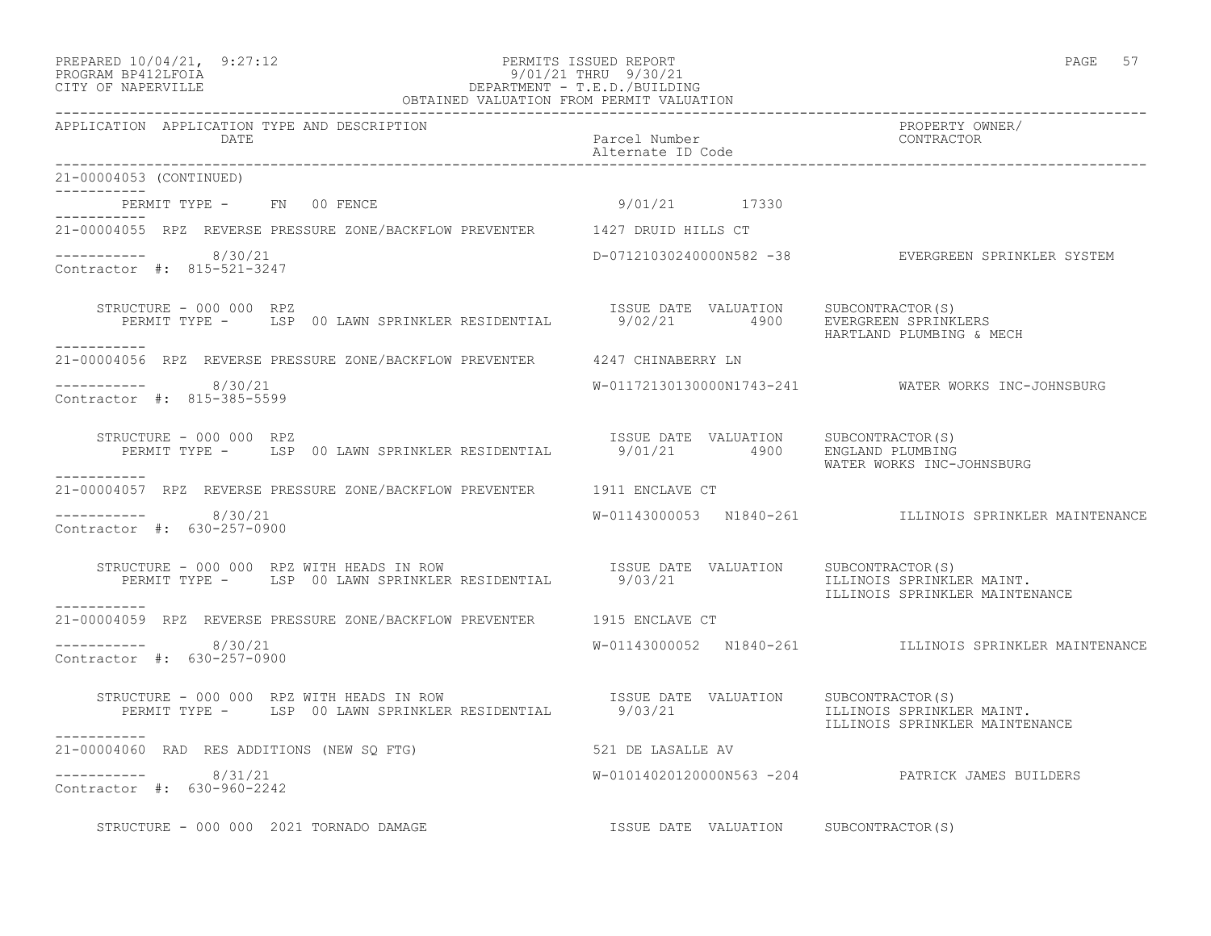## PREPARED 10/04/21, 9:27:12 PERMITS ISSUED REPORT<br>PROGRAM BP412LFOIA PAGE 57 PROGRAM BP412LFOIA PROGRAM BP412LFOIA 9/01/21 THRU 9/30/21 CITY OF NAPERVILLE DEPARTMENT - T.E.D./BUILDING

| OBTAINED VALUATION FROM PERMIT VALUATION                                                                                                                                    |                                       |                                                                    |  |
|-----------------------------------------------------------------------------------------------------------------------------------------------------------------------------|---------------------------------------|--------------------------------------------------------------------|--|
| APPLICATION APPLICATION TYPE AND DESCRIPTION<br>DATE                                                                                                                        | Parcel Number<br>Alternate ID Code    | PROPERTY OWNER/<br>CONTRACTOR                                      |  |
| 21-00004053 (CONTINUED)                                                                                                                                                     |                                       |                                                                    |  |
| PERMIT TYPE - FN 00 FENCE                                                                                                                                                   | 9/01/21 17330                         |                                                                    |  |
| -----------<br>21-00004055 RPZ REVERSE PRESSURE ZONE/BACKFLOW PREVENTER 1427 DRUID HILLS CT                                                                                 |                                       |                                                                    |  |
| -----------    8/30/21<br>Contractor #: 815-521-3247                                                                                                                        |                                       | D-07121030240000N582 -38 EVERGREEN SPRINKLER SYSTEM                |  |
| STRUCTURE - 000 000 RPZ<br>------------                                                                                                                                     |                                       | HARTLAND PLUMBING & MECH                                           |  |
| 21-00004056 RPZ REVERSE PRESSURE ZONE/BACKFLOW PREVENTER 4247 CHINABERRY LN                                                                                                 |                                       |                                                                    |  |
| -----------    8/30/21<br>Contractor #: 815-385-5599                                                                                                                        |                                       | W-01172130130000N1743-241 WATER WORKS INC-JOHNSBURG                |  |
| STRUCTURE - 000 000 RPZ                                                                                                                                                     |                                       | WATER WORKS INC-JOHNSBURG                                          |  |
| -----------<br>21-00004057 RPZ REVERSE PRESSURE ZONE/BACKFLOW PREVENTER 1911 ENCLAVE CT                                                                                     |                                       |                                                                    |  |
| $--------- 8/30/21$<br>Contractor #: 630-257-0900                                                                                                                           |                                       | W-01143000053 N1840-261             ILLINOIS SPRINKLER MAINTENANCE |  |
| STRUCTURE - 000 000 RPZ WITH HEADS IN ROW TSSUE DATE VALUATION SUBCONTRACTOR(S)<br>PERMIT TYPE - LSP 00 LAWN SPRINKLER RESIDENTIAL 9/03/21 1LLINOIS SPRINKLE<br>___________ |                                       | ILLINOIS SPRINKLER MAINT.<br>ILLINOIS SPRINKLER MAINTENANCE        |  |
| 21-00004059 RPZ REVERSE PRESSURE ZONE/BACKFLOW PREVENTER 1915 ENCLAVE CT                                                                                                    |                                       |                                                                    |  |
| ----------- 8/30/21<br>Contractor #: 630-257-0900                                                                                                                           |                                       | W-01143000052 N1840-261 ILLINOIS SPRINKLER MAINTENANCE             |  |
| STRUCTURE - 000 000 RPZ WITH HEADS IN ROW<br>PERMIT TYPE - LSP 00 LAWN SPRINKLER RESIDENTIAL 9/03/21                                                                        | ISSUE DATE VALUATION SUBCONTRACTOR(S) | ILLINOIS SPRINKLER MAINT.<br>ILLINOIS SPRINKLER MAINTENANCE        |  |
| -----------<br>21-00004060 RAD RES ADDITIONS (NEW SO FTG)                                                                                                                   | 521 DE LASALLE AV                     |                                                                    |  |
| -----------    8/31/21<br>Contractor #: 630-960-2242                                                                                                                        |                                       | W-01014020120000N563 -204 PATRICK JAMES BUILDERS                   |  |
| STRUCTURE - 000 000 2021 TORNADO DAMAGE                                                                                                                                     | ISSUE DATE VALUATION SUBCONTRACTOR(S) |                                                                    |  |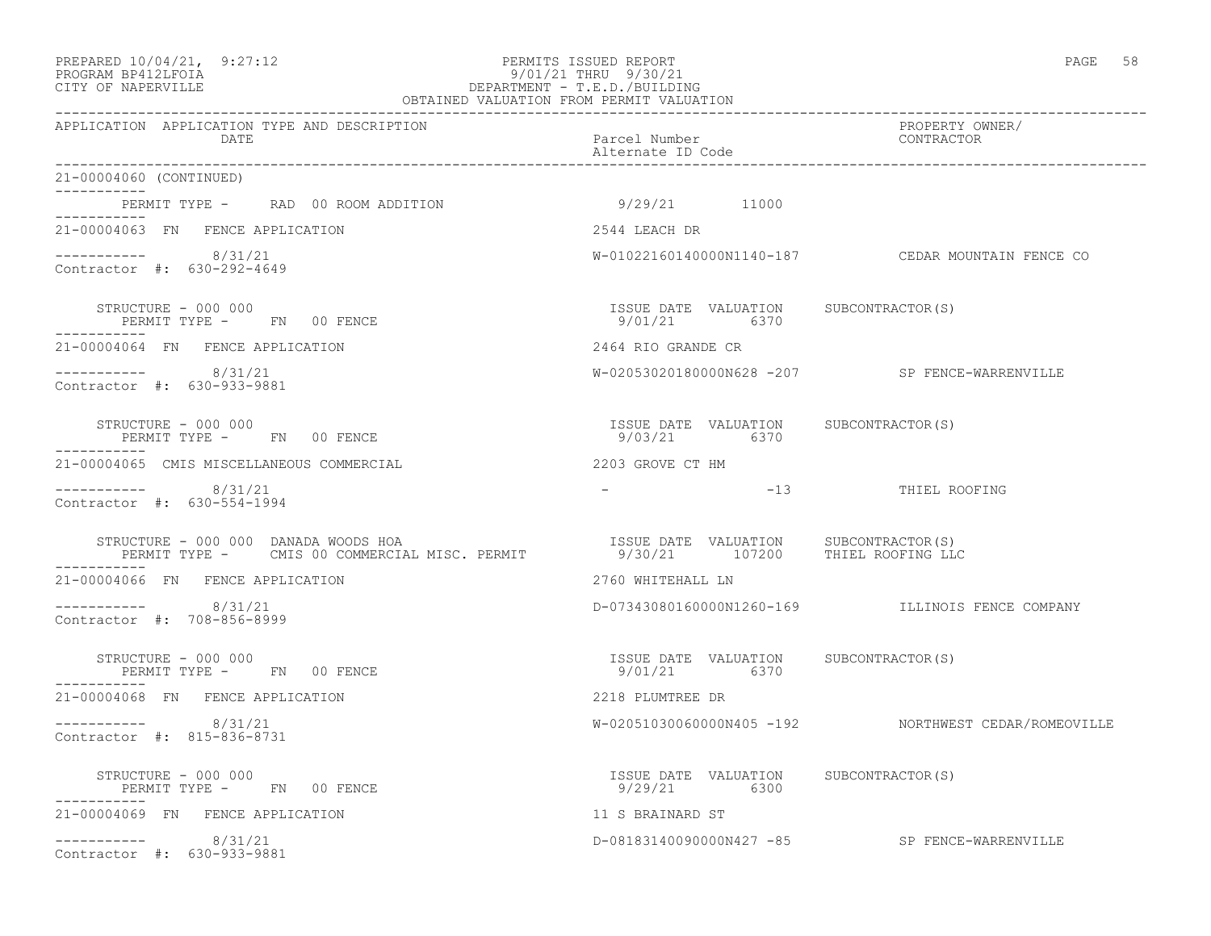#### PREPARED  $10/04/21$ , 9:27:12 PERMITS ISSUED REPORT PAGE 58 PROGRAM BP412LFOIA 9/01/21 THRU 9/30/21 CITY OF NAPERVILLE DEPARTMENT - T.E.D./BUILDING OBTAINED VALUATION FROM PERMIT VALUATION

| APPLICATION APPLICATION TYPE AND DESCRIPTION<br>DATE                                  | Parcel Number<br>Alternate ID Code                                        | PROPERTY OWNER/<br>CONTRACTOR                        |
|---------------------------------------------------------------------------------------|---------------------------------------------------------------------------|------------------------------------------------------|
| 21-00004060 (CONTINUED)                                                               |                                                                           |                                                      |
| PERMIT TYPE - RAD 00 ROOM ADDITION                                                    | 9/29/21 11000                                                             |                                                      |
| 21-00004063 FN FENCE APPLICATION                                                      | 2544 LEACH DR                                                             |                                                      |
| $--------- 8/31/21$<br>Contractor #: 630-292-4649                                     |                                                                           | W-01022160140000N1140-187 CEDAR MOUNTAIN FENCE CO    |
| STRUCTURE - 000 000<br>PERMIT TYPE - FN 00 FENCE<br>-----------                       | ISSUE DATE VALUATION SUBCONTRACTOR(S)<br>9/01/21 6370                     |                                                      |
| 21-00004064 FN FENCE APPLICATION                                                      | 2464 RIO GRANDE CR                                                        |                                                      |
| $--------- 8/31/21$<br>Contractor #: 630-933-9881                                     |                                                                           | W-02053020180000N628 -207 SP FENCE-WARRENVILLE       |
| STRUCTURE - 000 000<br>PERMIT TYPE - FN 00 FENCE                                      | ISSUE DATE VALUATION SUBCONTRACTOR(S)<br>9/03/21 6370                     |                                                      |
| 21-00004065 CMIS MISCELLANEOUS COMMERCIAL                                             | 2203 GROVE CT HM                                                          |                                                      |
| $--------- 8/31/21$<br>Contractor #: 630-554-1994                                     |                                                                           | -13 THIEL ROOFING                                    |
| STRUCTURE - 000 000 DANADA WOODS HOA<br>PERMIT TYPE - CMIS 00 COMMERCIAL MISC. PERMIT | ISSUE DATE VALUATION SUBCONTRACTOR(S)<br>9/30/21 107200 THIEL ROOFING LLC |                                                      |
| 21-00004066 FN FENCE APPLICATION                                                      | 2760 WHITEHALL LN                                                         |                                                      |
| $--------- 8/31/21$<br>Contractor #: 708-856-8999                                     |                                                                           | D-07343080160000N1260-169 ILLINOIS FENCE COMPANY     |
| STRUCTURE - 000 000<br>PERMIT TYPE - FN 00 FENCE                                      | ISSUE DATE VALUATION SUBCONTRACTOR(S)<br>9/01/21 6370                     |                                                      |
| 21-00004068 FN FENCE APPLICATION                                                      | 2218 PLUMTREE DR                                                          |                                                      |
| $--------- 8/31/21$<br>Contractor #: 815-836-8731                                     |                                                                           | W-02051030060000N405 -192 NORTHWEST CEDAR/ROMEOVILLE |
| STRUCTURE - 000 000<br>PERMIT TYPE - FN 00 FENCE                                      | ISSUE DATE VALUATION SUBCONTRACTOR(S)<br>9/29/21 6300                     |                                                      |
| -----------<br>21-00004069 FN FENCE APPLICATION                                       | 11 S BRAINARD ST                                                          |                                                      |
| $--------- 8/31/21$<br>Contractor #: 630-933-9881                                     |                                                                           | D-08183140090000N427 -85 SP FENCE-WARRENVILLE        |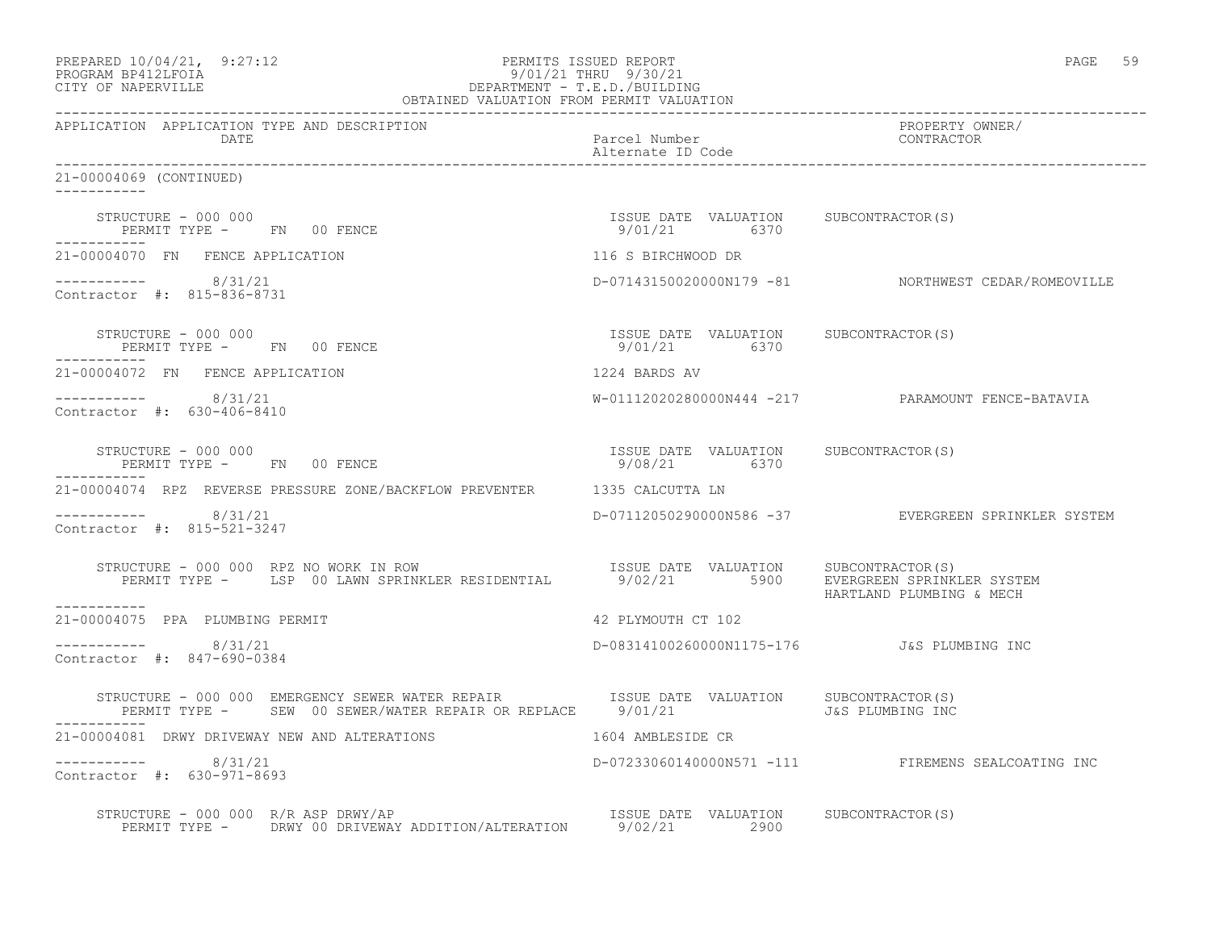| PREPARED 10/04/21, 9:27:12<br>$9/01/21$ DEPARTMENT - T.E.D./BUILDING<br>OBTAINED VALUATION FROM PERMIT VALUATION<br>PROGRAM BP412LFOIA<br>CITY OF NAPERVILLE                                                                                                                         |                                                       | PAGE 59                                             |
|--------------------------------------------------------------------------------------------------------------------------------------------------------------------------------------------------------------------------------------------------------------------------------------|-------------------------------------------------------|-----------------------------------------------------|
| APPLICATION APPLICATION TYPE AND DESCRIPTION<br>DATE                                                                                                                                                                                                                                 | Parcel Number<br>Alternate ID Code                    | PROPERTY OWNER/<br>CONTRACTOR                       |
| 21-00004069 (CONTINUED)                                                                                                                                                                                                                                                              |                                                       |                                                     |
| STRUCTURE - 000 000<br>PERMIT TYPE - FN 00 FENCE<br>___________                                                                                                                                                                                                                      | ISSUE DATE VALUATION SUBCONTRACTOR(S)<br>9/01/21 6370 |                                                     |
| 21-00004070 FN FENCE APPLICATION                                                                                                                                                                                                                                                     | 116 S BIRCHWOOD DR                                    |                                                     |
| ---------- 8/31/21<br>Contractor #: 815-836-8731                                                                                                                                                                                                                                     |                                                       | D-07143150020000N179 -81 NORTHWEST CEDAR/ROMEOVILLE |
| STRUCTURE - 000 000<br>PERMIT TYPE - FN 00 FENCE<br>------------                                                                                                                                                                                                                     | ISSUE DATE VALUATION SUBCONTRACTOR(S)<br>9/01/21 6370 |                                                     |
| 21-00004072 FN FENCE APPLICATION                                                                                                                                                                                                                                                     | 1224 BARDS AV                                         |                                                     |
| $--------- 8/31/21$<br>Contractor #: 630-406-8410                                                                                                                                                                                                                                    |                                                       | W-01112020280000N444 -217 PARAMOUNT FENCE-BATAVIA   |
| STRUCTURE - 000 000<br>PERMIT TYPE - FN 00 FENCE                                                                                                                                                                                                                                     | ISSUE DATE VALUATION SUBCONTRACTOR(S)<br>9/08/21 6370 |                                                     |
| 21-00004074 RPZ REVERSE PRESSURE ZONE/BACKFLOW PREVENTER 1335 CALCUTTA LN                                                                                                                                                                                                            |                                                       |                                                     |
| $--------- 8/31/21$<br>Contractor #: 815-521-3247                                                                                                                                                                                                                                    |                                                       | D-07112050290000N586 -37 EVERGREEN SPRINKLER SYSTEM |
| RUCTURE – 000 000 RPZ NO WORK IN ROW                              ISSUE DATE VALUATION     SUBCONTRACTOR(S)<br>PERMIT TYPE –    LSP 00 LAWN SPRINKLER RESIDENTIAL        9/02/21        5900     EVERGREEN SPRINKLER SYSTEM<br>STRUCTURE - 000 000 RPZ NO WORK IN ROW<br>----------- |                                                       | HARTLAND PLUMBING & MECH                            |
| 21-00004075 PPA PLUMBING PERMIT                                                                                                                                                                                                                                                      | 42 PLYMOUTH CT 102                                    |                                                     |
| -----------    8/31/21<br>Contractor #: 847-690-0384                                                                                                                                                                                                                                 | D-08314100260000N1175-176   J&S PLUMBING INC          |                                                     |
| STRUCTURE - 000 000 EMERGENCY SEWER WATER REPAIR TSSUE DATE VALUATION<br>PERMIT TYPE - SEW 00 SEWER/WATER REPAIR OR REPLACE 9/01/21                                                                                                                                                  |                                                       | SUBCONTRACTOR(S)<br>J&S PLUMBING INC                |
| 21-00004081 DRWY DRIVEWAY NEW AND ALTERATIONS                                                                                                                                                                                                                                        | 1604 AMBLESIDE CR                                     |                                                     |
| ----------- 8/31/21<br>Contractor #: 630-971-8693                                                                                                                                                                                                                                    |                                                       | D-07233060140000N571 -111 FIREMENS SEALCOATING INC  |
| STRUCTURE - 000 000 R/R ASP DRWY/AP<br>VUCTURE - 000 000 R/R ASP DRWY/AP<br>PERMIT TYPE - DRWY 00 DRIVEWAY ADDITION/ALTERATION 9/02/21 2900                                                                                                                                          |                                                       |                                                     |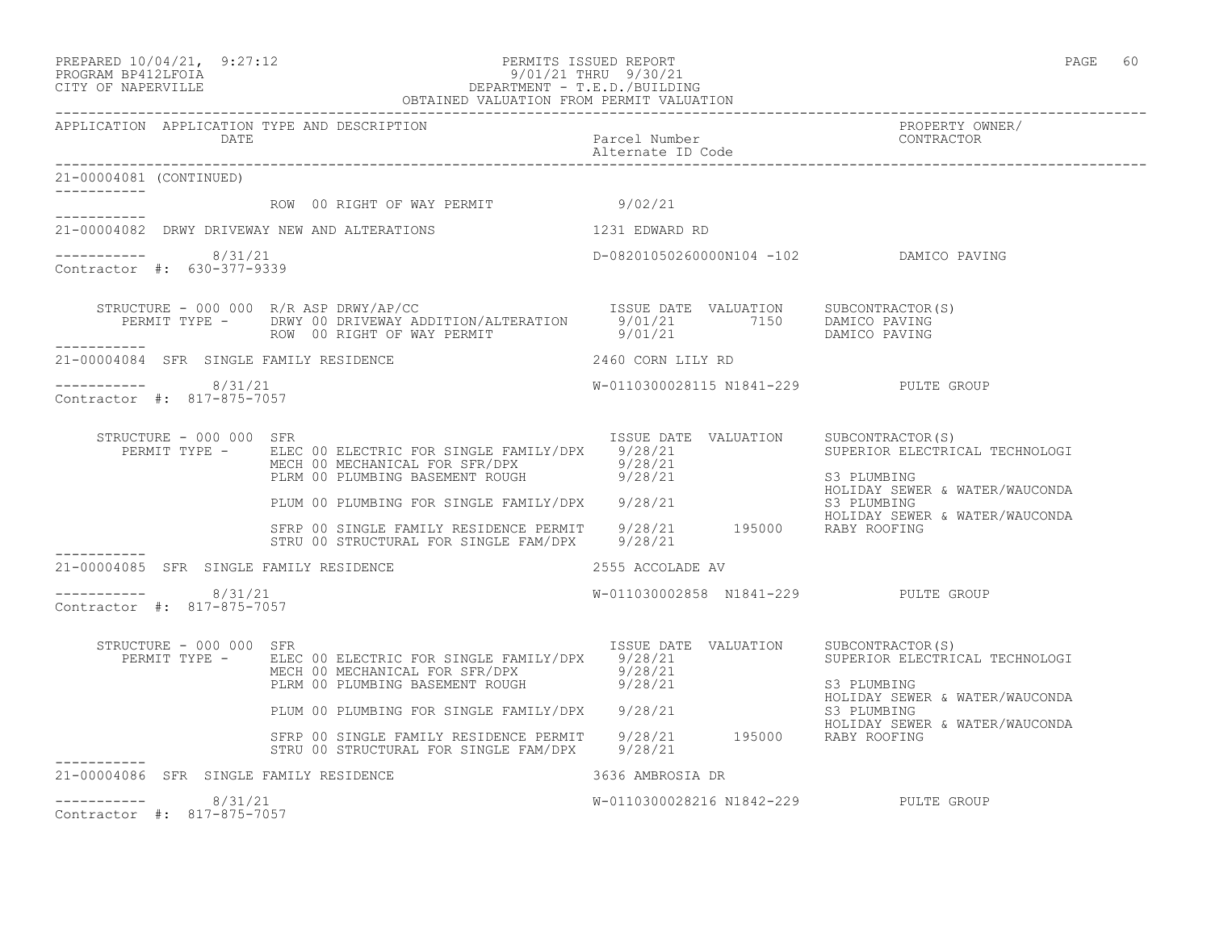PREPARED  $10/04/21$ , 9:27:12 PERMITS ISSUED REPORT PAGE 60

#### PROGRAM BP412LFOIA 9/01/21 THRU 9/30/21 CITY OF NAPERVILLE DEPARTMENT - T.E.D./BUILDING OBTAINED VALUATION FROM PERMIT VALUATION

------------------------------------------------------------------------------------------------------------------------------------ APPLICATION APPLICATION TYPE AND DESCRIPTION PROPERTY OWNER/ DATE Parcel Number CONTRACTOR Alternate ID Code ------------------------------------------------------------------------------------------------------------------------------------ 21-00004081 (CONTINUED) ----------- ROW 00 RIGHT OF WAY PERMIT 9/02/21 ----------- 21-00004082 DRWY DRIVEWAY NEW AND ALTERATIONS 1231 EDWARD RD  $--------- 8/31/21$ D-08201050260000N104 -102 DAMICO PAVING Contractor #: 630-377-9339 STRUCTURE - 000 000 R/R ASP DRWY/AP/CC SUBCONTRACTOR(S) PERMIT TYPE - DRWY 00 DRIVEWAY ADDITION/ALTERATION 9/01/21 7150 DAMICO PAVING ROW 00 RIGHT OF WAY PERMIT 9/01/21 DAMICO PAVING ----------- 21-00004084 SFR SINGLE FAMILY RESIDENCE 2460 CORN LILY RD \_\_\_\_\_\_\_\_\_\_\_ ----------- 8/31/21 W-0110300028115 N1841-229 PULTE GROUP Contractor #: 817-875-7057 STRUCTURE - 000 000 SFR ISSUE DATE VALUATION SUBCONTRACTOR(S) PERMIT TYPE - BLEC 00 ELECTRIC FOR SINGLE FAMILY/DPX 9/28/21 SUPERIOR ELECTRICAL TECHNOLOGI MECH 00 MECHANICAL FOR SFR/DPX 9/28/21 PLRM 00 PLUMBING BASEMENT ROUGH  $9/28/21$  S3 PLUMBING PLUM 00 PLUMBING FOR SINGLE FAMILY/DPX 9/28/21 HOLIDAY SEWER & WATER/WAUCONDA PLUM 00 PLUMBING FOR SINGLE FAMILY/DPX 9/28/21 S3 PLUMBING HOLIDAY SEWER & WATER/WAUCONDA SFRP 00 SINGLE FAMILY RESIDENCE PERMIT 9/28/21 195000 RABY ROOFING STRU 00 STRUCTURAL FOR SINGLE FAM/DPX 9/28/21 ----------- 21-00004085 SFR SINGLE FAMILY RESIDENCE 2555 ACCOLADE AV  $--------- 8/31/21$ W-011030002858 N1841-229 PULTE GROUP Contractor #: 817-875-7057 STRUCTURE - 000 000 SFR<br>PERMIT TYPE - ELEC 00 ELECTRIC FOR SINGLE FAMILY/DPX 9/28/21 SUPERIOR ELECTRICAL TECHNOLOGI PERMIT TYPE - ELEC 00 ELECTRIC FOR SINGLE FAMILY/DPX 9/28/21 MECH 00 MECHANICAL FOR SFR/DPX 9/28/21 PLRM 00 PLUMBING BASEMENT ROUGH  $9/28/21$  S3 PLUMBING HOLIDAY SEWER & WATER/WAUCONDA PLUM 00 PLUMBING FOR SINGLE FAMILY/DPX 9/28/21 S3 PLUMBING

 SFRP 00 SINGLE FAMILY RESIDENCE PERMIT 9/28/21 195000 RABY ROOFING STRU 00 STRUCTURAL FOR SINGLE FAM/DPX 9/28/21 ----------- 21-00004086 SFR SINGLE FAMILY RESIDENCE 3636 AMBROSIA DR ----------- 8/31/21 W-0110300028216 N1842-229 PULTE GROUP Contractor #: 817-875-7057

HOLIDAY SEWER & WATER/WAUCONDA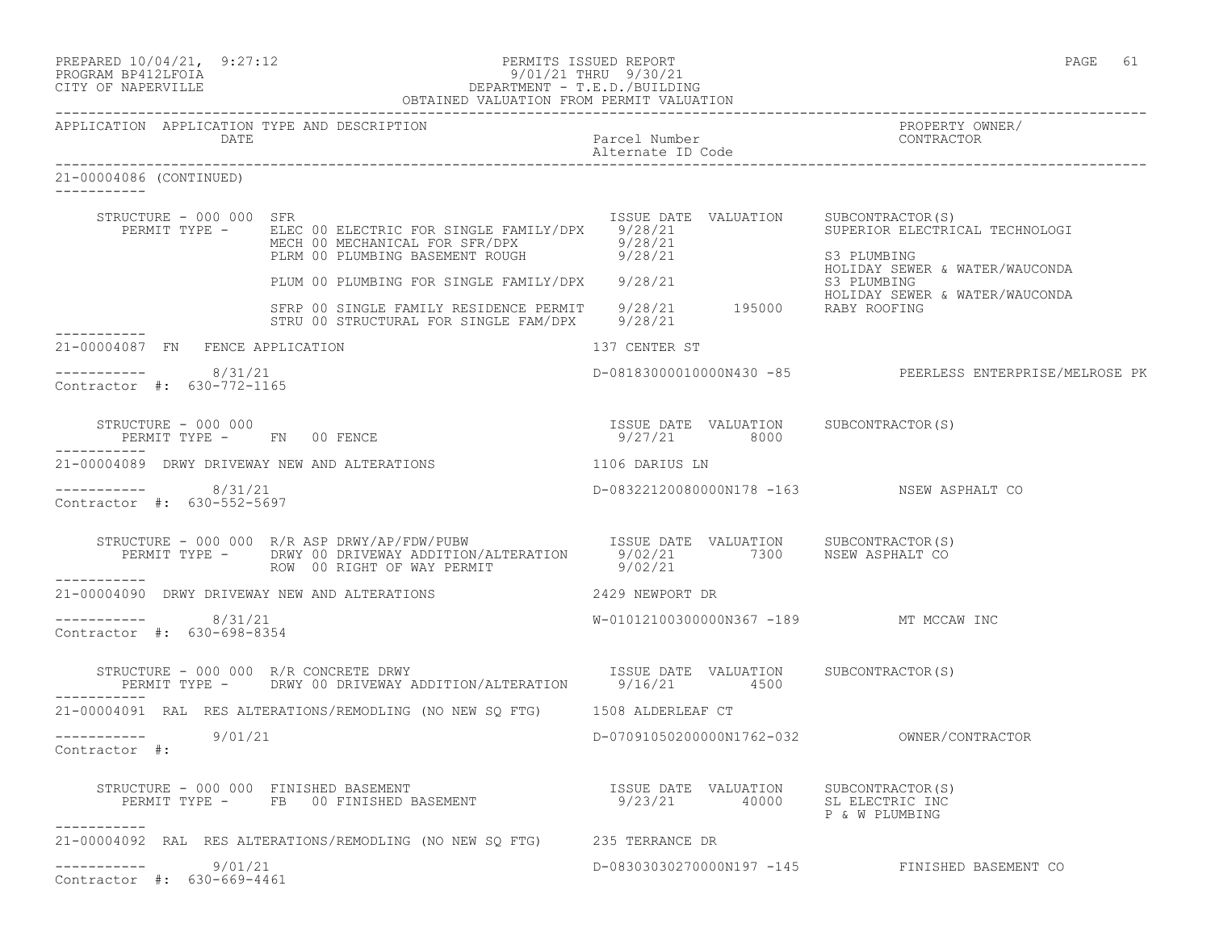| PREPARED 10/04/21, 9:27:12 | PERMITS ISSUED REPORT | PAGE |  |
|----------------------------|-----------------------|------|--|
| PROGRAM BP412LFOIA         | 9/01/21 THRU 9/30/21  |      |  |

# PROGRAM BP412LFOIA 9/01/21 THRU 9/30/21 CITY OF NAPERVILLE DEPARTMENT - T.E.D./BUILDING

|                                                      | OBTAINED VALUATION FROM PERMIT VALUATION                                                                                                                                                                  |                                                       |                                                                                                     |
|------------------------------------------------------|-----------------------------------------------------------------------------------------------------------------------------------------------------------------------------------------------------------|-------------------------------------------------------|-----------------------------------------------------------------------------------------------------|
| APPLICATION APPLICATION TYPE AND DESCRIPTION<br>DATE |                                                                                                                                                                                                           | Parcel Number<br>Alternate ID Code                    | PROPERTY OWNER/<br>CONTRACTOR                                                                       |
| 21-00004086 (CONTINUED)<br>-----------               |                                                                                                                                                                                                           |                                                       |                                                                                                     |
| STRUCTURE - 000 000 SFR                              | PERMIT TYPE - ELEC 00 ELECTRIC FOR SINGLE FAMILY/DPX 9/28/21<br>MECH 00 MECHANICAL FOR SFR/DPX 9/28/21<br>PLRM 00 PLUMBING BASEMENT ROUGH 9/28/21                                                         | ISSUE DATE VALUATION                                  | SUBCONTRACTOR(S)<br>SUPERIOR ELECTRICAL TECHNOLOGI<br>S3 PLUMBING<br>HOLIDAY SEWER & WATER/WAUCONDA |
|                                                      | PLUM 00 PLUMBING FOR SINGLE FAMILY/DPX 9/28/21                                                                                                                                                            |                                                       | S3 PLUMBING                                                                                         |
| ------------                                         | SFRP 00 SINGLE FAMILY RESIDENCE PERMIT 9/28/21 195000 RABY ROOFING<br>STRU 00 STRUCTURAL FOR SINGLE FAM/DPX 9/28/21                                                                                       |                                                       | HOLIDAY SEWER & WATER/WAUCONDA                                                                      |
| 21-00004087 FN FENCE APPLICATION                     |                                                                                                                                                                                                           | 137 CENTER ST                                         |                                                                                                     |
| -----------    8/31/21<br>Contractor #: 630-772-1165 |                                                                                                                                                                                                           |                                                       | D-08183000010000N430 -85 PEERLESS ENTERPRISE/MELROSE PK                                             |
| STRUCTURE - 000 000                                  | PERMIT TYPE - FN 00 FENCE                                                                                                                                                                                 | ISSUE DATE VALUATION SUBCONTRACTOR(S)<br>9/27/21 8000 |                                                                                                     |
|                                                      | 21-00004089 DRWY DRIVEWAY NEW AND ALTERATIONS                                                                                                                                                             | 1106 DARIUS LN                                        |                                                                                                     |
| ----------- 8/31/21<br>Contractor #: 630-552-5697    |                                                                                                                                                                                                           | D-08322120080000N178 -163 NSEW ASPHALT CO             |                                                                                                     |
| ____________                                         | STRUCTURE - 000 000 R/R ASP DRWY/AP/FDW/PUBW<br>PERMIT TYPE - DRWY 00 DRIVEWAY ADDITION/ALTERATION 9/02/21 7300 NSEW ASPHALT CO<br>ROW 00 RIGHT OF WAY PERMIT                                             | 9/02/21                                               |                                                                                                     |
|                                                      | 21-00004090 DRWY DRIVEWAY NEW AND ALTERATIONS THE RESERVED RESERVED BROWN DR                                                                                                                              |                                                       |                                                                                                     |
| 8/31/21<br>-----------<br>Contractor #: 630-698-8354 |                                                                                                                                                                                                           | W-01012100300000N367 -189 MT MCCAW INC                |                                                                                                     |
|                                                      | STRUCTURE - 000 000 R/R CONCRETE DRWY<br>PERMIT TYPE - DRWY 00 DRIVEWAY ADDITION/ALTERATION 9/16/21 4500 4500<br>STRUCTURE - 000 000 R/R CONCRETE DRWY                                                    |                                                       |                                                                                                     |
|                                                      | 21-00004091 RAL RES ALTERATIONS/REMODLING (NO NEW SO FTG) 1508 ALDERLEAF CT                                                                                                                               |                                                       |                                                                                                     |
| -----------     9/01/21<br>Contractor #:             |                                                                                                                                                                                                           |                                                       |                                                                                                     |
|                                                      | STRUCTURE - 000 000 FINISHED BASEMENT<br>PERMIT TYPE - FB 00 FINISHED BASEMENT<br>PERMIT TYPE - FB 00 FINISHED BASEMENT<br>PERMIT TYPE - FB 00 FINISHED BASEMENT<br>PERMIT TYPE - FB 00 FINISHED BASEMENT |                                                       | P & W PLUMBING                                                                                      |
|                                                      | 21-00004092 RAL RES ALTERATIONS/REMODLING (NO NEW SQ FTG) 235 TERRANCE DR                                                                                                                                 |                                                       |                                                                                                     |
| 9/01/21<br>Contractor #: 630-669-4461                |                                                                                                                                                                                                           |                                                       | D-08303030270000N197 -145 FINISHED BASEMENT CO                                                      |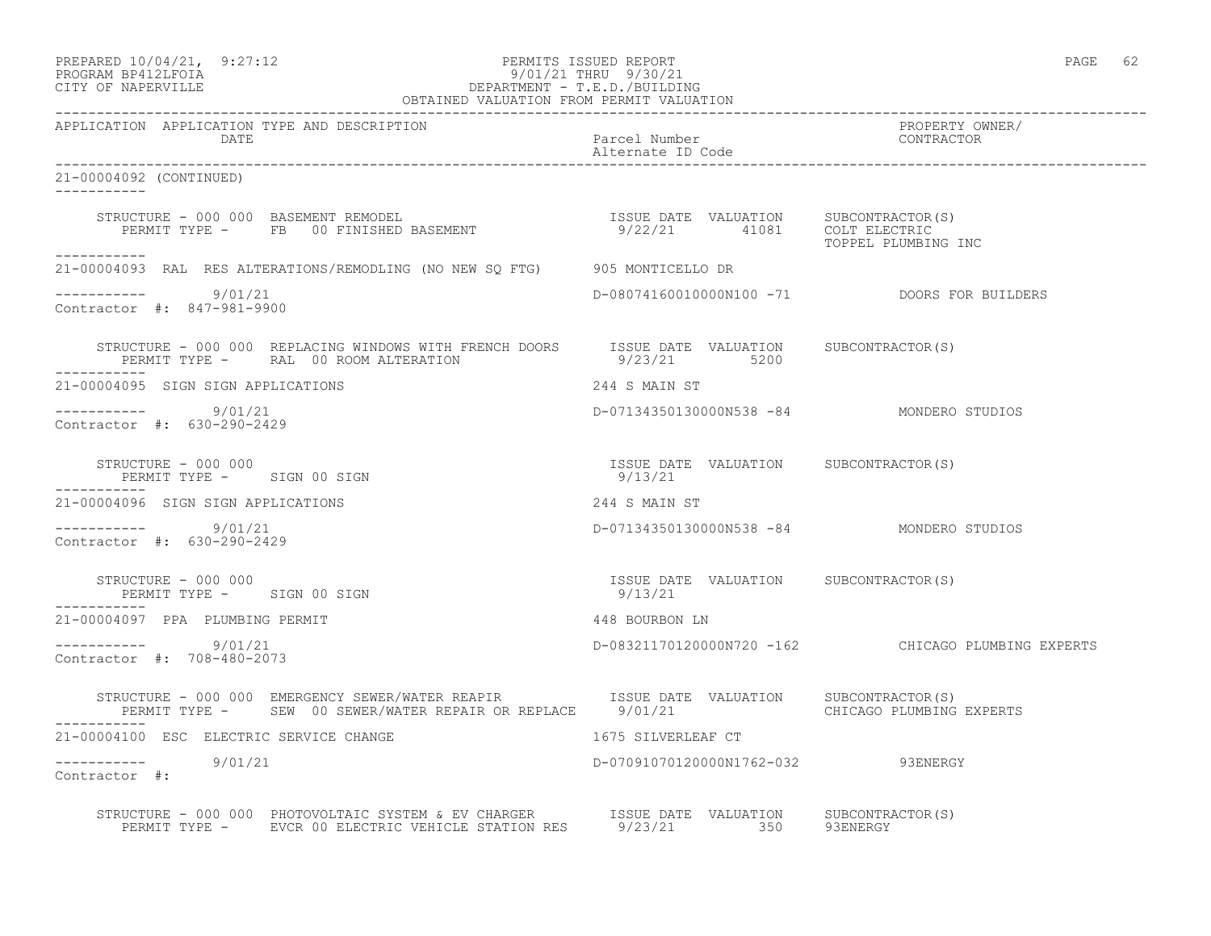| PREPARED 10/04/21, | 9:27:12 |
|--------------------|---------|
|                    |         |

## PREPARED 10/04/21, 9:27:12 PERMITS ISSUED REPORT<br>PROGRAM BP412LFOIA PAGE 62 9/01/21 THRU 9/30/21 PROGRAM BP412LFOIA 9/01/21 THRU 9/30/21 CITY OF NAPERVILLE DEPARTMENT - T.E.D./BUILDING

| OBTAINED VALUATION FROM PERMIT VALUATION                                                                                                                                      |                                                             |                                                    |
|-------------------------------------------------------------------------------------------------------------------------------------------------------------------------------|-------------------------------------------------------------|----------------------------------------------------|
| APPLICATION APPLICATION TYPE AND DESCRIPTION<br>DATE                                                                                                                          | Parcel Number<br>Alternate ID Code                          | PROPERTY OWNER/<br>CONTRACTOR                      |
| 21-00004092 (CONTINUED)<br>___________                                                                                                                                        |                                                             |                                                    |
|                                                                                                                                                                               |                                                             | TOPPEL PLUMBING INC                                |
| ------------<br>21-00004093 RAL RES ALTERATIONS/REMODLING (NO NEW SO FTG) 905 MONTICELLO DR                                                                                   |                                                             |                                                    |
| ----------- 9/01/21<br>Contractor #: 847-981-9900                                                                                                                             |                                                             | D-08074160010000N100 -71 DOORS FOR BUILDERS        |
| STRUCTURE - 000 000 REPLACING WINDOWS WITH FRENCH DOORS ISSUE DATE VALUATION SUBCONTRACTOR(S)<br>PERMIT TYPE - RAL 00 ROOM ALTERATION                                         | 9/23/21 5200                                                |                                                    |
| 21-00004095 SIGN SIGN APPLICATIONS                                                                                                                                            | 244 S MAIN ST                                               |                                                    |
| -----------     9/01/21<br>Contractor #: 630-290-2429                                                                                                                         | D-07134350130000N538 -84 MONDERO STUDIOS                    |                                                    |
| STRUCTURE - 000 000<br>PERMIT TYPE - SIGN 00 SIGN                                                                                                                             | ISSUE DATE VALUATION SUBCONTRACTOR (S)<br>9/13/21           |                                                    |
| 21-00004096 SIGN SIGN APPLICATIONS                                                                                                                                            | 244 S MAIN ST                                               |                                                    |
| ----------- 9/01/21<br>Contractor #: 630-290-2429                                                                                                                             | D-07134350130000N538 -84 MONDERO STUDIOS                    |                                                    |
| STRUCTURE - 000 000<br>PERMIT TYPE - SIGN 00 SIGN                                                                                                                             | ISSUE DATE VALUATION SUBCONTRACTOR(S)<br>9/13/21<br>9/13/21 |                                                    |
| 21-00004097 PPA PLUMBING PERMIT                                                                                                                                               | 448 BOURBON LN                                              |                                                    |
| $--------- 9/01/21$<br>Contractor #: 708-480-2073                                                                                                                             |                                                             | D-08321170120000N720 -162 CHICAGO PLUMBING EXPERTS |
| STRUCTURE - 000 000 EMERGENCY SEWER/WATER REAPIR TSSUE DATE VALUATION SUBCONTRACTOR(S)<br>PERMIT TYPE - SEW 00 SEWER/WATER REPAIR OR REPLACE 9/01/21 CHICAGO PLUMBING EXPERTS |                                                             |                                                    |
| 21-00004100 ESC ELECTRIC SERVICE CHANGE                                                                                                                                       | 1675 SILVERLEAF CT                                          |                                                    |
| ----------- 9/01/21<br>Contractor #:                                                                                                                                          | D-07091070120000N1762-032 93ENERGY                          |                                                    |
| STRUCTURE - 000 000 PHOTOVOLTAIC SYSTEM & EV CHARGER<br>PERMIT TYPE -     EVCR 00 ELECTRIC VEHICLE STATION RES      9/23/21        350      93ENERGY                          |                                                             |                                                    |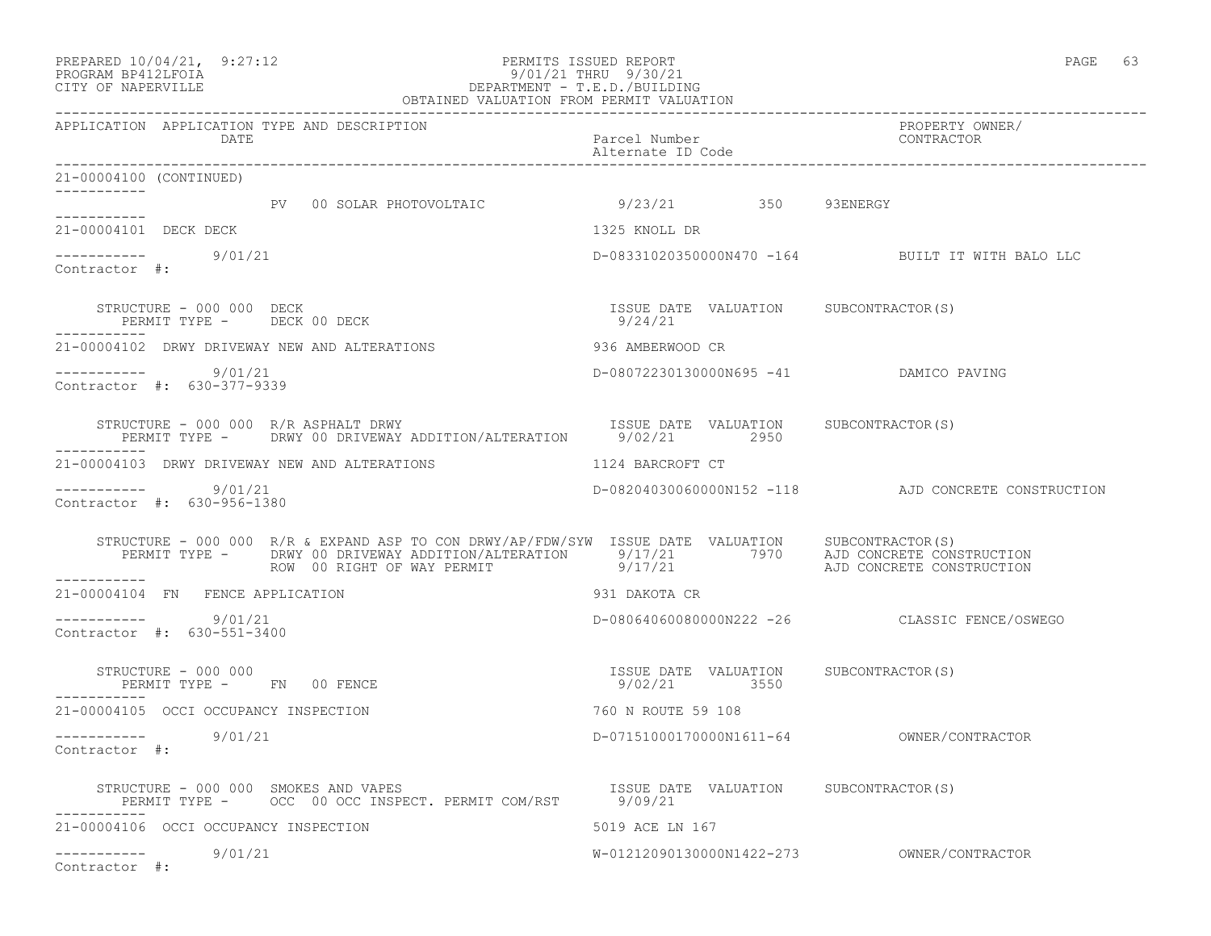#### PREPARED  $10/04/21$ , 9:27:12 PERMITS ISSUED REPORT PAGE 63 PROGRAM BP412LFOIA 9/01/21 THRU 9/30/21 CITY OF NAPERVILLE DEPARTMENT - T.E.D./BUILDING OBTAINED VALUATION FROM PERMIT VALUATION

| APPLICATION APPLICATION TYPE AND DESCRIPTION<br>DATE                                                                                                                                                                                                              | Parcel Number<br>Alternate ID Code                    | PROPERTY OWNER/<br>ENCLUNII C.<br>CONTRACTOR        |
|-------------------------------------------------------------------------------------------------------------------------------------------------------------------------------------------------------------------------------------------------------------------|-------------------------------------------------------|-----------------------------------------------------|
| 21-00004100 (CONTINUED)                                                                                                                                                                                                                                           |                                                       |                                                     |
| -----------<br>PV 00 SOLAR PHOTOVOLTAIC 39/23/21 350 93ENERGY                                                                                                                                                                                                     |                                                       |                                                     |
| 21-00004101 DECK DECK                                                                                                                                                                                                                                             | 1325 KNOLL DR                                         |                                                     |
| $--------- 9/01/21$<br>Contractor #:                                                                                                                                                                                                                              |                                                       | D-08331020350000N470 -164 BUILT IT WITH BALO LLC    |
| STRUCTURE - 000 000 DECK<br>PERMIT TYPE - DECK 00 DECK                                                                                                                                                                                                            | ISSUE DATE VALUATION SUBCONTRACTOR(S)<br>9/24/21      |                                                     |
| 21-00004102 DRWY DRIVEWAY NEW AND ALTERATIONS                                                                                                                                                                                                                     | 936 AMBERWOOD CR                                      |                                                     |
| ----------- 9/01/21<br>Contractor #: 630-377-9339                                                                                                                                                                                                                 | D-08072230130000N695 -41 DAMICO PAVING                |                                                     |
| STRUCTURE - 000 000 R/R ASPHALT DRWY<br>PERMIT TYPE - DRWY 00 DRIVEWAY ADDITION/ALTERATION 9/02/21 2950                                                                                                                                                           | ISSUE DATE VALUATION SUBCONTRACTOR (S)                |                                                     |
| 21-00004103 DRWY DRIVEWAY NEW AND ALTERATIONS                                                                                                                                                                                                                     | 1124 BARCROFT CT                                      |                                                     |
| $--------$ 9/01/21<br>Contractor #: 630-956-1380                                                                                                                                                                                                                  |                                                       | D-08204030060000N152 -118 AJD CONCRETE CONSTRUCTION |
| STRUCTURE - 000 000 R/R & EXPAND ASP TO CON DRWY/AP/FDW/SYW ISSUE DATE VALUATION SUBCONTRACTOR(S)<br>PERMIT TYPE – DRWY 00 DRIVEWAY ADDITION/ALTERATION 9/17/21 7970 AJD CONCRETE CONSTRUCTION<br>ROW 00 RIGHT OF WAY PERMIT 9/17/21 21 AJD CONCRETE CONSTRUCTION |                                                       |                                                     |
| -----------<br>21-00004104 FN FENCE APPLICATION                                                                                                                                                                                                                   | 931 DAKOTA CR                                         |                                                     |
| ----------- 9/01/21<br>Contractor #: 630-551-3400                                                                                                                                                                                                                 |                                                       | D-08064060080000N222 -26 CLASSIC FENCE/OSWEGO       |
| STRUCTURE - 000 000<br>PERMIT TYPE - FN 00 FENCE                                                                                                                                                                                                                  | ISSUE DATE VALUATION SUBCONTRACTOR(S)<br>9/02/21 3550 |                                                     |
| 21-00004105 OCCI OCCUPANCY INSPECTION                                                                                                                                                                                                                             | 760 N ROUTE 59 108                                    |                                                     |
| ----------- 9/01/21<br>Contractor #:                                                                                                                                                                                                                              |                                                       |                                                     |
| STRUCTURE - 000 000 SMOKES AND VAPES (S) TSSUE DATE VALUATION SUBCONTRACTOR(S)                                                                                                                                                                                    |                                                       |                                                     |
| 21-00004106 OCCI OCCUPANCY INSPECTION                                                                                                                                                                                                                             | 5019 ACE LN 167                                       |                                                     |
| $--------- 9/01/21$<br>Contractor #:                                                                                                                                                                                                                              |                                                       |                                                     |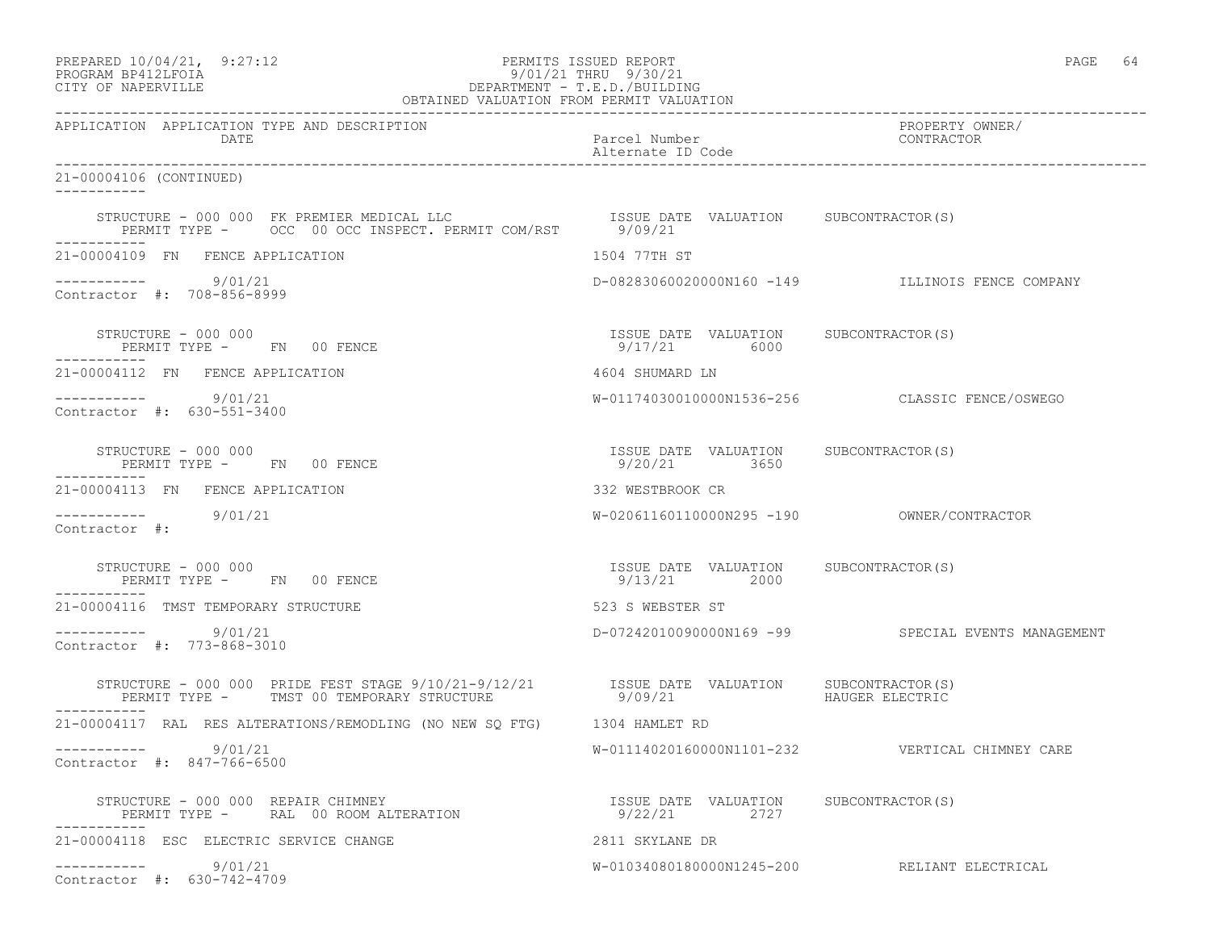| PREPARED 10/04/21,  | 9:27:12 |
|---------------------|---------|
| DDOCD3M DD410T DOT3 |         |

# PREPARED 10/04/21, 9:27:12 PERMITS ISSUED REPORT<br>PROGRAM BP412LFOIA PAGE 64 PROGRAM BP412LFOIA 9/01/21 THRU 9/30/21 CITY OF NAPERVILLE DEPARTMENT - T.E.D./BUILDING

| OBTAINED VALUATION FROM PERMIT VALUATION                                                                                                                                                                               |                                                       |                                                    |  |  |
|------------------------------------------------------------------------------------------------------------------------------------------------------------------------------------------------------------------------|-------------------------------------------------------|----------------------------------------------------|--|--|
| APPLICATION APPLICATION TYPE AND DESCRIPTION<br>DATE                                                                                                                                                                   | Parcel Number<br>Alternate ID Code                    | PROPERTY OWNER/<br>CONTRACTOR                      |  |  |
| 21-00004106 (CONTINUED)<br><u> Liberalis Liberal</u>                                                                                                                                                                   |                                                       |                                                    |  |  |
| STRUCTURE - 000 000 FK PREMIER MEDICAL LLC<br>PERMIT TYPE - OCC 00 OCC INSPECT. PERMIT COM/RST 9/09/21                                                                                                                 |                                                       |                                                    |  |  |
| 21-00004109 FN FENCE APPLICATION                                                                                                                                                                                       | 1504 77TH ST                                          |                                                    |  |  |
| $--------- 9/01/21$<br>Contractor #: 708-856-8999                                                                                                                                                                      |                                                       | D-08283060020000N160 -149 ILLINOIS FENCE COMPANY   |  |  |
| STRUCTURE - 000 000<br>PERMIT TYPE - FN 00 FENCE                                                                                                                                                                       | ISSUE DATE VALUATION SUBCONTRACTOR(S)<br>9/17/21 6000 |                                                    |  |  |
| 21-00004112 FN FENCE APPLICATION                                                                                                                                                                                       | 4604 SHUMARD LN                                       |                                                    |  |  |
| ----------- 9/01/21<br>Contractor #: 630-551-3400                                                                                                                                                                      |                                                       | W-01174030010000N1536-256 CLASSIC FENCE/OSWEGO     |  |  |
| STRUCTURE - 000 000<br>PERMIT TYPE - FN 00 FENCE                                                                                                                                                                       | ISSUE DATE VALUATION SUBCONTRACTOR(S)<br>9/20/21 3650 |                                                    |  |  |
| 21-00004113 FN FENCE APPLICATION                                                                                                                                                                                       | 332 WESTBROOK CR                                      |                                                    |  |  |
| ----------- 9/01/21<br>Contractor #:                                                                                                                                                                                   |                                                       |                                                    |  |  |
| STRUCTURE - 000 000<br>PERMIT TYPE - FN 00 FENCE                                                                                                                                                                       | ISSUE DATE VALUATION SUBCONTRACTOR(S)<br>9/13/21 2000 |                                                    |  |  |
| 21-00004116 TMST TEMPORARY STRUCTURE                                                                                                                                                                                   | 523 S WEBSTER ST                                      |                                                    |  |  |
| 9/01/21<br>Contractor #: 773-868-3010                                                                                                                                                                                  |                                                       | D-07242010090000N169 -99 SPECIAL EVENTS MANAGEMENT |  |  |
| $\begin{array}{cccccc} \texttt{STRUCTURE} & - & 000 & 000 & \texttt{PRIDE FEST STAGE} & 9/10/21-9/12/21 & & & & & & & \\ \texttt{PERMIT TYPE} & - & \texttt{TMST 00 TEMPORARY STRUCTURE} & & & & & & & \\ \end{array}$ |                                                       |                                                    |  |  |
| 21-00004117 RAL RES ALTERATIONS/REMODLING (NO NEW SQ FTG) 1304 HAMLET RD                                                                                                                                               |                                                       |                                                    |  |  |
| ----------- 9/01/21<br>Contractor #: 847-766-6500                                                                                                                                                                      |                                                       | W-01114020160000N1101-232    VERTICAL CHIMNEY CARE |  |  |
| STRUCTURE - 000 000 REPAIR CHIMNEY<br>DIAUCIURE - UUU UUU KEPAIR CHIMNEY<br>PERMIT TYPE - RAL 00 ROOM ALTERATION                                                                                                       | ISSUE DATE VALUATION SUBCONTRACTOR(S)<br>9/22/21 2727 |                                                    |  |  |
| 21-00004118 ESC ELECTRIC SERVICE CHANGE                                                                                                                                                                                | 2811 SKYLANE DR                                       |                                                    |  |  |
| $--------- 9/01/21$<br>Contractor #: 630-742-4709                                                                                                                                                                      |                                                       | W-01034080180000N1245-200 RELIANT ELECTRICAL       |  |  |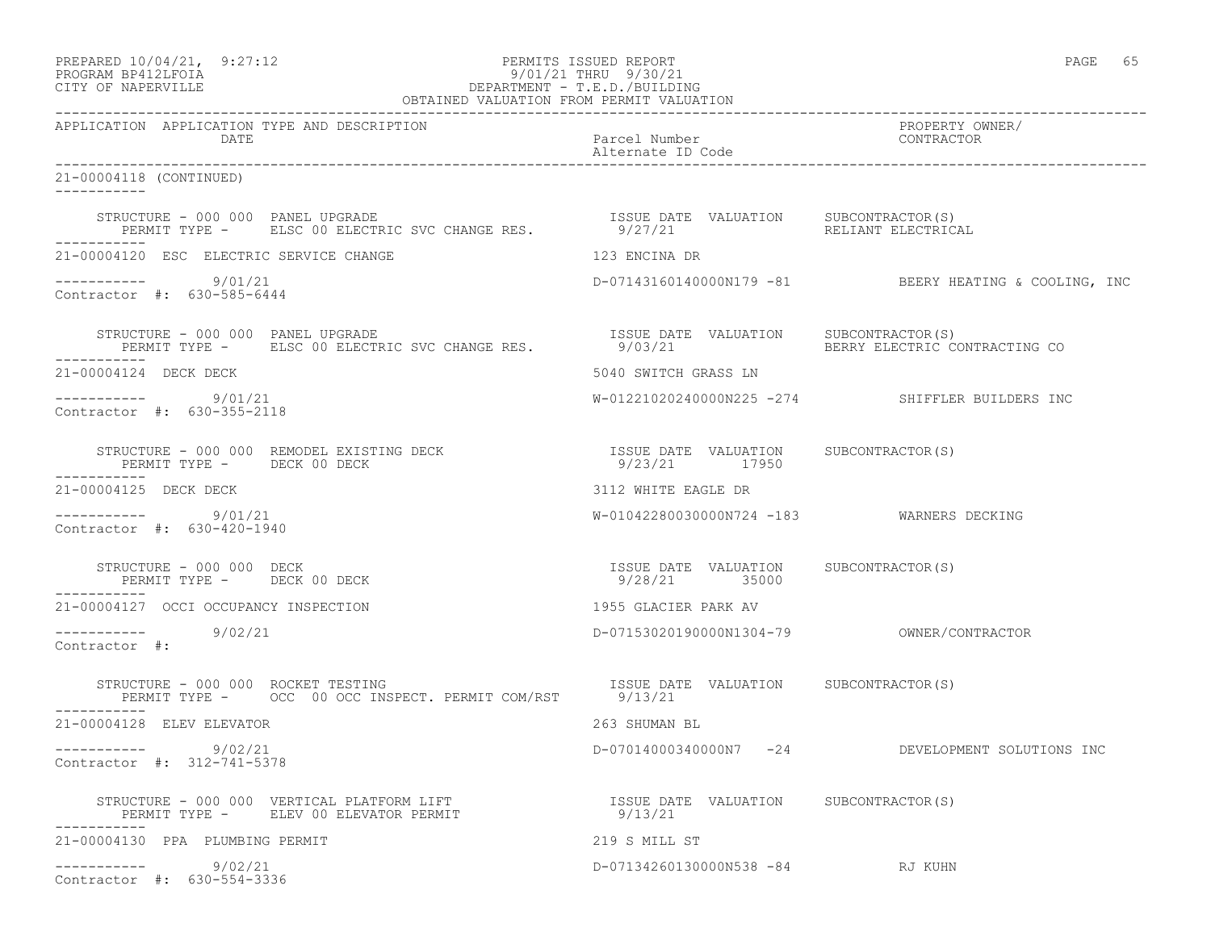| PREPARED 10/04/21, 9:27:12 | PERMITS ISSUED REPORT     |  | PAGE |  |
|----------------------------|---------------------------|--|------|--|
| DDOCD3M DD419T DOT3        | $0/01/01$ munti $0/00/01$ |  |      |  |

# PROGRAM BP412LFOIA 9/01/21 THRU 9/30/21 CITY OF NAPERVILLE DEPARTMENT - T.E.D./BUILDING

| OBTAINED VALUATION FROM PERMIT VALUATION                                                                                     |                                                        |                                                       |  |  |
|------------------------------------------------------------------------------------------------------------------------------|--------------------------------------------------------|-------------------------------------------------------|--|--|
| APPLICATION APPLICATION TYPE AND DESCRIPTION<br>DATE                                                                         | Parcel Number<br>Alternate ID Code                     | PROPERTY OWNER/<br>CONTRACTOR                         |  |  |
| 21-00004118 (CONTINUED)<br><u> Ludwaldu Ludw</u>                                                                             |                                                        |                                                       |  |  |
| STRUCTURE - 000 000 PANEL UPGRADE<br>STRUCTURE - 000 000 PANEL UPGRADE<br>PERMIT TYPE -     ELSC 00 ELECTRIC SVC CHANGE RES. | ISSUE DATE VALUATION SUBCONTRACTOR(S)<br>9/27/21       | RELIANT ELECTRICAL                                    |  |  |
| 21-00004120 ESC ELECTRIC SERVICE CHANGE                                                                                      | 123 ENCINA DR                                          |                                                       |  |  |
| $--------- 9/01/21$<br>Contractor #: 630-585-6444                                                                            |                                                        | D-07143160140000N179 -81 BEERY HEATING & COOLING, INC |  |  |
|                                                                                                                              |                                                        | BERRY ELECTRIC CONTRACTING CO                         |  |  |
| 21-00004124 DECK DECK                                                                                                        | 5040 SWITCH GRASS LN                                   |                                                       |  |  |
| 9/01/21<br>Contractor #: 630-355-2118                                                                                        |                                                        | W-01221020240000N225 -274 SHIFFLER BUILDERS INC       |  |  |
| STRUCTURE - 000 000 REMODEL EXISTING DECK<br>PERMIT TYPE - DECK 00 DECK                                                      | ISSUE DATE VALUATION SUBCONTRACTOR(S)<br>9/23/21 17950 |                                                       |  |  |
| 21-00004125 DECK DECK                                                                                                        | 3112 WHITE EAGLE DR                                    |                                                       |  |  |
| $--------$ 9/01/21<br>Contractor #: 630-420-1940                                                                             | W-01042280030000N724 -183 WARNERS DECKING              |                                                       |  |  |
| STRUCTURE - 000 000 DECK<br>PERMIT TYPE - DECK 00 DECK<br>PERMIT TYPE - DECK 00 DECK                                         | ISSUE DATE VALUATION SUBCONTRACTOR(S)<br>9/28/21 35000 |                                                       |  |  |
| 21-00004127 OCCI OCCUPANCY INSPECTION                                                                                        | 1955 GLACIER PARK AV                                   |                                                       |  |  |
| ----------- 9/02/21<br>Contractor #:                                                                                         |                                                        |                                                       |  |  |
| -----------                                                                                                                  |                                                        |                                                       |  |  |
| 21-00004128 ELEV ELEVATOR                                                                                                    | 263 SHUMAN BL                                          |                                                       |  |  |
| ----------- 9/02/21<br>Contractor #: 312-741-5378                                                                            |                                                        | D-07014000340000N7 -24 DEVELOPMENT SOLUTIONS INC      |  |  |
|                                                                                                                              |                                                        |                                                       |  |  |
| 21-00004130 PPA PLUMBING PERMIT                                                                                              | 219 S MILL ST                                          |                                                       |  |  |
| $--------- 9/02/21$<br>Contractor #: 630-554-3336                                                                            | D-07134260130000N538 -84 RJ KUHN                       |                                                       |  |  |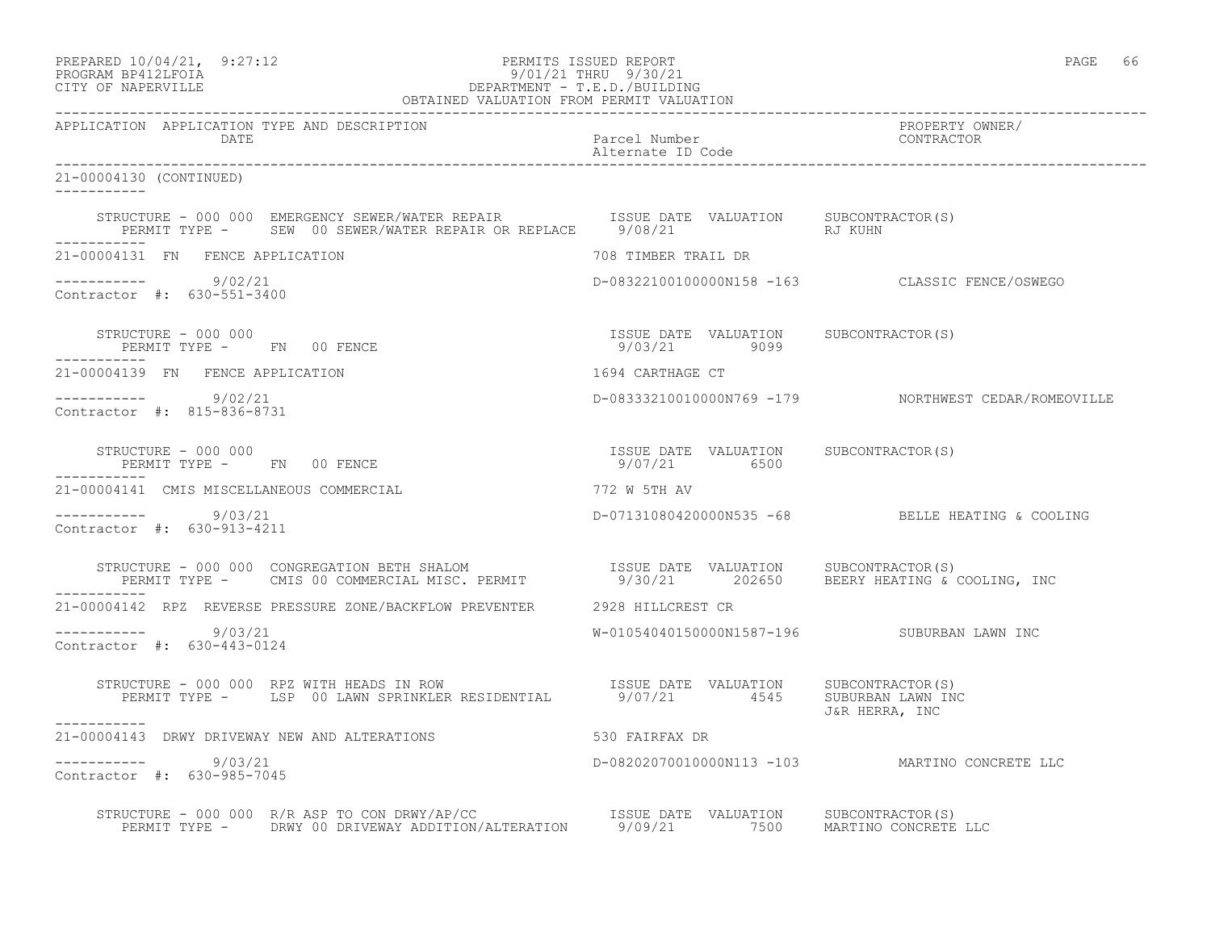| PREPARED 10/04/21, 9:27:12<br>PERMITS ISSUED REPORT<br>PROGRAM BP412LFOIA 927:12<br>CITY OF NAPERVILLE DEPARTMENT - T.E.D./BUILDING<br>OBTAINED VALUATION FROM PERMIT VALUATION                                             |                                                       | PAGE 66                                              |  |
|-----------------------------------------------------------------------------------------------------------------------------------------------------------------------------------------------------------------------------|-------------------------------------------------------|------------------------------------------------------|--|
| APPLICATION APPLICATION TYPE AND DESCRIPTION<br>DATE                                                                                                                                                                        | Parcel Number<br>Alternate ID Code                    | PROPERTY OWNER/<br>CONTRACTOR                        |  |
| 21-00004130 (CONTINUED)<br>-----------                                                                                                                                                                                      |                                                       |                                                      |  |
| STRUCTURE - 000 000 EMERGENCY SEWER/WATER REPAIR <a>&gt; SISSUE<br/> DATE VALUATION <br/> SUBCONTRACTOR(S)<br/>PERMIT TYPE - SEW 00 SEWER/WATER REPAIR OR REPLACE 9/08/21 5 RJ KUHN</a>                                     |                                                       |                                                      |  |
| 21-00004131 FN FENCE APPLICATION                                                                                                                                                                                            | 708 TIMBER TRAIL DR                                   |                                                      |  |
| $--------- 9/02/21$<br>Contractor #: 630-551-3400                                                                                                                                                                           |                                                       | D-08322100100000N158 -163 CLASSIC FENCE/OSWEGO       |  |
| STRUCTURE - 000 000<br>PERMIT TYPE - FN 00 FENCE                                                                                                                                                                            | ISSUE DATE VALUATION SUBCONTRACTOR(S)<br>9/03/21 9099 |                                                      |  |
| 21-00004139 FN FENCE APPLICATION                                                                                                                                                                                            | 1694 CARTHAGE CT                                      |                                                      |  |
| $--------- 9/02/21$<br>Contractor #: 815-836-8731                                                                                                                                                                           |                                                       | D-08333210010000N769 -179 NORTHWEST CEDAR/ROMEOVILLE |  |
| STRUCTURE - 000 000<br>PERMIT TYPE - FN 00 FENCE                                                                                                                                                                            | ISSUE DATE VALUATION SUBCONTRACTOR(S)<br>9/07/21 6500 |                                                      |  |
| 21-00004141 CMIS MISCELLANEOUS COMMERCIAL                                                                                                                                                                                   | 772 W 5TH AV                                          |                                                      |  |
| -----------     9/03/21<br>Contractor #: 630-913-4211                                                                                                                                                                       |                                                       | D-07131080420000N535 -68 BELLE HEATING & COOLING     |  |
| STRUCTURE - 000 000 CONGREGATION BETH SHALOM                    ISSUE DATE VALUATION    SUBCONTRACTOR(S)<br>PERMIT TYPE -    CMIS 00 COMMERCIAL MISC. PERMIT             9/30/21     202650    BEERY HEATING & COOLING, INC |                                                       |                                                      |  |
| 21-00004142 RPZ REVERSE PRESSURE ZONE/BACKFLOW PREVENTER 2928 HILLCREST CR                                                                                                                                                  |                                                       |                                                      |  |
| $--------- 9/03/21$<br>Contractor #: 630-443-0124                                                                                                                                                                           |                                                       | W-01054040150000N1587-196 SUBURBAN LAWN INC          |  |
| STRUCTURE - 000 000 RPZ WITH HEADS IN ROW<br>PERMIT TYPE - LSP 00 LAWN SPRINKLER RESIDENTIAL 9/07/21 4545 SUBURBAN LAWN INC<br>-----------                                                                                  |                                                       |                                                      |  |
| 530 FAIRFAX DR<br>21-00004143 DRWY DRIVEWAY NEW AND ALTERATIONS                                                                                                                                                             |                                                       |                                                      |  |
| ----------     9/03/21<br>Contractor #: 630-985-7045                                                                                                                                                                        |                                                       | D-08202070010000N113 -103 MARTINO CONCRETE LLC       |  |
| STRUCTURE - 000 000 R/R ASP TO CON DRWY/AP/CC     ISSUE DATE VALUATION SUBCONTRACTOR(S)<br>PERMIT TYPE -   DRWY 00 DRIVEWAY ADDITION/ALTERATION     9/09/21     7500   MARTINO CONCRETE LLC                                 |                                                       |                                                      |  |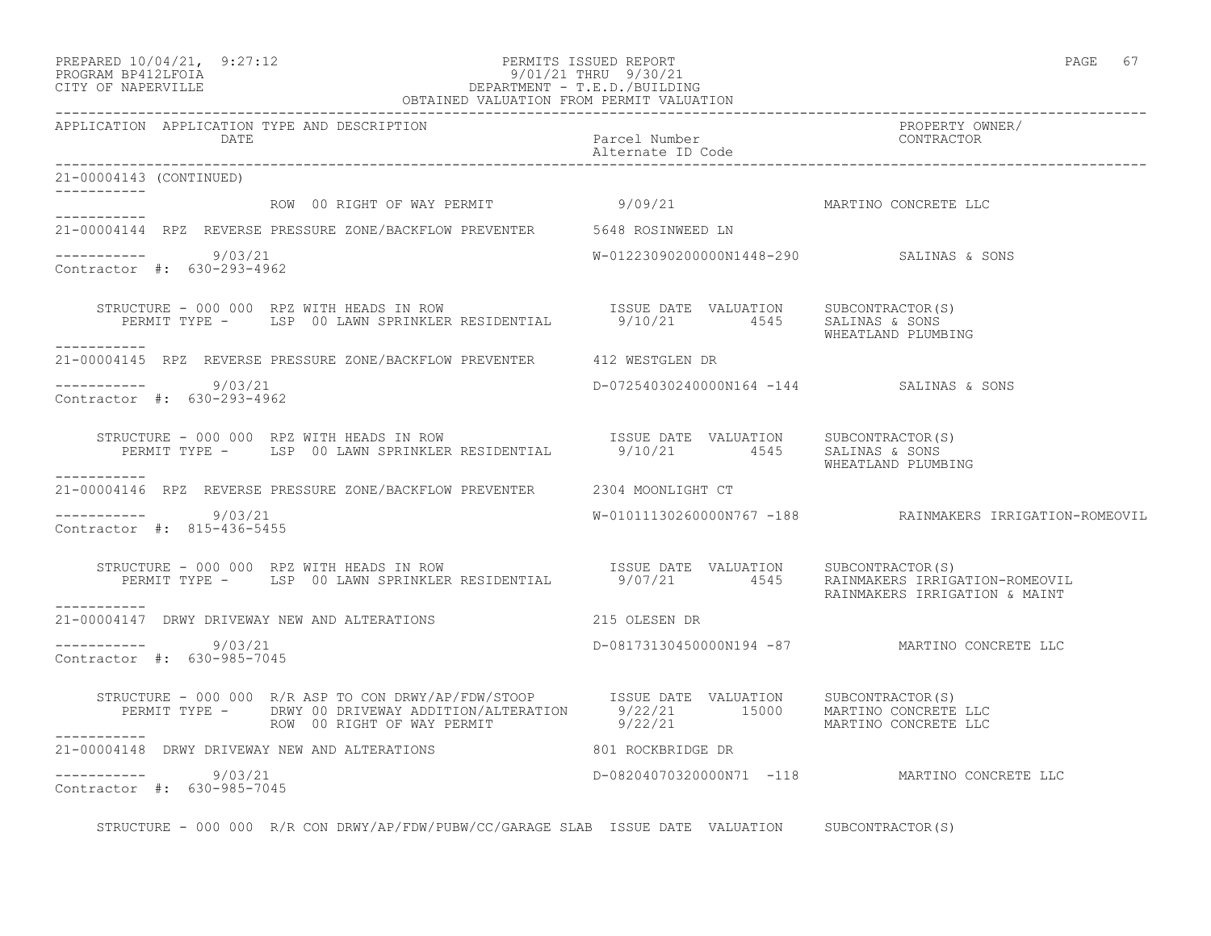#### PREPARED 10/04/21, 9:27:12 PERMITS ISSUED REPORT PAGE 67 PROGRAM BP412LFOIA 9/01/21 THRU 9/30/21 CITY OF NAPERVILLE DEPARTMENT - T.E.D./BUILDING OBTAINED VALUATION FROM PERMIT VALUATION

------------------------------------------------------------------------------------------------------------------------------------ APPLICATION APPLICATION TYPE AND DESCRIPTION PROPERTY OWNER/ DATE Parcel Number CONTRACTOR Alternate ID Code ------------------------------------------------------------------------------------------------------------------------------------ 21-00004143 (CONTINUED) ----------- ROW 00 RIGHT OF WAY PERMIT 9/09/21 MARTINO CONCRETE LLC ----------- 21-00004144 RPZ REVERSE PRESSURE ZONE/BACKFLOW PREVENTER 5648 ROSINWEED LN  $--------- 9/03/21$  $W-01223090200000N1448-290$  SALINAS & SONS Contractor #: 630-293-4962 STRUCTURE - 000 000 RPZ WITH HEADS IN ROW ISSUE DATE VALUATION SUBCONTRACTOR(S) PERMIT TYPE - LSP 00 LAWN SPRINKLER RESIDENTIAL 9/10/21 4545 SALINAS & SONS WHEATLAND PLUMBING ----------- 21-00004145 RPZ REVERSE PRESSURE ZONE/BACKFLOW PREVENTER 412 WESTGLEN DR \_\_\_\_\_\_\_\_\_\_\_ ----------- 9/03/21 D-07254030240000N164 -144 SALINAS & SONS Contractor #: 630-293-4962 STRUCTURE - 000 000 RPZ WITH HEADS IN ROW ISSUE DATE VALUATION SUBCONTRACTOR(S) PERMIT TYPE - LSP 00 LAWN SPRINKLER RESIDENTIAL 9/10/21 4545 SALINAS & SONS WHEATLAND PLUMBING ----------- 21-00004146 RPZ REVERSE PRESSURE ZONE/BACKFLOW PREVENTER 2304 MOONLIGHT CT  $--------- 9/03/21$ W-01011130260000N767 -188 RAINMAKERS IRRIGATION-ROMEOVIL Contractor #: 815-436-5455 STRUCTURE - 000 000 RPZ WITH HEADS IN ROW ISSUE DATE VALUATION SUBCONTRACTOR(S) PERMIT TYPE - LSP 00 LAWN SPRINKLER RESIDENTIAL 9/07/21 4545 RAINMAKERS IRRIGATION-ROMEOVIL RAINMAKERS IRRIGATION & MAINT ----------- 21-00004147 DRWY DRIVEWAY NEW AND ALTERATIONS 215 OLESEN DR \_\_\_\_\_\_\_\_\_\_\_ ----------- 9/03/21 D-08173130450000N194 -87 MARTINO CONCRETE LLC Contractor #: 630-985-7045 STRUCTURE - 000 000 R/R ASP TO CON DRWY/AP/FDW/STOOP ISSUE DATE VALUATION SUBCONTRACTOR(S) PERMIT TYPE - DRWY 00 DRIVEWAY ADDITION/ALTERATION 9/22/21 15000 MARTINO CONCRETE LLC ROW 00 RIGHT OF WAY PERMIT 9/22/21 MARTINO CONCRETE LLC ----------- 21-00004148 DRWY DRIVEWAY NEW AND ALTERATIONS 801 ROCKBRIDGE DR  $--------- 9/03/21$ ----------- 9/03/21 D-08204070320000N71 -118 MARTINO CONCRETE LLC Contractor #: 630-985-7045

STRUCTURE - 000 000 R/R CON DRWY/AP/FDW/PUBW/CC/GARAGE SLAB ISSUE DATE VALUATION SUBCONTRACTOR(S)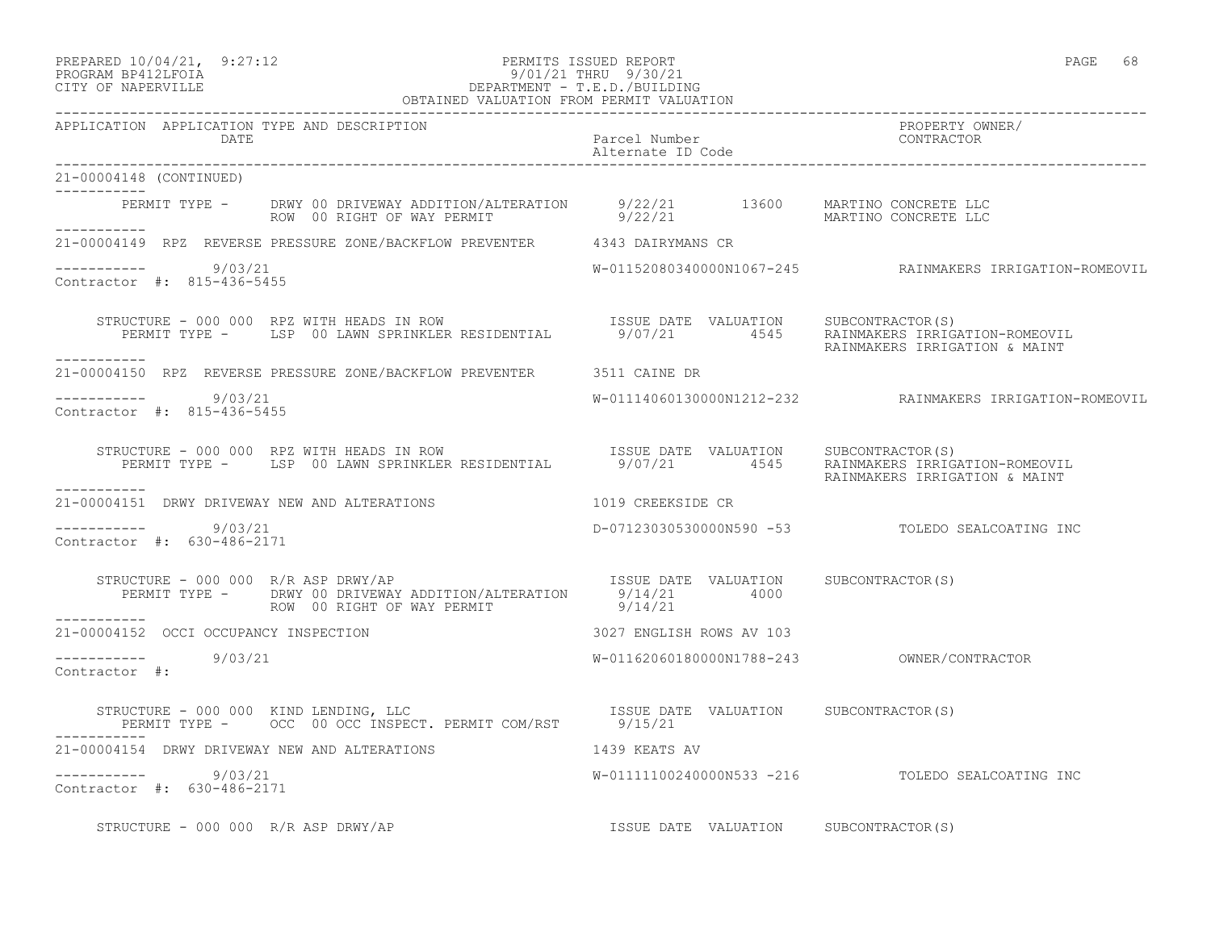#### PREPARED  $10/04/21$ , 9:27:12 PERMITS ISSUED REPORT PAGE 68 PROGRAM BP412LFOIA 9/01/21 THRU 9/30/21 CITY OF NAPERVILLE DEPARTMENT - T.E.D./BUILDING

|                                                       | OBTAINED VALUATION FROM PERMIT VALUATION                                                                                                                                         |                                       |                                                          |
|-------------------------------------------------------|----------------------------------------------------------------------------------------------------------------------------------------------------------------------------------|---------------------------------------|----------------------------------------------------------|
| APPLICATION APPLICATION TYPE AND DESCRIPTION<br>DATE  |                                                                                                                                                                                  | Parcel Number<br>Alternate ID Code    | PROPERTY OWNER/<br>CONTRACTOR                            |
| 21-00004148 (CONTINUED)                               |                                                                                                                                                                                  |                                       |                                                          |
|                                                       | PERMIT TYPE - DRWY 00 DRIVEWAY ADDITION/ALTERATION 9/22/21 13600 MARTINO CONCRETE LLC<br>ROW 00 RIGHT OF WAY PERMIT 9/22/21 13600 MARTINO CONCRETE LLC                           |                                       |                                                          |
|                                                       | 21-00004149 RPZ REVERSE PRESSURE ZONE/BACKFLOW PREVENTER 4343 DAIRYMANS CR                                                                                                       |                                       |                                                          |
| $--------- 9/03/21$<br>Contractor #: 815-436-5455     |                                                                                                                                                                                  |                                       | W-01152080340000N1067-245 RAINMAKERS IRRIGATION-ROMEOVIL |
| ----------                                            |                                                                                                                                                                                  |                                       |                                                          |
|                                                       | 21-00004150 RPZ REVERSE PRESSURE ZONE/BACKFLOW PREVENTER 3511 CAINE DR                                                                                                           |                                       |                                                          |
| $--------- 9/03/21$<br>Contractor #: 815-436-5455     |                                                                                                                                                                                  |                                       | W-01114060130000N1212-232 RAINMAKERS IRRIGATION-ROMEOVIL |
|                                                       | STRUCTURE - 000 000 RPZ WITH HEADS IN ROW<br>PERMIT TYPE - LSP 00 LAWN SPRINKLER RESIDENTIAL 9/07/21 4545 RAINMAKER RESIDENTIAL                                                  |                                       | RAINMAKERS IRRIGATION & MAINT                            |
|                                                       | 21-00004151 DRWY DRIVEWAY NEW AND ALTERATIONS 1019 CREEKSIDE CR                                                                                                                  |                                       |                                                          |
| -----------     9/03/21<br>Contractor #: 630-486-2171 |                                                                                                                                                                                  |                                       | D-07123030530000N590 -53 TOLEDO SEALCOATING INC          |
| STRUCTURE - 000 000 R/R ASP DRWY/AP                   | RUCTURE - 000 000 R/R ASP DRWY/AP<br>PERMIT TYPE - DRWY 00 DRIVEWAY ADDITION/ALTERATION 9/14/21 4000<br>---- ROW 00 RIGHT OF WAY PERMIT 9/14/21                                  |                                       |                                                          |
|                                                       | 21-00004152 OCCI OCCUPANCY INSPECTION 3027 ENGLISH ROWS AV 103                                                                                                                   |                                       |                                                          |
| $\frac{1}{2}$ -----------<br>Contractor #: 9/03/21    |                                                                                                                                                                                  |                                       |                                                          |
| STRUCTURE - 000 000 KIND LENDING, LLC                 | STRUCTURE - 000 000 KIND LENDING, LLC                           ISSUE DATE VALUATION     SUBCONTRACTOR(S)<br>PERMIT TYPE -     OCC  00 OCC INSPECT. PERMIT COM/RST       9/15/21 |                                       |                                                          |
|                                                       | 21-00004154 DRWY DRIVEWAY NEW AND ALTERATIONS 1439 KEATS AV                                                                                                                      |                                       |                                                          |
| ----------- 9/03/21<br>Contractor #: 630-486-2171     |                                                                                                                                                                                  |                                       | W-01111100240000N533 -216 TOLEDO SEALCOATING INC         |
| STRUCTURE - 000 000 R/R ASP DRWY/AP                   |                                                                                                                                                                                  | ISSUE DATE VALUATION SUBCONTRACTOR(S) |                                                          |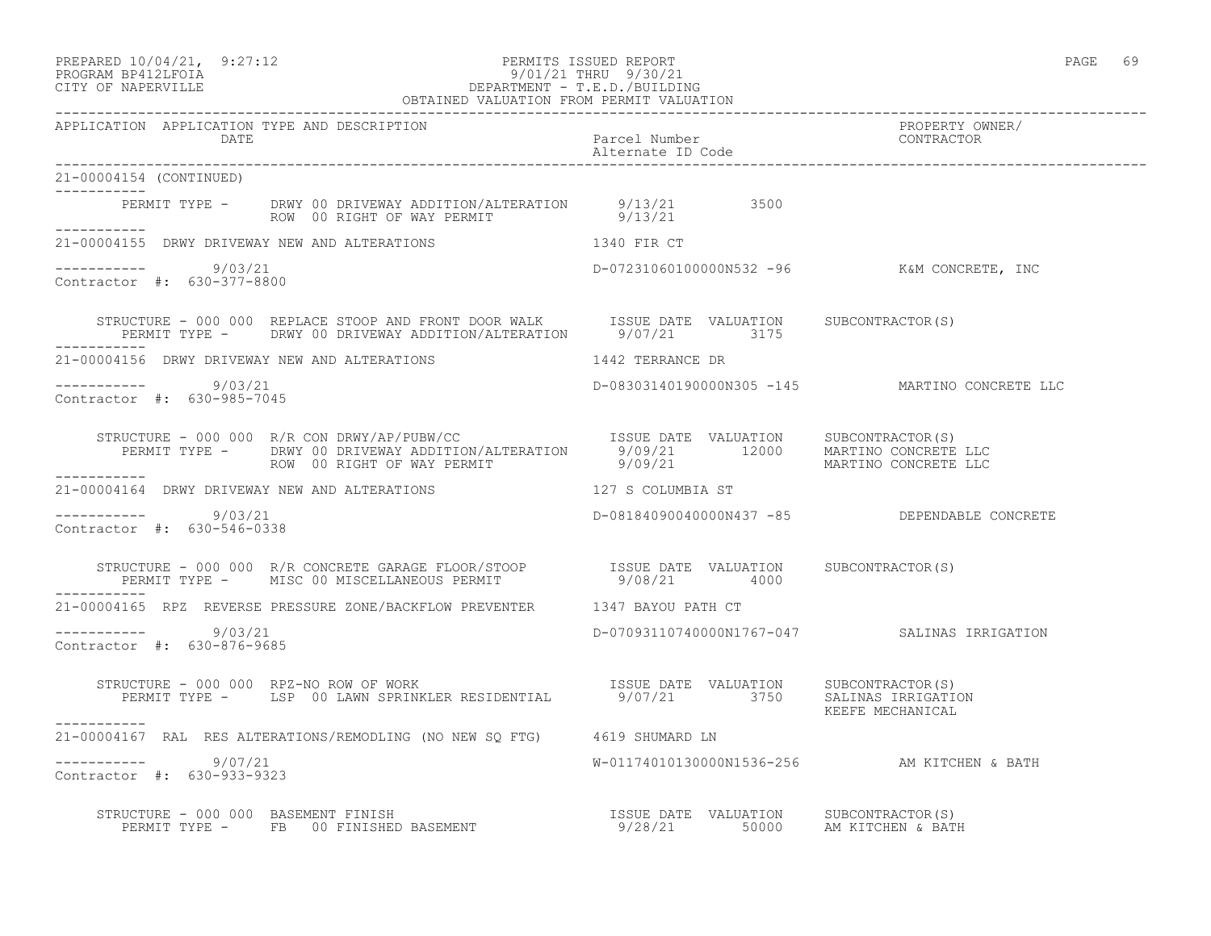## PREPARED 10/04/21, 9:27:12 PERMITS ISSUED REPORT<br>PROGRAM BP412LFOIA PAGE 69 PROGRAM 9/01/21 THRU 9/30/21 PROGRAM BP412LFOIA 9/01/21 THRU 9/30/21 CITY OF NAPERVILLE DEPARTMENT - T.E.D./BUILDING

| OBTAINED VALUATION FROM PERMIT VALUATION                                                                                                                                                                                                                          |                                                |                               |  |  |
|-------------------------------------------------------------------------------------------------------------------------------------------------------------------------------------------------------------------------------------------------------------------|------------------------------------------------|-------------------------------|--|--|
| APPLICATION APPLICATION TYPE AND DESCRIPTION<br>DATE                                                                                                                                                                                                              | Parcel Number<br>Alternate ID Code             | PROPERTY OWNER/<br>CONTRACTOR |  |  |
| 21-00004154 (CONTINUED)<br>---------                                                                                                                                                                                                                              |                                                |                               |  |  |
| PERMIT TYPE - DRWY 00 DRIVEWAY ADDITION/ALTERATION 9/13/21 3500<br>ROW 00 RIGHT OF WAY PERMIT 9/13/21                                                                                                                                                             |                                                |                               |  |  |
| 21-00004155 DRWY DRIVEWAY NEW AND ALTERATIONS 1340 FIR CT                                                                                                                                                                                                         |                                                |                               |  |  |
| $--------- 9/03/21$<br>Contractor #: 630-377-8800                                                                                                                                                                                                                 | D-07231060100000N532 -96 K&M CONCRETE, INC     |                               |  |  |
| STRUCTURE - 000 000 REPLACE STOOP AND FRONT DOOR WALK ISSUE DATE VALUATION SUBCONTRACTOR(S)<br>PERMIT TYPE - DRWY 00 DRIVEWAY ADDITION/ALTERATION 9/07/21 3175                                                                                                    |                                                |                               |  |  |
| 21-00004156 DRWY DRIVEWAY NEW AND ALTERATIONS                                                                                                                                                                                                                     | 1442 TERRANCE DR                               |                               |  |  |
| ----------- 9/03/21<br>Contractor #: 630-985-7045                                                                                                                                                                                                                 | D-08303140190000N305 -145 MARTINO CONCRETE LLC |                               |  |  |
| -----------                                                                                                                                                                                                                                                       |                                                |                               |  |  |
| 21-00004164 DRWY DRIVEWAY NEW AND ALTERATIONS 127 S COLUMBIA ST                                                                                                                                                                                                   |                                                |                               |  |  |
| $--------- 9/03/21$<br>Contractor #: 630-546-0338                                                                                                                                                                                                                 | D-08184090040000N437 -85 DEPENDABLE CONCRETE   |                               |  |  |
| STRUCTURE - 000 000 R/R CONCRETE GARAGE FLOOR/STOOP           ISSUE DATE VALUATION     SUBCONTRACTOR(S)<br>PERMIT TYPE -       MISC 00 MISCELLANEOUS PERMIT                       9/08/21         4000<br>. <u>.</u> .                                            |                                                |                               |  |  |
| 21-00004165 RPZ REVERSE PRESSURE ZONE/BACKFLOW PREVENTER 1347 BAYOU PATH CT                                                                                                                                                                                       |                                                |                               |  |  |
| $--------- 9/03/21$<br>Contractor #: 630-876-9685                                                                                                                                                                                                                 |                                                |                               |  |  |
| RUCTURE - 000 000 RPZ-NO ROW OF WORK                               ISSUE DATE VALUATION     SUBCONTRACTOR(S)<br>PERMIT TYPE -     LSP 00 LAWN SPRINKLER RESIDENTIAL         9/07/21         3750     SALINAS IRRIGATION<br>STRUCTURE - 000 000 RPZ-NO ROW OF WORK |                                                | KEEFE MECHANICAL              |  |  |
| 21-00004167 RAL RES ALTERATIONS/REMODLING (NO NEW SQ FTG) 4619 SHUMARD LN                                                                                                                                                                                         |                                                |                               |  |  |
| -----------     9/07/21<br>Contractor #: 630-933-9323                                                                                                                                                                                                             | W-01174010130000N1536-256 AM KITCHEN & BATH    |                               |  |  |
| STRUCTURE - 000 000 BASEMENT FINISH SASEMENT NALURE DATE VALUATION SUBCONTRACTOR(S)<br>PERMIT TYPE - FB 00 FINISHED BASEMENT 19/28/21 50000 AM KITCHEN & BATH                                                                                                     |                                                |                               |  |  |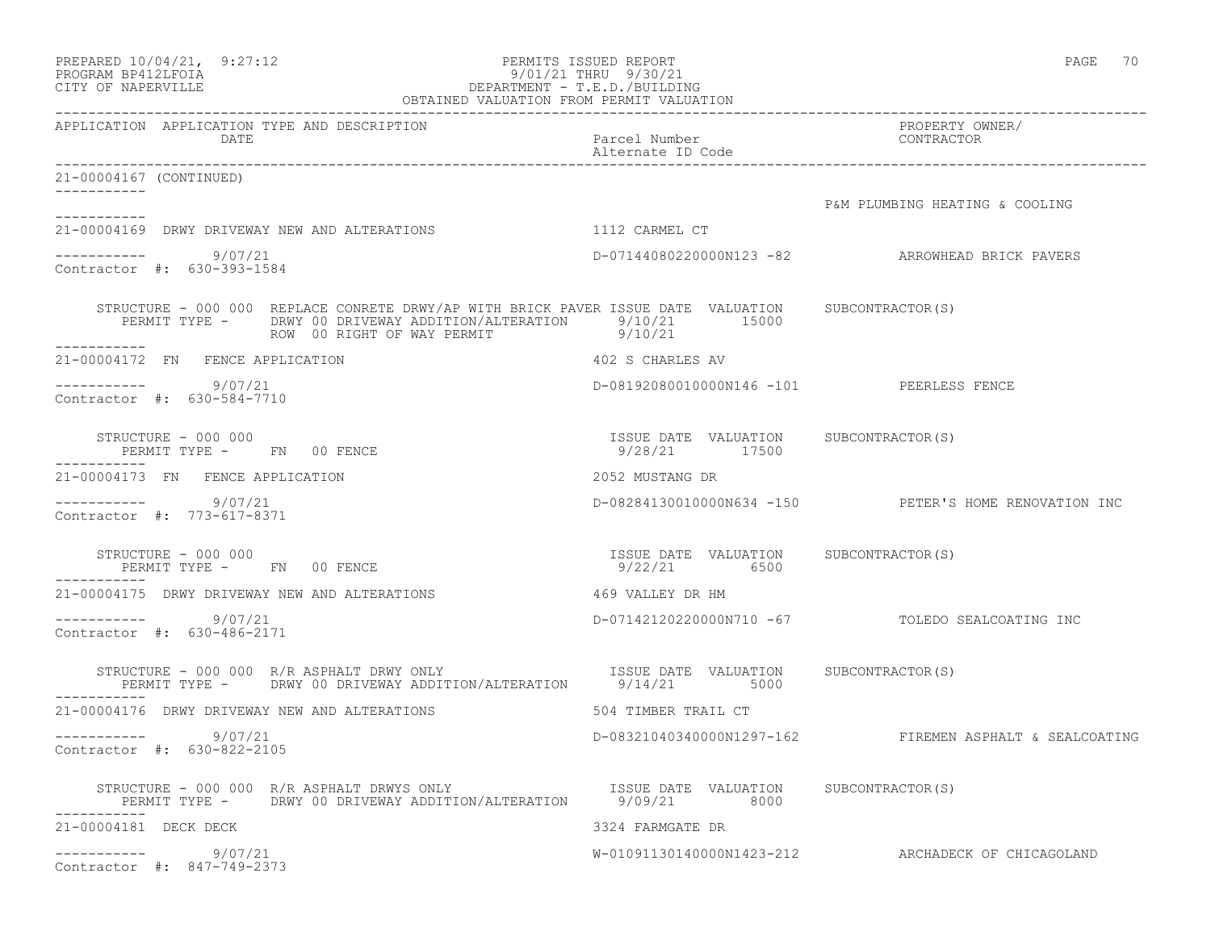| PREPARED 10/04/21, 9:27:12<br>PERMITS ISSUED REPORT<br>9/01/21 THRU 9/30/21<br>PROGRAM BP412LFOIA<br>9/01/21 THRU 9/30/21<br>DEPARTMENT - T.E.D./BUILDING<br>OBTAINED VALUATION FROM PERMIT VALUATION<br>CITY OF NAPERVILLE | PAGE 70                                                |                                                         |
|-----------------------------------------------------------------------------------------------------------------------------------------------------------------------------------------------------------------------------|--------------------------------------------------------|---------------------------------------------------------|
| APPLICATION APPLICATION TYPE AND DESCRIPTION<br>DATE                                                                                                                                                                        | Parcel Number<br>Alternate ID Code                     | PROPERTY OWNER/<br>CONTRACTOR                           |
| 21-00004167 (CONTINUED)<br>-----------                                                                                                                                                                                      |                                                        |                                                         |
|                                                                                                                                                                                                                             |                                                        | P&M PLUMBING HEATING & COOLING                          |
| 21-00004169 DRWY DRIVEWAY NEW AND ALTERATIONS                                                                                                                                                                               | 1112 CARMEL CT                                         |                                                         |
| $--------- 9/07/21$<br>Contractor #: 630-393-1584                                                                                                                                                                           |                                                        | D-07144080220000N123 -82 ARROWHEAD BRICK PAVERS         |
| STRUCTURE - 000 000 REPLACE CONRETE DRWY/AP WITH BRICK PAVER ISSUE DATE VALUATION SUBCONTRACTOR(S)<br>PERMIT TYPE - DRWY 00 DRIVEWAY ADDITION/ALTERATION 9/10/21 15000<br>ROW 00 RIGHT OF WAY PERMIT<br>-----------         | 9/10/21                                                |                                                         |
| 21-00004172 FN FENCE APPLICATION                                                                                                                                                                                            | 402 S CHARLES AV                                       |                                                         |
| -----------     9/07/21<br>Contractor #: 630-584-7710                                                                                                                                                                       | D-08192080010000N146 -101 PEERLESS FENCE               |                                                         |
| STRUCTURE - 000 000<br>PERMIT TYPE - FN 00 FENCE                                                                                                                                                                            | ISSUE DATE VALUATION SUBCONTRACTOR(S)<br>9/28/21 17500 |                                                         |
| 21-00004173 FN FENCE APPLICATION                                                                                                                                                                                            | 2052 MUSTANG DR                                        |                                                         |
| ----------- 9/07/21<br>Contractor #: 773-617-8371                                                                                                                                                                           |                                                        | D-08284130010000N634 -150 PETER'S HOME RENOVATION INC   |
| STRUCTURE - 000 000<br>PERMIT TYPE - FN 00 FENCE                                                                                                                                                                            | ISSUE DATE VALUATION SUBCONTRACTOR(S)<br>9/22/21 6500  |                                                         |
| 21-00004175 DRWY DRIVEWAY NEW AND ALTERATIONS                                                                                                                                                                               | 469 VALLEY DR HM                                       |                                                         |
| ----------     9/07/21<br>Contractor #: 630-486-2171                                                                                                                                                                        |                                                        | D-07142120220000N710 -67 TOLEDO SEALCOATING INC         |
| STRUCTURE - 000 000 R/R ASPHALT DRWY ONLY ISSUE DATE VALUATION SUBCONTRACTOR(S)<br>PERMIT TYPE - DRWY 00 DRIVEWAY ADDITION/ALTERATION 9/14/21 5000                                                                          |                                                        |                                                         |
| 21-00004176 DRWY DRIVEWAY NEW AND ALTERATIONS                                                                                                                                                                               | 504 TIMBER TRAIL CT                                    |                                                         |
| 9/07/21<br>Contractor #: 630-822-2105                                                                                                                                                                                       |                                                        | D-08321040340000N1297-162 FIREMEN ASPHALT & SEALCOATING |
| STRUCTURE - 000 000 R/R ASPHALT DRWYS ONLY TESSUE DATE VALUATION SUBCONTRACTOR(S)<br>PERMIT TYPE - DRWY 00 DRIVEWAY ADDITION/ALTERATION 9/09/21 8000                                                                        |                                                        |                                                         |
| 21-00004181 DECK DECK                                                                                                                                                                                                       | 3324 FARMGATE DR                                       |                                                         |
| ----------     9/07/21<br>Contractor #: 847-749-2373                                                                                                                                                                        |                                                        | W-01091130140000N1423-212 ARCHADECK OF CHICAGOLAND      |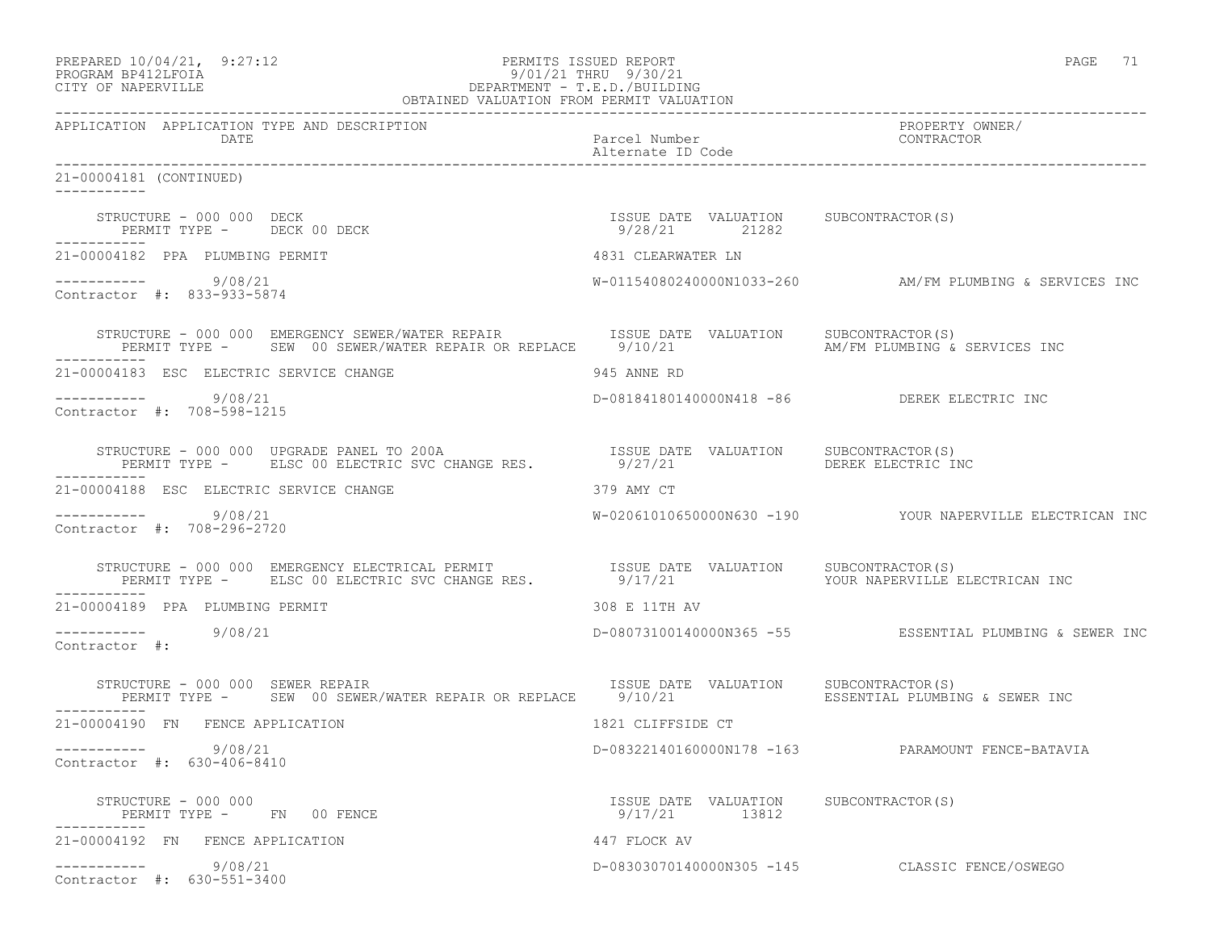| PREPARED 10/04/21, 9:27:12<br>PERMITS ISSUED REPORT<br>PERMITS ISSUED REPORT:<br>9/01/21 THRU 9/30/21<br>DEPARTMENT - T.E.D./BUILDING<br>OBTAINED VALUATION FROM PERMIT VALUATION<br>PROGRAM BP412LFOIA<br>CITY OF NAPERVILLE   | PAGE 71                                  |                                                          |
|---------------------------------------------------------------------------------------------------------------------------------------------------------------------------------------------------------------------------------|------------------------------------------|----------------------------------------------------------|
| APPLICATION APPLICATION TYPE AND DESCRIPTION<br>DATE                                                                                                                                                                            | Parcel Number<br>Alternate ID Code       | PROPERTY OWNER/<br>CONTRACTOR                            |
| 21-00004181 (CONTINUED)                                                                                                                                                                                                         |                                          |                                                          |
| ___________                                                                                                                                                                                                                     |                                          |                                                          |
| 21-00004182 PPA PLUMBING PERMIT                                                                                                                                                                                                 | 4831 CLEARWATER LN                       |                                                          |
| $--------- 9/08/21$<br>Contractor #: 833-933-5874                                                                                                                                                                               |                                          | W-01154080240000N1033-260 AM/FM PLUMBING & SERVICES INC  |
| STRUCTURE - 000 000 EMERGENCY SEWER/WATER REPAIR TISSUE DATE VALUATION SUBCONTRACTOR(S)<br>PERMIT TYPE - SEW 00 SEWER/WATER REPAIR OR REPLACE 9/10/21                                                                           |                                          | AM/FM PLUMBING & SERVICES INC                            |
| 21-00004183 ESC ELECTRIC SERVICE CHANGE                                                                                                                                                                                         | 945 ANNE RD                              |                                                          |
| -----------    9/08/21<br>Contractor #: 708-598-1215                                                                                                                                                                            |                                          | D-08184180140000N418 -86 DEREK ELECTRIC INC              |
| -----------                                                                                                                                                                                                                     |                                          | DEREK ELECTRIC INC                                       |
| 21-00004188 ESC ELECTRIC SERVICE CHANGE                                                                                                                                                                                         | 379 AMY CT                               |                                                          |
| $--------- 9/08/21$<br>Contractor #: 708-296-2720                                                                                                                                                                               |                                          | W-02061010650000N630 -190 YOUR NAPERVILLE ELECTRICAN INC |
| STRUCTURE - 000 000 EMERGENCY ELECTRICAL PERMIT                ISSUE DATE VALUATION    SUBCONTRACTOR(S)<br>PERMIT TYPE -     ELSC 00 ELECTRIC SVC CHANGE RES.            9/17/21                 YOUR NAPERVILLE ELECTRICAN INC |                                          |                                                          |
| 21-00004189 PPA PLUMBING PERMIT                                                                                                                                                                                                 | 308 E 11TH AV                            |                                                          |
| $--------- 9/08/21$<br>Contractor #:                                                                                                                                                                                            |                                          | D-08073100140000N365 -55 ESSENTIAL PLUMBING & SEWER INC  |
| STRUCTURE - 000 000 SEWER REPAIR<br>PERMIT TYPE - SEW 00 SEWER/WATER REPAIR OR REPLACE 9/10/21                                                                                                                                  | ISSUE DATE VALUATION                     | SUBCONTRACTOR(S)<br>ESSENTIAL PLUMBING & SEWER INC       |
| 21-00004190 FN FENCE APPLICATION                                                                                                                                                                                                | 1821 CLIFFSIDE CT                        |                                                          |
| 9/08/21<br>-----------<br>Contractor #: 630-406-8410                                                                                                                                                                            | D-08322140160000N178 -163                | PARAMOUNT FENCE-BATAVIA                                  |
| STRUCTURE - 000 000<br>PERMIT TYPE - FN 00 FENCE                                                                                                                                                                                | ISSUE DATE VALUATION<br>9/17/21<br>13812 | SUBCONTRACTOR(S)                                         |
| 21-00004192 FN FENCE APPLICATION                                                                                                                                                                                                | 447 FLOCK AV                             |                                                          |
| 9/08/21<br>-----------                                                                                                                                                                                                          | D-08303070140000N305 -145                | CLASSIC FENCE/OSWEGO                                     |

Contractor #: 630-551-3400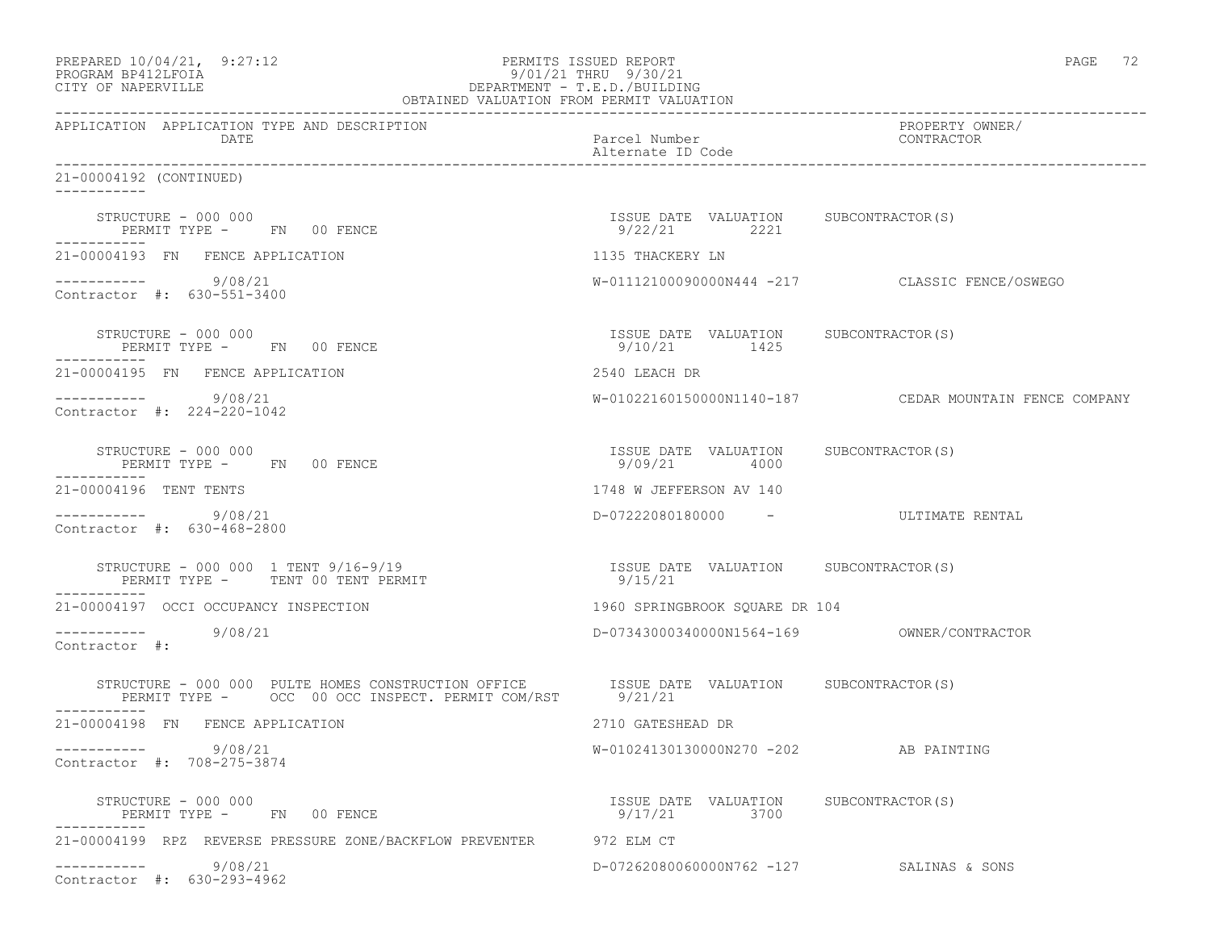| PREPARED 10/04/21, 9:27:12<br>PROGRAM BP412LFOIA<br>CITY OF NAPERVILLE<br>OBTAINED VALUATION FROM PERMIT VALUATION                                 | PERMITS ISSUED REPORT<br>9/01/21 THRU 9/30/21<br>DEPARTMENT - T.E.D./BUILDING | PAGE 72                                                |
|----------------------------------------------------------------------------------------------------------------------------------------------------|-------------------------------------------------------------------------------|--------------------------------------------------------|
| APPLICATION APPLICATION TYPE AND DESCRIPTION<br>DATE                                                                                               | Parcel Number<br>Alternate ID Code                                            | PROPERTY OWNER/<br>CONTRACTOR                          |
| 21-00004192 (CONTINUED)                                                                                                                            |                                                                               |                                                        |
| STRUCTURE - 000 000<br>PERMIT TYPE - FN 00 FENCE                                                                                                   | ISSUE DATE VALUATION SUBCONTRACTOR(S)<br>9/22/21 2221                         |                                                        |
| 21-00004193 FN FENCE APPLICATION                                                                                                                   | 1135 THACKERY LN                                                              |                                                        |
| $--------- 9/08/21$<br>Contractor #: 630-551-3400                                                                                                  |                                                                               | W-01112100090000N444 -217 CLASSIC FENCE/OSWEGO         |
| STRUCTURE - 000 000<br>PERMIT TYPE - FN 00 FENCE                                                                                                   | ISSUE DATE VALUATION SUBCONTRACTOR(S)<br>9/10/21 1425                         |                                                        |
| 21-00004195 FN FENCE APPLICATION                                                                                                                   | 2540 LEACH DR                                                                 |                                                        |
| $--------- 9/08/21$<br>Contractor #: 224-220-1042                                                                                                  |                                                                               | W-01022160150000N1140-187 CEDAR MOUNTAIN FENCE COMPANY |
| STRUCTURE - 000 000<br>PERMIT TYPE - FN 00 FENCE                                                                                                   | ISSUE DATE VALUATION SUBCONTRACTOR(S)<br>9/09/21 4000                         |                                                        |
| 21-00004196 TENT TENTS                                                                                                                             | 1748 W JEFFERSON AV 140                                                       |                                                        |
| $--------- 9/08/21$<br>Contractor #: 630-468-2800                                                                                                  | D-07222080180000 - ULTIMATE RENTAL                                            |                                                        |
| STRUCTURE - 000 000 1 TENT 9/16-9/19<br>PERMIT TYPE - TENT 00 TENT PERMIT                                                                          | ISSUE DATE VALUATION SUBCONTRACTOR(S)<br>9/15/21                              |                                                        |
| 21-00004197 OCCI OCCUPANCY INSPECTION                                                                                                              | 1960 SPRINGBROOK SQUARE DR 104                                                |                                                        |
| ----------- 9/08/21<br>Contractor #:                                                                                                               |                                                                               |                                                        |
| STRUCTURE - 000 000 PULTE HOMES CONSTRUCTION OFFICE ISSUE DATE VALUATION SUBCONTRACTOR(S) PERMIT TYPE - OCC 00 OCC INSPECT. PERMIT COM/RST 9/21/21 |                                                                               |                                                        |
| 21-00004198 FN FENCE APPLICATION                                                                                                                   | 2710 GATESHEAD DR                                                             |                                                        |
| 9/08/21<br>Contractor #: 708-275-3874                                                                                                              | W-01024130130000N270 -202 AB PAINTING                                         |                                                        |
| STRUCTURE - 000 000<br>PERMIT TYPE - FN 00 FENCE                                                                                                   | ISSUE DATE VALUATION SUBCONTRACTOR(S)<br>9/17/21<br>3700                      |                                                        |
| 21-00004199 RPZ REVERSE PRESSURE ZONE/BACKFLOW PREVENTER 972 ELM CT                                                                                |                                                                               |                                                        |
| 9/08/21<br>Contractor #: 630-293-4962                                                                                                              | D-07262080060000N762 -127 SALINAS & SONS                                      |                                                        |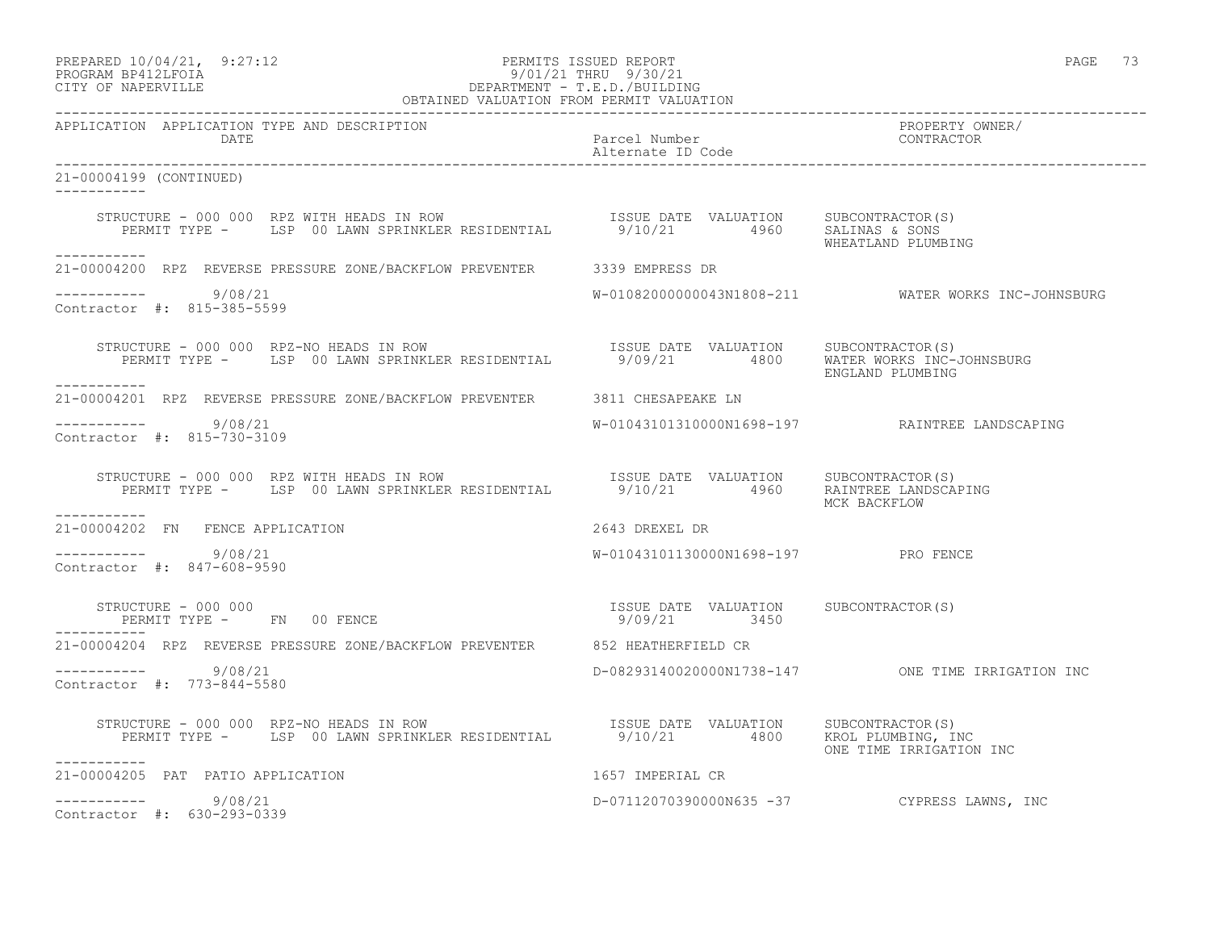| PREPARED 10/04/21, | 9:27:12 |
|--------------------|---------|
|                    |         |

## PREPARED 10/04/21, 9:27:12 PERMITS ISSUED REPORT PAGE 73 PROGRAM BP412LFOIA 9/01/21 THRU 9/30/21 CITY OF NAPERVILLE DEPARTMENT - T.E.D./BUILDING

| OBTAINED VALUATION FROM PERMIT VALUATION                                                                                                                                                                                                                                                                                                    |                                     |                                                     |
|---------------------------------------------------------------------------------------------------------------------------------------------------------------------------------------------------------------------------------------------------------------------------------------------------------------------------------------------|-------------------------------------|-----------------------------------------------------|
| APPLICATION APPLICATION TYPE AND DESCRIPTION<br><b>DATE</b>                                                                                                                                                                                                                                                                                 | Parcel Number<br>Alternate ID Code  | PROPERTY OWNER/<br>CONTRACTOR                       |
| 21-00004199 (CONTINUED)<br>------------                                                                                                                                                                                                                                                                                                     |                                     |                                                     |
| STRUCTURE - 000 000 RPZ WITH HEADS IN ROW                            ISSUE DATE VALUATION      SUBCONTRACTOR(S)<br>PERMIT TYPE -       LSP 00 LAWN SPRINKLER RESIDENTIAL           9/10/21         4960     SALINAS & SONS                                                                                                                  |                                     | WHEATLAND PLUMBING                                  |
| __________<br>21-00004200 RPZ REVERSE PRESSURE ZONE/BACKFLOW PREVENTER 3339 EMPRESS DR                                                                                                                                                                                                                                                      |                                     |                                                     |
| -----------    9/08/21<br>Contractor #: 815-385-5599                                                                                                                                                                                                                                                                                        |                                     | W-01082000000043N1808-211 WATER WORKS INC-JOHNSBURG |
| STRUCTURE - 000 000 RPZ-NO HEADS IN ROW<br>PERMIT TYPE - LSP 00 LAWN SPRINKLER RESIDENTIAL 9/09/21 4800 WATER WORKS INC-JOHNSBURG<br>------------                                                                                                                                                                                           |                                     | ENGLAND PLUMBING                                    |
| 21-00004201 RPZ REVERSE PRESSURE ZONE/BACKFLOW PREVENTER 3811 CHESAPEAKE LN                                                                                                                                                                                                                                                                 |                                     |                                                     |
| -----------    9/08/21<br>Contractor #: 815-730-3109                                                                                                                                                                                                                                                                                        |                                     |                                                     |
| STRUCTURE - 000 000 RPZ WITH HEADS IN ROW SESIDENTIAL TSSUE DATE VALUATION SUBCONTRACTOR(S)<br>PERMIT TYPE - LSP 00 LAWN SPRINKLER RESIDENTIAL 9/10/21 4960 RAINTREE LANDSCAPING<br>___________                                                                                                                                             |                                     | MCK BACKFLOW                                        |
| 21-00004202 FN FENCE APPLICATION                                                                                                                                                                                                                                                                                                            | 2643 DREXEL DR                      |                                                     |
| $--------- 9/08/21$<br>Contractor #: 847-608-9590                                                                                                                                                                                                                                                                                           | W-01043101130000N1698-197 PRO FENCE |                                                     |
| $\begin{array}{cccccccccc} \texttt{STRUCTURE} & - & 000 & 000 & & & & & & \\ \texttt{PERMIT TYPE} & - & & \texttt{FN} & 00 & \texttt{FENCE} & & & & & \\ \end{array} \hspace{2.5cm} \begin{array}{cccccccccc} \texttt{TSSUE} & \texttt{DATE} & \texttt{VALUATION} & & \texttt{SUBCONTRACTOR(S)} \\ & & 9/09/21 & & 3450 & & \\ \end{array}$ |                                     |                                                     |
| 21-00004204 RPZ REVERSE PRESSURE ZONE/BACKFLOW PREVENTER 652 HEATHERFIELD CR                                                                                                                                                                                                                                                                |                                     |                                                     |
| $--------$ 9/08/21<br>Contractor #: 773-844-5580                                                                                                                                                                                                                                                                                            |                                     | D-08293140020000N1738-147 ONE TIME IRRIGATION INC   |
| STRUCTURE - 000 000 RPZ-NO HEADS IN ROW TEXAS SUBLE DATE VALUATION SUBCONTRACTOR(S)<br>PERMIT TYPE - LSP 00 LAWN SPRINKLER RESIDENTIAL 9/10/21 4800 KROL PLUMBING, INC<br>-----------                                                                                                                                                       |                                     | ONE TIME IRRIGATION INC                             |
| 21-00004205 PAT PATIO APPLICATION                                                                                                                                                                                                                                                                                                           | 1657 IMPERIAL CR                    |                                                     |
| $--------- 9/08/21$<br>Contractor #: 630-293-0339                                                                                                                                                                                                                                                                                           |                                     | D-07112070390000N635 -37 CYPRESS LAWNS, INC         |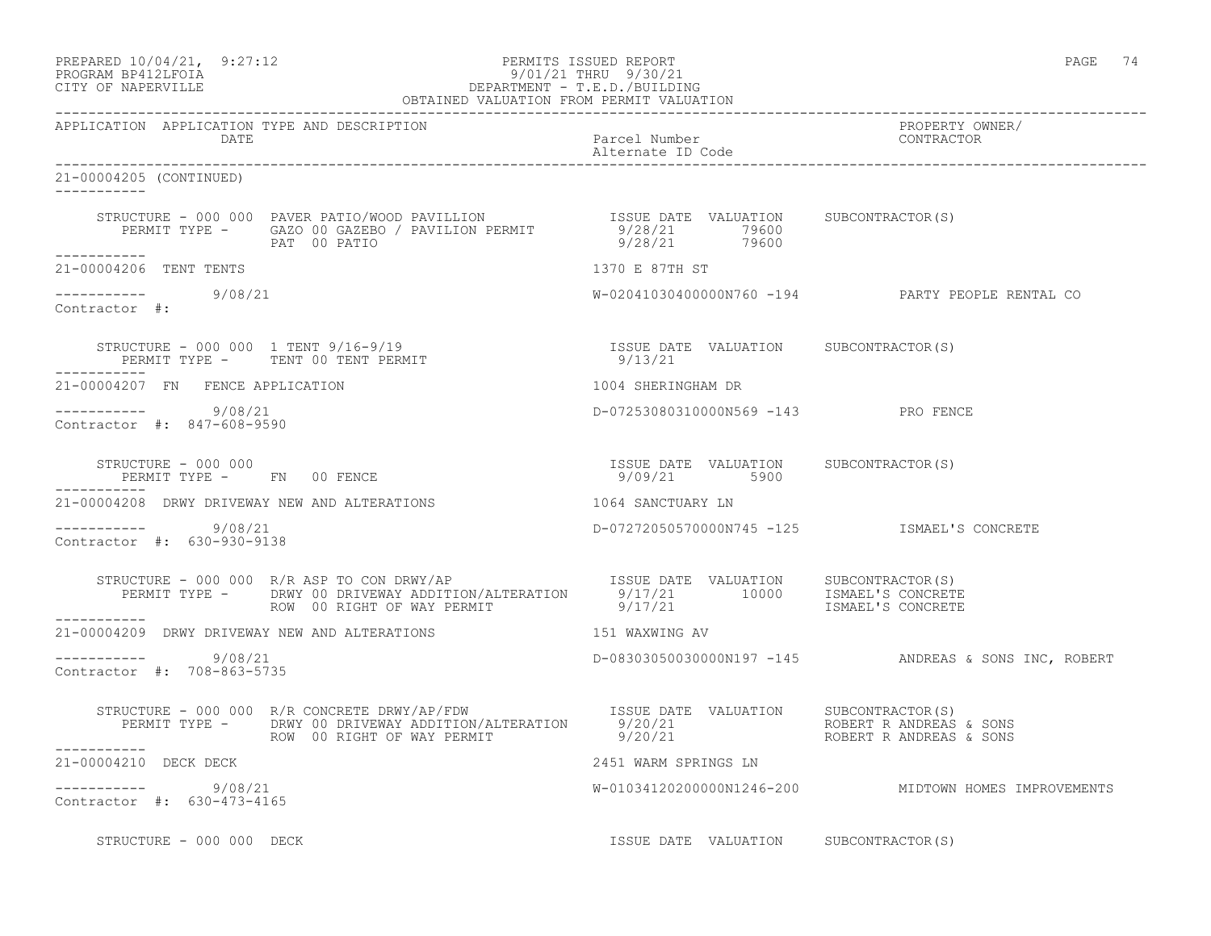| PREPARED 10/04/21, 9:27:12 | PERMITS ISSUED REPORT |  | PAGE |  |
|----------------------------|-----------------------|--|------|--|
| DDOCD3M DD419TDOT3         | 0/01/01 munut 0/20/01 |  |      |  |

#### PROGRAM BP412LFOIA 9/01/21 THRU 9/30/21 CITY OF NAPERVILLE DEPARTMENT - T.E.D./BUILDING OBTAINED VALUATION FROM PERMIT VALUATION

------------------------------------------------------------------------------------------------------------------------------------

APPLICATION APPLICATION TYPE AND DESCRIPTION PROPERTY OWNER/ DATE Parcel Number Contractor Contractor Contractor Parcel Number Contractor Contractor Contractor Contractor Contractor Contractor Contractor Contractor Contractor Contractor Contractor Contractor Contractor Contractor Co Alternate ID Code ------------------------------------------------------------------------------------------------------------------------------------ 21-00004205 (CONTINUED) ----------- STRUCTURE - 000 000 PAVER PATIO/WOOD PAVILLION ISSUE DATE VALUATION SUBCONTRACTOR(S) PERMIT TYPE - GAZO 00 GAZEBO / PAVILION PERMIT 9/28/21 79600 PAT 00 PATIO 9/28/21 79600 ----------- 21-00004206 TENT TENTS 1370 E 87TH ST  $--------- 9/08/21$ W-02041030400000N760 -194 PARTY PEOPLE RENTAL CO Contractor #: STRUCTURE - 000 000 1 TENT 9/16-9/19 ISSUE DATE VALUATION SUBCONTRACTOR(S) PERMIT TYPE - TENT 00 TENT PERMIT ----------- 21-00004207 FN FENCE APPLICATION 1004 SHERINGHAM DR ----------- 9/08/21 D-07253080310000N569 -143 PRO FENCE Contractor #: 847-608-9590 STRUCTURE - 000 000 ISSUE DATE VALUATION SUBCONTRACTOR(S) PERMIT TYPE - FN 00 FENCE ----------- 21-00004208 DRWY DRIVEWAY NEW AND ALTERATIONS 1064 SANCTUARY LN ----------- 9/08/21 D-07272050570000N745 -125 ISMAEL'S CONCRETE Contractor #: 630-930-9138 STRUCTURE - 000 000 R/R ASP TO CON DRWY/AP **ISSUE DATE** VALUATION SUBCONTRACTOR(S) PERMIT TYPE - DRWY 00 DRIVEWAY ADDITION/ALTERATION 9/17/21 10000 ISMAEL'S CONCRETE ROW 00 RIGHT OF WAY PERMIT  $9/17/21$  ISMAEL'S CONCRETE ----------- 21-00004209 DRWY DRIVEWAY NEW AND ALTERATIONS 151 WAXWING AV  $--------- 9/08/21$ D-08303050030000N197 -145 ANDREAS & SONS INC, ROBERT Contractor #: 708-863-5735 STRUCTURE - 000 000 R/R CONCRETE DRWY/AP/FDW ISSUE DATE VALUATION SUBCONTRACTOR(S) PERMIT TYPE - DRWY 00 DRIVEWAY ADDITION/ALTERATION 9/20/21 ROBERT R ANDREAS & SONS ROW 00 RIGHT OF WAY PERMIT 4 9/20/21 AOBERT R ANDREAS & SONS ----------- 21-00004210 DECK DECK 2451 WARM SPRINGS LN ----------- 9/08/21 W-01034120200000N1246-200 MIDTOWN HOMES IMPROVEMENTS Contractor #: 630-473-4165 STRUCTURE - 000 000 DECK **ISSUE DATE VALUATION** SUBCONTRACTOR(S)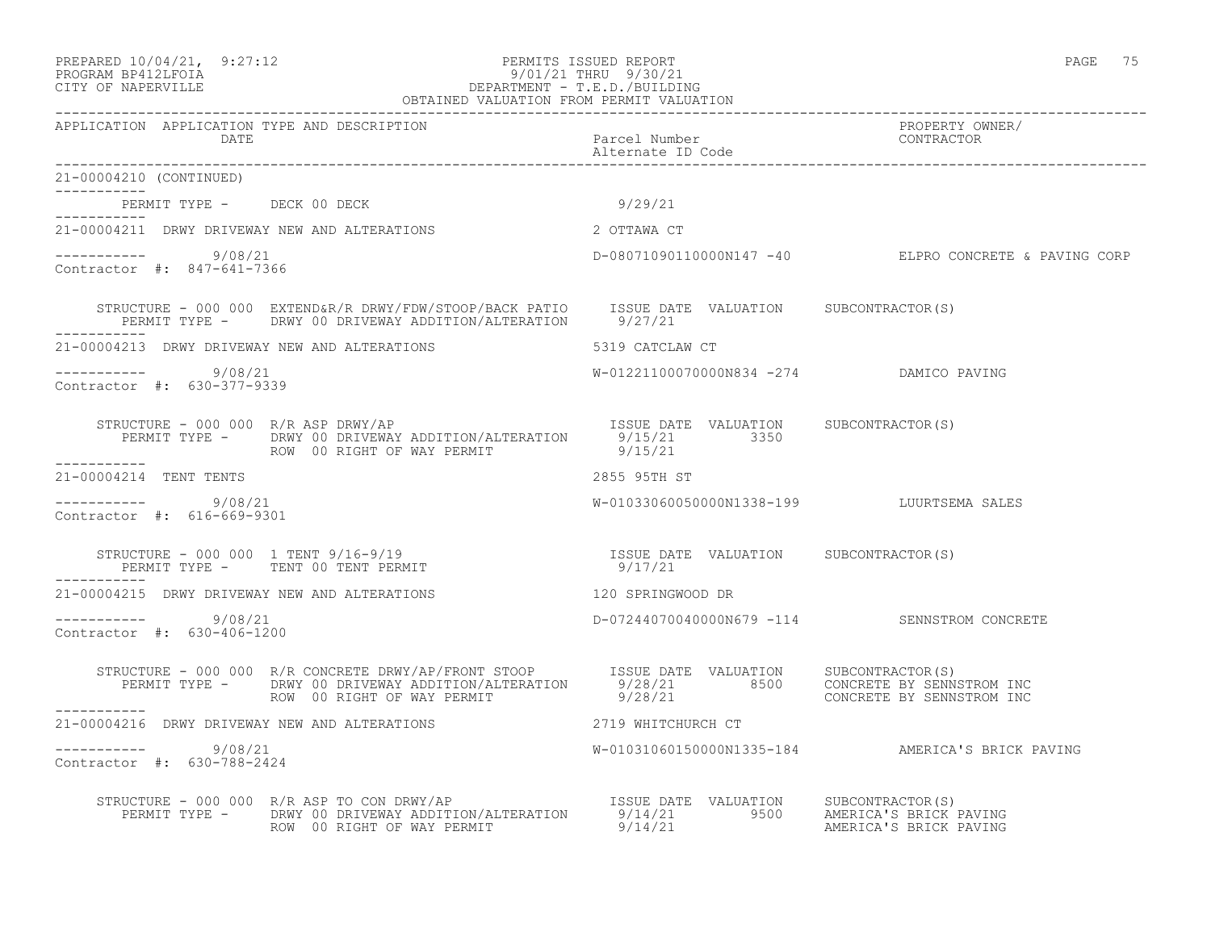#### PREPARED 10/04/21, 9:27:12 PERMITS ISSUED REPORT PAGE 75 PROGRAM BP412LFOIA 9/01/21 THRU 9/30/21 CITY OF NAPERVILLE DEPARTMENT - T.E.D./BUILDING OBTAINED VALUATION FROM PERMIT VALUATION

| APPLICATION APPLICATION TYPE AND DESCRIPTION                                                                                                                                                                                        |                                           |                                                       |
|-------------------------------------------------------------------------------------------------------------------------------------------------------------------------------------------------------------------------------------|-------------------------------------------|-------------------------------------------------------|
| 21-00004210 (CONTINUED)                                                                                                                                                                                                             |                                           |                                                       |
| PERMIT TYPE - DECK 00 DECK                                                                                                                                                                                                          | 9/29/21                                   |                                                       |
| 2 OTTAWA CT<br>21-00004211 DRWY DRIVEWAY NEW AND ALTERATIONS                                                                                                                                                                        |                                           |                                                       |
| $--------- 9/08/21$<br>Contractor #: 847-641-7366                                                                                                                                                                                   |                                           | D-08071090110000N147 -40 ELPRO CONCRETE & PAVING CORP |
| STRUCTURE - 000 000 EXTEND&R/R DRWY/FDW/STOOP/BACK PATIO ISSUE DATE VALUATION SUBCONTRACTOR(S)<br>PERMIT TYPE - DRWY 00 DRIVEWAY ADDITION/ALTERATION 9/27/21                                                                        |                                           |                                                       |
|                                                                                                                                                                                                                                     |                                           |                                                       |
| $--------- 9/08/21$<br>Contractor #: 630-377-9339                                                                                                                                                                                   | W-01221100070000N834 -274 DAMICO PAVING   |                                                       |
| STRUCTURE - 000 000 R/R ASP DRWY/AP<br>PERMIT TYPE - DRWY 00 DRIVEWAY ADDITION/ALTERATION 9/15/21 3350<br>ROW 00 RIGHT OF WAY PERMIT 9/15/21 9/15/21                                                                                |                                           |                                                       |
| 21-00004214 TENT TENTS                                                                                                                                                                                                              | 2855 95TH ST                              |                                                       |
| $--------- 9/08/21$<br>Contractor #: 616-669-9301                                                                                                                                                                                   | W-01033060050000N1338-199 LUURTSEMA SALES |                                                       |
| STRUCTURE – 000 000 1 TENT 9/16-9/19                                   ISSUE DATE VALUATION     SUBCONTRACTOR(S)                                                                                                                    |                                           |                                                       |
| 21-00004215 DRWY DRIVEWAY NEW AND ALTERATIONS                                                                                                                                                                                       | 120 SPRINGWOOD DR                         |                                                       |
| $--------- 9/08/21$<br>Contractor #: 630-406-1200                                                                                                                                                                                   |                                           | D-07244070040000N679 -114 SENNSTROM CONCRETE          |
| STRUCTURE - 000 000 R/R CONCRETE DRWY/AP/FRONT STOOP<br>PERMIT TYPE - DRWY 00 DRIVEWAY ADDITION/ALTERATION 9/28/21 8500 CONCRETE BY SENNSTROM INC<br>ROW 00 RIGHT OF WAY PERMIT                                                     | 9/28/21                                   | CONCRETE BY SENNSTROM INC                             |
| ------------<br>21-00004216 DRWY DRIVEWAY NEW AND ALTERATIONS                                                                                                                                                                       | 2719 WHITCHURCH CT                        |                                                       |
| -----------     9/08/21<br>Contractor #: 630-788-2424                                                                                                                                                                               |                                           | W-01031060150000N1335-184 AMERICA'S BRICK PAVING      |
| STRUCTURE - 000 000 R/R ASP TO CON DRWY/AP [SSUE DATE VALUATION SUBCONTRACTOR(S)<br>PERMIT TYPE - DRWY 00 DRIVEWAY ADDITION/ALTERATION 9/14/21 9500 AMERICA'S BRICK PAVING<br>ROW 00 RIGHT OF WAY PERMIT 9/14/21 21 AMERICA'S BRICK |                                           |                                                       |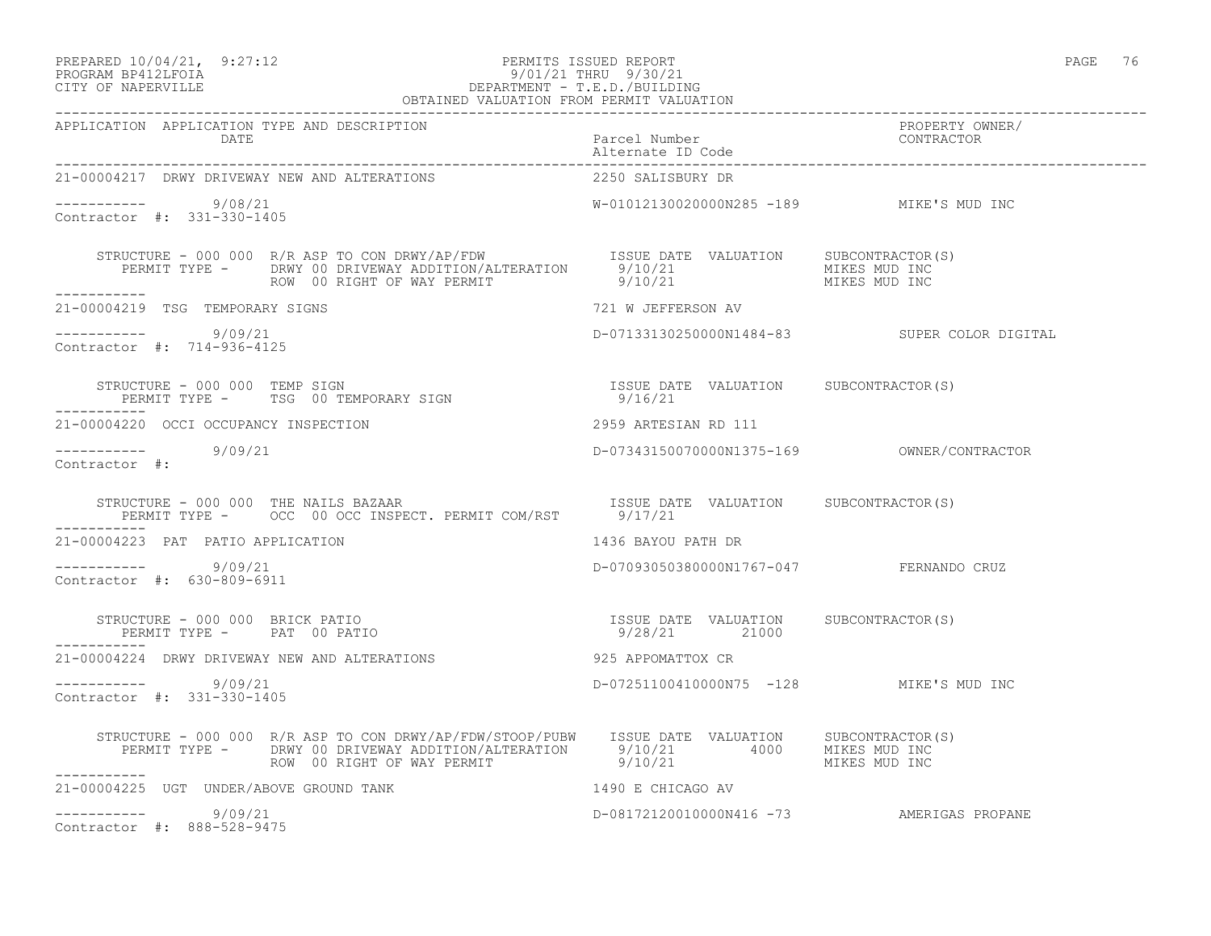#### PREPARED 10/04/21, 9:27:12 PERMITS ISSUED REPORT PAGE 76 PROGRAM BP412LFOIA 9/01/21 THRU 9/30/21 CITY OF NAPERVILLE DEPARTMENT - T.E.D./BUILDING OBTAINED VALUATION FROM PERMIT VALUATION

------------------------------------------------------------------------------------------------------------------------------------

| APPLICATION APPLICATION TYPE AND DESCRIPTION<br>DATE                                                                                                                                                                                                                               | Parcel Number<br>Alternate ID Code                     | PROPERTY OWNER/<br>CONTRACTOR                |
|------------------------------------------------------------------------------------------------------------------------------------------------------------------------------------------------------------------------------------------------------------------------------------|--------------------------------------------------------|----------------------------------------------|
| 21-00004217 DRWY DRIVEWAY NEW AND ALTERATIONS                                                                                                                                                                                                                                      | 2250 SALISBURY DR                                      |                                              |
| ---------- 9/08/21<br>Contractor #: 331-330-1405                                                                                                                                                                                                                                   | W-01012130020000N285 -189 MIKE'S MUD INC               |                                              |
| STRUCTURE - 000 000 R/R ASP TO CON DRWY/AP/FDW ISSUE DATE VALUATION SUBCONTRACTOR(S)<br>PERMIT TYPE - DRWY 00 DRIVEWAY ADDITION/ALTERATION 9/10/21 MIKES MUD INC<br>ROW 00 RIGHT OF WAY PERMIT 9/10/21 MIKES MUD INC<br>ROW 00 RIGHT OF WAY PERMIT                                 |                                                        |                                              |
| 21-00004219 TSG TEMPORARY SIGNS                                                                                                                                                                                                                                                    | 721 W JEFFERSON AV                                     |                                              |
| $--------- 9/09/21$<br>Contractor #: 714-936-4125                                                                                                                                                                                                                                  |                                                        | D-07133130250000N1484-83 SUPER COLOR DIGITAL |
| STRUCTURE - 000 000 TEMP SIGN<br>PERMIT TYPE - TSG 00 TEMPORARY SIGN 19/16/21<br>-----------                                                                                                                                                                                       | ISSUE DATE VALUATION SUBCONTRACTOR(S)                  |                                              |
| 21-00004220 OCCI OCCUPANCY INSPECTION                                                                                                                                                                                                                                              | 2959 ARTESIAN RD 111                                   |                                              |
| $--------- 9/09/21$<br>Contractor #:                                                                                                                                                                                                                                               |                                                        |                                              |
| ------------                                                                                                                                                                                                                                                                       |                                                        |                                              |
| 21-00004223 PAT PATIO APPLICATION                                                                                                                                                                                                                                                  | 1436 BAYOU PATH DR                                     |                                              |
| $--------- 9/09/21$<br>Contractor #: 630-809-6911                                                                                                                                                                                                                                  | D-07093050380000N1767-047 FERNANDO CRUZ                |                                              |
| STRUCTURE - 000 000 BRICK PATIO<br>PERMIT TYPE -       PAT   00 PATIO<br>------------                                                                                                                                                                                              | ISSUE DATE VALUATION SUBCONTRACTOR(S)<br>9/28/21 21000 |                                              |
|                                                                                                                                                                                                                                                                                    |                                                        |                                              |
| ----------- 9/09/21<br>Contractor #: 331-330-1405                                                                                                                                                                                                                                  | D-07251100410000N75 -128 MIKE'S MUD INC                |                                              |
| STRUCTURE - 000 000 R/R ASP TO CON DRWY/AP/FDW/STOOP/PUBW ISSUE DATE VALUATION SUBCONTRACTOR(S)<br>PERMIT TYPE - DRWY 00 DRIVEWAY ADDITION/ALTERATION 9/10/21 4000 MIKES MUD INC<br>ROW 00 RIGHT OF WAY PERMIT 9/10/21 4000 MIKES MU<br>ROW 00 RIGHT OF WAY PERMIT<br>------------ |                                                        |                                              |
| 21-00004225 UGT UNDER/ABOVE GROUND TANK                                                                                                                                                                                                                                            | 1490 E CHICAGO AV                                      |                                              |
| $--------- 9/09/21$<br>Contractor #: 888-528-9475                                                                                                                                                                                                                                  | D-08172120010000N416 -73 AMERIGAS PROPANE              |                                              |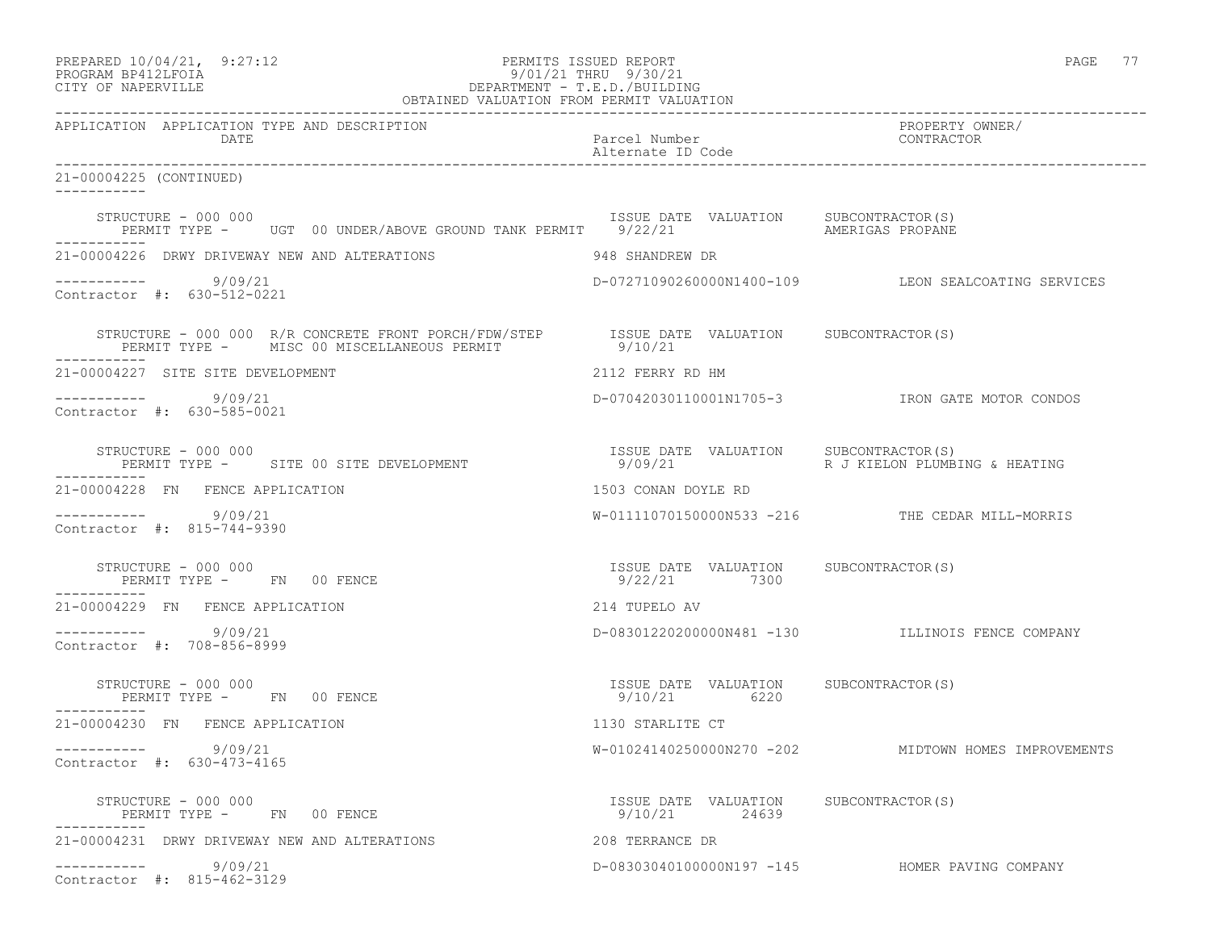| PREPARED 10/04/21, 9:27:12<br>PERMITS ISSUED REPORT<br>9/01/21 THRU 9/30/21<br>PROGRAM BP412LFOIA<br>CITY OF NAPERVILLE                           |                                                        | PAGE 77                                              |
|---------------------------------------------------------------------------------------------------------------------------------------------------|--------------------------------------------------------|------------------------------------------------------|
| APPLICATION APPLICATION TYPE AND DESCRIPTION<br>DATE                                                                                              | Parcel Number<br>Alternate ID Code                     | PROPERTY OWNER/<br>CONTRACTOR                        |
| 21-00004225 (CONTINUED)                                                                                                                           |                                                        |                                                      |
| STRUCTURE - 000 000<br>PERMIT TYPE - UGT 00 UNDER/ABOVE GROUND TANK PERMIT 9/22/21 SAMERIGAS PROPANE<br>-----------                               | ISSUE DATE VALUATION SUBCONTRACTOR(S)                  |                                                      |
| 21-00004226 DRWY DRIVEWAY NEW AND ALTERATIONS                                                                                                     | 948 SHANDREW DR                                        |                                                      |
| $--------- 9/09/21$<br>Contractor #: 630-512-0221                                                                                                 |                                                        | D-07271090260000N1400-109 LEON SEALCOATING SERVICES  |
| STRUCTURE - 000 000 R/R CONCRETE FRONT PORCH/FDW/STEP 1SSUE DATE VALUATION SUBCONTRACTOR(S)<br>PERMIT TYPE - MISC 00 MISCELLANEOUS PERMIT 9/10/21 |                                                        |                                                      |
| 21-00004227 SITE SITE DEVELOPMENT                                                                                                                 | 2112 FERRY RD HM                                       |                                                      |
| $--------- 9/09/21$<br>Contractor #: 630-585-0021                                                                                                 |                                                        | D-07042030110001N1705-3 IRON GATE MOTOR CONDOS       |
| STRUCTURE - 000 000<br>PERMIT TYPE - SITE 00 SITE DEVELOPMENT<br>-----------                                                                      | ISSUE DATE VALUATION SUBCONTRACTOR (S)<br>9/09/21      | R J KIELON PLUMBING & HEATING                        |
| 21-00004228 FN FENCE APPLICATION                                                                                                                  | 1503 CONAN DOYLE RD                                    |                                                      |
| $--------- 9/09/21$<br>Contractor #: 815-744-9390                                                                                                 |                                                        | W-01111070150000N533 -216 THE CEDAR MILL-MORRIS      |
| STRUCTURE - 000 000<br>PERMIT TYPE - FN 00 FENCE<br>-----------                                                                                   | ISSUE DATE VALUATION SUBCONTRACTOR(S)<br>9/22/21 7300  |                                                      |
| 21-00004229 FN FENCE APPLICATION                                                                                                                  | 214 TUPELO AV                                          |                                                      |
| $--------- 9/09/21$<br>Contractor #: 708-856-8999                                                                                                 |                                                        | D-08301220200000N481 -130 ILLINOIS FENCE COMPANY     |
| STRUCTURE - 000 000<br>PERMIT TYPE - FN 00 FENCE<br>----------                                                                                    | ISSUE DATE VALUATION SUBCONTRACTOR(S)<br>9/10/21 6220  |                                                      |
| 21-00004230 FN FENCE APPLICATION                                                                                                                  | 1130 STARLITE CT                                       |                                                      |
| 9/09/21<br>Contractor #: 630-473-4165                                                                                                             |                                                        | W-01024140250000N270 -202 MIDTOWN HOMES IMPROVEMENTS |
| STRUCTURE - 000 000<br>PERMIT TYPE - FN 00 FENCE<br>------------                                                                                  | ISSUE DATE VALUATION SUBCONTRACTOR(S)<br>9/10/21 24639 |                                                      |
| 21-00004231 DRWY DRIVEWAY NEW AND ALTERATIONS                                                                                                     | 208 TERRANCE DR                                        |                                                      |
| 9/09/21<br>___________<br>Contractor #: 815-462-3129                                                                                              |                                                        | D-08303040100000N197 -145 HOMER PAVING COMPANY       |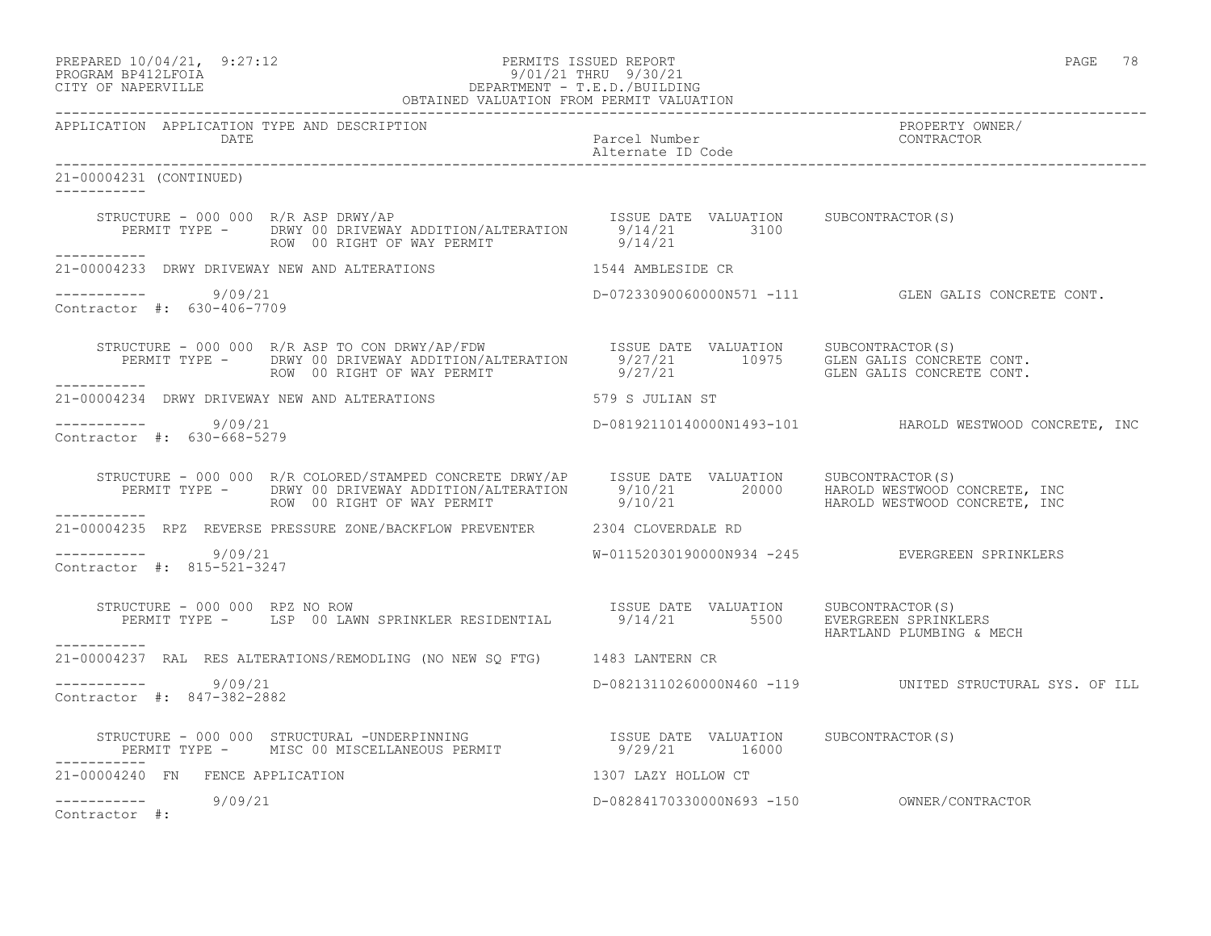PREPARED  $10/04/21$ , 9:27:12 PERMITS ISSUED REPORT PAGE 78

# PROGRAM BP412LFOIA 9/01/21 THRU 9/30/21 CITY OF NAPERVILLE DEPARTMENT - T.E.D./BUILDING

|                                                          | OBTAINED VALUATION FROM PERMIT VALUATION                                                                                                                                                                                                                 |                                       |                                                         |
|----------------------------------------------------------|----------------------------------------------------------------------------------------------------------------------------------------------------------------------------------------------------------------------------------------------------------|---------------------------------------|---------------------------------------------------------|
| APPLICATION APPLICATION TYPE AND DESCRIPTION<br>DATE     |                                                                                                                                                                                                                                                          | Parcel Number<br>Alternate ID Code    | PROPERTY OWNER/<br>CONTRACTOR                           |
| 21-00004231 (CONTINUED)<br><u> Ludwaldulu Ludwa</u>      |                                                                                                                                                                                                                                                          |                                       |                                                         |
|                                                          | STRUCTURE - 000 000 R/R ASP DRWY/AP<br>PERMIT TYPE - DRWY 00 DRIVEWAY ADDITION/ALTERATION 9/14/21 3100<br>ROW 00 RIGHT OF WAY PERMIT 9/14/21 9/14/21                                                                                                     |                                       |                                                         |
|                                                          | 21-00004233 DRWY DRIVEWAY NEW AND ALTERATIONS 1544 AMBLESIDE CR                                                                                                                                                                                          |                                       |                                                         |
| $--------- 9/09/21$<br>Contractor #: 630-406-7709        |                                                                                                                                                                                                                                                          |                                       | D-07233090060000N571 -111 GLEN GALIS CONCRETE CONT.     |
| ------------                                             | STRUCTURE - 000 000 R/R ASP TO CON DRWY/AP/FDW TSSUE DATE VALUATION SUBCONTRACTOR(S)<br>PERMIT TYPE - DRWY 00 DRIVEWAY ADDITION/ALTERATION 5/27/21 10975 GLEN GALIS CONCRETE CONT.<br>ROW 00 RIGHT OF WAY PERMIT 9/27/21 10975 GLEN GALIS CONCRETE CONT. |                                       |                                                         |
|                                                          | 21-00004234 DRWY DRIVEWAY NEW AND ALTERATIONS 579 S JULIAN ST                                                                                                                                                                                            |                                       |                                                         |
| ----------- 9/09/21<br>Contractor $\#: 630 - 668 - 5279$ |                                                                                                                                                                                                                                                          |                                       | D-08192110140000N1493-101 HAROLD WESTWOOD CONCRETE, INC |
|                                                          | STRUCTURE - 000 000 R/R COLORED/STAMPED CONCRETE DRWY/AP ISSUE DATE VALUATION SUBCONTRACTOR(S)<br>PERMIT TYPE - DRWY 00 DRIVEWAY ADDITION/ALTERATION 9/10/21 20000 HAROLD WESTWOOD CONCRETE, INC<br>ROW 00 RIGHT OF WAY PERMIT 9/10/                     |                                       |                                                         |
|                                                          | 21-00004235 RPZ REVERSE PRESSURE ZONE/BACKFLOW PREVENTER 2304 CLOVERDALE RD                                                                                                                                                                              |                                       |                                                         |
| $--------$ 9/09/21<br>Contractor #: 815-521-3247         |                                                                                                                                                                                                                                                          |                                       | W-01152030190000N934 -245 EVERGREEN SPRINKLERS          |
| STRUCTURE - 000 000 RPZ NO ROW<br>----------             | PERMIT TYPE - LSP 00 LAWN SPRINKLER RESIDENTIAL 8/14/21 5500 EVERGREEN SPRINKLERS                                                                                                                                                                        | ISSUE DATE VALUATION SUBCONTRACTOR(S) | HARTLAND PLUMBING & MECH                                |
|                                                          | 21-00004237 RAL RES ALTERATIONS/REMODLING (NO NEW SQ FTG) 1483 LANTERN CR                                                                                                                                                                                |                                       |                                                         |
| $--------- 9/09/21$<br>Contractor #: 847-382-2882        |                                                                                                                                                                                                                                                          |                                       | D-08213110260000N460 -119 UNITED STRUCTURAL SYS. OF ILL |
| ___________                                              | STRUCTURE – 000 000 STRUCTURAL –UNDERPINNING                     ISSUE DATE VALUATION     SUBCONTRACTOR(S)<br>PERMIT TYPE –     MISC 00 MISCELLANEOUS PERMIT                    9/29/21       16000                                                      |                                       |                                                         |
| 21-00004240 FN FENCE APPLICATION                         |                                                                                                                                                                                                                                                          | 1307 LAZY HOLLOW CT                   |                                                         |
| $--------- 9/09/21$<br>Contractor #:                     |                                                                                                                                                                                                                                                          |                                       |                                                         |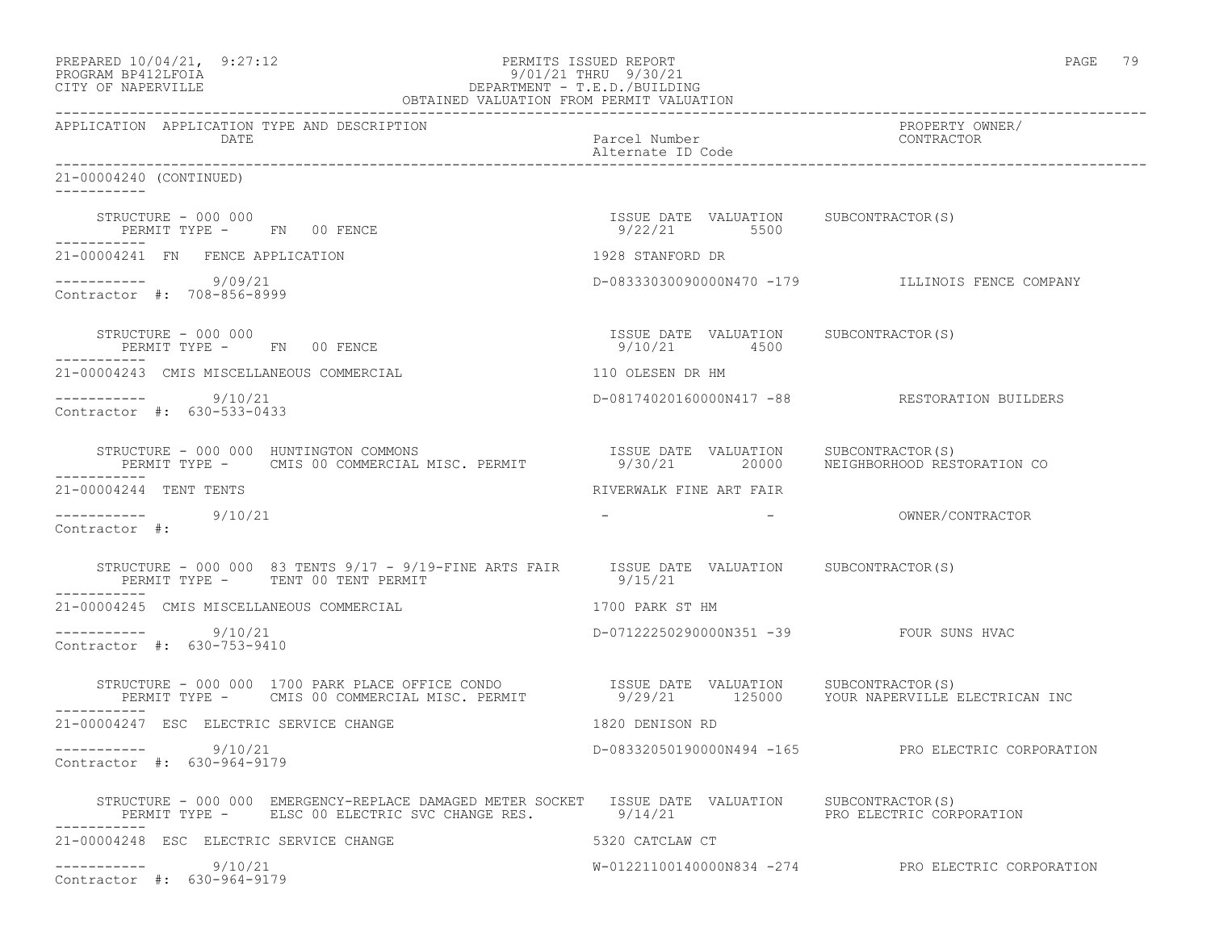| PREPARED 10/04/21, 9:27:12<br>PROGRAM BP412LFOIA<br>DEPARTMENT - T.E.D./BUILDING<br>DEPARTMENT - T.E.D./BUILDING<br>OBTAINED VALUATION FROM PERMIT VALUATION<br>CITY OF NAPERVILLE                                           | PERMITS ISSUED REPORT<br>9/01/21 THRU 9/30/21         | PAGE 79                                              |
|------------------------------------------------------------------------------------------------------------------------------------------------------------------------------------------------------------------------------|-------------------------------------------------------|------------------------------------------------------|
| APPLICATION APPLICATION TYPE AND DESCRIPTION<br>DATE                                                                                                                                                                         | Parcel Number<br>Alternate ID Code                    | PROPERTY OWNER/<br>CONTRACTOR                        |
| 21-00004240 (CONTINUED)                                                                                                                                                                                                      |                                                       |                                                      |
| STRUCTURE - 000 000<br>PERMIT TYPE - FN 00 FENCE<br>-----------                                                                                                                                                              | ISSUE DATE VALUATION SUBCONTRACTOR(S)<br>9/22/21 5500 |                                                      |
| 21-00004241 FN FENCE APPLICATION                                                                                                                                                                                             | 1928 STANFORD DR                                      |                                                      |
| $--------- 9/09/21$<br>Contractor #: 708-856-8999                                                                                                                                                                            |                                                       | D-08333030090000N470 -179 ILLINOIS FENCE COMPANY     |
| STRUCTURE – 000 000<br>PERMIT TYPE - FN 00 FENCE                                                                                                                                                                             | ISSUE DATE VALUATION SUBCONTRACTOR(S)<br>9/10/21 4500 |                                                      |
| 21-00004243 CMIS MISCELLANEOUS COMMERCIAL                                                                                                                                                                                    | 110 OLESEN DR HM                                      |                                                      |
| -----------    9/10/21<br>Contractor $\#: 630 - 533 - 0433$                                                                                                                                                                  |                                                       | D-08174020160000N417 -88 RESTORATION BUILDERS        |
| STRUCTURE - 000 000 HUNTINGTON COMMONS<br>RUCTURE - 000 000 HUNTINGTON COMMONS<br>PERMIT TYPE - CMIS 00 COMMERCIAL MISC. PERMIT                 9/30/21       20000      NEIGHBORHOOD RES'<br>-----------                    |                                                       | 9/30/21  20000  NEIGHBORHOOD RESTORATION CO          |
| 21-00004244 TENT TENTS                                                                                                                                                                                                       | RIVERWALK FINE ART FAIR                               |                                                      |
| $--------- 9/10/21$<br>Contractor #:                                                                                                                                                                                         |                                                       | - OWNER/CONTRACTOR                                   |
| STRUCTURE - 000 000 83 TENTS 9/17 - 9/19-FINE ARTS FAIR ISSUE DATE VALUATION SUBCONTRACTOR(S)<br>PERMIT TYPE - TENT 00 TENT PERMIT                                                                                           | 9/15/21                                               |                                                      |
| 21-00004245 CMIS MISCELLANEOUS COMMERCIAL                                                                                                                                                                                    | 1700 PARK ST HM                                       |                                                      |
| $--------- 9/10/21$<br>Contractor #: 630-753-9410                                                                                                                                                                            | D-07122250290000N351 -39 FOUR SUNS HVAC               |                                                      |
| STRUCTURE - 000 000 1700 PARK PLACE OFFICE CONDO             ISSUE DATE VALUATION     SUBCONTRACTOR(S)<br>PERMIT TYPE -     CMIS 00 COMMERCIAL MISC. PERMIT             9/29/21     125000    YOUR NAPERVILLE ELECTRICAN INC |                                                       |                                                      |
| 21-00004247 ESC ELECTRIC SERVICE CHANGE                                                                                                                                                                                      | 1820 DENISON RD                                       |                                                      |
| 9/10/21<br>------------<br>Contractor #: 630-964-9179                                                                                                                                                                        |                                                       | D-08332050190000N494 -165 PRO ELECTRIC CORPORATION   |
| STRUCTURE - 000 000 EMERGENCY-REPLACE DAMAGED METER SOCKET ISSUE DATE VALUATION SUBCONTRACTOR(S)<br>PERMIT TYPE - ELSC 00 ELECTRIC SVC CHANGE RES. 9/14/21                                                                   |                                                       | PRO ELECTRIC CORPORATION                             |
| 21-00004248 ESC ELECTRIC SERVICE CHANGE                                                                                                                                                                                      | 5320 CATCLAW CT                                       |                                                      |
| 9/10/21<br>____________<br>Contractor #: 630-964-9179                                                                                                                                                                        |                                                       | $W-01221100140000N834 -274$ PRO ELECTRIC CORPORATION |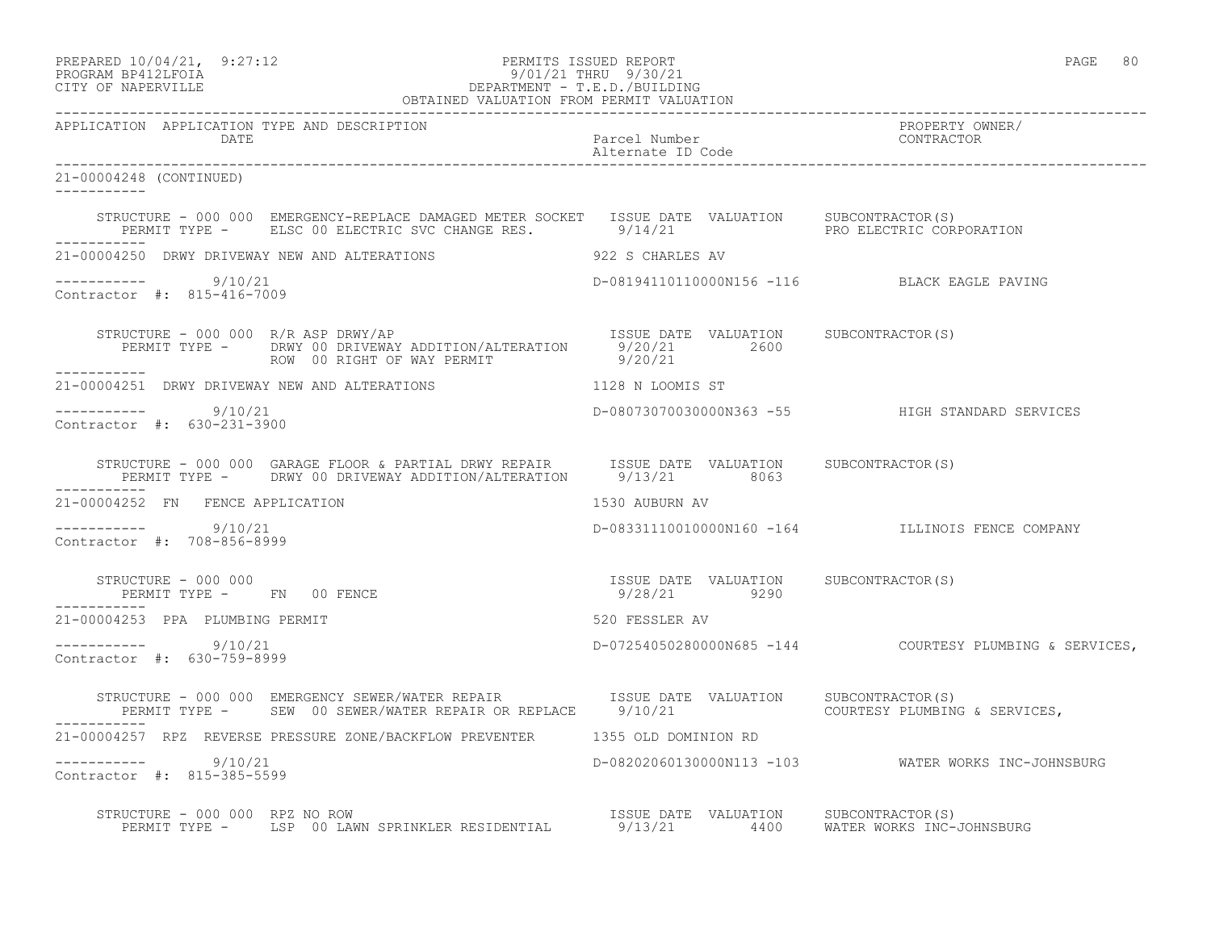| PREPARED 10/04/21, 9:27:12<br>PERMITS ISSUED REPORT<br>PROGRAM BP412LFOIA<br>CITY OF NAPERVILLE<br>CITY OF NAPERVILLE<br>PERTENT PROGRAM PERMIT VALUATION<br>OBTAINED VALUATION FROM PERMIT VALUATION |                                                       | PAGE 80                                                 |
|-------------------------------------------------------------------------------------------------------------------------------------------------------------------------------------------------------|-------------------------------------------------------|---------------------------------------------------------|
| APPLICATION APPLICATION TYPE AND DESCRIPTION<br>DATE                                                                                                                                                  | Parcel Number<br>Alternate ID Code                    | PROPERTY OWNER/<br>CONTRACTOR                           |
| 21-00004248 (CONTINUED)                                                                                                                                                                               |                                                       |                                                         |
| STRUCTURE - 000 000 EMERGENCY-REPLACE DAMAGED METER SOCKET ISSUE DATE VALUATION SUBCONTRACTOR(S)<br>PERMIT TYPE - ELSC 00 ELECTRIC SVC CHANGE RES. 8/14/21 9/14/21 PRO ELECTRIC CORPORATION           |                                                       |                                                         |
| 21-00004250 DRWY DRIVEWAY NEW AND ALTERATIONS                                                                                                                                                         | 922 S CHARLES AV                                      |                                                         |
| ----------- 9/10/21<br>Contractor #: 815-416-7009                                                                                                                                                     |                                                       | D-08194110110000N156 -116 BLACK EAGLE PAVING            |
| RUCTURE - 000 000 R/R ASP DRWY/AP<br>PERMIT TYPE - DRWY 00 DRIVEWAY ADDITION/ALTERATION 9/20/21 2600<br>ROW 00 RIGHT OF WAY PERMIT 9/20/21<br>STRUCTURE - 000 000 R/R ASP DRWY/AP<br>-----------      |                                                       |                                                         |
| 21-00004251 DRWY DRIVEWAY NEW AND ALTERATIONS                                                                                                                                                         | 1128 N LOOMIS ST                                      |                                                         |
| $--------- 9/10/21$<br>Contractor #: 630-231-3900                                                                                                                                                     |                                                       | D-08073070030000N363 -55 HIGH STANDARD SERVICES         |
| STRUCTURE - 000 000 GARAGE FLOOR & PARTIAL DRWY REPAIR ISSUE DATE VALUATION SUBCONTRACTOR(S)<br>PERMIT TYPE - DRWY 00 DRIVEWAY ADDITION/ALTERATION 9/13/21 8063                                       |                                                       |                                                         |
| 21-00004252 FN FENCE APPLICATION                                                                                                                                                                      | 1530 AUBURN AV                                        |                                                         |
| $--------- 9/10/21$<br>Contractor #: 708-856-8999                                                                                                                                                     |                                                       | D-08331110010000N160 -164 ILLINOIS FENCE COMPANY        |
| STRUCTURE - 000 000<br>STRUCTURE - 000 000<br>PERMIT TYPE -       FN    00 FENCE                                                                                                                      | ISSUE DATE VALUATION SUBCONTRACTOR(S)<br>9/28/21 9290 |                                                         |
| 21-00004253 PPA PLUMBING PERMIT                                                                                                                                                                       | 520 FESSLER AV                                        |                                                         |
| ----------- 9/10/21<br>Contractor #: 630-759-8999                                                                                                                                                     |                                                       | D-07254050280000N685 -144 COURTESY PLUMBING & SERVICES, |
| STRUCTURE - 000 000 EMERGENCY SEWER/WATER REPAIR TSSUE DATE VALUATION<br>PERMIT TYPE - SEW 00 SEWER/WATER REPAIR OR REPLACE 9/10/21                                                                   |                                                       | SUBCONTRACTOR(S)<br>COURTESY PLUMBING & SERVICES,       |
| 21-00004257 RPZ REVERSE PRESSURE ZONE/BACKFLOW PREVENTER 1355 OLD DOMINION RD                                                                                                                         |                                                       |                                                         |
| ----------    9/10/21<br>Contractor #: 815-385-5599                                                                                                                                                   |                                                       | D-08202060130000N113 -103 WATER WORKS INC-JOHNSBURG     |
| STRUCTURE - 000 000 RPZ NO ROW                                                                                                                                                                        |                                                       |                                                         |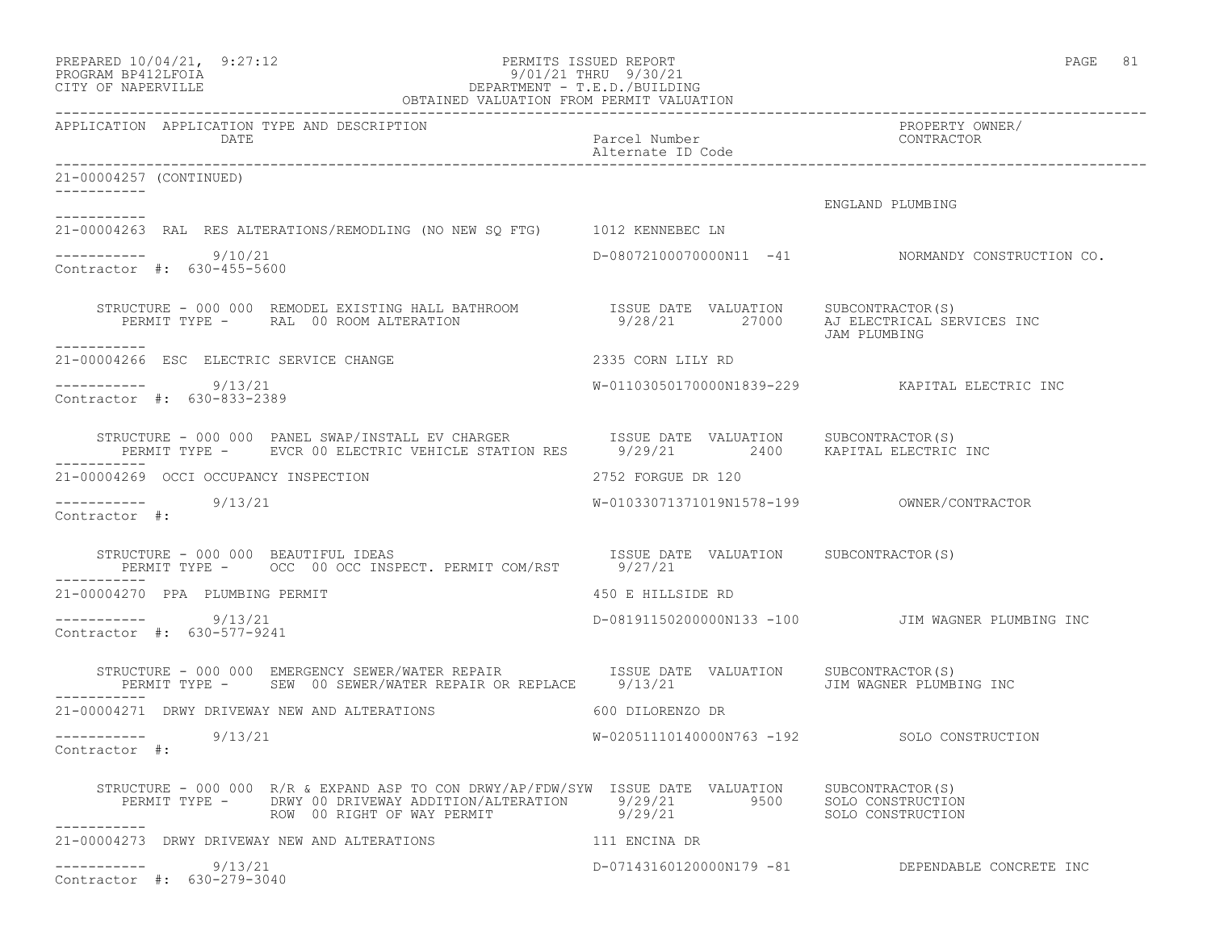| PREPARED 10/04/21,  | 9:27:12 |
|---------------------|---------|
| DDACDAM RDA19T FATA |         |

# PERMITS ISSUED REPORT AND REPORT PAGE 81 PROGRAM BP412LFOIA 9/01/21 THRU 9/30/21 CITY OF NAPERVILLE DEPARTMENT - T.E.D./BUILDING

| OBTAINED VALUATION FROM PERMIT VALUATION                                                                                                                                                                                                    |                                    |                                                      |  |
|---------------------------------------------------------------------------------------------------------------------------------------------------------------------------------------------------------------------------------------------|------------------------------------|------------------------------------------------------|--|
| APPLICATION APPLICATION TYPE AND DESCRIPTION<br>DATE                                                                                                                                                                                        | Parcel Number<br>Alternate ID Code | PROPERTY OWNER/<br>CONTRACTOR                        |  |
| 21-00004257 (CONTINUED)                                                                                                                                                                                                                     |                                    |                                                      |  |
| ___________                                                                                                                                                                                                                                 |                                    | ENGLAND PLUMBING                                     |  |
| ------------<br>21-00004263 RAL RES ALTERATIONS/REMODLING (NO NEW SQ FTG) 1012 KENNEBEC LN                                                                                                                                                  |                                    |                                                      |  |
| $--------$ 9/10/21<br>Contractor #: 630-455-5600                                                                                                                                                                                            |                                    | D-08072100070000N11 -41 NORMANDY CONSTRUCTION CO.    |  |
| STRUCTURE - 000 000 REMODEL EXISTING HALL BATHROOM            ISSUE DATE VALUATION    SUBCONTRACTOR(S)<br>PERMIT TYPE -     RAL 00 ROOM ALTERATION                        9/28/21       27000    AJ ELECTRICAL SERVICES INC<br>------------ |                                    | JAM PLUMBING                                         |  |
| 21-00004266 ESC ELECTRIC SERVICE CHANGE<br>2335 CORN LILY RD                                                                                                                                                                                |                                    |                                                      |  |
| $--------$ 9/13/21<br>Contractor #: 630-833-2389                                                                                                                                                                                            |                                    |                                                      |  |
| STRUCTURE - 000 000 PANEL SWAP/INSTALL EV CHARGER<br>PERMIT TYPE - EVCR 00 ELECTRIC VEHICLE STATION RES 9/29/21 2400 KAPITAL ELECTRIC INC                                                                                                   |                                    |                                                      |  |
| 2752 FORGUE DR 120<br>21-00004269 OCCI OCCUPANCY INSPECTION                                                                                                                                                                                 |                                    |                                                      |  |
| ----------- 9/13/21<br>Contractor #:                                                                                                                                                                                                        |                                    |                                                      |  |
| STRUCTURE - 000 000 BEAUTIFUL IDEAS<br>PERMIT TYPE - OCC 00 OCC INSPECT. PERMIT COM/RST 9/27/21<br>STRUCTURE - 000 000 BEAUTIFUL IDEAS                                                                                                      |                                    |                                                      |  |
| 21-00004270 PPA PLUMBING PERMIT                                                                                                                                                                                                             | 450 E HILLSIDE RD                  |                                                      |  |
| $-$ ---------- $9/13/21$<br>Contractor #: 630-577-9241                                                                                                                                                                                      |                                    | D-08191150200000N133 -100    JIM WAGNER PLUMBING INC |  |
| STRUCTURE - 000 000 EMERGENCY SEWER/WATER REPAIR                ISSUE DATE VALUATION     SUBCONTRACTOR(S)<br>PERMIT TYPE -     SEW 00 SEWER/WATER REPAIR OR REPLACE      9/13/21                  JIM WAGNER PLUMBI                         |                                    | JIM WAGNER PLUMBING INC                              |  |
| 21-00004271 DRWY DRIVEWAY NEW AND ALTERATIONS                                                                                                                                                                                               | 600 DILORENZO DR                   |                                                      |  |
| ___________<br>9/13/21<br>Contractor #:                                                                                                                                                                                                     |                                    | W-02051110140000N763 -192 SOLO CONSTRUCTION          |  |
| STRUCTURE - 000 000 R/R & EXPAND ASP TO CON DRWY/AP/FDW/SYW ISSUE DATE VALUATION SUBCONTRACTOR(S)<br>PERMIT TYPE - DRWY 00 DRIVEWAY ADDITION/ALTERATION 9/29/21 9500 SOLO CONSTRUCTION<br>ROW 00 RIGHT OF WAY PERMIT 9/29/21 9500 SO        |                                    |                                                      |  |
| 21-00004273 DRWY DRIVEWAY NEW AND ALTERATIONS THE RESERVED THAT ENCINA DR                                                                                                                                                                   |                                    |                                                      |  |
| 9/13/21<br>-----------<br>Contractor #: 630-279-3040                                                                                                                                                                                        |                                    | D-07143160120000N179 -81 DEPENDABLE CONCRETE INC     |  |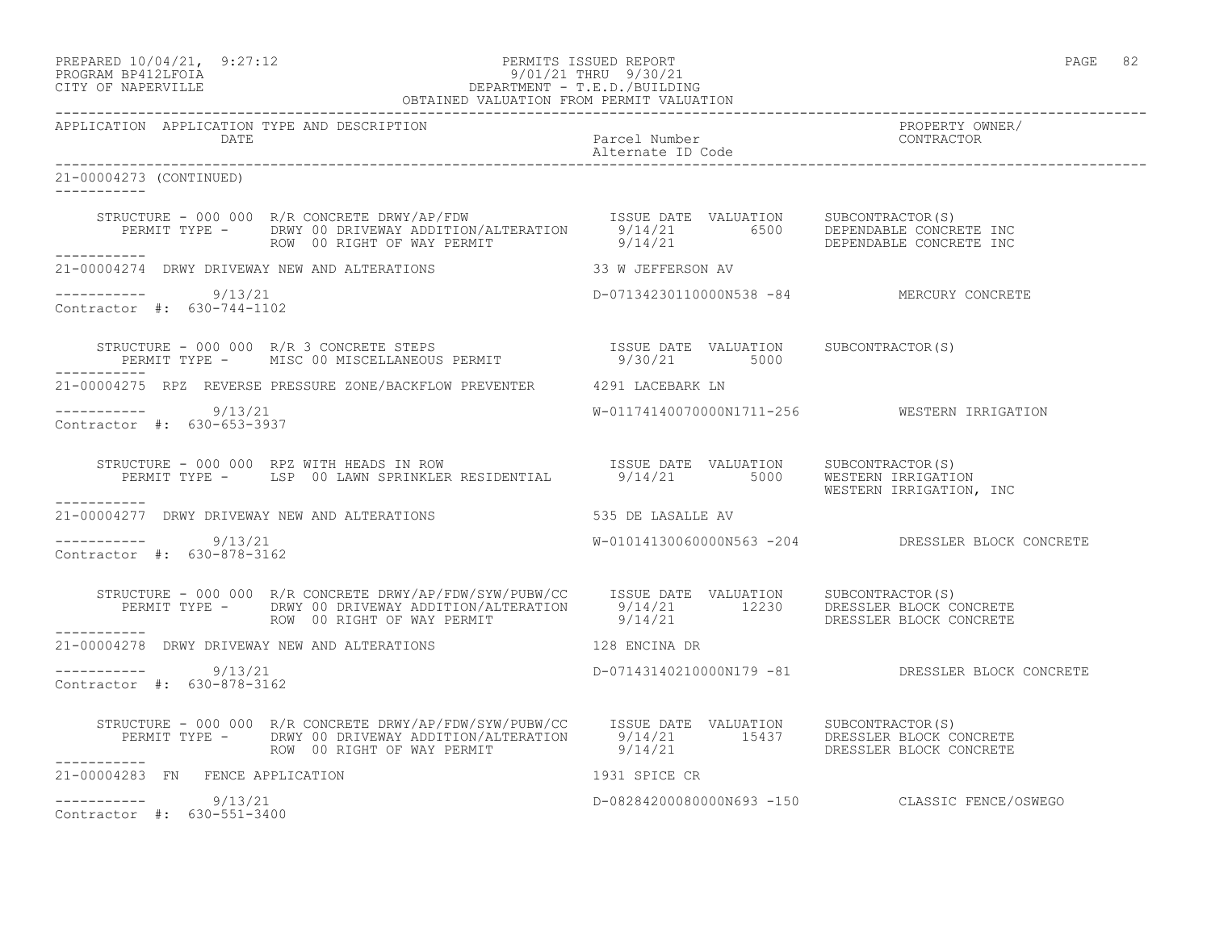#### PREPARED 10/04/21, 9:27:12 PERMITS ISSUED REPORT PAGE 82 PROGRAM BP412LFOIA 9/01/21 THRU 9/30/21 CITY OF NAPERVILLE DEPARTMENT - T.E.D./BUILDING OBTAINED VALUATION FROM PERMIT VALUATION

| APPLICATION APPLICATION TYPE AND DESCRIPTION<br>DATE  |                                                                                                                                                                                                                                      | Parcel Number<br>Alternate ID Code        | PROPERTY OWNER/<br>CONTRACTOR                     |
|-------------------------------------------------------|--------------------------------------------------------------------------------------------------------------------------------------------------------------------------------------------------------------------------------------|-------------------------------------------|---------------------------------------------------|
|                                                       |                                                                                                                                                                                                                                      |                                           |                                                   |
| 21-00004273 (CONTINUED)                               |                                                                                                                                                                                                                                      |                                           |                                                   |
| ___________                                           |                                                                                                                                                                                                                                      |                                           |                                                   |
|                                                       | 21-00004274 DRWY DRIVEWAY NEW AND ALTERATIONS 33 W JEFFERSON AV                                                                                                                                                                      |                                           |                                                   |
| ----------- 9/13/21<br>Contractor #: 630-744-1102     |                                                                                                                                                                                                                                      | D-07134230110000N538 -84 MERCURY CONCRETE |                                                   |
|                                                       |                                                                                                                                                                                                                                      |                                           |                                                   |
|                                                       | 21-00004275 RPZ REVERSE PRESSURE ZONE/BACKFLOW PREVENTER 4291 LACEBARK LN                                                                                                                                                            |                                           |                                                   |
| -----------     9/13/21<br>Contractor #: 630-653-3937 |                                                                                                                                                                                                                                      |                                           | W-01174140070000N1711-256 WESTERN IRRIGATION      |
|                                                       | STRUCTURE - 000 000 RPZ WITH HEADS IN ROW TSSUE DATE VALUATION SUBCONTRACTOR(S)<br>PERMIT TYPE - LSP 00 LAWN SPRINKLER RESIDENTIAL 9/14/21 5000 WESTERN IRRIGATION, INC                                                              |                                           |                                                   |
| -----------                                           | 21-00004277 DRWY DRIVEWAY NEW AND ALTERATIONS 535 DE LASALLE AV                                                                                                                                                                      |                                           |                                                   |
| $--------- 9/13/21$<br>Contractor #: 630-878-3162     |                                                                                                                                                                                                                                      |                                           | W-01014130060000N563 -204 DRESSLER BLOCK CONCRETE |
| ------------                                          | STRUCTURE - 000 000 R/R CONCRETE DRWY/AP/FDW/SYW/PUBW/CC  ISSUE DATE VALUATION SUBCONTRACTOR(S)<br>PERMIT TYPE - DRWY 00 DRIVEWAY ADDITION/ALTERATION 9/14/21 12230 DRESSLER BLOCK CONCRETE<br>ROW 00 RIGHT OF WAY PERMIT 9/14/21 DR |                                           |                                                   |
|                                                       | 21-00004278 DRWY DRIVEWAY NEW AND ALTERATIONS 128 ENCINA DR                                                                                                                                                                          |                                           |                                                   |
| $--------- 9/13/21$<br>Contractor #: 630-878-3162     |                                                                                                                                                                                                                                      |                                           | D-07143140210000N179 -81 DRESSLER BLOCK CONCRETE  |
|                                                       | STRUCTURE - 000 000 R/R CONCRETE DRWY/AP/FDW/SYW/PUBW/CC ISSUE DATE VALUATION SUBCONTRACTOR(S)<br>PERMIT TYPE - DRWY 00 DRIVEWAY ADDITION/ALTERATION 9/14/21 15437 DRESSLER BLOCK CONCRETE<br>9/14/21 DRESSLER BLOCK CONCRETE        |                                           |                                                   |
| 21-00004283 FN FENCE APPLICATION                      |                                                                                                                                                                                                                                      | 1931 SPICE CR                             |                                                   |
| $--------- 9/13/21$<br>Contractor #: 630-551-3400     |                                                                                                                                                                                                                                      |                                           | D-08284200080000N693 -150 CLASSIC FENCE/OSWEGO    |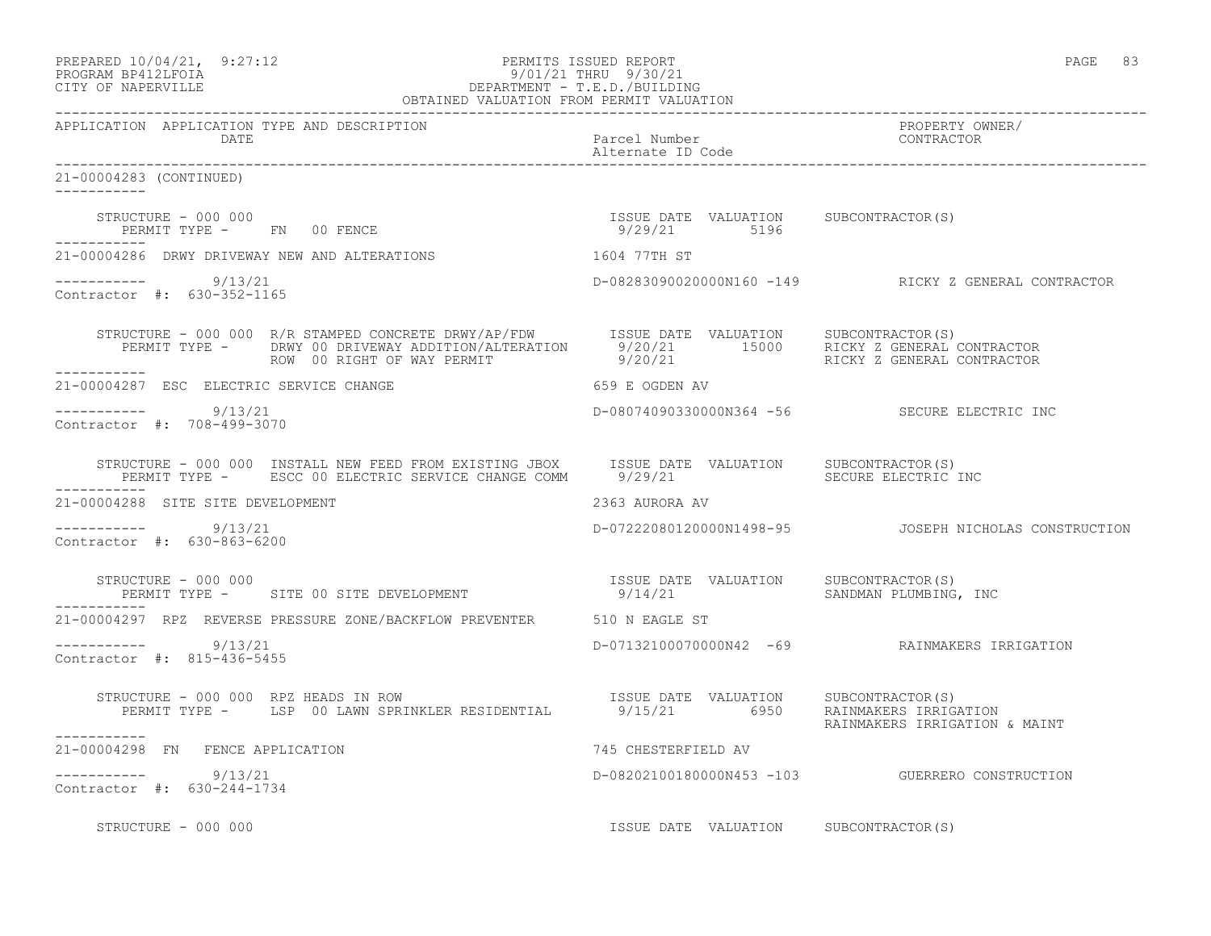| PREPARED 10/04/21, 9:27:12<br>PROGRAM BP412LFOIA 9/30/21<br>CITY OF NAPERVILLE<br>CITY OF NAPERVILLE<br>PROGRAM PERMITLE<br>CITY OF NAPERVILLE<br>PROGRAM PERMIT VALUATION<br>OBTAINED VALUATION FROM PERMIT VALUATION                                                                                                                      |                     | PAGE 83                                                |
|---------------------------------------------------------------------------------------------------------------------------------------------------------------------------------------------------------------------------------------------------------------------------------------------------------------------------------------------|---------------------|--------------------------------------------------------|
| APPLICATION APPLICATION TYPE AND DESCRIPTION                                                                                                                                                                                                                                                                                                |                     | PROPERTY OWNER/                                        |
| 21-00004283 (CONTINUED)                                                                                                                                                                                                                                                                                                                     |                     |                                                        |
| $\begin{array}{cccccccccc} \texttt{STRUCTURE} & - & 000 & 000 & & & & & & \\ \texttt{PERMIT TYPE} & - & & \texttt{FN} & 00 & \texttt{FENCE} & & & & & \\ \end{array} \hspace{2.5in} \begin{array}{cccccccccc} \texttt{TSSUE} & \texttt{DATE} & \texttt{VALUATION} & & \texttt{SUBCONTRACTOR(S)} \\ & & 9/29/21 & & 5196 & & \\ \end{array}$ |                     |                                                        |
| 21-00004286 DRWY DRIVEWAY NEW AND ALTERATIONS 1604 77TH ST                                                                                                                                                                                                                                                                                  |                     |                                                        |
| $--------- 9/13/21$<br>Contractor #: 630-352-1165                                                                                                                                                                                                                                                                                           |                     |                                                        |
| STRUCTURE - 000 000 R/R STAMPED CONCRETE DRWY/AP/FDW ISSUE DATE VALUATION SUBCONTRACTOR(S)<br>PERMIT TYPE - DRWY 00 DRIVEWAY ADDITION/ALTERATION $9/20/21$ 15000 RICKY Z GENERAL CONTRACTOR<br>PERMIT TYPE - DRWY 00 DRIVEWAY ADDITION/ALTERATION 9/20/21 15000 RICKY Z GENERAL CONTRACTOR<br>ROW 00 RIGHT OF WAY PERMIT                    |                     |                                                        |
| 21-00004287 ESC ELECTRIC SERVICE CHANGE<br>659 E OGDEN AV                                                                                                                                                                                                                                                                                   |                     |                                                        |
| ----------- 9/13/21<br>Contractor #: 708-499-3070                                                                                                                                                                                                                                                                                           |                     | D-08074090330000N364 -56 SECURE ELECTRIC INC           |
| STRUCTURE - 000 000 INSTALL NEW FEED FROM EXISTING JBOX ISSUE DATE VALUATION SUBCONTRACTOR(S)<br>PERMIT TYPE - ESCC 00 ELECTRIC SERVICE CHANGE COMM 9/29/21 99 SECURE ELECTRIC INC<br>------------                                                                                                                                          |                     |                                                        |
| 21-00004288 SITE SITE DEVELOPMENT                                                                                                                                                                                                                                                                                                           | 2363 AURORA AV      |                                                        |
| $--------- 9/13/21$<br>Contractor #: 630-863-6200                                                                                                                                                                                                                                                                                           |                     | D-07222080120000N1498-95  JOSEPH NICHOLAS CONSTRUCTION |
|                                                                                                                                                                                                                                                                                                                                             |                     |                                                        |
| 21-00004297 RPZ REVERSE PRESSURE ZONE/BACKFLOW PREVENTER 510 N EAGLE ST                                                                                                                                                                                                                                                                     |                     |                                                        |
| $--------- 9/13/21$<br>Contractor #: 815-436-5455                                                                                                                                                                                                                                                                                           |                     | D-07132100070000N42 -69 RAINMAKERS IRRIGATION          |
| STRUCTURE - 000 000 RPZ HEADS IN ROW<br>PERMIT TYPE - LSP 00 LAWN SPRINKLER RESIDENTIAL 9/15/21 6950 RAINMAKERS IRRIGATION<br>-----------                                                                                                                                                                                                   |                     | RAINMAKERS IRRIGATION & MAINT                          |
| 21-00004298 FN FENCE APPLICATION                                                                                                                                                                                                                                                                                                            | 745 CHESTERFIELD AV |                                                        |

 $--------- 9/13/21$ Contractor #: 630-244-1734

STRUCTURE - 000 000 **ISSUE DATE VALUATION** SUBCONTRACTOR(S)

D-08202100180000N453 -103 GUERRERO CONSTRUCTION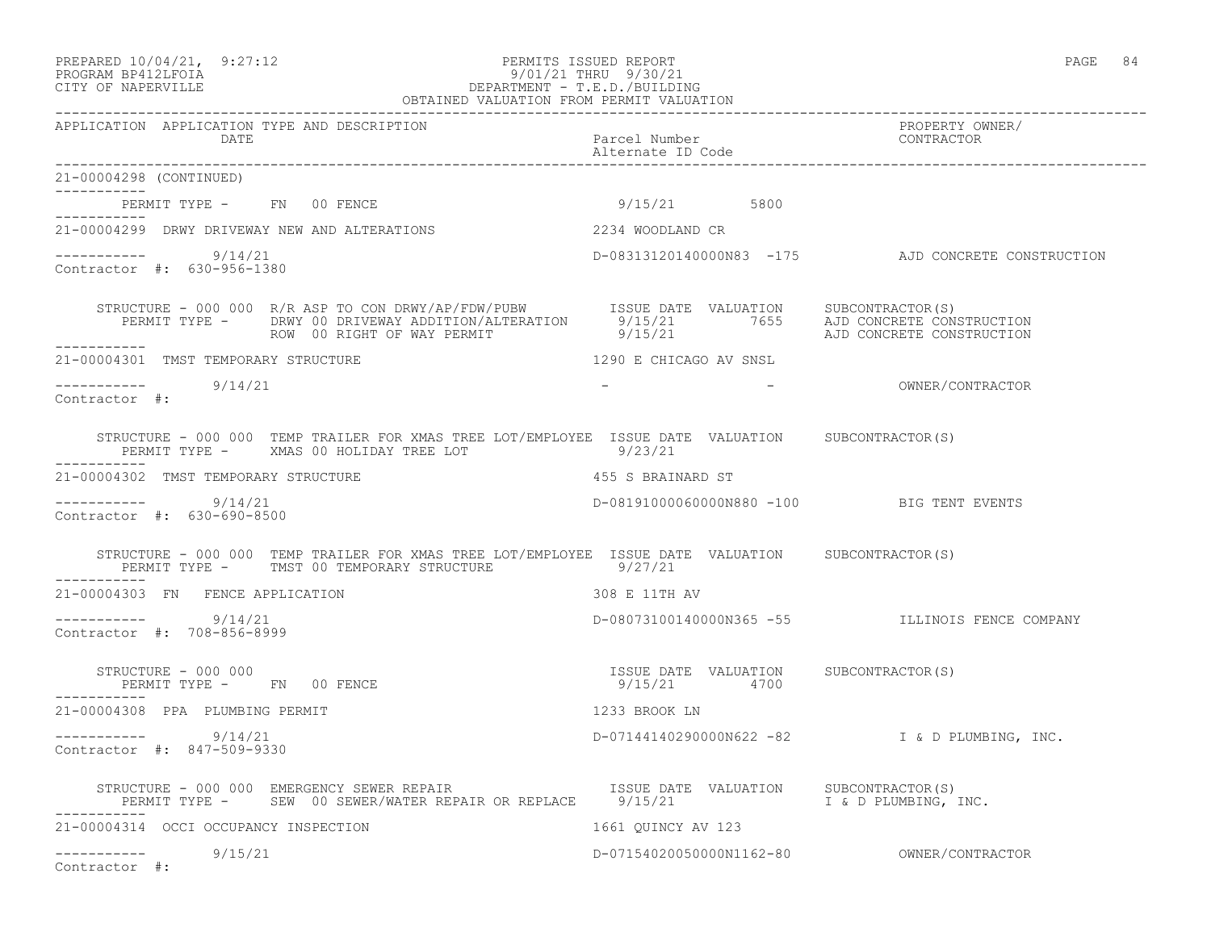#### PREPARED 10/04/21, 9:27:12 PERMITS ISSUED REPORT PAGE 84 PROGRAM BP412LFOIA 9/01/21 THRU 9/30/21 CITY OF NAPERVILLE DEPARTMENT - T.E.D./BUILDING OBTAINED VALUATION FROM PERMIT VALUATION

------------------------------------------------------------------------------------------------------------------------------------

APPLICATION APPLICATION TYPE AND DESCRIPTION PROPERTY OWNER/ DATE PARTICLE IN PARTICLE IN THE PARTICLE IN THE PARTICLE IN THE PARTICLE IN THE PARTICLE IN THE PARTICLE IN THE PARTICLE IN THE PARTICLE IN THE PARTICLE IN THE PARTICLE IN THE PARTICLE IN THE PARTICLE IN THE PARTICLE IN T Alternate ID Code ------------------------------------------------------------------------------------------------------------------------------------ 21-00004298 (CONTINUED) ----------- PERMIT TYPE - FN 00 FENCE 1999 15/21 5800 ----------- 21-00004299 DRWY DRIVEWAY NEW AND ALTERATIONS 2234 WOODLAND CR  $--------- 9/14/21$ D-08313120140000N83 -175 AJD CONCRETE CONSTRUCTION Contractor #: 630-956-1380 STRUCTURE - 000 000 R/R ASP TO CON DRWY/AP/FDW/PUBW ISSUE DATE VALUATION SUBCONTRACTOR(S) PERMIT TYPE - DRWY 00 DRIVEWAY ADDITION/ALTERATION 9/15/21 7655 AJD CONCRETE CONSTRUCTION ROW 00 RIGHT OF WAY PERMIT  $9/15/21$  AJD CONCRETE CONSTRUCTION ----------- 21-00004301 TMST TEMPORARY STRUCTURE 1290 CHICAGO AV SNSL \_\_\_\_\_\_\_\_\_\_\_ ----------- 9/14/21 - - OWNER/CONTRACTOR Contractor #: STRUCTURE - 000 000 TEMP TRAILER FOR XMAS TREE LOT/EMPLOYEE ISSUE DATE VALUATION SUBCONTRACTOR(S) PERMIT TYPE - XMAS 00 HOLIDAY TREE LOT 9/23/21 ----------- 21-00004302 TMST TEMPORARY STRUCTURE 455 S BRAINARD ST ----------- 9/14/21 D-08191000060000N880 -100 BIG TENT EVENTS Contractor #: 630-690-8500 STRUCTURE - 000 000 TEMP TRAILER FOR XMAS TREE LOT/EMPLOYEE ISSUE DATE VALUATION SUBCONTRACTOR(S) PERMIT TYPE - TMST 00 TEMPORARY STRUCTURE 69/27/21 ----------- 21-00004303 FN FENCE APPLICATION 308 E 11TH AV ----------- 9/14/21 D-08073100140000N365 -55 ILLINOIS FENCE COMPANY Contractor #: 708-856-8999 STRUCTURE - 000 000 ISSUE DATE VALUATION SUBCONTRACTOR(S) PERMIT TYPE - FN 00 FENCE ----------- 21-00004308 PPA PLUMBING PERMIT 1233 BROOK LN ----------- 9/14/21 D-07144140290000N622 -82 I & D PLUMBING, INC. Contractor #: 847-509-9330 STRUCTURE - 000 000 EMERGENCY SEWER REPAIR ISSUE DATE VALUATION SUBCONTRACTOR(S) PERMIT TYPE - SEW 00 SEWER/WATER REPAIR OR REPLACE 9/15/21 1 1 G D PLUMBING, INC. ----------- 21-00004314 OCCI OCCUPANCY INSPECTION 1661 QUINCY AV 123 ----------- 9/15/21 D-07154020050000N1162-80 OWNER/CONTRACTOR Contractor #: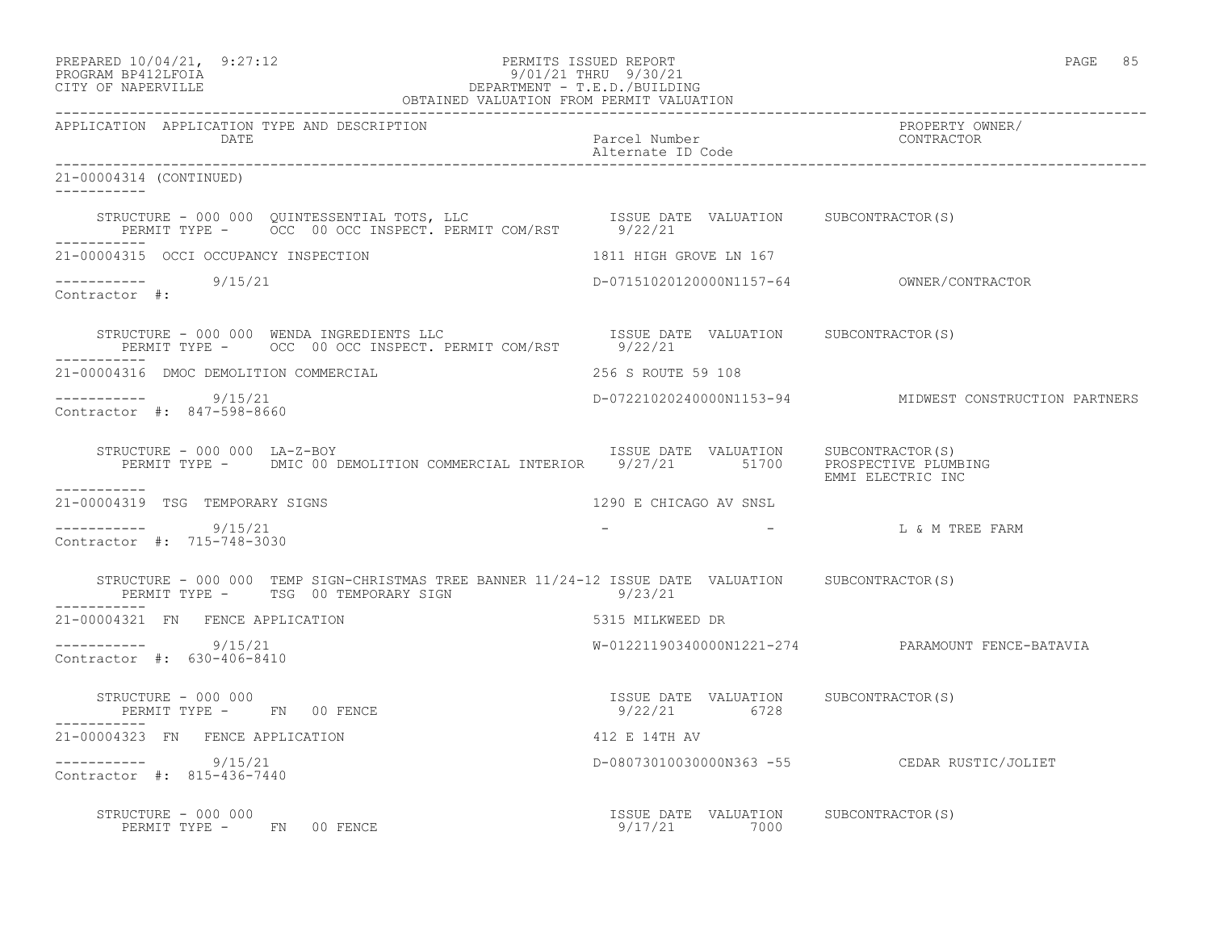| PREPARED 10/04/21,   | 9:27:12 |
|----------------------|---------|
| גד∩ם זר11תם ווגם∩חםם |         |

## PREPARED 10/04/21, 9:27:12 PERMITS ISSUED REPORT PAGE 85 PROGRAM BP412LFOIA 9/01/21 THRU 9/30/21 CITY OF NAPERVILLE DEPARTMENT - T.E.D./BUILDING

| OBTAINED VALUATION FROM PERMIT VALUATION                                                                                                                                               |                                                       |                                                        |  |  |
|----------------------------------------------------------------------------------------------------------------------------------------------------------------------------------------|-------------------------------------------------------|--------------------------------------------------------|--|--|
| APPLICATION APPLICATION TYPE AND DESCRIPTION<br>DATE                                                                                                                                   | Parcel Number<br>Alternate ID Code                    | PROPERTY OWNER/<br>CONTRACTOR                          |  |  |
| 21-00004314 (CONTINUED)                                                                                                                                                                |                                                       |                                                        |  |  |
| STRUCTURE - 000 000 QUINTESSENTIAL TOTS, LLC                     ISSUE DATE VALUATION      SUBCONTRACTOR(S)<br>PERMIT TYPE -       OCC  00 OCC INSPECT. PERMIT COM/RST         9/22/21 |                                                       |                                                        |  |  |
| 21-00004315 OCCI OCCUPANCY INSPECTION                                                                                                                                                  | 1811 HIGH GROVE LN 167                                |                                                        |  |  |
| $--------- 9/15/21$<br>Contractor #:                                                                                                                                                   |                                                       | D-07151020120000N1157-64 OWNER/CONTRACTOR              |  |  |
| -----------                                                                                                                                                                            |                                                       |                                                        |  |  |
| 21-00004316 DMOC DEMOLITION COMMERCIAL                                                                                                                                                 | 256 S ROUTE 59 108                                    |                                                        |  |  |
| $--------- 9/15/21$<br>Contractor #: 847-598-8660                                                                                                                                      |                                                       | D-07221020240000N1153-94 MIDWEST CONSTRUCTION PARTNERS |  |  |
| STRUCTURE - 000 000 LA-Z-BOY<br>PERMIT TYPE - DMIC 00 DEMOLITION COMMERCIAL INTERIOR 9/27/21 51700 PROSPECTIVE PLUMBING                                                                | ISSUE DATE VALUATION SUBCONTRACTOR(S)                 | EMMI ELECTRIC INC                                      |  |  |
| 21-00004319 TSG TEMPORARY SIGNS                                                                                                                                                        | 1290 E CHICAGO AV SNSL                                |                                                        |  |  |
| $--------$ 9/15/21<br>Contractor #: 715-748-3030                                                                                                                                       |                                                       | L & M TREE FARM                                        |  |  |
| STRUCTURE - 000 000 TEMP SIGN-CHRISTMAS TREE BANNER 11/24-12 ISSUE DATE VALUATION SUBCONTRACTOR(S)<br>PERMIT TYPE - TSG 00 TEMPORARY SIGN                                              | 9/23/21                                               |                                                        |  |  |
| 21-00004321 FN FENCE APPLICATION                                                                                                                                                       | 5315 MILKWEED DR                                      |                                                        |  |  |
| $--------- 9/15/21$<br>Contractor #: 630-406-8410                                                                                                                                      |                                                       | W-01221190340000N1221-274 PARAMOUNT FENCE-BATAVIA      |  |  |
| STRUCTURE - 000 000<br>PERMIT TYPE - FN 00 FENCE                                                                                                                                       | ISSUE DATE VALUATION SUBCONTRACTOR(S)<br>9/22/21 6728 |                                                        |  |  |
| 21-00004323 FN FENCE APPLICATION                                                                                                                                                       | 412 E 14TH AV                                         |                                                        |  |  |
| $--------- 9/15/21$<br>Contractor #: 815-436-7440                                                                                                                                      |                                                       | D-08073010030000N363 -55 CEDAR RUSTIC/JOLIET           |  |  |
| STRUCTURE - 000 000<br>PERMIT TYPE - FN 00 FENCE                                                                                                                                       | ISSUE DATE VALUATION SUBCONTRACTOR(S)<br>9/17/21 7000 |                                                        |  |  |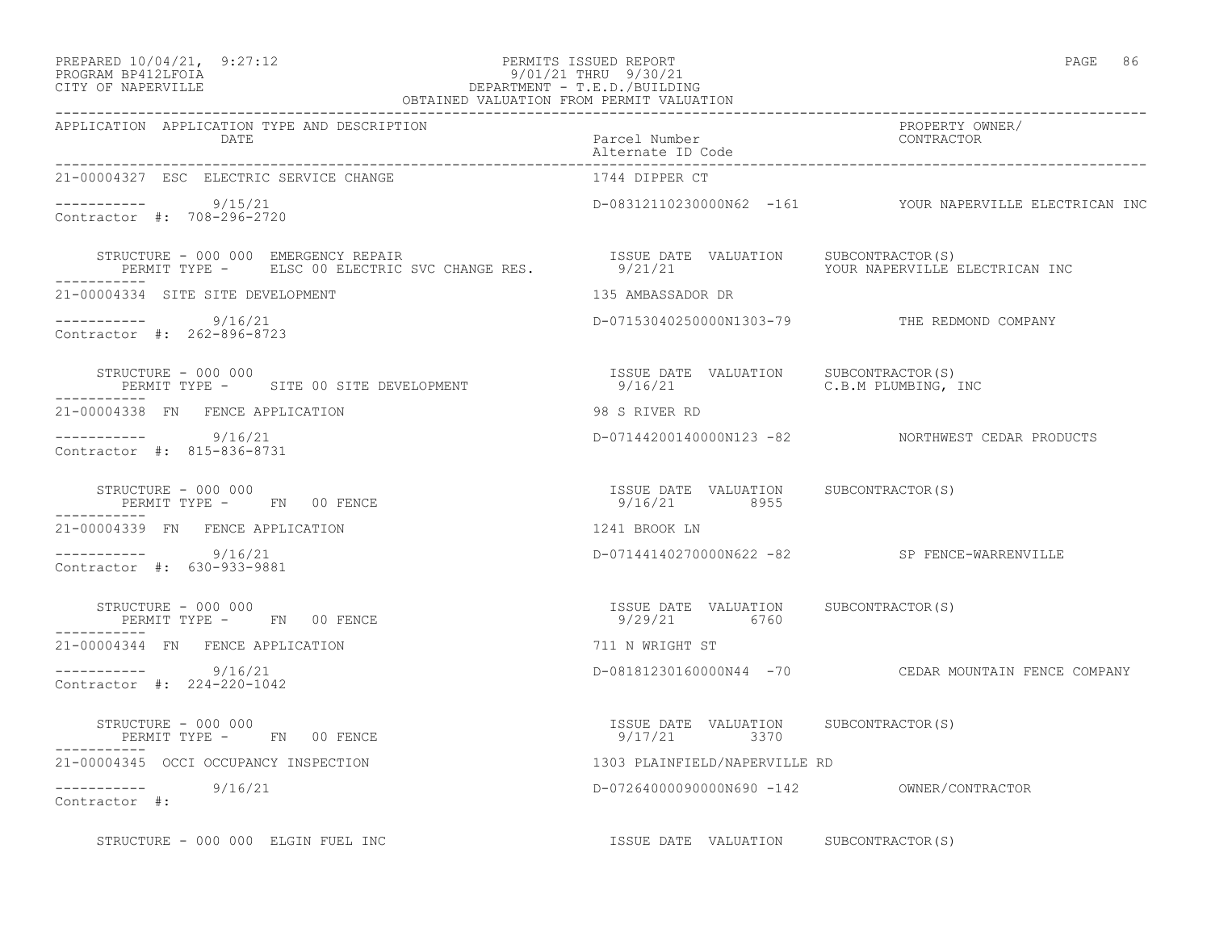----------- 9/15/21

Contractor #: 708-296-2720

Contractor #: 262-896-8723

Contractor #: 815-836-8731

Contractor #: 630-933-9881

21-00004327 ESC ELECTRIC SERVICE CHANGE

-----------

-----------

-----------

#### PREPARED 10/04/21, 9:27:12 PERMITS ISSUED REPORT PAGE 86 PROGRAM BP412LFOIA 9/01/21 THRU 9/30/21 CITY OF NAPERVILLE DEPARTMENT - T.E.D./BUILDING OBTAINED VALUATION FROM PERMIT VALUATION

------------------------------------------------------------------------------------------------------------------------------------ APPLICATION APPLICATION TYPE AND DESCRIPTION<br>DATE bated parcel Number property contractor DATE Parcel Number CONTRACTOR Alternate ID Code ------------------------------------------------------------------------------------------------------------------------------------ D-08312110230000N62 -161 YOUR NAPERVILLE ELECTRICAN INC STRUCTURE - 000 000 EMERGENCY REPAIR ISSUE DATE VALUATION SUBCONTRACTOR(S) PERMIT TYPE - ELSC 00 ELECTRIC SVC CHANGE RES.  $9/21/21$  YOUR NAPERVILLE ELECTRICAN INC 21-00004334 SITE SITE DEVELOPMENT 135 AMBASSADOR DR ----------- 9/16/21 D-07153040250000N1303-79 THE REDMOND COMPANY STRUCTURE - 000 000 ISSUE DATE VALUATION SUBCONTRACTOR(S) PERMIT TYPE - SITE 00 SITE DEVELOPMENT 21-00004338 FN FENCE APPLICATION 98 S RIVER RD ----------- 9/16/21 D-07144200140000N123 -82 NORTHWEST CEDAR PRODUCTS STRUCTURE - 000 000 ISSUE DATE VALUATION SUBCONTRACTOR(S) 21-00004339 FN FENCE APPLICATION 1241 BROOK LN ----------- 9/16/21 D-07144140270000N622 -82 SP FENCE-WARRENVILLE

 STRUCTURE - 000 000 ISSUE DATE VALUATION SUBCONTRACTOR(S) PERMIT TYPE - FN 00 FENCE ----------- 21-00004344 FN FENCE APPLICATION 711 N WRIGHT ST ----------- 9/16/21 D-08181230160000N44 -70 CEDAR MOUNTAIN FENCE COMPANY Contractor #: 224-220-1042

PERMIT TYPE - FN 00 FENCE

 STRUCTURE - 000 000 ISSUE DATE VALUATION SUBCONTRACTOR(S) PERMIT TYPE - FN 00 FENCE ----------- 21-00004345 OCCI OCCUPANCY INSPECTION 1303 PLAINFIELD/NAPERVILLE RD ----------- 9/16/21 D-07264000090000N690 -142 OWNER/CONTRACTOR

Contractor #:

STRUCTURE - 000 000 ELGIN FUEL INC **ISSUE DATE VALUATION** SUBCONTRACTOR(S)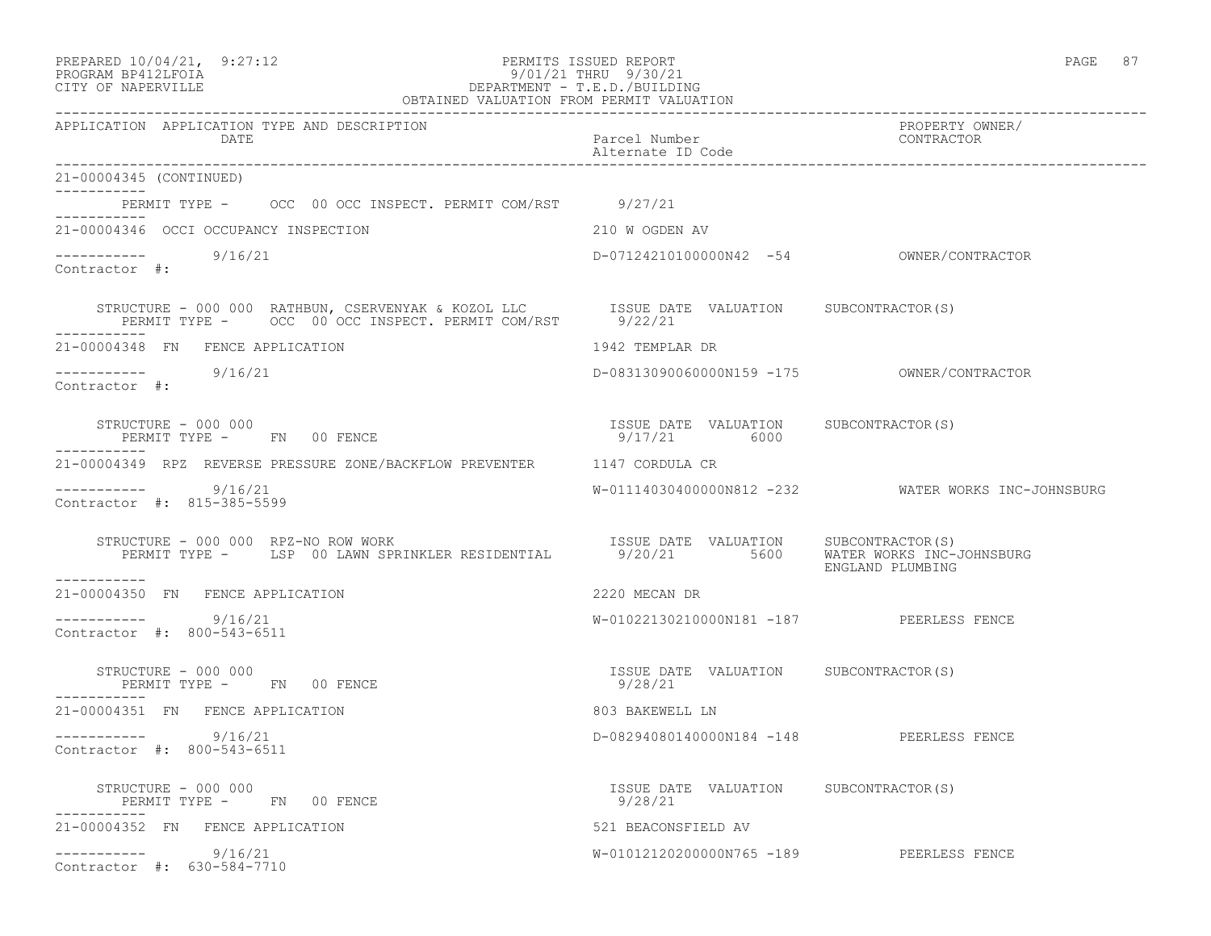|          | PREPARED 10/04/21, | 9:27:1 |
|----------|--------------------|--------|
| -------- |                    |        |

#### PREPARED 10/04/21, 9:27:12 PERMITS ISSUED REPORT PAGE 87 PROGRAM BP412LFOIA 9/01/21 THRU 9/30/21 CITY OF NAPERVILLE DEPARTMENT - T.E.D./BUILDING OBTAINED VALUATION FROM PERMIT VALUATION

------------------------------------------------------------------------------------------------------------------------------------ APPLICATION APPLICATION TYPE AND DESCRIPTION PROPERTY OWNER/ DATE Parcel Number Contractor Contractor Contractor Parcel Number Alternate ID Code ------------------------------------------------------------------------------------------------------------------------------------ 21-00004345 (CONTINUED) ----------- PERMIT TYPE - OCC 00 OCC INSPECT. PERMIT COM/RST 9/27/21 ----------- 21-00004346 OCCI OCCUPANCY INSPECTION 210 W OGDEN AV ----------- 9/16/21 ----------- 9/16/21 D-07124210100000N42 -54 OWNER/CONTRACTOR Contractor #: STRUCTURE - 000 000 RATHBUN, CSERVENYAK & KOZOL LLC ISSUE DATE VALUATION SUBCONTRACTOR(S) PERMIT TYPE - OCC 00 OCC INSPECT. PERMIT COM/RST 9/22/21 ----------- 21-00004348 FN FENCE APPLICATION 1942 TEMPLAR DR ----------- 9/16/21 D-08313090060000N159 -175 OWNER/CONTRACTOR Contractor #: STRUCTURE - 000 000 ISSUE DATE VALUATION SUBCONTRACTOR(S) PERMIT TYPE - FN 00 FENCE ----------- 21-00004349 RPZ REVERSE PRESSURE ZONE/BACKFLOW PREVENTER 1147 CORDULA CR ----------- 9/16/21 W-01114030400000N812 -232 WATER WORKS INC-JOHNSBURG Contractor #: 815-385-5599 STRUCTURE - 000 000 RPZ-NO ROW WORK ISSUE DATE VALUATION SUBCONTRACTOR(S) PERMIT TYPE - LSP 00 LAWN SPRINKLER RESIDENTIAL 9/20/21 5600 WATER WORKS INC-JOHNSBURG ENGLAND PLUMBING ----------- 21-00004350 FN FENCE APPLICATION 2220 MECAN DR  $--------- 9/16/21$ W-01022130210000N181 -187 PEERLESS FENCE Contractor #: 800-543-6511 STRUCTURE - 000 000 ISSUE DATE VALUATION SUBCONTRACTOR(S) PERMIT TYPE - FN 00 FENCE ----------- 21-00004351 FN FENCE APPLICATION 803 BAKEWELL LN ----------- 9/16/21 D-08294080140000N184 -148 PEERLESS FENCE Contractor #: 800-543-6511 STRUCTURE - 000 000 ISSUE DATE VALUATION SUBCONTRACTOR(S) PERMIT TYPE - FN 00 FENCE ----------- 21-00004352 FN FENCE APPLICATION 521 BEACONSFIELD AV ----------- 9/16/21 W-01012120200000N765 -189 PEERLESS FENCE

Contractor #: 630-584-7710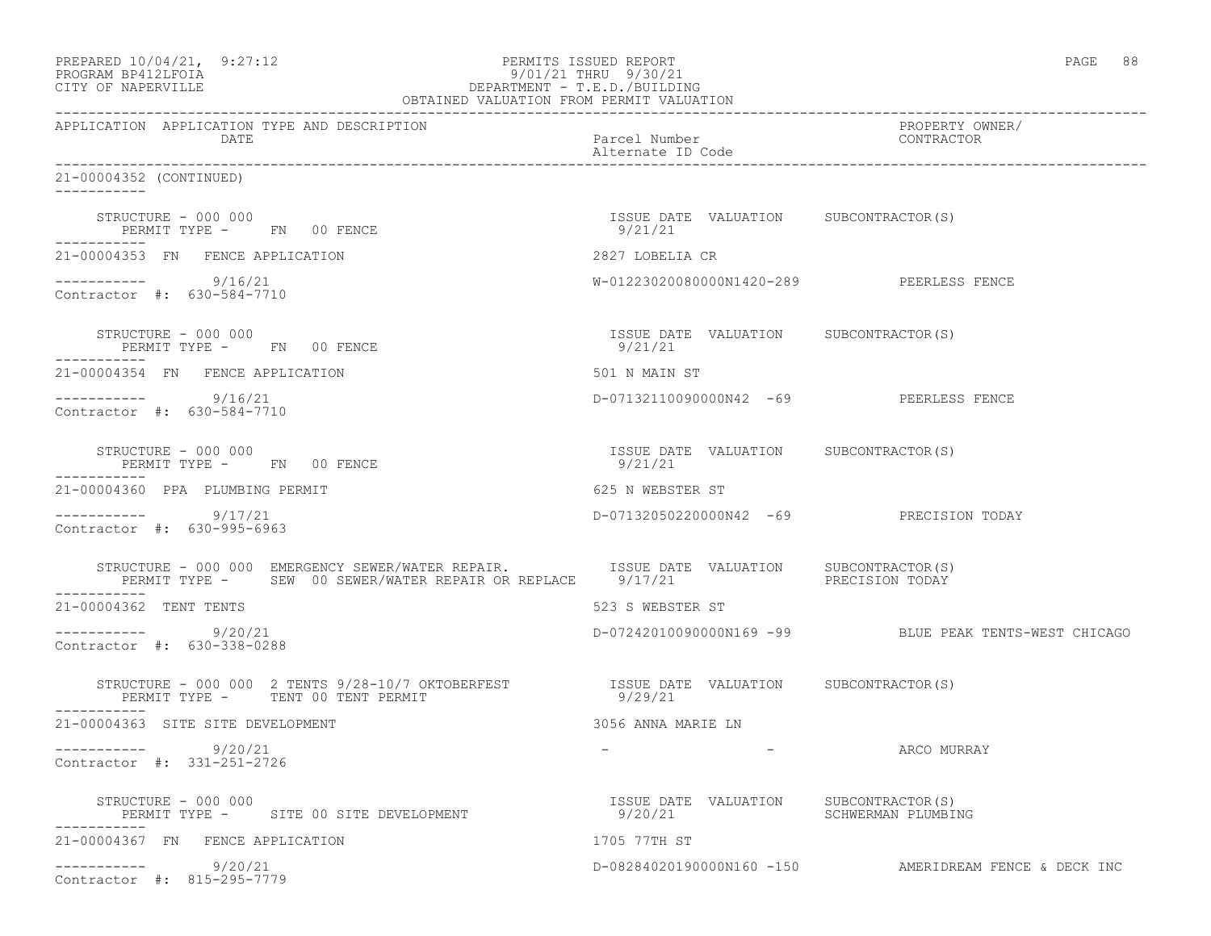| PREPARED 10/04/21, 9:27:12<br>PROGRAM BP412LFOIA<br>9/01/21 THRU 9/30/21<br>DEPARTMENT - T.E.D./BUILDING<br>OBTAINED VALUATION FROM PERMIT VALUATION<br>CITY OF NAPERVILLE | PERMITS ISSUED REPORT<br>9/01/21 THRU 9/30/21    | 88<br>PAGE                                            |
|----------------------------------------------------------------------------------------------------------------------------------------------------------------------------|--------------------------------------------------|-------------------------------------------------------|
| APPLICATION APPLICATION TYPE AND DESCRIPTION<br>DATE                                                                                                                       | Parcel Number<br>Alternate ID Code               | PROPERTY OWNER/<br>CONTRACTOR                         |
| 21-00004352 (CONTINUED)                                                                                                                                                    |                                                  |                                                       |
| STRUCTURE - 000 000<br>PERMIT TYPE - FN 00 FENCE<br>___________                                                                                                            | ISSUE DATE VALUATION SUBCONTRACTOR(S)<br>9/21/21 |                                                       |
| 21-00004353 FN FENCE APPLICATION                                                                                                                                           | 2827 LOBELIA CR                                  |                                                       |
| $--------- 9/16/21$<br>Contractor #: 630-584-7710                                                                                                                          | W-01223020080000N1420-289 PEERLESS FENCE         |                                                       |
| STRUCTURE - 000 000<br>PERMIT TYPE - FN 00 FENCE                                                                                                                           | ISSUE DATE VALUATION SUBCONTRACTOR(S)<br>9/21/21 |                                                       |
| 21-00004354 FN FENCE APPLICATION                                                                                                                                           | 501 N MAIN ST                                    |                                                       |
| ----------- 9/16/21<br>Contractor #: 630-584-7710                                                                                                                          | D-07132110090000N42 -69 PEERLESS FENCE           |                                                       |
| STRUCTURE - 000 000<br>PERMIT TYPE - FN 00 FENCE<br>-----------                                                                                                            | ISSUE DATE VALUATION SUBCONTRACTOR(S)<br>9/21/21 |                                                       |
| 21-00004360 PPA PLUMBING PERMIT                                                                                                                                            | 625 N WEBSTER ST                                 |                                                       |
| 9/17/21<br>Contractor #: 630-995-6963                                                                                                                                      | D-07132050220000N42 -69 PRECISION TODAY          |                                                       |
| STRUCTURE - 000 000 EMERGENCY SEWER/WATER REPAIR. TSSUE DATE VALUATION SUBCONTRACTOR(S)<br>PERMIT TYPE - SEW 00 SEWER/WATER REPAIR OR REPLACE 9/17/21                      |                                                  | PRECISION TODAY                                       |
| 21-00004362 TENT TENTS                                                                                                                                                     | 523 S WEBSTER ST                                 |                                                       |
| $--------- 9/20/21$<br>Contractor #: 630-338-0288                                                                                                                          |                                                  | D-07242010090000N169 -99 BLUE PEAK TENTS-WEST CHICAGO |
| STRUCTURE - 000 000 2 TENTS 9/28-10/7 OKTOBERFEST<br>PERMIT TYPE - TENT 00 TENT PERMIT<br>-----------                                                                      | ISSUE DATE VALUATION SUBCONTRACTOR(S)<br>9/29/21 |                                                       |
| 21-00004363 SITE SITE DEVELOPMENT                                                                                                                                          | 3056 ANNA MARIE LN                               |                                                       |
| 9/20/21<br>------------<br>Contractor #: 331-251-2726                                                                                                                      |                                                  | ARCO MURRAY                                           |
| STRUCTURE - 000 000<br>PERMIT TYPE - SITE 00 SITE DEVELOPMENT                                                                                                              | ISSUE DATE VALUATION<br>9/20/21                  | SUBCONTRACTOR(S)<br>SCHWERMAN PLUMBING                |
| 21-00004367 FN FENCE APPLICATION                                                                                                                                           | 1705 77TH ST                                     |                                                       |
| 9/20/21<br>Contractor #: 815-295-7779                                                                                                                                      |                                                  | D-08284020190000N160 -150 AMERIDREAM FENCE & DECK INC |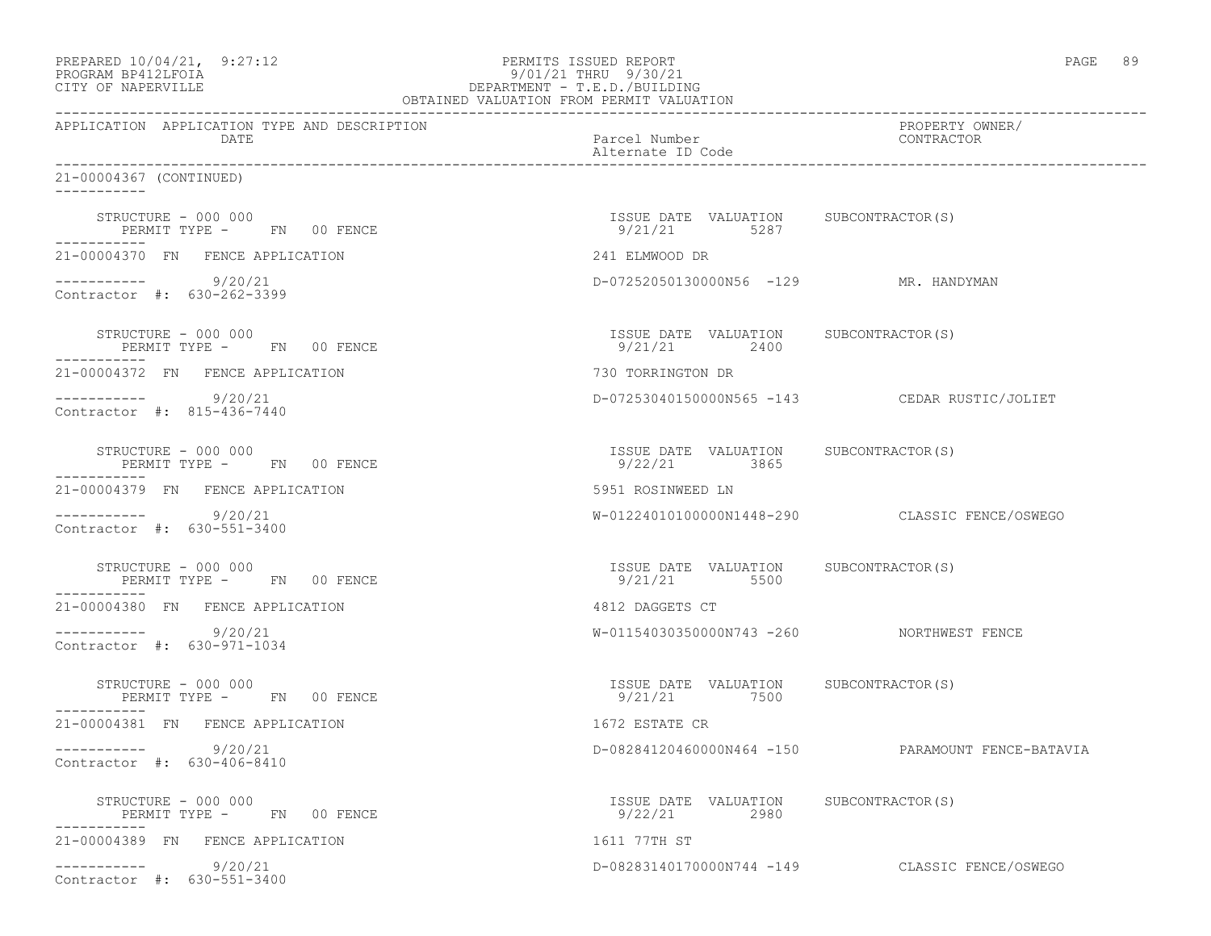| PREPARED 10/04/21, 9:27:12<br>PROGRAM BP412LFOIA<br>CITY OF NAPERVILLE | PERMITS ISSUED REPORT<br>9/01/21 THRU 9/30/21<br>9/01/21 THRU 9/30/21<br>DEPARTMENT - T.E.D./BUILDING<br>OBTAINED VALUATION FROM PERMIT VALUATION | PAGE 89                                        |
|------------------------------------------------------------------------|---------------------------------------------------------------------------------------------------------------------------------------------------|------------------------------------------------|
| APPLICATION APPLICATION TYPE AND DESCRIPTION<br>DATE                   | Parcel Number<br>Alternate ID Code                                                                                                                | PROPERTY OWNER/<br>CONTRACTOR                  |
| 21-00004367 (CONTINUED)                                                |                                                                                                                                                   |                                                |
| STRUCTURE - 000 000<br>PERMIT TYPE - FN 00 FENCE<br>-----------        | ISSUE DATE VALUATION SUBCONTRACTOR(S)<br>9/21/21 5287                                                                                             |                                                |
| 21-00004370 FN FENCE APPLICATION                                       | 241 ELMWOOD DR                                                                                                                                    |                                                |
| $--------- 9/20/21$<br>Contractor #: 630-262-3399                      | D-07252050130000N56 -129 MR. HANDYMAN                                                                                                             |                                                |
| STRUCTURE - 000 000<br>PERMIT TYPE - FN 00 FENCE                       | ISSUE DATE VALUATION SUBCONTRACTOR(S)<br>9/21/21 2400                                                                                             |                                                |
| 21-00004372 FN FENCE APPLICATION                                       | 730 TORRINGTON DR                                                                                                                                 |                                                |
| $--------- 9/20/21$<br>Contractor #: 815-436-7440                      |                                                                                                                                                   | D-07253040150000N565 -143 CEDAR RUSTIC/JOLIET  |
| STRUCTURE - 000 000<br>PERMIT TYPE - FN 00 FENCE<br>-----------        | ISSUE DATE VALUATION SUBCONTRACTOR(S)<br>9/22/21 3865                                                                                             |                                                |
| 21-00004379 FN FENCE APPLICATION                                       | 5951 ROSINWEED LN                                                                                                                                 |                                                |
| $--------- 9/20/21$<br>Contractor #: 630-551-3400                      |                                                                                                                                                   | W-01224010100000N1448-290 CLASSIC FENCE/OSWEGO |
| STRUCTURE - 000 000<br>PERMIT TYPE - FN 00 FENCE<br>-----------        | ISSUE DATE VALUATION SUBCONTRACTOR(S)<br>9/21/21 5500                                                                                             |                                                |
| 21-00004380 FN FENCE APPLICATION                                       | 4812 DAGGETS CT                                                                                                                                   |                                                |
| $--------- 9/20/21$<br>Contractor #: 630-971-1034                      | W-01154030350000N743 -260 NORTHWEST FENCE                                                                                                         |                                                |
| STRUCTURE - 000 000<br>PERMIT TYPE - FN 00 FENCE                       | ISSUE DATE VALUATION SUBCONTRACTOR(S)<br>9/21/21 7500                                                                                             |                                                |
| 21-00004381 FN FENCE APPLICATION                                       | 1672 ESTATE CR                                                                                                                                    |                                                |
| 9/20/21<br>Contractor #: 630-406-8410                                  | D-08284120460000N464 -150                                                                                                                         | PARAMOUNT FENCE-BATAVIA                        |
| STRUCTURE - 000 000<br>PERMIT TYPE - FN 00 FENCE<br>------------       | ISSUE DATE VALUATION SUBCONTRACTOR(S)<br>9/22/21<br>2980                                                                                          |                                                |
| 21-00004389 FN FENCE APPLICATION                                       | 1611 77TH ST                                                                                                                                      |                                                |
| 9/20/21<br>Contractor #: 630-551-3400                                  |                                                                                                                                                   | D-08283140170000N744 -149 CLASSIC FENCE/OSWEGO |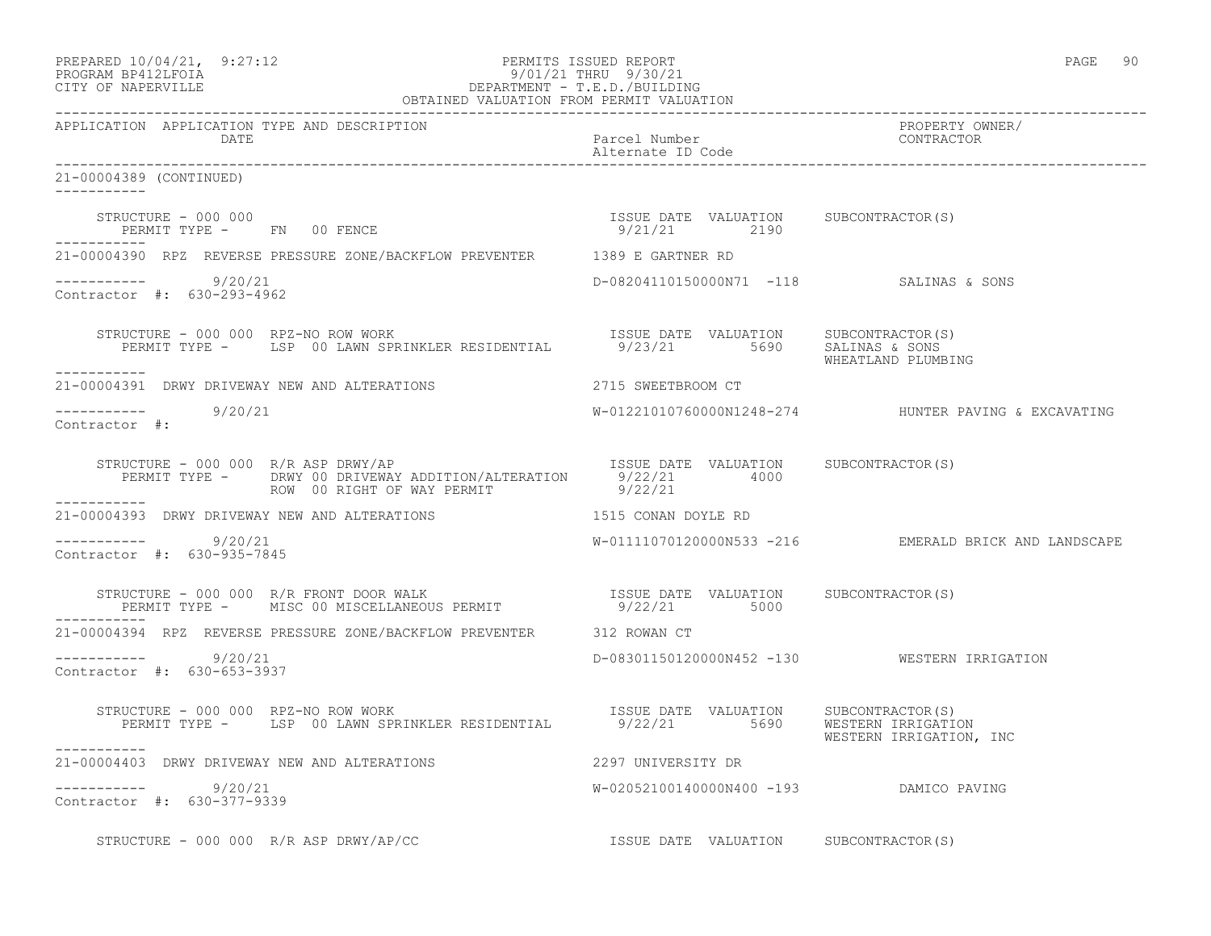|          | PREPARED 10/04/21, | 9:27:12 |
|----------|--------------------|---------|
| -------- |                    |         |

# PREPARED 10/04/21, 9:27:12 PERMITS ISSUED REPORT<br>PROGRAM BP412LFOIA PAGE 90<br>9/01/21 THRU 9/30/21 PROGRAM BP412LFOIA 9/01/21 THRU 9/30/21 DEPARTMENT - T.E.D./BUILDING

| OBTAINED VALUATION FROM PERMIT VALUATION                                                                                                                                                                                                                            |                                         |                                                        |  |  |
|---------------------------------------------------------------------------------------------------------------------------------------------------------------------------------------------------------------------------------------------------------------------|-----------------------------------------|--------------------------------------------------------|--|--|
| APPLICATION APPLICATION TYPE AND DESCRIPTION<br><b>DATE</b>                                                                                                                                                                                                         | Parcel Number<br>Alternate ID Code      | PROPERTY OWNER/<br>CONTRACTOR                          |  |  |
| 21-00004389 (CONTINUED)<br>___________                                                                                                                                                                                                                              |                                         |                                                        |  |  |
| $\begin{array}{cccccccccc} \texttt{STRUCTURE} & - & 000 & 000 & & & & & & & \\ \texttt{PERMIT TYPE} & - & & \texttt{FN} & 00 & \texttt{FENCE} & & & & & \\ \texttt{PERMIT TYPE} & - & & \texttt{FN} & 00 & \texttt{FENCE} & & & & & \\ \end{array}$<br>------------ |                                         |                                                        |  |  |
| 21-00004390 RPZ REVERSE PRESSURE ZONE/BACKFLOW PREVENTER 1389 E GARTNER RD                                                                                                                                                                                          |                                         |                                                        |  |  |
| $--------- 9/20/21$<br>Contractor #: 630-293-4962                                                                                                                                                                                                                   | D-08204110150000N71 -118 SALINAS & SONS |                                                        |  |  |
| STRUCTURE - 000 000 RPZ-NO ROW WORK<br>PERMIT TYPE - LSP 00 LAWN SPRINKLER RESIDENTIAL 9/23/21 5690 SALINAS & SALINAS<br>------------                                                                                                                               |                                         | WHEATLAND PLUMBING                                     |  |  |
| 21-00004391 DRWY DRIVEWAY NEW AND ALTERATIONS                                                                                                                                                                                                                       | 2715 SWEETBROOM CT                      |                                                        |  |  |
| $--------- 9/20/21$<br>Contractor #:                                                                                                                                                                                                                                |                                         | $W-01221010760000N1248-274$ HUNTER PAVING & EXCAVATING |  |  |
| STRUCTURE - 000 000 R/R ASP DRWY/AP<br>PERMIT TYPE - DRWY 00 DRIVEWAY ADDITION/ALTERATION 9/22/21 4000<br>ROW 00 RIGHT OF WAY PERMIT 9/22/21                                                                                                                        |                                         |                                                        |  |  |
| 21-00004393 DRWY DRIVEWAY NEW AND ALTERATIONS 1515 CONAN DOYLE RD                                                                                                                                                                                                   |                                         |                                                        |  |  |
| $--------- 9/20/21$<br>Contractor #: 630-935-7845                                                                                                                                                                                                                   |                                         | W-01111070120000N533 -216 EMERALD BRICK AND LANDSCAPE  |  |  |
| STRUCTURE – 000 000 R/R FRONT DOOR WALK                                ISSUE DATE VALUATION     SUBCONTRACTOR(S)<br>PERMIT TYPE –      MISC 00 MISCELLANEOUS PERMIT                      9/22/21           5000                                                     |                                         |                                                        |  |  |
| 21-00004394 RPZ REVERSE PRESSURE ZONE/BACKFLOW PREVENTER 312 ROWAN CT                                                                                                                                                                                               |                                         |                                                        |  |  |
| $--------- 9/20/21$<br>Contractor #: 630-653-3937                                                                                                                                                                                                                   |                                         | D-08301150120000N452 -130 WESTERN IRRIGATION           |  |  |
| STRUCTURE - 000 000 RPZ-NO ROW WORK                                                                                                                                                                                                                                 |                                         | WESTERN IRRIGATION, INC                                |  |  |
| 21-00004403 DRWY DRIVEWAY NEW AND ALTERATIONS 42297 UNIVERSITY DR                                                                                                                                                                                                   |                                         |                                                        |  |  |
| $--------- 9/20/21$<br>Contractor #: 630-377-9339                                                                                                                                                                                                                   | W-02052100140000N400 -193 DAMICO PAVING |                                                        |  |  |
| STRUCTURE - 000 000 R/R ASP DRWY/AP/CC<br>SUBCONTRACTOR(S)                                                                                                                                                                                                          |                                         |                                                        |  |  |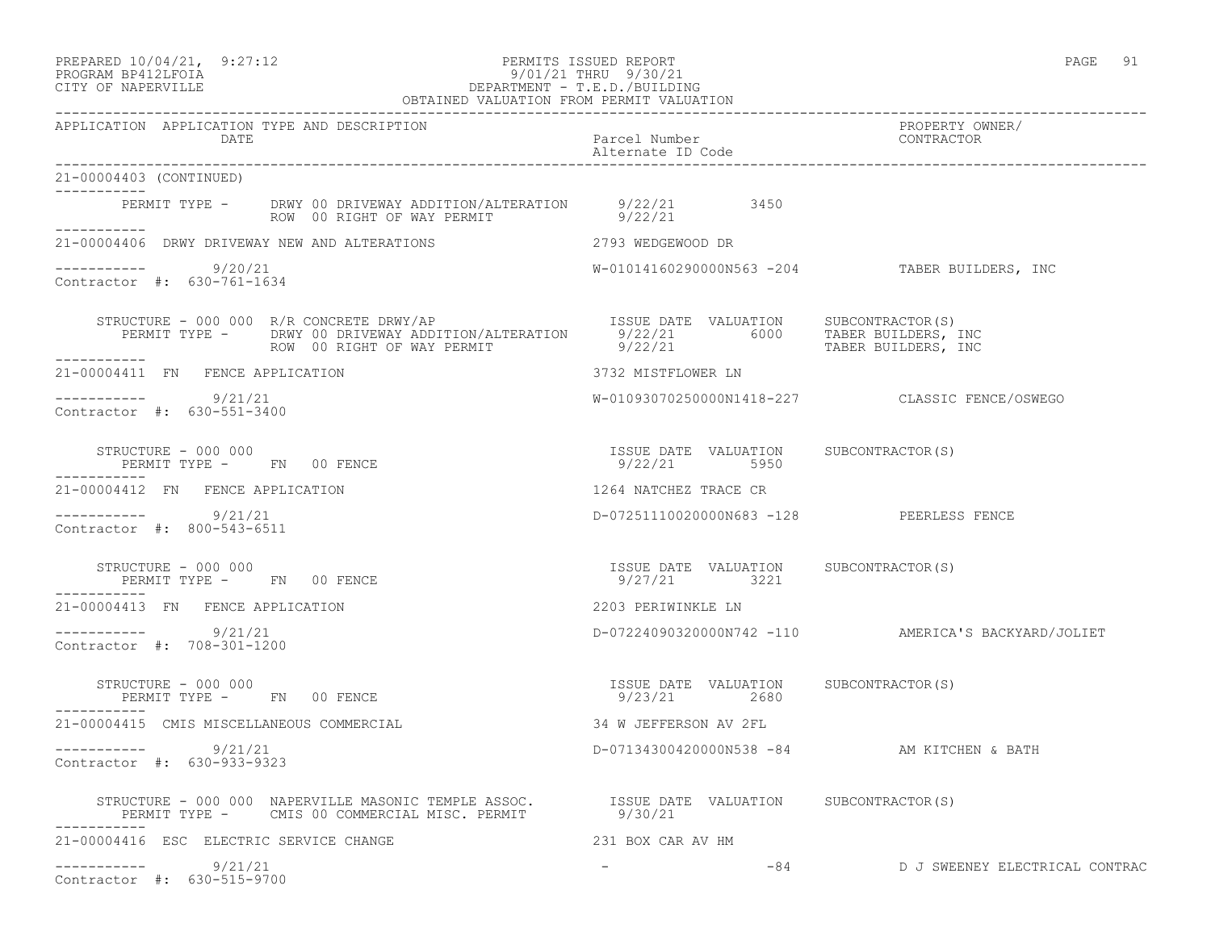## PREPARED 10/04/21, 9:27:12 PERMITS ISSUED REPORT PAGE 91 PROGRAM BP412LFOIA 9/01/21 THRU 9/30/21 CITY OF NAPERVILLE DEPARTMENT - T.E.D./BUILDING

| OBTAINED VALUATION FROM PERMIT VALUATION                                                                                                         |                                                       |                                                     |  |  |
|--------------------------------------------------------------------------------------------------------------------------------------------------|-------------------------------------------------------|-----------------------------------------------------|--|--|
| APPLICATION APPLICATION TYPE AND DESCRIPTION<br>DATE                                                                                             | Parcel Number<br>Alternate ID Code                    | PROPERTY OWNER/<br>CONTRACTOR                       |  |  |
| 21-00004403 (CONTINUED)<br>------------                                                                                                          |                                                       |                                                     |  |  |
| PERMIT TYPE - DRWY 00 DRIVEWAY ADDITION/ALTERATION 9/22/21 3450<br>ROW 00 RIGHT OF WAY PERMIT 9/22/21<br>-----------                             |                                                       |                                                     |  |  |
| 21-00004406 DRWY DRIVEWAY NEW AND ALTERATIONS                                                                                                    | 2793 WEDGEWOOD DR                                     |                                                     |  |  |
| $--------- 9/20/21$<br>Contractor #: 630-761-1634                                                                                                |                                                       | W-01014160290000N563 -204 TABER BUILDERS, INC       |  |  |
| STRUCTURE - 000 000 R/R CONCRETE DRWY/AP                                                                                                         |                                                       |                                                     |  |  |
| 21-00004411 FN FENCE APPLICATION                                                                                                                 | 3732 MISTFLOWER LN                                    |                                                     |  |  |
| $--------- 9/21/21$<br>Contractor #: 630-551-3400                                                                                                |                                                       | W-01093070250000N1418-227 CLASSIC FENCE/OSWEGO      |  |  |
| STRUCTURE - 000 000<br>STRUCTURE – 000 000<br>PERMIT TYPE –       FN     00 FENCE                                                                | ISSUE DATE VALUATION SUBCONTRACTOR(S)<br>9/22/21 5950 |                                                     |  |  |
| 21-00004412 FN FENCE APPLICATION                                                                                                                 | 1264 NATCHEZ TRACE CR                                 |                                                     |  |  |
| __________<br>9/21/21<br>Contractor #: 800-543-6511                                                                                              | D-07251110020000N683 -128 PEERLESS FENCE              |                                                     |  |  |
| STRUCTURE - 000 000<br>PERMIT TYPE - FN 00 FENCE                                                                                                 | ISSUE DATE VALUATION SUBCONTRACTOR(S)<br>9/27/21 3221 |                                                     |  |  |
| 21-00004413 FN FENCE APPLICATION                                                                                                                 | 2203 PERIWINKLE LN                                    |                                                     |  |  |
| $--------- 9/21/21$<br>Contractor #: 708-301-1200                                                                                                |                                                       | D-07224090320000N742 -110 AMERICA'S BACKYARD/JOLIET |  |  |
| STRUCTURE - 000 000<br>PERMIT TYPE - FN 00 FENCE                                                                                                 | ISSUE DATE VALUATION SUBCONTRACTOR(S)<br>9/23/21 2680 |                                                     |  |  |
| 21-00004415 CMIS MISCELLANEOUS COMMERCIAL                                                                                                        | 34 W JEFFERSON AV 2FL                                 |                                                     |  |  |
| ----------- 9/21/21<br>Contractor #: 630-933-9323                                                                                                |                                                       | D-07134300420000N538 -84 AM KITCHEN & BATH          |  |  |
| STRUCTURE - 000 000 NAPERVILLE MASONIC TEMPLE ASSOC. ISSUE DATE VALUATION SUBCONTRACTOR(S) PERMIT TYPE - CMIS 00 COMMERCIAL MISC. PERMIT 9/30/21 |                                                       |                                                     |  |  |
| 21-00004416 ESC ELECTRIC SERVICE CHANGE                                                                                                          | 231 BOX CAR AV HM                                     |                                                     |  |  |
| $--------- 9/21/21$<br>Contractor #: 630-515-9700                                                                                                |                                                       | -84 D J SWEENEY ELECTRICAL CONTRAC                  |  |  |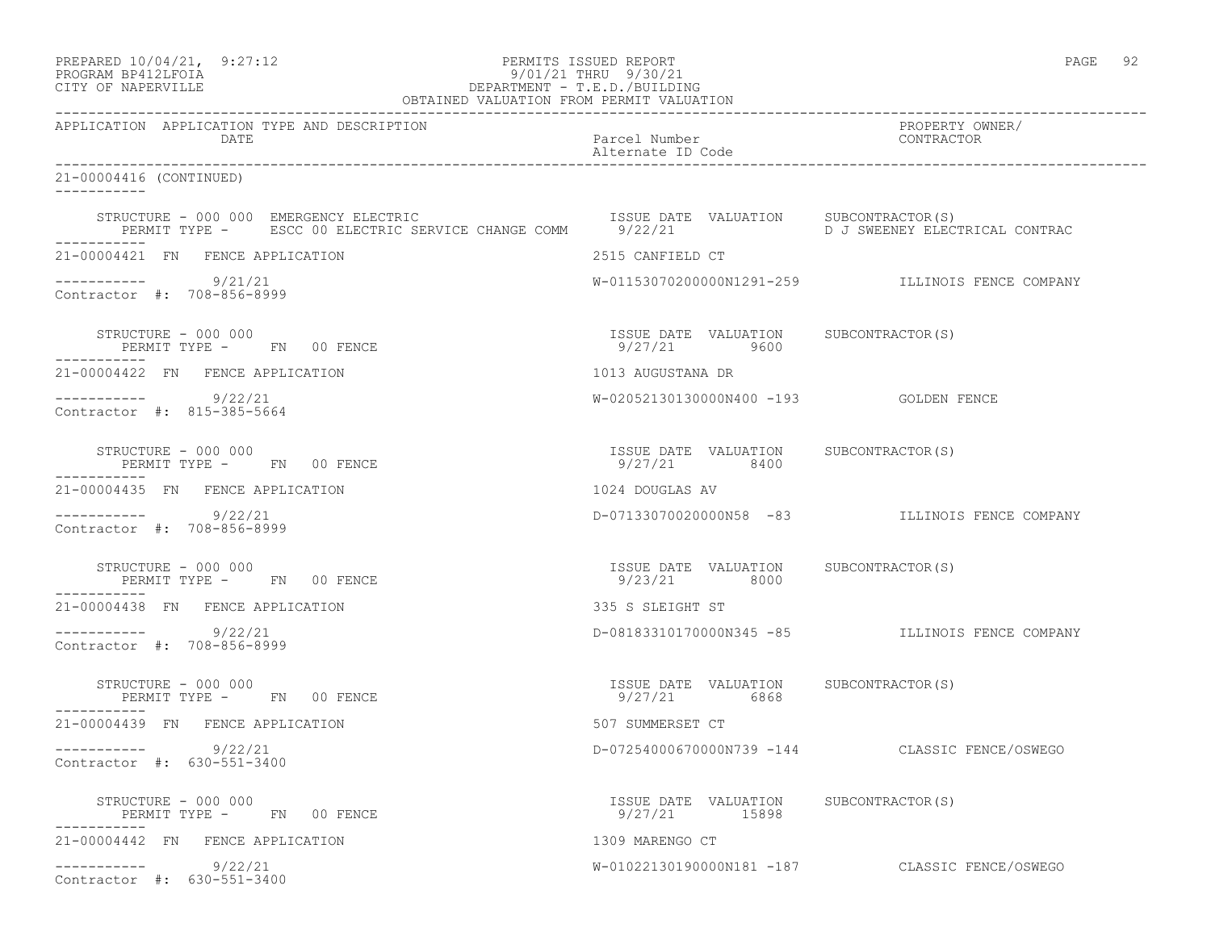| PREPARED 10/04/21, 9:27:12<br>PROGRAM BP412LFOIA<br>DEPARTMENT - T.E.D./BUILDING<br>OBTAINED VALUATION FROM PERMIT VALUATION<br>CITY OF NAPERVILLE                                                                                         | PERMITS ISSUED REPORT                                  | PAGE 92                                          |
|--------------------------------------------------------------------------------------------------------------------------------------------------------------------------------------------------------------------------------------------|--------------------------------------------------------|--------------------------------------------------|
| APPLICATION APPLICATION TYPE AND DESCRIPTION<br>DATE                                                                                                                                                                                       | Parcel Number<br>Alternate ID Code                     | PROPERTY OWNER/<br>CONTRACTOR                    |
| 21-00004416 (CONTINUED)                                                                                                                                                                                                                    |                                                        |                                                  |
| STRUCTURE - 000 000 EMERGENCY ELECTRIC                         ISSUE DATE VALUATION     SUBCONTRACTOR(S)<br>PERMIT TYPE -     ESCC 00 ELECTRIC SERVICE CHANGE COMM     9/22/21               D J SWEENEY ELECTRICAL CONTRAC<br>----------- |                                                        |                                                  |
| 21-00004421 FN FENCE APPLICATION                                                                                                                                                                                                           | 2515 CANFIELD CT                                       |                                                  |
| $--------- 9/21/21$<br>Contractor #: 708-856-8999                                                                                                                                                                                          |                                                        | W-01153070200000N1291-259 ILLINOIS FENCE COMPANY |
| STRUCTURE - 000 000<br>PERMIT TYPE - FN 00 FENCE                                                                                                                                                                                           | ISSUE DATE VALUATION SUBCONTRACTOR(S)<br>9/27/21 9600  |                                                  |
| 21-00004422 FN FENCE APPLICATION                                                                                                                                                                                                           | 1013 AUGUSTANA DR                                      |                                                  |
| $--------- 9/22/21$<br>Contractor #: 815-385-5664                                                                                                                                                                                          |                                                        |                                                  |
| STRUCTURE - 000 000<br>PERMIT TYPE - FN 00 FENCE<br>-----------                                                                                                                                                                            | ISSUE DATE VALUATION SUBCONTRACTOR(S)<br>9/27/21 8400  |                                                  |
| 21-00004435 FN FENCE APPLICATION                                                                                                                                                                                                           | 1024 DOUGLAS AV                                        |                                                  |
| $--------- 9/22/21$<br>Contractor #: 708-856-8999                                                                                                                                                                                          |                                                        | D-07133070020000N58 -83 ILLINOIS FENCE COMPANY   |
| STRUCTURE - 000 000<br>PERMIT TYPE - FN 00 FENCE<br>___________                                                                                                                                                                            | ISSUE DATE VALUATION SUBCONTRACTOR(S)<br>9/23/21 8000  |                                                  |
| 21-00004438 FN FENCE APPLICATION                                                                                                                                                                                                           | 335 S SLEIGHT ST                                       |                                                  |
| $--------- 9/22/21$<br>Contractor #: 708-856-8999                                                                                                                                                                                          |                                                        | D-08183310170000N345 -85 ILLINOIS FENCE COMPANY  |
| STRUCTURE - 000 000<br>PERMIT TYPE - FN 00 FENCE                                                                                                                                                                                           | ISSUE DATE VALUATION SUBCONTRACTOR(S)<br>9/27/21 6868  |                                                  |
| 21-00004439 FN FENCE APPLICATION                                                                                                                                                                                                           | 507 SUMMERSET CT                                       |                                                  |
| 9/22/21<br>Contractor #: 630-551-3400                                                                                                                                                                                                      |                                                        | D-07254000670000N739 -144 CLASSIC FENCE/OSWEGO   |
| STRUCTURE - 000 000<br>PERMIT TYPE - FN 00 FENCE                                                                                                                                                                                           | ISSUE DATE VALUATION SUBCONTRACTOR(S)<br>9/27/21 15898 |                                                  |
| 21-00004442 FN FENCE APPLICATION                                                                                                                                                                                                           | 1309 MARENGO CT                                        |                                                  |
| 9/22/21<br>___________<br>Contractor #: 630-551-3400                                                                                                                                                                                       |                                                        | W-01022130190000N181 -187 CLASSIC FENCE/OSWEGO   |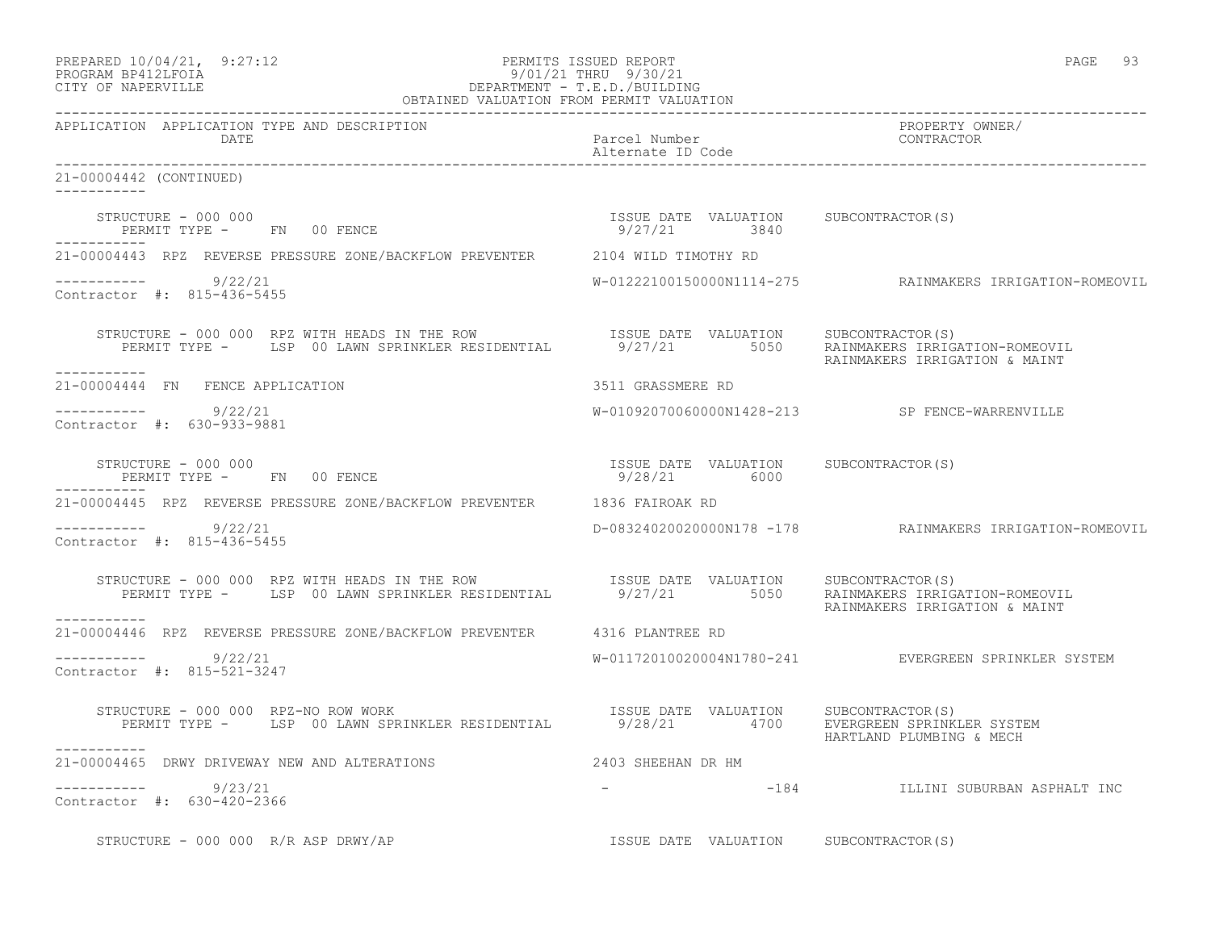|         | PREPARED 10/04/21, | 9:27:12 |
|---------|--------------------|---------|
| ------- |                    |         |

# PREPARED 10/04/21, 9:27:12 PERMITS ISSUED REPORT<br>PROGRAM BP412LFOIA PAGE 93 PROGRAM BP412LFOIA PROGRAM BP412LFOIA 9/01/21 THRU 9/30/21<br>CITY OF NAPERVILLE DEPARTMENT - T.E.D./BUILDI DEPARTMENT - T.E.D./BUILDING

| OBTAINED VALUATION FROM PERMIT VALUATION                                                                                                                                                                                                                                                                                                                                                    |                                       |                                                          |
|---------------------------------------------------------------------------------------------------------------------------------------------------------------------------------------------------------------------------------------------------------------------------------------------------------------------------------------------------------------------------------------------|---------------------------------------|----------------------------------------------------------|
| APPLICATION APPLICATION TYPE AND DESCRIPTION<br><b>DATE</b>                                                                                                                                                                                                                                                                                                                                 | Parcel Number<br>Alternate ID Code    | PROPERTY OWNER/<br>CONTRACTOR                            |
| 21-00004442 (CONTINUED)<br>___________                                                                                                                                                                                                                                                                                                                                                      |                                       |                                                          |
| $\begin{array}{cccccccccc} \texttt{STRUCTURE} & - & 000 & 000 & & & & & & & \\ \texttt{PERMIT TYPE} & - & & \texttt{FN} & 00 & \texttt{FENCE} & & & & & & \\ \end{array} \hspace{2.5in} \begin{array}{cccccccccc} \texttt{TSSUE} & \texttt{DATE} & \texttt{VALUATION} & & \texttt{SUBCONTRACTOR(S)} \\ & & & & & & & \\ \texttt{9/27/21} & & & & & 3840 & & \\ \end{array}$<br>------------ |                                       |                                                          |
| 21-00004443 RPZ REVERSE PRESSURE ZONE/BACKFLOW PREVENTER 2104 WILD TIMOTHY RD                                                                                                                                                                                                                                                                                                               |                                       |                                                          |
| $--------- 9/22/21$<br>Contractor #: 815-436-5455                                                                                                                                                                                                                                                                                                                                           |                                       | W-01222100150000N1114-275 RAINMAKERS IRRIGATION-ROMEOVIL |
| STRUCTURE - 000 000 RPZ WITH HEADS IN THE ROW<br>PERMIT TYPE - LSP 00 LAWN SPRINKLER RESIDENTIAL 9/27/21 5050 RAINMAKERS IRRIGATION-ROMEOVIL<br>___________                                                                                                                                                                                                                                 |                                       | RAINMAKERS IRRIGATION & MAINT                            |
| 21-00004444 FN FENCE APPLICATION                                                                                                                                                                                                                                                                                                                                                            | 3511 GRASSMERE RD                     |                                                          |
| $--------- 9/22/21$<br>Contractor #: 630-933-9881                                                                                                                                                                                                                                                                                                                                           |                                       | W-01092070060000N1428-213 SP FENCE-WARRENVILLE           |
|                                                                                                                                                                                                                                                                                                                                                                                             |                                       |                                                          |
| 21-00004445 RPZ REVERSE PRESSURE ZONE/BACKFLOW PREVENTER 1836 FAIROAK RD                                                                                                                                                                                                                                                                                                                    |                                       |                                                          |
| -----------    9/22/21<br>Contractor #: 815-436-5455                                                                                                                                                                                                                                                                                                                                        |                                       | D-08324020020000N178 -178 RAINMAKERS IRRIGATION-ROMEOVIL |
| STRUCTURE - 000 000 RPZ WITH HEADS IN THE ROW                      ISSUE DATE VALUATION     SUBCONTRACTOR(S)<br>PERMIT TYPE -     LSP 00 LAWN SPRINKLER RESIDENTIAL          9/27/21         5050    RAINMAKERS IRRIGATION-ROMEOV<br>-----------                                                                                                                                            |                                       | RAINMAKERS IRRIGATION & MAINT                            |
| 21-00004446 RPZ REVERSE PRESSURE ZONE/BACKFLOW PREVENTER 4316 PLANTREE RD                                                                                                                                                                                                                                                                                                                   |                                       |                                                          |
| ----------- 9/22/21<br>Contractor #: 815-521-3247                                                                                                                                                                                                                                                                                                                                           |                                       | W-01172010020004N1780-241 EVERGREEN SPRINKLER SYSTEM     |
| STRUCTURE – 000 000 RPZ-NO ROW WORK<br>PERMIT TYPE – LSP 00 LAWN SPRINKLER RESIDENTIAL         9/28/21       4700    EVERGREEN SPRINKLER SYSTEM<br>STRUCTURE - 000 000 RPZ-NO ROW WORK                                                                                                                                                                                                      |                                       | HARTLAND PLUMBING & MECH                                 |
| 21-00004465 DRWY DRIVEWAY NEW AND ALTERATIONS 400 2403 SHEEHAN DR HM                                                                                                                                                                                                                                                                                                                        |                                       |                                                          |
| $--------- 9/23/21$<br>Contractor #: 630-420-2366                                                                                                                                                                                                                                                                                                                                           |                                       | -184 <b>ILLINI SUBURBAN ASPHALT INC</b>                  |
| STRUCTURE - 000 000 R/R ASP DRWY/AP                                                                                                                                                                                                                                                                                                                                                         | ISSUE DATE VALUATION SUBCONTRACTOR(S) |                                                          |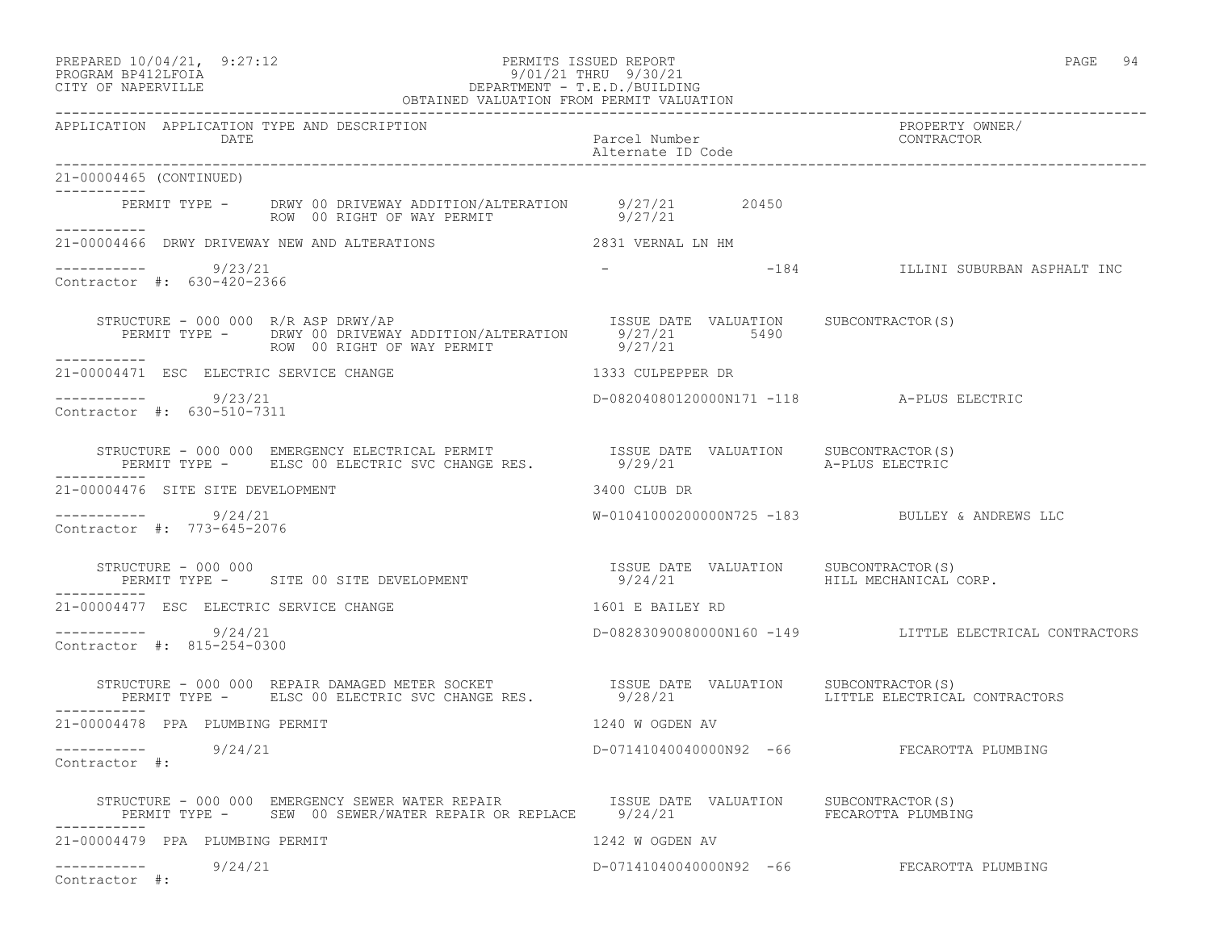| PREPARED 10/04/21, 9:27:12 | PERMITS ISSUED REPORT | PAGE |  |
|----------------------------|-----------------------|------|--|
|                            |                       |      |  |

# PROGRAM BP412LFOIA 9/01/21 THRU 9/30/21 CITY OF NAPERVILLE DEPARTMENT - T.E.D./BUILDING

| OBTAINED VALUATION FROM PERMIT VALUATION                                                                                                                                                                    |                                           |                                                         |  |
|-------------------------------------------------------------------------------------------------------------------------------------------------------------------------------------------------------------|-------------------------------------------|---------------------------------------------------------|--|
| APPLICATION APPLICATION TYPE AND DESCRIPTION<br>DATE                                                                                                                                                        | Parcel Number<br>Alternate ID Code        | PROPERTY OWNER/<br>CONTRACTOR                           |  |
| 21-00004465 (CONTINUED)<br>___________                                                                                                                                                                      |                                           |                                                         |  |
| PERMIT TYPE - DRWY 00 DRIVEWAY ADDITION/ALTERATION 9/27/21 20450<br>ROW 00 RIGHT OF WAY PERMIT 9/27/21<br>------------                                                                                      |                                           |                                                         |  |
| 21-00004466 DRWY DRIVEWAY NEW AND ALTERATIONS                                                                                                                                                               | 2831 VERNAL LN HM                         |                                                         |  |
| $--------- 9/23/21$<br>Contractor #: 630-420-2366                                                                                                                                                           |                                           |                                                         |  |
| STRUCTURE - 000 000 R/R ASP DRWY/AP<br>ESUE DATE VALUATION SUBCONTRACTOR(S)<br>PERMIT TYPE - DRWY 00 DRIVEWAY ADDITION/ALTERATION 9/27/21 5490<br>------ ROW 00 RIGHT OF WAY PERMIT 9/27/21<br>------------ |                                           |                                                         |  |
| 21-00004471 ESC ELECTRIC SERVICE CHANGE                                                                                                                                                                     | 1333 CULPEPPER DR                         |                                                         |  |
| $--------- 9/23/21$<br>Contractor #: 630-510-7311                                                                                                                                                           | D-08204080120000N171 -118 A-PLUS ELECTRIC |                                                         |  |
|                                                                                                                                                                                                             |                                           |                                                         |  |
| 21-00004476 SITE SITE DEVELOPMENT                                                                                                                                                                           | 3400 CLUB DR                              |                                                         |  |
| 9/24/21<br>Contractor #: 773-645-2076                                                                                                                                                                       |                                           | W-01041000200000N725 -183 BULLEY & ANDREWS LLC          |  |
|                                                                                                                                                                                                             | 9/24/21 HILL MECHANICAL CORP.             |                                                         |  |
| 21-00004477 ESC ELECTRIC SERVICE CHANGE                                                                                                                                                                     | 1601 E BAILEY RD                          |                                                         |  |
| ----------- 9/24/21<br>Contractor #: 815-254-0300                                                                                                                                                           |                                           | D-08283090080000N160 -149 LITTLE ELECTRICAL CONTRACTORS |  |
| STRUCTURE - 000 000 REPAIR DAMAGED METER SOCKET                  ISSUE DATE VALUATION<br>PERMIT TYPE -       ELSC 00 ELECTRIC SVC CHANGE RES.               9/28/21<br>-----------                          |                                           | SUBCONTRACTOR(S)<br>LITTLE ELECTRICAL CONTRACTORS       |  |
| 21-00004478 PPA PLUMBING PERMIT                                                                                                                                                                             | 1240 W OGDEN AV                           |                                                         |  |
| -----------    9/24/21<br>Contractor #:                                                                                                                                                                     |                                           | D-07141040040000N92 -66 FECAROTTA PLUMBING              |  |
|                                                                                                                                                                                                             |                                           |                                                         |  |
| 21-00004479 PPA PLUMBING PERMIT                                                                                                                                                                             | 1242 W OGDEN AV                           |                                                         |  |
| ----------- 9/24/21<br>Contractor #:                                                                                                                                                                        |                                           | D-07141040040000N92 -66 FECAROTTA PLUMBING              |  |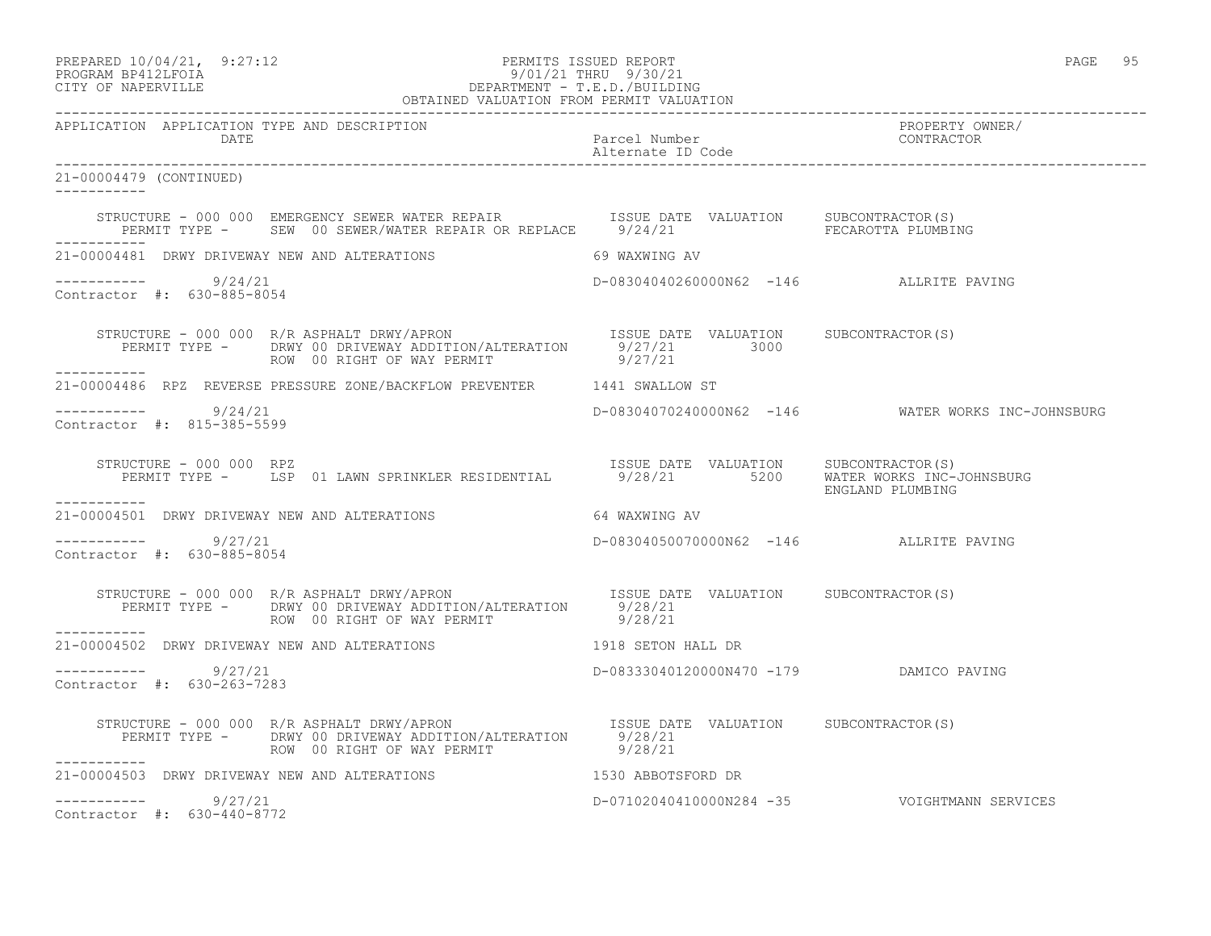| PREPARED 10/04/21,   | 9:27:12 |
|----------------------|---------|
| גדמה זמונומה ווגמממת |         |

## PREPARED  $10/04/21$ , 9:27:12 PERMITS ISSUED REPORT PAGE 95 PROGRAM BP412LFOIA 9/01/21 THRU 9/30/21 CITY OF NAPERVILLE DEPARTMENT - T.E.D./BUILDING

|                                                             | OBTAINED VALUATION FROM PERMIT VALUATION                                                                                                                                              |                                         |                                                    |
|-------------------------------------------------------------|---------------------------------------------------------------------------------------------------------------------------------------------------------------------------------------|-----------------------------------------|----------------------------------------------------|
| APPLICATION APPLICATION TYPE AND DESCRIPTION<br><b>DATE</b> |                                                                                                                                                                                       | Parcel Number                           | PROPERTY OWNER/<br>CONTRACTOR                      |
| 21-00004479 (CONTINUED)                                     |                                                                                                                                                                                       |                                         |                                                    |
|                                                             | STRUCTURE - 000 000 EMERGENCY SEWER WATER REPAIR TSSUE DATE VALUATION SUBCONTRACTOR(S)<br>PERMIT TYPE - SEW 00 SEWER/WATER REPAIR OR REPLACE 9/24/21 SECAROTTA PLUMBING               |                                         |                                                    |
|                                                             | 21-00004481 DRWY DRIVEWAY NEW AND ALTERATIONS 69 WAXWING AV                                                                                                                           |                                         |                                                    |
| $--------- 9/24/21$<br>Contractor #: 630-885-8054           |                                                                                                                                                                                       | D-08304040260000N62 -146 ALLRITE PAVING |                                                    |
| ------------                                                | STRUCTURE - 000 000 R/R ASPHALT DRWY/APRON<br>PERMIT TYPE - DRWY 00 DRIVEWAY ADDITION/ALTERATION 9/27/21 3000<br>ROW 00 RIGHT OF WAY PERMIT 9/27/21                                   |                                         |                                                    |
|                                                             | 21-00004486 RPZ REVERSE PRESSURE ZONE/BACKFLOW PREVENTER 1441 SWALLOW ST                                                                                                              |                                         |                                                    |
| $-$ --------- $9/24/21$<br>Contractor #: 815-385-5599       |                                                                                                                                                                                       |                                         | D-08304070240000N62 -146 WATER WORKS INC-JOHNSBURG |
| STRUCTURE - 000 000 RPZ                                     | STRUCTURE - 000 000 RPZ<br>PERMIT TYPE - LSP 01 LAWN SPRINKLER RESIDENTIAL 19/28/21 5200 WATER WORKS INC-JOHNSBURG                                                                    |                                         | ENGLAND PLUMBING                                   |
|                                                             | 21-00004501 DRWY DRIVEWAY NEW AND ALTERATIONS 64 WAXWING AV                                                                                                                           |                                         |                                                    |
| -----------    9/27/21<br>Contractor #: 630-885-8054        |                                                                                                                                                                                       | D-08304050070000N62 -146 ALLRITE PAVING |                                                    |
|                                                             | STRUCTURE - 000 000 R/R ASPHALT DRWY/APRON<br>PERMIT TYPE -    DRWY 00 DRIVEWAY ADDITION/ALTERATION      9/28/21<br>ROW 00 RIGHT OF WAY PERMIT 9/28/21                                |                                         |                                                    |
|                                                             | 21-00004502 DRWY DRIVEWAY NEW AND ALTERATIONS THE RELATIONS REPORT AND RELATIONS                                                                                                      |                                         |                                                    |
| $--------$ 9/27/21<br>Contractor #: 630-263-7283            |                                                                                                                                                                                       | D-08333040120000N470 -179 DAMICO PAVING |                                                    |
| -----------                                                 | STRUCTURE - 000 000 R/R ASPHALT DRWY/APRON ISSUE DATE VALUATION SUBCONTRACTOR(S)<br>PERMIT TYPE - DRWY 00 DRIVEWAY ADDITION/ALTERATION 9/28/21<br>ROW 00 RIGHT OF WAY PERMIT 20 28/21 |                                         |                                                    |
|                                                             | 21-00004503 DRWY DRIVEWAY NEW AND ALTERATIONS THE RESOLUTION OF 1530 ABBOTSFORD DR                                                                                                    |                                         |                                                    |
| $--------$ 9/27/21<br>Contractor #: 630-440-8772            |                                                                                                                                                                                       |                                         | D-07102040410000N284 -35 VOIGHTMANN SERVICES       |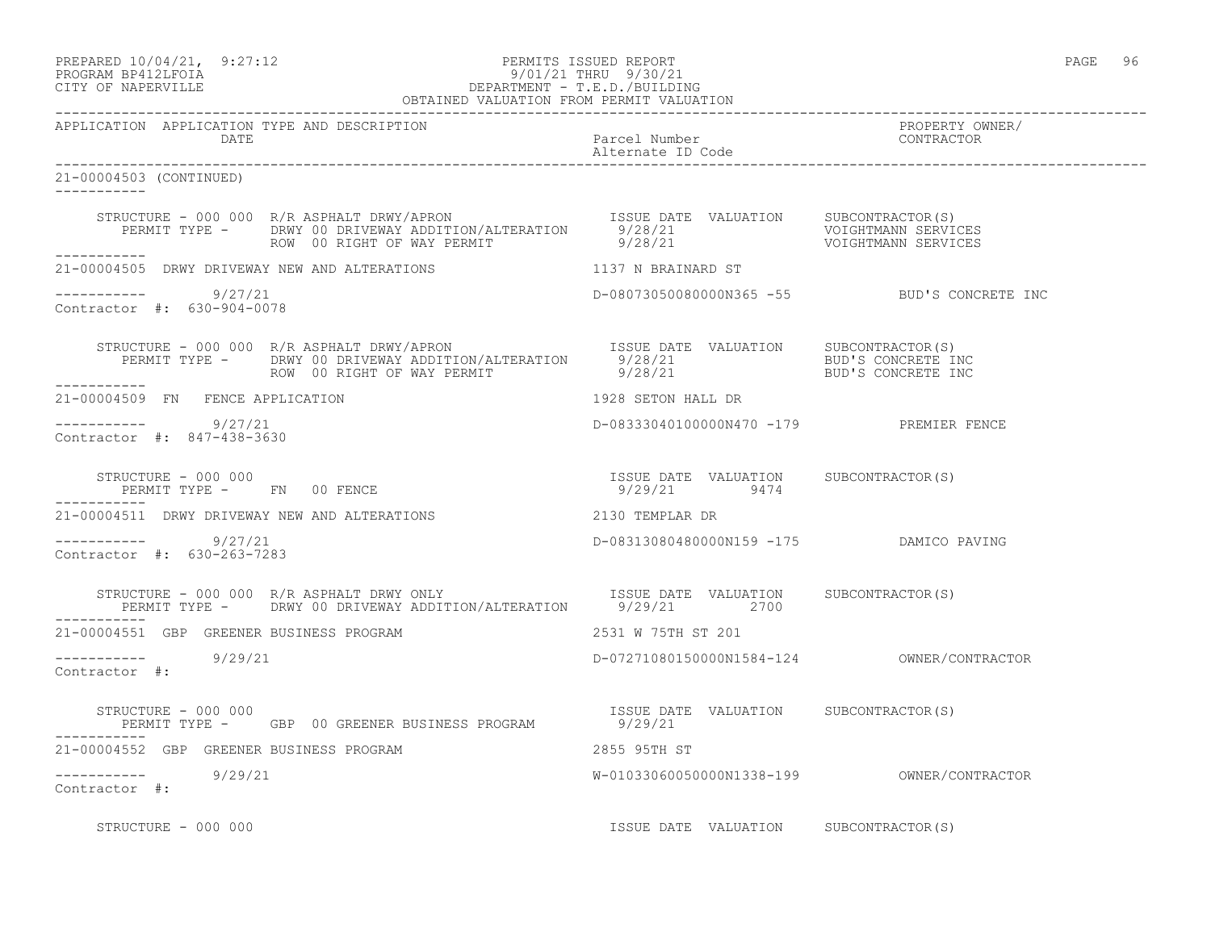# PREPARED  $10/04/21$ , 9:27:12 PERMITS ISSUED REPORT PAGE 96 PROGRAM BP412LFOIA 9/01/21 THRU 9/30/21 CITY OF NAPERVILLE DEPARTMENT - T.E.D./BUILDING

| OBTAINED VALUATION FROM PERMIT VALUATION             |                                                                                                                                                                                                                                             |                                         |                                             |
|------------------------------------------------------|---------------------------------------------------------------------------------------------------------------------------------------------------------------------------------------------------------------------------------------------|-----------------------------------------|---------------------------------------------|
| APPLICATION APPLICATION TYPE AND DESCRIPTION<br>DATE |                                                                                                                                                                                                                                             | Parcel Number<br>Alternate ID Code      | PROPERTY OWNER/<br>CONTRACTOR               |
| 21-00004503 (CONTINUED)                              |                                                                                                                                                                                                                                             |                                         |                                             |
|                                                      | STRUCTURE - 000 000 R/R ASPHALT DRWY/APRON<br>PERMIT TYPE - DRWY 00 DRIVEWAY ADDITION/ALTERATION 9/28/21 VOIGHTMANN SERVICES<br>-------- ROW 00 RIGHT OF WAY PERMIT 9/28/21 VOIGHTMANN SERVICES                                             |                                         |                                             |
| ------------                                         | 21-00004505 DRWY DRIVEWAY NEW AND ALTERATIONS 1137 N BRAINARD ST                                                                                                                                                                            |                                         |                                             |
| ----------- 9/27/21<br>Contractor #: 630-904-0078    |                                                                                                                                                                                                                                             |                                         | D-08073050080000N365 -55 BUD'S CONCRETE INC |
|                                                      |                                                                                                                                                                                                                                             |                                         |                                             |
| 21-00004509 FN FENCE APPLICATION                     |                                                                                                                                                                                                                                             | 1928 SETON HALL DR                      |                                             |
| $--------- 9/27/21$<br>Contractor #: 847-438-3630    |                                                                                                                                                                                                                                             | D-08333040100000N470 -179 PREMIER FENCE |                                             |
|                                                      | $\begin{array}{cccccccccc} \texttt{STRUCTURE} & - & 000 & 000 & & & & & & \\ \texttt{PERMIT TYPE} & - & \texttt{FN} & 00 & \texttt{FENCE} & & & & & \\ \texttt{PERMIT TYPE} & - & \texttt{FN} & 00 & \texttt{FENCE} & & & & \\ \end{array}$ |                                         |                                             |
|                                                      | 21-00004511 DRWY DRIVEWAY NEW AND ALTERATIONS 2130 TEMPLAR DR                                                                                                                                                                               |                                         |                                             |
| -----------    9/27/21<br>Contractor #: 630-263-7283 |                                                                                                                                                                                                                                             | D-08313080480000N159 -175 DAMICO PAVING |                                             |
|                                                      | STRUCTURE - 000 000 R/R ASPHALT DRWY ONLY TSSUE DATE VALUATION SUBCONTRACTOR(S)<br>PERMIT TYPE - DRWY 00 DRIVEWAY ADDITION/ALTERATION 9/29/21 2700                                                                                          |                                         |                                             |
| 21-00004551 GBP GREENER BUSINESS PROGRAM             |                                                                                                                                                                                                                                             | 2531 W 75TH ST 201                      |                                             |
| $--------$ 9/29/21<br>Contractor #:                  |                                                                                                                                                                                                                                             |                                         |                                             |
| STRUCTURE - 000 000                                  |                                                                                                                                                                                                                                             |                                         |                                             |
| 21-00004552 GBP GREENER BUSINESS PROGRAM             | <b>2855 95TH ST</b>                                                                                                                                                                                                                         |                                         |                                             |
| ----------- 9/29/21<br>Contractor #:                 |                                                                                                                                                                                                                                             |                                         |                                             |
| STRUCTURE - 000 000                                  |                                                                                                                                                                                                                                             | ISSUE DATE VALUATION SUBCONTRACTOR(S)   |                                             |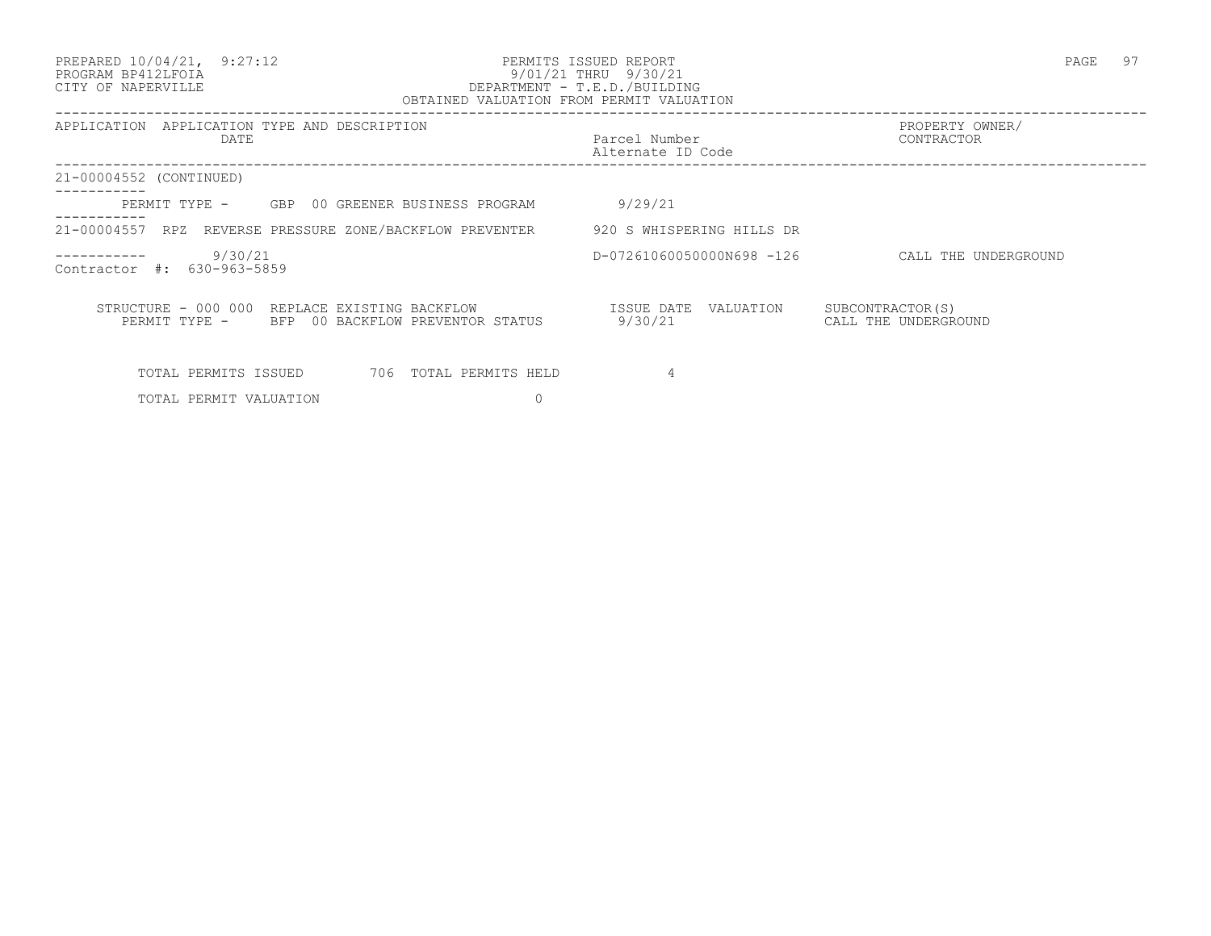#### PREPARED 10/04/21, 9:27:12 PERMITS ISSUED REPORT PAGE 97 PROGRAM BP412LFOIA 9/01/21 THRU 9/30/21 CITY OF NAPERVILLE DEPARTMENT - T.E.D./BUILDING OBTAINED VALUATION FROM PERMIT VALUATION

| APPLICATION APPLICATION TYPE AND DESCRIPTION<br>DATE                                            | Parcel Number<br>Alternate ID Code | PROPERTY OWNER/<br>CONTRACTOR             |
|-------------------------------------------------------------------------------------------------|------------------------------------|-------------------------------------------|
| 21-00004552 (CONTINUED)                                                                         |                                    |                                           |
| PERMIT TYPE - GBP 00 GREENER BUSINESS PROGRAM                                                   | 9/29/21                            |                                           |
| 21-00004557 RPZ REVERSE PRESSURE ZONE/BACKFLOW PREVENTER 520 S WHISPERING HILLS DR              |                                    |                                           |
| 9/30/21<br>-----------<br>Contractor #: 630-963-5859                                            | D-07261060050000N698 -126          | CALL THE UNDERGROUND                      |
| STRUCTURE - 000 000 REPLACE EXISTING BACKFLOW<br>PERMIT TYPE - BFP 00 BACKFLOW PREVENTOR STATUS | ISSUE DATE<br>VALUATION<br>9/30/21 | SUBCONTRACTOR (S)<br>CALL THE UNDERGROUND |
| TOTAL PERMITS ISSUED<br>706 TOTAL PERMITS HELD                                                  | 4                                  |                                           |

TOTAL PERMIT VALUATION 0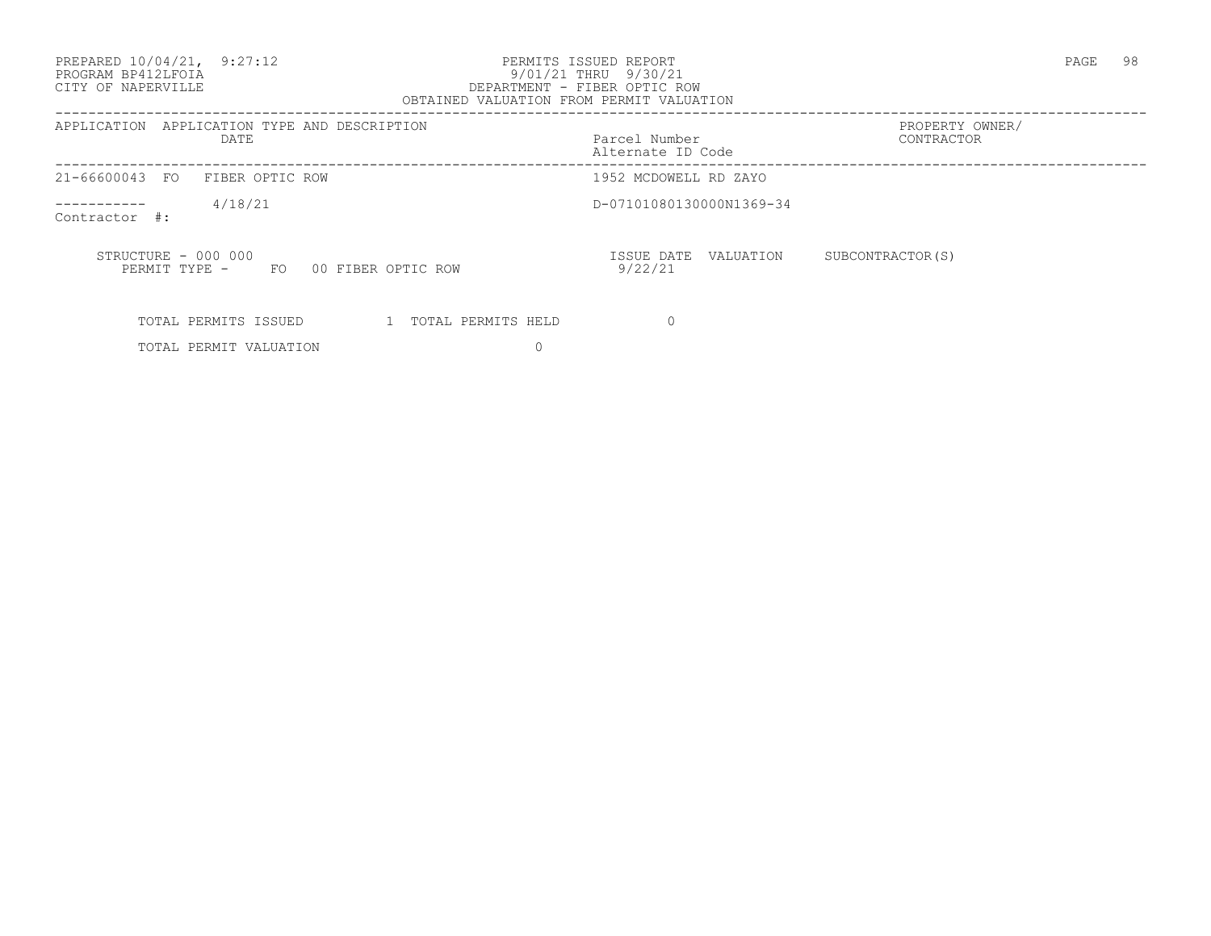PREPARED 10/04/21, 9:27:12 PERMITS ISSUED REPORT PAGE 98

### PROGRAM BP412LFOIA 9/01/21 THRU 9/30/21 CITY OF NAPERVILLE DEPARTMENT - FIBER OPTIC ROW OBTAINED VALUATION FROM PERMIT VALUATION

| APPLICATION APPLICATION TYPE AND DESCRIPTION<br>DATE             | Parcel Number<br>Alternate ID Code | PROPERTY OWNER/<br>CONTRACTOR |
|------------------------------------------------------------------|------------------------------------|-------------------------------|
| 21-66600043 FO FIBER OPTIC ROW                                   | 1952 MCDOWELL RD ZAYO              |                               |
| 4/18/21<br>-----------<br>Contractor #:                          | D-07101080130000N1369-34           |                               |
| STRUCTURE - 000 000<br>00 FIBER OPTIC ROW<br>FO<br>PERMIT TYPE - | ISSUE DATE VALUATION<br>9/22/21    | SUBCONTRACTOR (S)             |
| 1 TOTAL PERMITS HELD<br>TOTAL PERMITS ISSUED                     | $\Omega$                           |                               |

TOTAL PERMIT VALUATION 0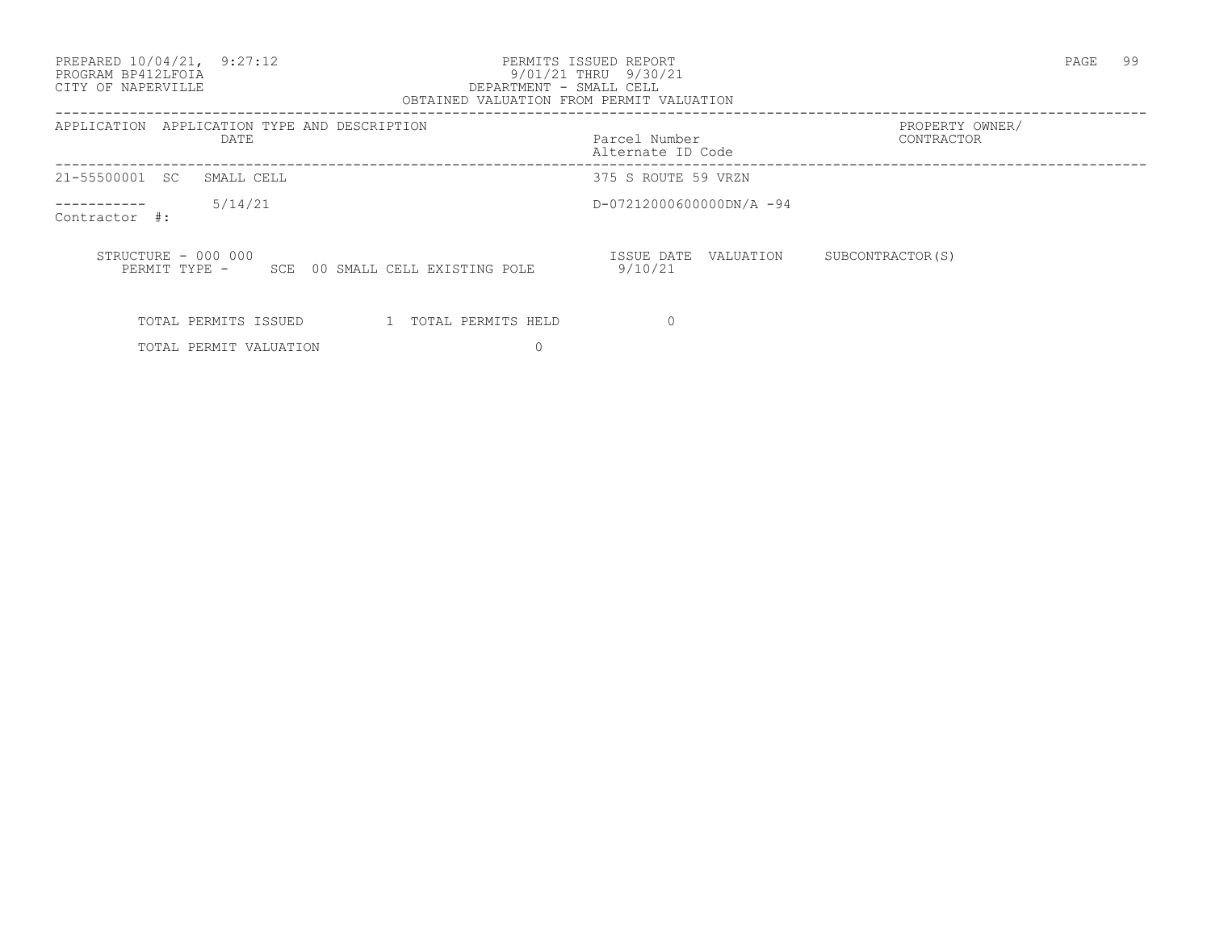PREPARED 10/04/21, 9:27:12 PERMITS ISSUED REPORT PAGE 99

# PROGRAM BP412LFOIA 9/01/21 THRU 9/30/21 CITY OF NAPERVILLE DEPARTMENT - SMALL CELL

| OBTAINED VALUATION FROM PERMIT VALUATION                                   |                                    |                               |
|----------------------------------------------------------------------------|------------------------------------|-------------------------------|
| APPLICATION<br>APPLICATION TYPE AND DESCRIPTION<br>DATE                    | Parcel Number<br>Alternate ID Code | PROPERTY OWNER/<br>CONTRACTOR |
| 21-55500001 SC<br>SMALL CELL                                               | 375 S ROUTE 59 VRZN                |                               |
| 5/14/21<br>Contractor #:                                                   | D-07212000600000DN/A -94           |                               |
| STRUCTURE - 000 000<br>00 SMALL CELL EXISTING POLE<br>PERMIT TYPE -<br>SCE | ISSUE DATE<br>VALUATION<br>9/10/21 | SUBCONTRACTOR (S)             |
| TOTAL PERMITS ISSUED<br>1 TOTAL PERMITS HELD                               |                                    |                               |
| TOTAL PERMIT VALUATION                                                     |                                    |                               |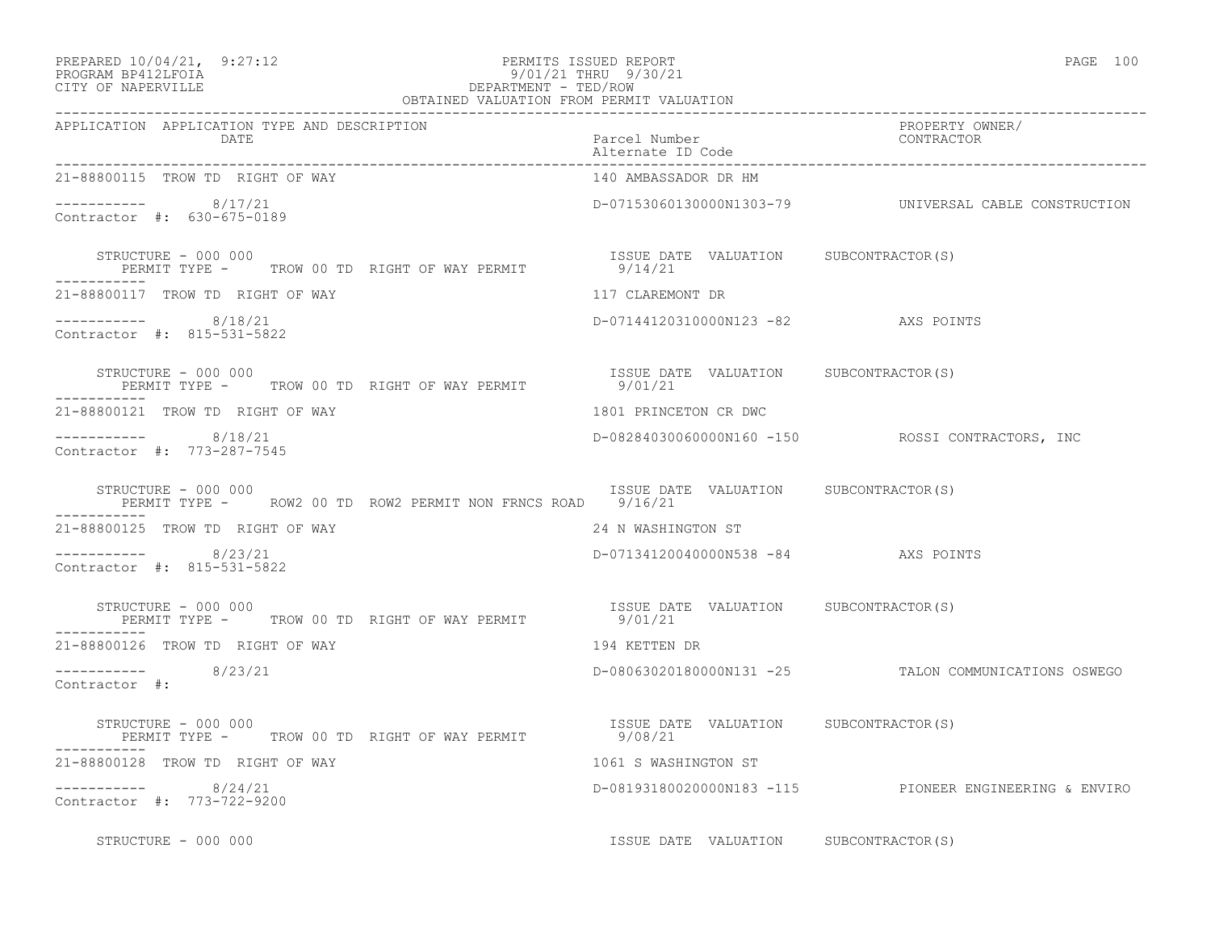| PREPARED 10/04/21, | 9:27:12 |
|--------------------|---------|
|                    |         |

#### PREPARED 10/04/21, 9:27:12 PERMITS ISSUED REPORT<br>PROGRAM BP412LFOIA PAGE 100<br>9/01/21 THRU 9/30/21 PROGRAM BP412LFOIA 9/01/21 THRU 9/30/21 CITY OF NAPERVILLE **Example 20** and the contract of the DEPARTMENT - TED/ROW

| OBTAINED VALUATION FROM PERMIT VALUATION                                                   |                                                  |                                                          |
|--------------------------------------------------------------------------------------------|--------------------------------------------------|----------------------------------------------------------|
| APPLICATION APPLICATION TYPE AND DESCRIPTION<br>DATE                                       | Parcel Number<br>Alternate ID Code               | PROPERTY OWNER/<br>CONTRACTOR                            |
| 21-88800115 TROW TD RIGHT OF WAY                                                           | 140 AMBASSADOR DR HM                             |                                                          |
| ----------- 8/17/21<br>Contractor #: 630-675-0189                                          |                                                  | D-07153060130000N1303-79    UNIVERSAL CABLE CONSTRUCTION |
| STRUCTURE - 000 000                                                                        | ISSUE DATE VALUATION SUBCONTRACTOR(S)            |                                                          |
| 21-88800117 TROW TD RIGHT OF WAY                                                           | 117 CLAREMONT DR                                 |                                                          |
| $--------- 8/18/21$<br>Contractor #: 815-531-5822                                          | D-07144120310000N123 -82 AXS POINTS              |                                                          |
| STRUCTURE - 000 000<br>PERMIT TYPE - TROW 00 TD RIGHT OF WAY PERMIT                        | ISSUE DATE VALUATION SUBCONTRACTOR(S)<br>9/01/21 |                                                          |
| 21-88800121 TROW TD RIGHT OF WAY                                                           | 1801 PRINCETON CR DWC                            |                                                          |
| $--------$ 8/18/21<br>Contractor #: 773-287-7545                                           |                                                  |                                                          |
| STRUCTURE - 000 000<br>PERMIT TYPE -     ROW2 00 TD ROW2 PERMIT NON FRNCS ROAD     9/16/21 | ISSUE DATE VALUATION SUBCONTRACTOR(S)            |                                                          |
| 21-88800125 TROW TD RIGHT OF WAY                                                           | 24 N WASHINGTON ST                               |                                                          |
| $--------- 8/23/21$<br>Contractor #: 815-531-5822                                          | D-07134120040000N538 -84 AXS POINTS              |                                                          |
| STRUCTURE - 000 000<br>PERMIT TYPE - TROW 00 TD RIGHT OF WAY PERMIT 19701/21               | ISSUE DATE VALUATION SUBCONTRACTOR(S)            |                                                          |
| 21-88800126 TROW TD RIGHT OF WAY                                                           | 194 KETTEN DR                                    |                                                          |
| $--------- 8/23/21$<br>Contractor #:                                                       |                                                  | D-08063020180000N131 -25 TALON COMMUNICATIONS OSWEGO     |
| STRUCTURE - 000 000<br>PERMIT TYPE - TROW 00 TD RIGHT OF WAY PERMIT 9/08/21                | ISSUE DATE VALUATION SUBCONTRACTOR (S)           |                                                          |
| 21-88800128 TROW TD RIGHT OF WAY                                                           | 1061 S WASHINGTON ST                             |                                                          |
| $--------- 8/24/21$<br>Contractor #: 773-722-9200                                          |                                                  | D-08193180020000N183 -115 PIONEER ENGINEERING & ENVIRO   |
| STRUCTURE - 000 000                                                                        | ISSUE DATE VALUATION SUBCONTRACTOR(S)            |                                                          |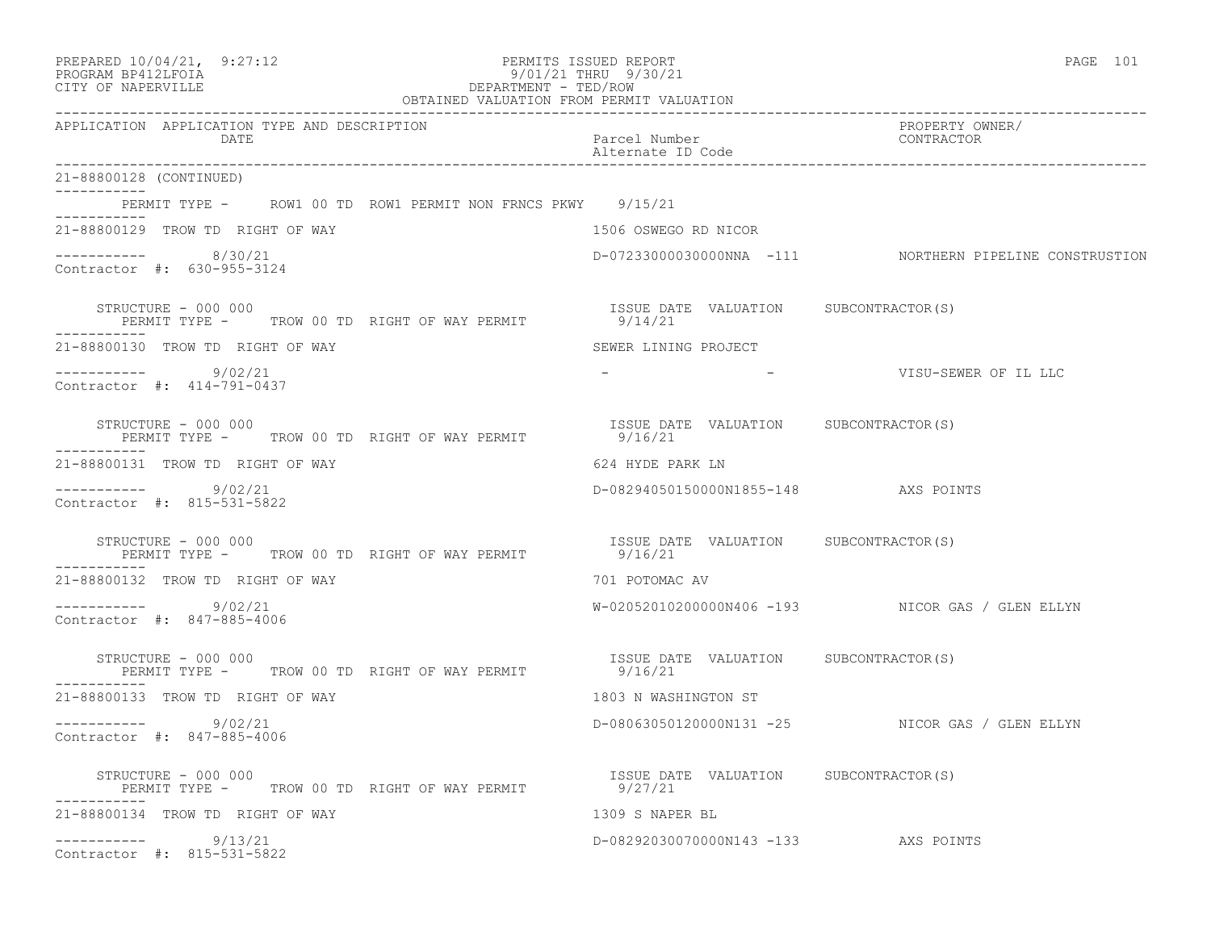| PREPARED 10/04/21, 9:27:12<br>PROGRAM BP412LFOIA<br>CITY OF NAPERVILLE<br>DEPARTMENT - TED/ROW<br>OBTAINED VALUATION FROM PERMIT VALUATION | PERMITS ISSUED REPORT<br>9/01/21 THRU 9/30/21    | PAGE 101                                                |
|--------------------------------------------------------------------------------------------------------------------------------------------|--------------------------------------------------|---------------------------------------------------------|
| APPLICATION APPLICATION TYPE AND DESCRIPTION<br>DATE                                                                                       | Parcel Number<br>Alternate ID Code               | PROPERTY OWNER/<br>CONTRACTOR                           |
| 21-88800128 (CONTINUED)                                                                                                                    |                                                  |                                                         |
| PERMIT TYPE - ROW1 00 TD ROW1 PERMIT NON FRNCS PKWY 9/15/21                                                                                |                                                  |                                                         |
| 21-88800129 TROW TD RIGHT OF WAY                                                                                                           | 1506 OSWEGO RD NICOR                             |                                                         |
| ----------- 8/30/21<br>Contractor #: 630-955-3124                                                                                          |                                                  | D-07233000030000NNA -111 NORTHERN PIPELINE CONSTRUSTION |
| STRUCTURE - 000 000<br>PERMIT TYPE - TROW 00 TD RIGHT OF WAY PERMIT 9/14/21<br>. _ _ _ _ _ _ _ _ _ _ _                                     | ISSUE DATE VALUATION SUBCONTRACTOR(S)            |                                                         |
| 21-88800130 TROW TD RIGHT OF WAY                                                                                                           | SEWER LINING PROJECT                             |                                                         |
| $--------- 9/02/21$<br>Contractor #: 414-791-0437                                                                                          | <b>Contract Contract Contract</b>                | VISU-SEWER OF IL LLC                                    |
| STRUCTURE - 000 000<br>PERMIT TYPE - TROW 00 TD RIGHT OF WAY PERMIT                                                                        | ISSUE DATE VALUATION SUBCONTRACTOR(S)<br>9/16/21 |                                                         |
| 21-88800131 TROW TD RIGHT OF WAY                                                                                                           | 624 HYDE PARK LN                                 |                                                         |
| -----------     9/02/21<br>Contractor #: 815-531-5822                                                                                      | D-08294050150000N1855-148 AXS POINTS             |                                                         |
| STRUCTURE - 000 000<br>PERMIT TYPE -     TROW 00 TD RIGHT OF WAY PERMIT<br>-----------                                                     | ISSUE DATE VALUATION SUBCONTRACTOR(S)<br>9/16/21 |                                                         |
| 21-88800132 TROW TD RIGHT OF WAY                                                                                                           | 701 POTOMAC AV                                   |                                                         |
| $--------- 9/02/21$<br>Contractor #: 847-885-4006                                                                                          |                                                  | W-02052010200000N406 -193 NICOR GAS / GLEN ELLYN        |
| STRUCTURE - 000 000<br>PERMIT TYPE - TROW 00 TD RIGHT OF WAY PERMIT                                                                        | ISSUE DATE VALUATION SUBCONTRACTOR(S)<br>9/16/21 |                                                         |
| 21-88800133 TROW TD RIGHT OF WAY                                                                                                           | 1803 N WASHINGTON ST                             |                                                         |
| $--------- 9/02/21$<br>Contractor #: 847-885-4006                                                                                          |                                                  | D-08063050120000N131 -25 NICOR GAS / GLEN ELLYN         |
| STRUCTURE - 000 000<br>PERMIT TYPE - TROW 00 TD RIGHT OF WAY PERMIT                                                                        | ISSUE DATE VALUATION SUBCONTRACTOR(S)<br>9/27/21 |                                                         |
| 21-88800134 TROW TD RIGHT OF WAY                                                                                                           | 1309 S NAPER BL                                  |                                                         |
| ----------- 9/13/21<br>Contractor #: 815-531-5822                                                                                          | D-08292030070000N143 -133 AXS POINTS             |                                                         |